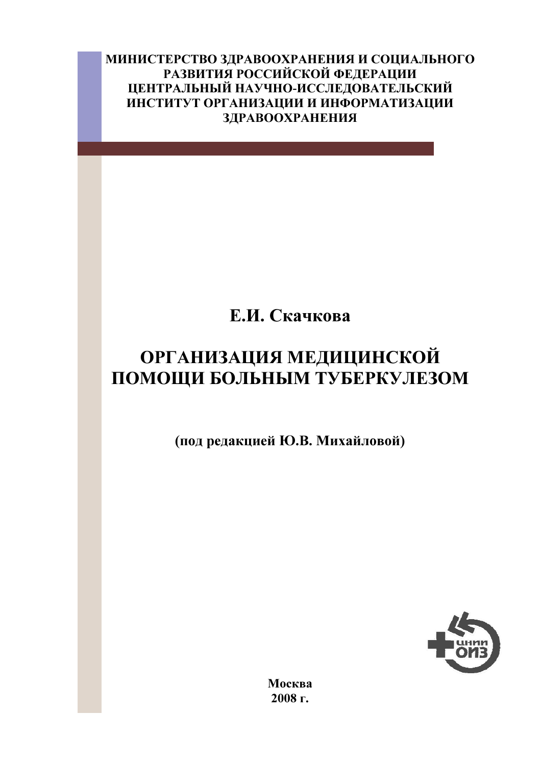МИНИСТЕРСТВО ЗДРАВООХРАНЕНИЯ И СОЦИАЛЬНОГО РАЗВИТИЯ РОССИЙСКОЙ ФЕДЕРАЦИИ ЦЕНТРАЛЬНЫЙ НАУЧНО-ИССЛЕДОВАТЕЛЬСКИЙ ИНСТИТУТ ОРГАНИЗАЦИИ И ИНФОРМАТИЗАЦИИ **ЗДРАВООХРАНЕНИЯ** 

# Е.И. Скачкова

## **ОРГАНИЗАЦИЯ МЕДИЦИНСКОЙ** ПОМОЩИ БОЛЬНЫМ ТУБЕРКУЛЕЗОМ

(под редакцией Ю.В. Михайловой)



Москва 2008 г.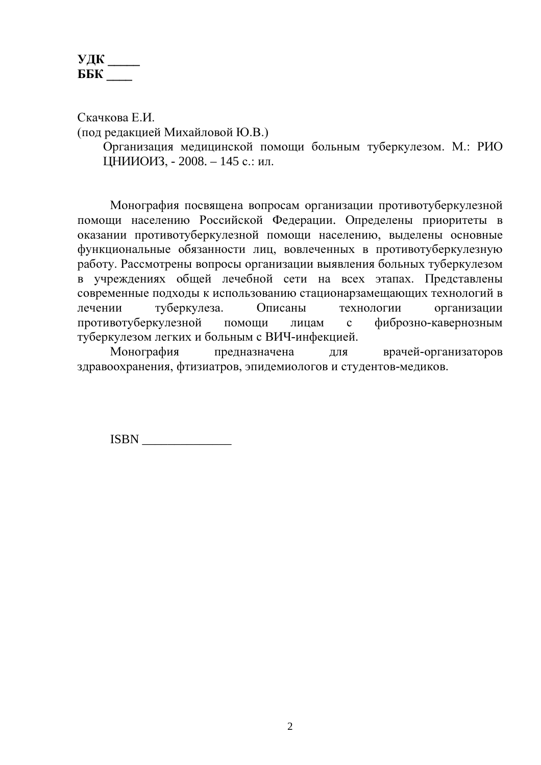#### $V\mu K$ <sub>\_\_\_\_</sub> ББК

Скачкова Е.И. (под редакцией Михайловой Ю.В.)

Организация медицинской помощи больным туберкулезом. М.: РИО ЦНИИОИЗ, - 2008. - 145 с.: ил.

Монография посвящена вопросам организации противотуберкулезной помощи населению Российской Федерации. Определены приоритеты в оказании противотуберкулезной помощи населению, выделены основные функциональные обязанности лиц, вовлеченных в противотуберкулезную работу. Рассмотрены вопросы организации выявления больных туберкулезом в учреждениях общей лечебной сети на всех этапах. Представлены современные подходы к использованию стационарзамещающих технологий в туберкулеза. Описаны технологии лечении организации противотуберкулезной помощи лицам  $\mathbf{c}$ фиброзно-кавернозным туберкулезом легких и больным с ВИЧ-инфекцией.

Монография предназначена ЛЛЯ врачей-организаторов здравоохранения, фтизиатров, эпидемиологов и студентов-медиков.

**ISBN**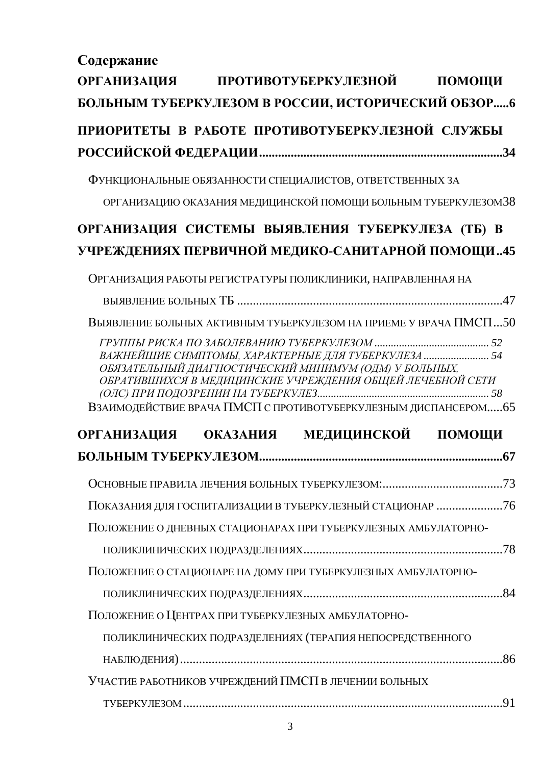Содержание

| <b>ОРГАНИЗАЦИЯ</b>   | ПРОТИВОТУБЕРКУЛЕЗНОЙ ПОМОЩИ                                                                                                                                                                                                                 |        |
|----------------------|---------------------------------------------------------------------------------------------------------------------------------------------------------------------------------------------------------------------------------------------|--------|
|                      | БОЛЬНЫМ ТУБЕРКУЛЕЗОМ В РОССИИ, ИСТОРИЧЕСКИЙ ОБЗОР6                                                                                                                                                                                          |        |
|                      | ПРИОРИТЕТЫ В РАБОТЕ ПРОТИВОТУБЕРКУЛЕЗНОЙ СЛУЖБЫ                                                                                                                                                                                             |        |
|                      |                                                                                                                                                                                                                                             |        |
|                      | ФУНКЦИОНАЛЬНЫЕ ОБЯЗАННОСТИ СПЕЦИАЛИСТОВ, ОТВЕТСТВЕННЫХ ЗА                                                                                                                                                                                   |        |
|                      | ОРГАНИЗАЦИЮ ОКАЗАНИЯ МЕДИЦИНСКОЙ ПОМОЩИ БОЛЬНЫМ ТУБЕРКУЛЕЗОМЗ8                                                                                                                                                                              |        |
|                      |                                                                                                                                                                                                                                             |        |
|                      | ОРГАНИЗАЦИЯ СИСТЕМЫ ВЫЯВЛЕНИЯ ТУБЕРКУЛЕЗА (ТБ) В                                                                                                                                                                                            |        |
|                      | УЧРЕЖДЕНИЯХ ПЕРВИЧНОЙ МЕДИКО-САНИТАРНОЙ ПОМОЩИ45                                                                                                                                                                                            |        |
|                      | ОРГАНИЗАЦИЯ РАБОТЫ РЕГИСТРАТУРЫ ПОЛИКЛИНИКИ, НАПРАВЛЕННАЯ НА                                                                                                                                                                                |        |
|                      |                                                                                                                                                                                                                                             |        |
|                      | ВЫЯВЛЕНИЕ БОЛЬНЫХ АКТИВНЫМ ТУБЕРКУЛЕЗОМ НА ПРИЕМЕ У ВРАЧА ПМСП50                                                                                                                                                                            |        |
|                      | ВАЖНЕЙШИЕ СИМПТОМЫ, ХАРАКТЕРНЫЕ ДЛЯ ТУБЕРКУЛЕЗА  54<br>ОБЯЗАТЕЛЬНЫЙ ДИАГНОСТИЧЕСКИЙ МИНИМУМ (ОДМ) У БОЛЬНЫХ,<br>ОБРАТИВШИХСЯ В МЕДИЦИНСКИЕ УЧРЕЖДЕНИЯ ОБЩЕЙ ЛЕЧЕБНОЙ СЕТИ<br>ВЗАИМОДЕЙСТВИЕ ВРАЧА ПМСП С ПРОТИВОТУБЕРКУЛЕЗНЫМ ДИСПАНСЕРОМ65 |        |
| ОРГАНИЗАЦИЯ ОКАЗАНИЯ | МЕДИЦИНСКОЙ                                                                                                                                                                                                                                 | ПОМОЩИ |
|                      |                                                                                                                                                                                                                                             |        |
|                      |                                                                                                                                                                                                                                             |        |
|                      | ПОКАЗАНИЯ ДЛЯ ГОСПИТАЛИЗАЦИИ В ТУБЕРКУЛЕЗНЫЙ СТАЦИОНАР 76                                                                                                                                                                                   |        |
|                      | ПОЛОЖЕНИЕ О ДНЕВНЫХ СТАЦИОНАРАХ ПРИ ТУБЕРКУЛЕЗНЫХ АМБУЛАТОРНО-                                                                                                                                                                              |        |
|                      |                                                                                                                                                                                                                                             |        |
|                      | ПОЛОЖЕНИЕ О СТАЦИОНАРЕ НА ДОМУ ПРИ ТУБЕРКУЛЕЗНЫХ АМБУЛАТОРНО-                                                                                                                                                                               |        |
|                      |                                                                                                                                                                                                                                             |        |
|                      | ПОЛОЖЕНИЕ О ЦЕНТРАХ ПРИ ТУБЕРКУЛЕЗНЫХ АМБУЛАТОРНО-                                                                                                                                                                                          |        |
|                      | ПОЛИКЛИНИЧЕСКИХ ПОДРАЗДЕЛЕНИЯХ (ТЕРАПИЯ НЕПОСРЕДСТВЕННОГО                                                                                                                                                                                   |        |
|                      |                                                                                                                                                                                                                                             |        |
|                      | УЧАСТИЕ РАБОТНИКОВ УЧРЕЖДЕНИЙ ПМСП В ЛЕЧЕНИИ БОЛЬНЫХ                                                                                                                                                                                        |        |
|                      |                                                                                                                                                                                                                                             |        |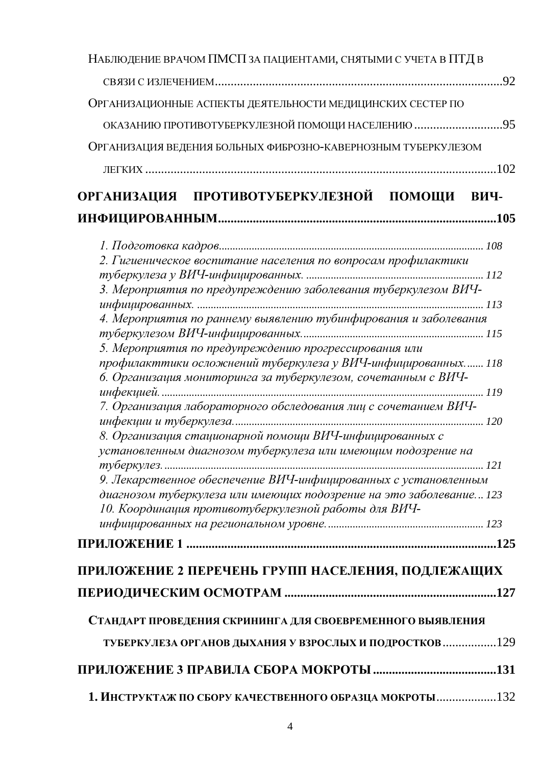| НАБЛЮДЕНИЕ ВРАЧОМ ПМСП ЗА ПАЦИЕНТАМИ, СНЯТЫМИ С УЧЕТА В ПТД В       |  |  |  |  |  |
|---------------------------------------------------------------------|--|--|--|--|--|
|                                                                     |  |  |  |  |  |
| ОРГАНИЗАЦИОННЫЕ АСПЕКТЫ ДЕЯТЕЛЬНОСТИ МЕДИЦИНСКИХ СЕСТЕР ПО          |  |  |  |  |  |
| ОКАЗАНИЮ ПРОТИВОТУБЕРКУЛЕЗНОЙ ПОМОЩИ НАСЕЛЕНИЮ 95                   |  |  |  |  |  |
| ОРГАНИЗАЦИЯ ВЕДЕНИЯ БОЛЬНЫХ ФИБРОЗНО-КАВЕРНОЗНЫМ ТУБЕРКУЛЕЗОМ       |  |  |  |  |  |
|                                                                     |  |  |  |  |  |
|                                                                     |  |  |  |  |  |
| ОРГАНИЗАЦИЯ ПРОТИВОТУБЕРКУЛЕЗНОЙ ПОМОЩИ ВИЧ-                        |  |  |  |  |  |
|                                                                     |  |  |  |  |  |
|                                                                     |  |  |  |  |  |
| 2. Гигиеническое воспитание населения по вопросам профилактики      |  |  |  |  |  |
|                                                                     |  |  |  |  |  |
| 3. Мероприятия по предупреждению заболевания туберкулезом ВИЧ-      |  |  |  |  |  |
| 4. Мероприятия по раннему выявлению тубинфирования и заболевания    |  |  |  |  |  |
|                                                                     |  |  |  |  |  |
| 5. Мероприятия по предупреждению прогрессирования или               |  |  |  |  |  |
| профилакттики осложнений туберкулеза у ВИЧ-инфицированных 118       |  |  |  |  |  |
| 6. Организация мониторинга за туберкулезом, сочетанным с ВИЧ-       |  |  |  |  |  |
|                                                                     |  |  |  |  |  |
| 7. Организация лабораторного обследования лиц с сочетанием ВИЧ-     |  |  |  |  |  |
| 8. Организация стационарной помощи ВИЧ-инфицированных с             |  |  |  |  |  |
| установленным диагнозом туберкулеза или имеющим подозрение на       |  |  |  |  |  |
|                                                                     |  |  |  |  |  |
| 9. Лекарственное обеспечение ВИЧ-инфицированных с установленным     |  |  |  |  |  |
| диагнозом туберкулеза или имеющих подозрение на это заболевание 123 |  |  |  |  |  |
| 10. Координация противотуберкулезной работы для ВИЧ-                |  |  |  |  |  |
|                                                                     |  |  |  |  |  |
|                                                                     |  |  |  |  |  |
| ПРИЛОЖЕНИЕ 2 ПЕРЕЧЕНЬ ГРУПП НАСЕЛЕНИЯ, ПОДЛЕЖАЩИХ                   |  |  |  |  |  |
|                                                                     |  |  |  |  |  |
| СТАНДАРТ ПРОВЕДЕНИЯ СКРИНИНГА ДЛЯ СВОЕВРЕМЕННОГО ВЫЯВЛЕНИЯ          |  |  |  |  |  |
| ТУБЕРКУЛЕЗА ОРГАНОВ ДЫХАНИЯ У ВЗРОСЛЫХ И ПОДРОСТКОВ 129             |  |  |  |  |  |
|                                                                     |  |  |  |  |  |
|                                                                     |  |  |  |  |  |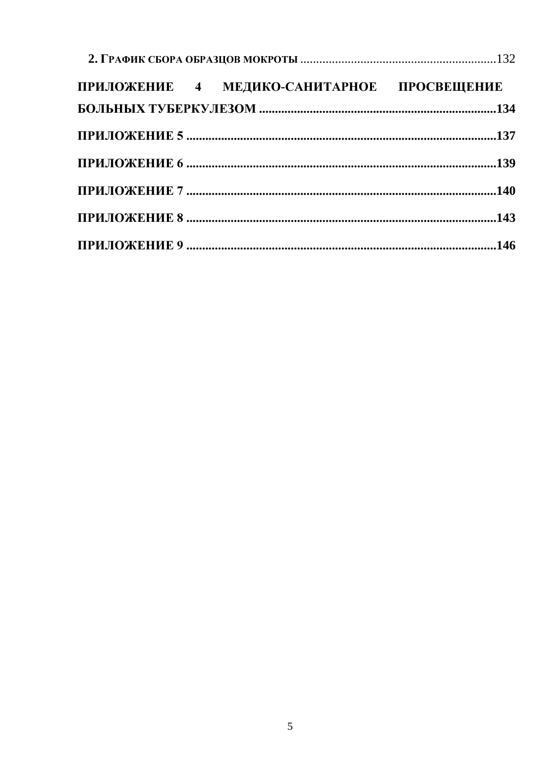|  |  | ПРИЛОЖЕНИЕ 4 МЕДИКО-САНИТАРНОЕ ПРОСВЕЩЕНИЕ |  |  |
|--|--|--------------------------------------------|--|--|
|  |  |                                            |  |  |
|  |  |                                            |  |  |
|  |  |                                            |  |  |
|  |  |                                            |  |  |
|  |  |                                            |  |  |
|  |  |                                            |  |  |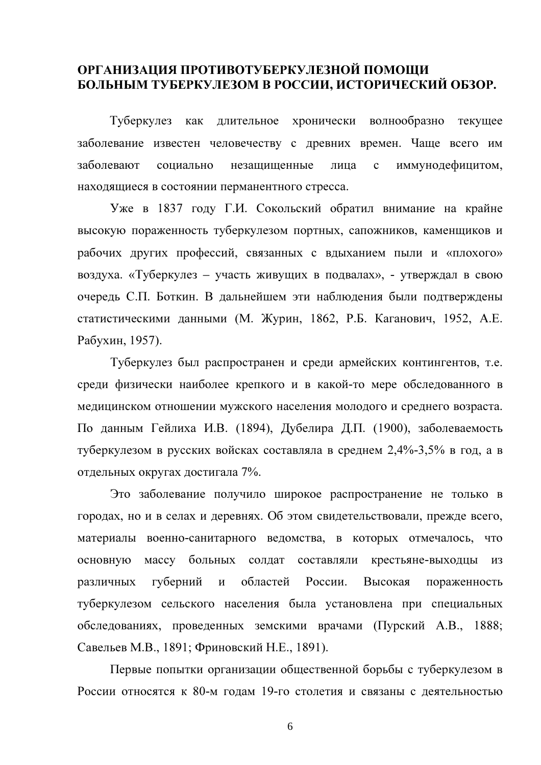#### ОРГАНИЗАЦИЯ ПРОТИВОТУБЕРКУЛЕЗНОЙ ПОМОЩИ БОЛЬНЫМ ТУБЕРКУЛЕЗОМ В РОССИИ, ИСТОРИЧЕСКИЙ ОБЗОР.

Туберкулез как длительное хронически волнообразно текущее заболевание известен человечеству с древних времен. Чаще всего им заболевают иммунодефицитом, социально незашишенные лица  $\mathbf{c}$ находящиеся в состоянии перманентного стресса.

Уже в 1837 году Г.И. Сокольский обратил внимание на крайне высокую пораженность туберкулезом портных, сапожников, каменщиков и рабочих других профессий, связанных с вдыханием пыли и «плохого» воздуха. «Туберкулез – участь живущих в подвалах», - утверждал в свою очередь С.П. Боткин. В дальнейшем эти наблюдения были подтверждены статистическими данными (М. Журин, 1862, Р.Б. Каганович, 1952, А.Е. Рабухин, 1957).

Туберкулез был распространен и среди армейских контингентов, т.е. среди физически наиболее крепкого и в какой-то мере обследованного в медицинском отношении мужского населения молодого и среднего возраста. По данным Гейлиха И.В. (1894), Дубелира Д.П. (1900), заболеваемость туберкулезом в русских войсках составляла в среднем 2,4%-3,5% в год, а в отдельных округах достигала 7%.

Это заболевание получило широкое распространение не только в городах, но и в селах и деревнях. Об этом свидетельствовали, прежде всего, материалы военно-санитарного ведомства, в которых отмечалось, что основную массу больных солдат составляли крестьяне-выходцы из областей России. Высокая губерний и различных пораженность туберкулезом сельского населения была установлена при специальных обследованиях, проведенных земскими врачами (Пурский А.В., 1888; Савельев М.В., 1891; Фриновский Н.Е., 1891).

Первые попытки организации общественной борьбы с туберкулезом в России относятся к 80-м годам 19-го столетия и связаны с деятельностью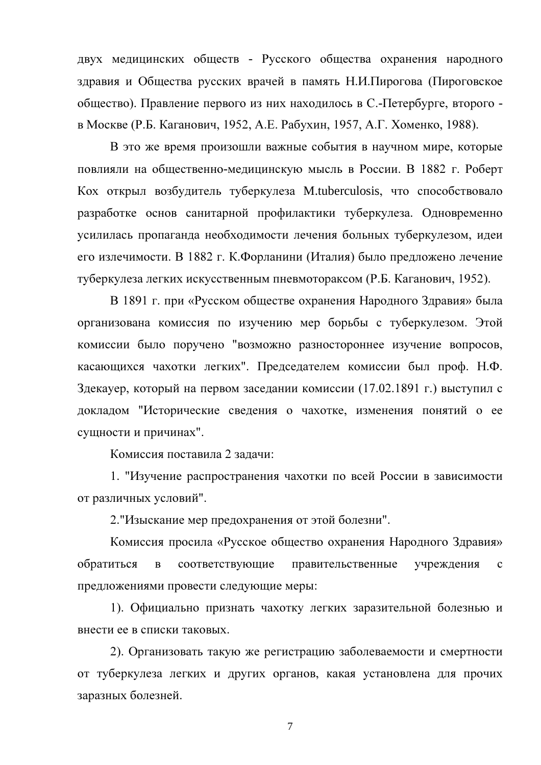двух медицинских обществ - Русского общества охранения народного здравия и Общества русских врачей в память Н.И.Пирогова (Пироговское общество). Правление первого из них находилось в С.-Петербурге, второго в Москве (Р.Б. Каганович, 1952, А.Е. Рабухин, 1957, А.Г. Хоменко, 1988).

В это же время произошли важные события в научном мире, которые повлияли на общественно-медицинскую мысль в России. В 1882 г. Роберт Кох открыл возбудитель туберкулеза M.tuberculosis, что способствовало разработке основ санитарной профилактики туберкулеза. Одновременно усилилась пропаганда необходимости лечения больных туберкулезом, идеи его излечимости. В 1882 г. К.Форланини (Италия) было предложено лечение туберкулеза легких искусственным пневмотораксом (Р.Б. Каганович, 1952).

В 1891 г. при «Русском обществе охранения Народного Здравия» была организована комиссия по изучению мер борьбы с туберкулезом. Этой комиссии было поручено "возможно разностороннее изучение вопросов, касающихся чахотки легких". Председателем комиссии был проф. Н.Ф. Здекауер, который на первом заседании комиссии (17.02.1891 г.) выступил с докладом "Исторические сведения о чахотке, изменения понятий о ее сущности и причинах".

Комиссия поставила 2 задачи:

1. "Изучение распространения чахотки по всей России в зависимости от различных условий".

2. "Изыскание мер предохранения от этой болезни".

Комиссия просила «Русское общество охранения Народного Здравия» обратиться соответствующие правительственные  $\mathbf{B}$ учреждения  $\mathbf{C}$ предложениями провести следующие меры:

1). Официально признать чахотку легких заразительной болезнью и внести ее в списки таковых.

2). Организовать такую же регистрацию заболеваемости и смертности от туберкулеза легких и других органов, какая установлена для прочих заразных болезней.

 $\overline{7}$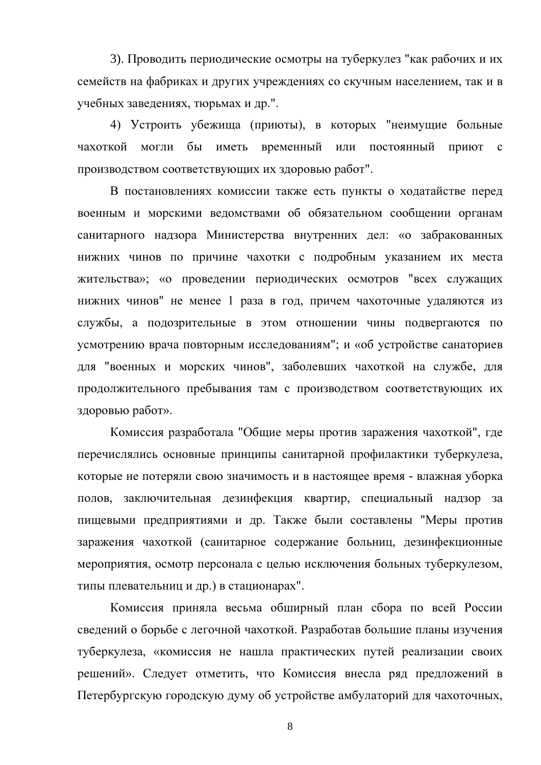3). Проводить периодические осмотры на туберкулез "как рабочих и их семейств на фабриках и других учреждениях со скучным населением, так и в учебных заведениях, тюрьмах и др.".

4) Устроить убежища (приюты), в которых "неимущие больные чахоткой могли бы иметь временный или постоянный приют с производством соответствующих их здоровью работ".

В постановлениях комиссии также есть пункты о ходатайстве перед военным и морскими ведомствами об обязательном сообщении органам санитарного надзора Министерства внутренних дел: «о забракованных нижних чинов по причине чахотки с подробным указанием их места жительства»; «о проведении периодических осмотров "всех служащих нижних чинов" не менее 1 раза в год, причем чахоточные удаляются из службы, а подозрительные в этом отношении чины подвергаются по усмотрению врача повторным исследованиям"; и «об устройстве санаториев для "военных и морских чинов", заболевших чахоткой на службе, для продолжительного пребывания там с производством соответствующих их здоровью работ».

Комиссия разработала "Общие меры против заражения чахоткой", где перечислялись основные принципы санитарной профилактики туберкулеза, которые не потеряли свою значимость и в настоящее время - влажная уборка полов, заключительная дезинфекция квартир, специальный надзор за пищевыми предприятиями и др. Также были составлены "Меры против заражения чахоткой (санитарное содержание больниц, дезинфекционные мероприятия, осмотр персонала с целью исключения больных туберкулезом, типы плевательниц и др.) в стационарах".

Комиссия приняла весьма обширный план сбора по всей России сведений о борьбе с легочной чахоткой. Разработав большие планы изучения туберкулеза, «комиссия не нашла практических путей реализации своих решений». Следует отметить, что Комиссия внесла ряд предложений в Петербургскую городскую думу об устройстве амбулаторий для чахоточных,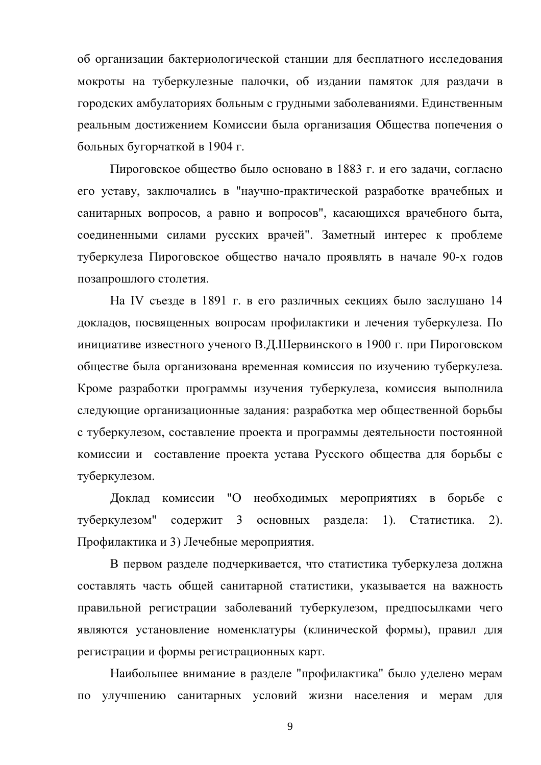об организации бактериологической станции для бесплатного исследования мокроты на туберкулезные палочки, об издании памяток для раздачи в городских амбулаториях больным с грудными заболеваниями. Единственным реальным достижением Комиссии была организация Общества попечения о больных бугорчаткой в 1904 г.

Пироговское общество было основано в 1883 г. и его задачи, согласно его уставу, заключались в "научно-практической разработке врачебных и санитарных вопросов, а равно и вопросов", касающихся врачебного быта, соединенными силами русских врачей". Заметный интерес к проблеме туберкулеза Пироговское общество начало проявлять в начале 90-х годов позапрошлого столетия.

На IV съезде в 1891 г. в его различных секциях было заслушано 14 докладов, посвященных вопросам профилактики и лечения туберкулеза. По инициативе известного ученого В.Д.Шервинского в 1900 г. при Пироговском обществе была организована временная комиссия по изучению туберкулеза. Кроме разработки программы изучения туберкулеза, комиссия выполнила следующие организационные задания: разработка мер общественной борьбы с туберкулезом, составление проекта и программы деятельности постоянной комиссии и составление проекта устава Русского общества для борьбы с туберкулезом.

Доклад комиссии "О необходимых мероприятиях в борьбе с туберкулезом" содержит 3 основных раздела: 1). Статистика.  $(2)$ . Профилактика и 3) Лечебные мероприятия.

В первом разделе подчеркивается, что статистика туберкулеза должна составлять часть общей санитарной статистики, указывается на важность правильной регистрации заболеваний туберкулезом, предпосылками чего являются установление номенклатуры (клинической формы), правил для регистрации и формы регистрационных карт.

Наибольшее внимание в разделе "профилактика" было уделено мерам по улучшению санитарных условий жизни населения и мерам для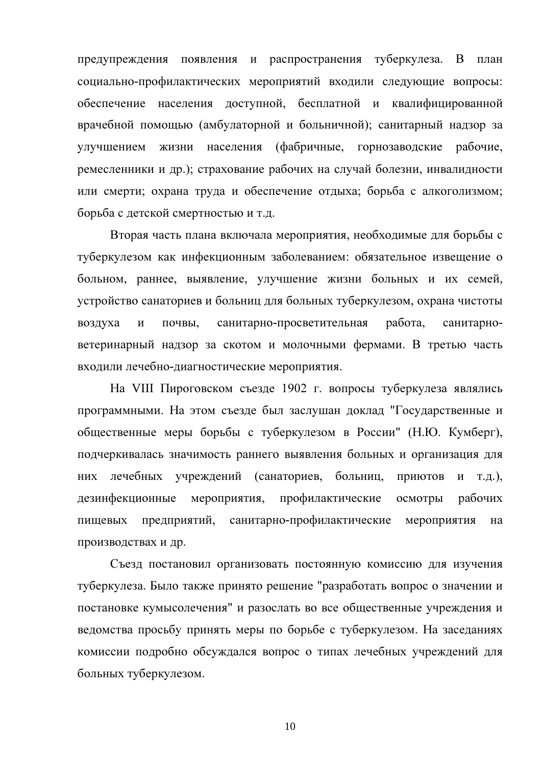предупреждения появления и распространения туберкулеза. В план социально-профилактических мероприятий входили следующие вопросы: обеспечение населения доступной, бесплатной и квалифицированной врачебной помощью (амбулаторной и больничной); санитарный надзор за населения (фабричные, горнозаводские рабочие, улучшением ЖИЗНИ ремесленники и др.); страхование рабочих на случай болезни, инвалидности или смерти; охрана труда и обеспечение отдыха; борьба с алкоголизмом; борьба с детской смертностью и т.д.

Вторая часть плана включала мероприятия, необходимые для борьбы с туберкулезом как инфекционным заболеванием: обязательное извещение о больном, раннее, выявление, улучшение жизни больных и их семей, устройство санаториев и больниц для больных туберкулезом, охрана чистоты воздуха почвы, санитарно-просветительная работа,  $\mathbf{M}$ санитарноветеринарный надзор за скотом и молочными фермами. В третью часть входили лечебно-диагностические мероприятия.

На VIII Пироговском съезде 1902 г. вопросы туберкулеза являлись программными. На этом съезде был заслушан доклад "Государственные и общественные меры борьбы с туберкулезом в России" (Н.Ю. Кумберг), подчеркивалась значимость раннего выявления больных и организация для них лечебных учреждений (санаториев, больниц, Приютов и т.д.). дезинфекционные мероприятия, профилактические осмотры рабочих предприятий, санитарно-профилактические мероприятия пищевых на производствах и др.

Съезд постановил организовать постоянную комиссию для изучения туберкулеза. Было также принято решение "разработать вопрос о значении и постановке кумысолечения" и разослать во все общественные учреждения и ведомства просьбу принять меры по борьбе с туберкулезом. На заседаниях комиссии подробно обсуждался вопрос о типах лечебных учреждений для больных туберкулезом.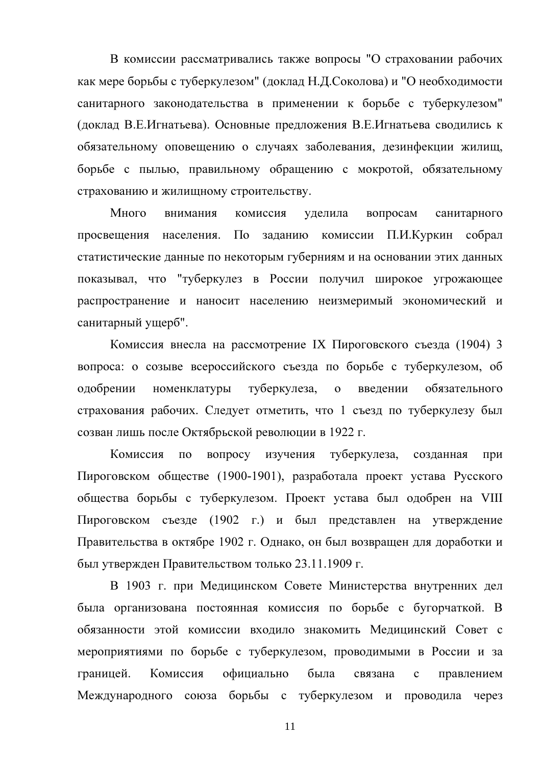В комиссии рассматривались также вопросы "О страховании рабочих как мере борьбы с туберкулезом" (доклад Н.Д.Соколова) и "О необходимости санитарного законодательства в применении к борьбе с туберкулезом" (доклад В.Е.Игнатьева). Основные предложения В.Е.Игнатьева сводились к обязательному оповещению о случаях заболевания, дезинфекции жилищ, борьбе с пылью, правильному обращению с мокротой, обязательному страхованию и жилищному строительству.

Много вопросам внимания комиссия уделила санитарного  $\Pi$ <sub>O</sub> заданию комиссии П.И.Куркин собрал просвешения населения. статистические данные по некоторым губерниям и на основании этих данных показывал, что "туберкулез в России получил широкое угрожающее распространение и наносит населению неизмеримый экономический и санитарный ущерб".

Комиссия внесла на рассмотрение IX Пироговского съезда (1904) 3 вопроса: о созыве всероссийского съезда по борьбе с туберкулезом, об одобрении номенклатуры туберкулеза,  $\mathbf{o}$ введении обязательного страхования рабочих. Следует отметить, что 1 съезд по туберкулезу был созван лишь после Октябрьской революции в 1922 г.

Комиссия  $\Pi$ O вопросу изучения туберкулеза, созданная при Пироговском обществе (1900-1901), разработала проект устава Русского общества борьбы с туберкулезом. Проект устава был одобрен на VIII Пироговском съезде (1902 г.) и был представлен на утверждение Правительства в октябре 1902 г. Однако, он был возвращен для доработки и был утвержден Правительством только 23.11.1909 г.

В 1903 г. при Медицинском Совете Министерства внутренних дел была организована постоянная комиссия по борьбе с бугорчаткой. В обязанности этой комиссии входило знакомить Медицинский Совет с мероприятиями по борьбе с туберкулезом, проводимыми в России и за границей. Комиссия официально была связана  $\mathbf{c}$ правлением Международного союза борьбы с туберкулезом и проводила через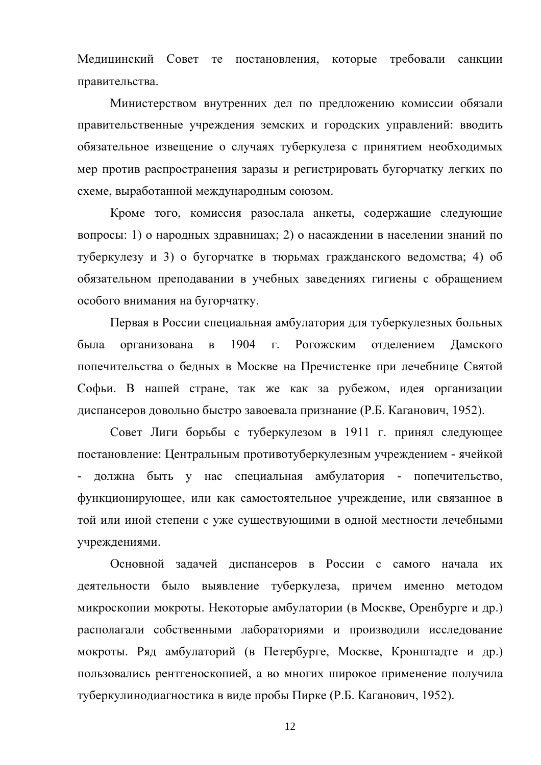Медицинский Совет те постановления, которые требовали санкции правительства.

Министерством внутренних дел по предложению комиссии обязали правительственные учреждения земских и городских управлений: вводить обязательное извещение о случаях туберкулеза с принятием необходимых мер против распространения заразы и регистрировать бугорчатку легких по схеме, выработанной международным союзом.

Кроме того, комиссия разослала анкеты, содержащие следующие вопросы: 1) о народных здравницах; 2) о насаждении в населении знаний по туберкулезу и 3) о бугорчатке в тюрьмах гражданского ведомства; 4) об обязательном преподавании в учебных заведениях гигиены с обращением особого внимания на бугорчатку.

Первая в России специальная амбулатория для туберкулезных больных была организована  $\overline{B}$ 1904  $\Gamma$ . Рогожским отделением Ламского попечительства о бедных в Москве на Пречистенке при лечебнице Святой Софьи. В нашей стране, так же как за рубежом, идея организации диспансеров довольно быстро завоевала признание (Р.Б. Каганович, 1952).

Совет Лиги борьбы с туберкулезом в 1911 г. принял следующее постановление: Центральным противотуберкулезным учреждением - ячейкой должна быть у нас специальная амбулатория - попечительство, функционирующее, или как самостоятельное учреждение, или связанное в той или иной степени с уже существующими в одной местности лечебными учреждениями.

Основной задачей диспансеров в России с самого начала их деятельности было выявление туберкулеза, причем именно методом микроскопии мокроты. Некоторые амбулатории (в Москве, Оренбурге и др.) располагали собственными лабораториями и производили исследование мокроты. Ряд амбулаторий (в Петербурге, Москве, Кронштадте и др.) пользовались рентгеноскопией, а во многих широкое применение получила туберкулинодиагностика в виде пробы Пирке (Р.Б. Каганович, 1952).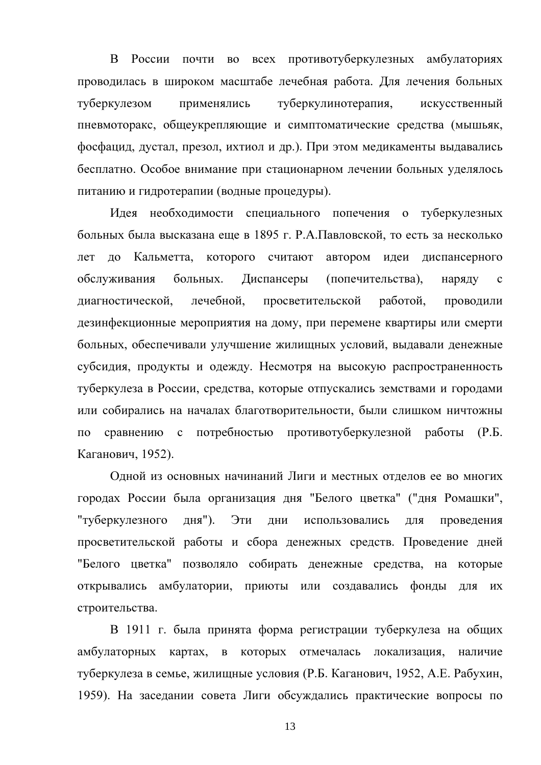В России почти во всех противотуберкулезных амбулаториях проводилась в широком масштабе лечебная работа. Для лечения больных туберкулезом применялись туберкулинотерапия, искусственный пневмоторакс, общеукрепляющие и симптоматические средства (мышьяк, фосфацид, дустал, презол, ихтиол и др.). При этом медикаменты выдавались бесплатно. Особое внимание при стационарном лечении больных уделялось питанию и гидротерапии (водные процедуры).

Идея необходимости специального попечения о туберкулезных больных была высказана еще в 1895 г. Р.А.Павловской, то есть за несколько до Кальметта, которого считают автором идеи диспансерного лет больных. Диспансеры (попечительства), обслуживания наряду  $\mathbf{c}$ лечебной. диагностической, просветительской работой, Проводили дезинфекционные мероприятия на дому, при перемене квартиры или смерти больных, обеспечивали улучшение жилищных условий, выдавали денежные субсидия, продукты и одежду. Несмотря на высокую распространенность туберкулеза в России, средства, которые отпускались земствами и городами или собирались на началах благотворительности, были слишком ничтожны сравнению с потребностью противотуберкулезной работы (Р.Б.  $\overline{a}$ Каганович, 1952).

Одной из основных начинаний Лиги и местных отделов ее во многих городах России была организация дня "Белого цветка" ("дня Ромашки", использовались "туберкулезного дня"). Эти ДНИ проведения ЛЛЯ просветительской работы и сбора денежных средств. Проведение дней "Белого цветка" позволяло собирать денежные средства, на которые открывались амбулатории, приюты или создавались фонды ЛЛЯ **ИХ** строительства.

В 1911 г. была принята форма регистрации туберкулеза на общих амбулаторных картах, в которых отмечалась локализация, наличие туберкулеза в семье, жилищные условия (Р.Б. Каганович, 1952, А.Е. Рабухин, 1959). На заседании совета Лиги обсуждались практические вопросы по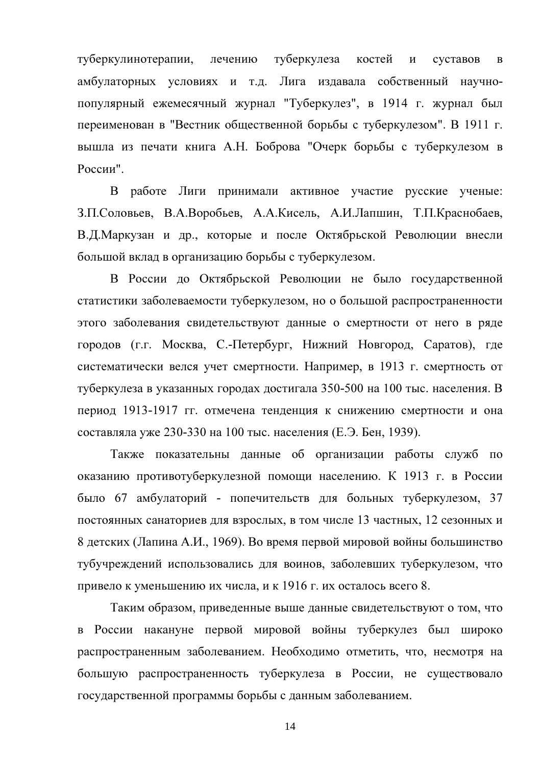туберкулинотерапии, лечению туберкулеза костей  $\mathbf{M}$ суставов  $\overline{B}$ амбулаторных условиях и т.д. Лига издавала собственный научнопопулярный ежемесячный журнал "Туберкулез", в 1914 г. журнал был переименован в "Вестник общественной борьбы с туберкулезом". В 1911 г. вышла из печати книга А.Н. Боброва "Очерк борьбы с туберкулезом в России".

В работе Лиги принимали активное участие русские ученые: З.П.Соловьев, В.А.Воробьев, А.А.Кисель, А.И.Лапшин, Т.П.Краснобаев, В.Д.Маркузан и др., которые и после Октябрьской Революции внесли большой вклад в организацию борьбы с туберкулезом.

В России до Октябрьской Революции не было государственной статистики заболеваемости туберкулезом, но о большой распространенности этого заболевания свидетельствуют данные о смертности от него в ряде городов (г.г. Москва, С.-Петербург, Нижний Новгород, Саратов), где систематически велся учет смертности. Например, в 1913 г. смертность от туберкулеза в указанных городах достигала 350-500 на 100 тыс. населения. В период 1913-1917 гг. отмечена тенденция к снижению смертности и она составляла уже 230-330 на 100 тыс. населения (Е.Э. Бен, 1939).

Также показательны данные об организации работы служб по оказанию противотуберкулезной помощи населению. К 1913 г. в России было 67 амбулаторий - попечительств для больных туберкулезом, 37 постоянных санаториев для взрослых, в том числе 13 частных, 12 сезонных и 8 детских (Лапина А.И., 1969). Во время первой мировой войны большинство тубучреждений использовались для воинов, заболевших туберкулезом, что привело к уменьшению их числа, и к 1916 г. их осталось всего 8.

Таким образом, приведенные выше данные свидетельствуют о том, что в России накануне первой мировой войны туберкулез был широко распространенным заболеванием. Необходимо отметить, что, несмотря на большую распространенность туберкулеза в России, не существовало государственной программы борьбы с данным заболеванием.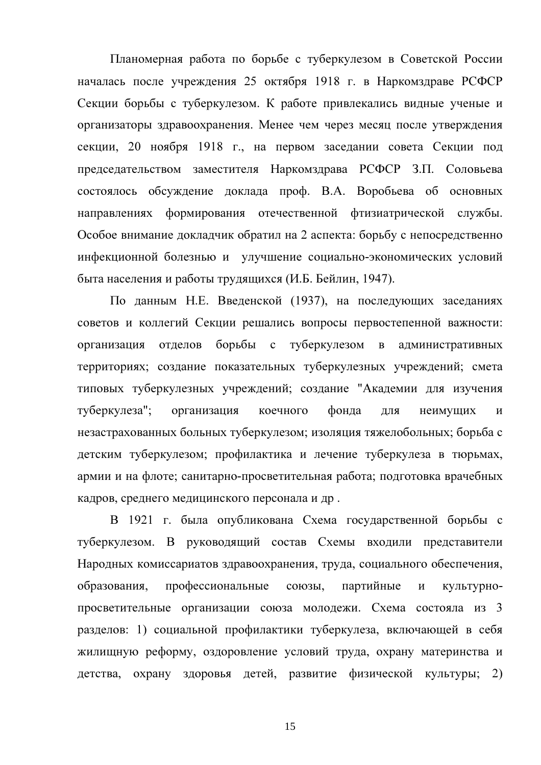Планомерная работа по борьбе с туберкулезом в Советской России началась после учреждения 25 октября 1918 г. в Наркомздраве РСФСР Секции борьбы с туберкулезом. К работе привлекались видные ученые и организаторы здравоохранения. Менее чем через месяц после утверждения секции, 20 ноября 1918 г., на первом заседании совета Секции под председательством заместителя Наркомздрава РСФСР З.П. Соловьева состоялось обсуждение доклада проф. В.А. Воробьева об основных направлениях формирования отечественной фтизиатрической службы. Особое внимание докладчик обратил на 2 аспекта: борьбу с непосредственно инфекционной болезнью и улучшение социально-экономических условий быта населения и работы трудящихся (И.Б. Бейлин, 1947).

По данным Н.Е. Введенской (1937), на последующих заседаниях советов и коллегий Секции решались вопросы первостепенной важности: организация отделов борьбы с туберкулезом  $\mathbf{B}$ административных территориях; создание показательных туберкулезных учреждений; смета типовых туберкулезных учреждений; создание "Академии для изучения неимущих туберкулеза"; организация коечного фонда ЛЛЯ  $\overline{M}$ незастрахованных больных туберкулезом; изоляция тяжелобольных; борьба с детским туберкулезом; профилактика и лечение туберкулеза в тюрьмах, армии и на флоте; санитарно-просветительная работа; подготовка врачебных кадров, среднего медицинского персонала и др.

В 1921 г. была опубликована Схема государственной борьбы с туберкулезом. В руководящий состав Схемы входили представители Народных комиссариатов здравоохранения, труда, социального обеспечения, образования. профессиональные союзы, партийные  $\overline{M}$ КУЛЬТУРНОпросветительные организации союза молодежи. Схема состояла из 3 разделов: 1) социальной профилактики туберкулеза, включающей в себя жилищную реформу, оздоровление условий труда, охрану материнства и детства, охрану здоровья детей, развитие физической культуры; 2)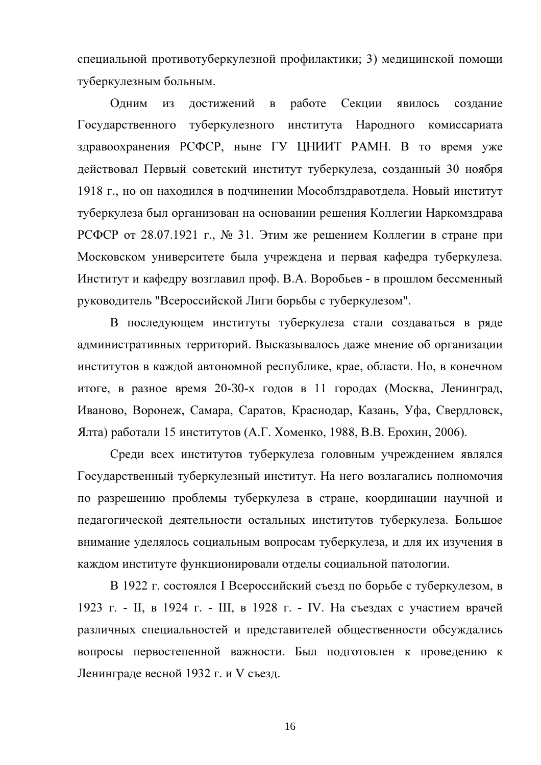специальной противотуберкулезной профилактики; 3) медицинской помощи туберкулезным больным.

Одним достижений  $\mathbf{B}$ работе Секции **ИЗ** явилось создание Государственного туберкулезного института Народного комиссариата здравоохранения РСФСР, ныне ГУ ЦНИИТ РАМН. В то время уже действовал Первый советский институт туберкулеза, созданный 30 ноября 1918 г., но он находился в подчинении Мособлздравотдела. Новый институт туберкулеза был организован на основании решения Коллегии Наркомздрава РСФСР от 28.07.1921 г., № 31. Этим же решением Коллегии в стране при Московском университете была учреждена и первая кафедра туберкулеза. Институт и кафедру возглавил проф. В.А. Воробьев - в прошлом бессменный руководитель "Всероссийской Лиги борьбы с туберкулезом".

В последующем институты туберкулеза стали создаваться в ряде административных территорий. Высказывалось даже мнение об организации институтов в каждой автономной республике, крае, области. Но, в конечном итоге, в разное время 20-30-х годов в 11 городах (Москва, Ленинград, Иваново, Воронеж, Самара, Саратов, Краснодар, Казань, Уфа, Свердловск, Ялта) работали 15 институтов (А.Г. Хоменко, 1988, В.В. Ерохин, 2006).

Среди всех институтов туберкулеза головным учреждением являлся Государственный туберкулезный институт. На него возлагались полномочия по разрешению проблемы туберкулеза в стране, координации научной и педагогической деятельности остальных институтов туберкулеза. Большое внимание уделялось социальным вопросам туберкулеза, и для их изучения в каждом институте функционировали отделы социальной патологии.

В 1922 г. состоялся I Всероссийский съезд по борьбе с туберкулезом, в 1923 г. – II, в 1924 г. – III, в 1928 г. – IV. На съездах с участием врачей различных специальностей и представителей общественности обсуждались вопросы первостепенной важности. Был подготовлен к проведению к Ленинграде весной 1932 г. и V съезд.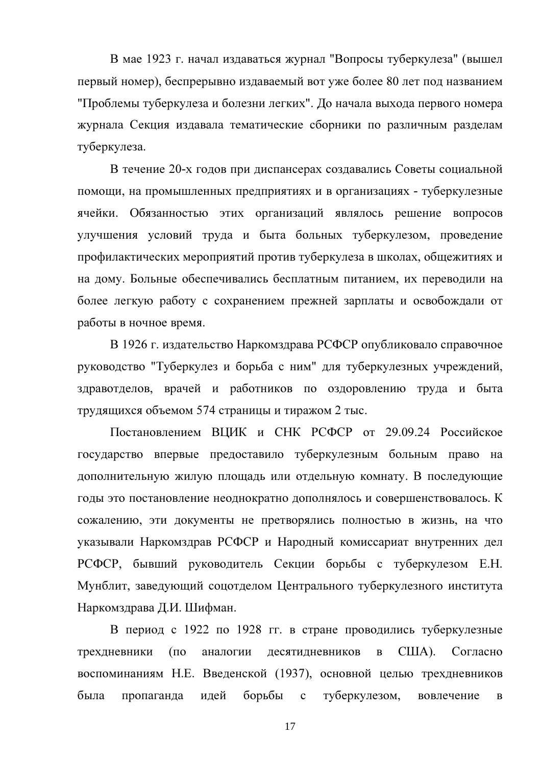В мае 1923 г. начал издаваться журнал "Вопросы туберкулеза" (вышел первый номер), беспрерывно издаваемый вот уже более 80 лет под названием "Проблемы туберкулеза и болезни легких". До начала выхода первого номера журнала Секция издавала тематические сборники по различным разделам туберкулеза.

В течение 20-х годов при диспансерах создавались Советы социальной помощи, на промышленных предприятиях и в организациях - туберкулезные ячейки. Обязанностью этих организаций являлось решение вопросов улучшения условий труда и быта больных туберкулезом, проведение профилактических мероприятий против туберкулеза в школах, общежитиях и на дому. Больные обеспечивались бесплатным питанием, их переводили на более легкую работу с сохранением прежней зарплаты и освобождали от работы в ночное время.

В 1926 г. издательство Наркомздрава РСФСР опубликовало справочное руководство "Туберкулез и борьба с ним" для туберкулезных учреждений, здравотделов, врачей и работников по оздоровлению труда и быта трудящихся объемом 574 страницы и тиражом 2 тыс.

Постановлением ВШИК и СНК РСФСР от 29.09.24 Российское государство впервые предоставило туберкулезным больным право на дополнительную жилую площадь или отдельную комнату. В последующие годы это постановление неоднократно дополнялось и совершенствовалось. К сожалению, эти документы не претворялись полностью в жизнь, на что указывали Наркомздрав РСФСР и Народный комиссариат внутренних дел РСФСР, бывший руководитель Секции борьбы с туберкулезом Е.Н. Мунблит, заведующий соцотделом Центрального туберкулезного института Наркомздрава Д.И. Шифман.

В период с 1922 по 1928 гг. в стране проводились туберкулезные трехдневники аналогии лесятилневников  $\overline{B}$ CIIIA). Согласно  $($  $\Pi$ O $)$ воспоминаниям Н.Е. Введенской (1937), основной целью трехдневников была борьбы с пропаганда идей туберкулезом, вовлечение  $\bf{B}$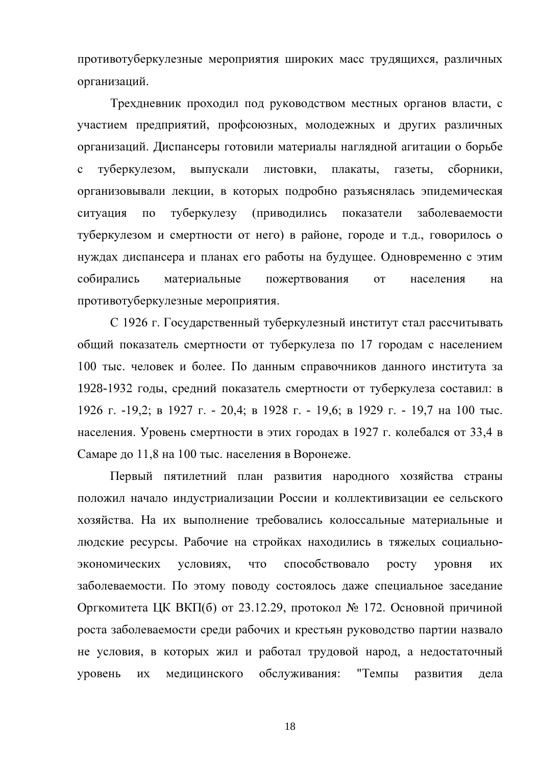противотуберкулезные мероприятия широких масс трудящихся, различных организаций.

Трехдневник проходил под руководством местных органов власти, с участием предприятий, профсоюзных, молодежных и других различных организаций. Диспансеры готовили материалы наглядной агитации о борьбе туберкулезом. листовки, плакаты,  $\mathbf{c}$ выпускали газеты. сборники, организовывали лекции, в которых подробно разъяснялась эпидемическая ситуация  $\Pi$ O туберкулезу **(приводились** показатели заболеваемости туберкулезом и смертности от него) в районе, городе и т.д., говорилось о нуждах диспансера и планах его работы на будущее. Одновременно с этим собирались материальные пожертвования **OT** населения на противотуберкулезные мероприятия.

С 1926 г. Государственный туберкулезный институт стал рассчитывать общий показатель смертности от туберкулеза по 17 городам с населением 100 тыс. человек и более. По данным справочников данного института за 1928-1932 годы, средний показатель смертности от туберкулеза составил: в 1926 г. -19,2; в 1927 г. - 20,4; в 1928 г. - 19,6; в 1929 г. - 19,7 на 100 тыс. населения. Уровень смертности в этих городах в 1927 г. колебался от 33,4 в Самаре до 11,8 на 100 тыс. населения в Воронеже.

Первый пятилетний план развития народного хозяйства страны положил начало индустриализации России и коллективизации ее сельского хозяйства. На их выполнение требовались колоссальные материальные и людские ресурсы. Рабочие на стройках находились в тяжелых социальноэкономических условиях, что способствовало pocry уровня **HX** заболеваемости. По этому поводу состоялось даже специальное заседание Оргкомитета ЦК ВКП(б) от 23.12.29, протокол № 172. Основной причиной роста заболеваемости среди рабочих и крестьян руководство партии назвало не условия, в которых жил и работал трудовой народ, а недостаточный медицинского обслуживания: "Темпы развития уровень ИX дела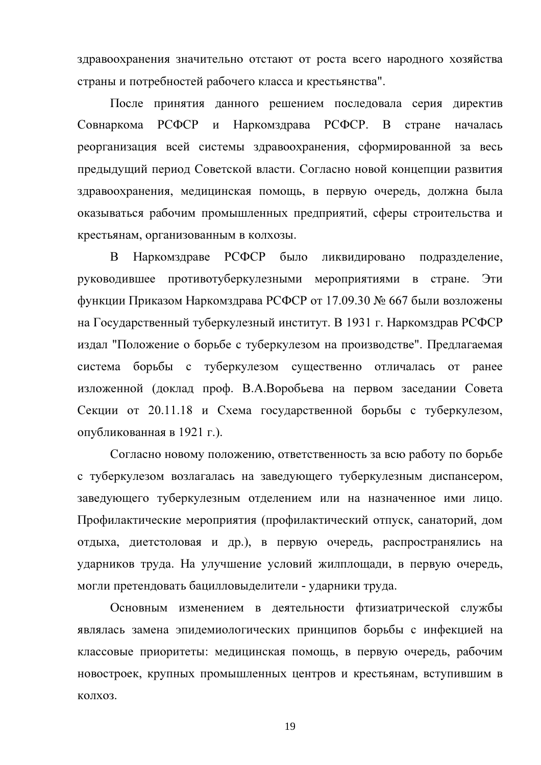здравоохранения значительно отстают от роста всего народного хозяйства страны и потребностей рабочего класса и крестьянства".

После принятия данного решением последовала серия директив Наркомздрава РСФСР. В Совнаркома РСФСР и стране началась реорганизация всей системы здравоохранения, сформированной за весь предыдущий период Советской власти. Согласно новой концепции развития здравоохранения, медицинская помощь, в первую очередь, должна была оказываться рабочим промышленных предприятий, сферы строительства и крестьянам, организованным в колхозы.

Наркомздраве РСФСР было B ликвидировано подразделение, руководившее противотуберкулезными мероприятиями в стране. Эти функции Приказом Наркомздрава РСФСР от 17.09.30 № 667 были возложены на Государственный туберкулезный институт. В 1931 г. Наркомздрав РСФСР издал "Положение о борьбе с туберкулезом на производстве". Предлагаемая борьбы с туберкулезом существенно отличалась от ранее система изложенной (доклад проф. В.А.Воробьева на первом заседании Совета Секции от 20.11.18 и Схема государственной борьбы с туберкулезом, опубликованная в 1921 г.).

Согласно новому положению, ответственность за всю работу по борьбе с туберкулезом возлагалась на заведующего туберкулезным диспансером, заведующего туберкулезным отделением или на назначенное ими лицо. Профилактические мероприятия (профилактический отпуск, санаторий, дом отдыха, диетстоловая и др.), в первую очередь, распространялись на ударников труда. На улучшение условий жилплощади, в первую очередь, могли претендовать бацилловыделители - ударники труда.

Основным изменением в деятельности фтизиатрической службы являлась замена эпидемиологических принципов борьбы с инфекцией на классовые приоритеты: медицинская помощь, в первую очередь, рабочим новостроек, крупных промышленных центров и крестьянам, вступившим в КОЛХОЗ.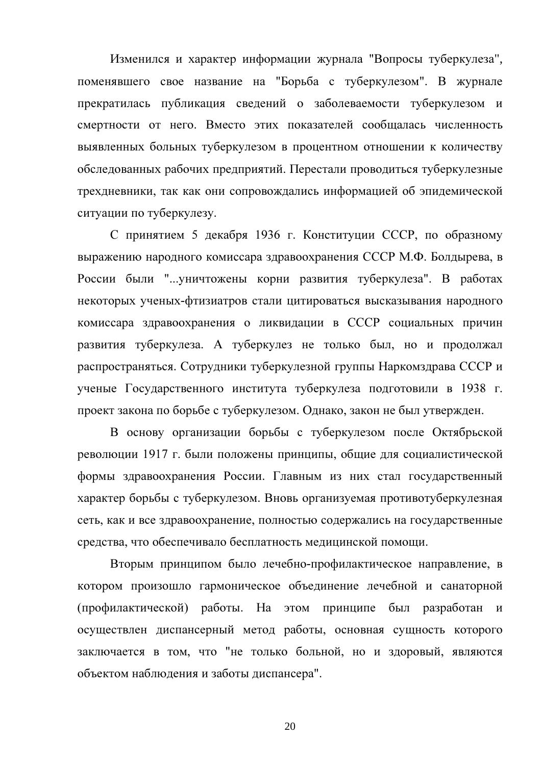Изменился и характер информации журнала "Вопросы туберкулеза", поменявшего свое название на "Борьба с туберкулезом". В журнале прекратилась публикация сведений о заболеваемости туберкулезом и смертности от него. Вместо этих показателей сообщалась численность выявленных больных туберкулезом в процентном отношении к количеству обследованных рабочих предприятий. Перестали проводиться туберкулезные трехдневники, так как они сопровождались информацией об эпидемической ситуации по туберкулезу.

С принятием 5 декабря 1936 г. Конституции СССР, по образному выражению народного комиссара здравоохранения СССР М.Ф. Болдырева, в России были "...уничтожены корни развития туберкулеза". В работах некоторых ученых-фтизиатров стали цитироваться высказывания народного комиссара здравоохранения о ликвидации в СССР социальных причин развития туберкулеза. А туберкулез не только был, но и продолжал распространяться. Сотрудники туберкулезной группы Наркомздрава СССР и ученые Государственного института туберкулеза подготовили в 1938 г. проект закона по борьбе с туберкулезом. Однако, закон не был утвержден.

В основу организации борьбы с туберкулезом после Октябрьской революции 1917 г. были положены принципы, общие для социалистической формы здравоохранения России. Главным из них стал государственный характер борьбы с туберкулезом. Вновь организуемая противотуберкулезная сеть, как и все здравоохранение, полностью содержались на государственные средства, что обеспечивало бесплатность медицинской помощи.

Вторым принципом было лечебно-профилактическое направление, в котором произошло гармоническое объединение лечебной и санаторной (профилактической) работы. На этом принципе был разработан и осуществлен диспансерный метод работы, основная сущность которого заключается в том, что "не только больной, но и здоровый, являются объектом наблюдения и заботы диспансера".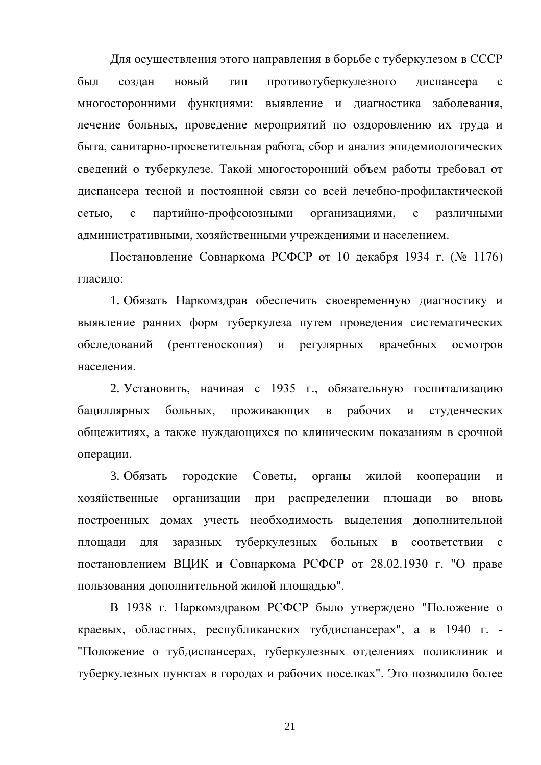Для осуществления этого направления в борьбе с туберкулезом в СССР был противотуберкулезного созлан новый тип диспансера  $\mathbf{c}$ многосторонними функциями: выявление и диагностика заболевания, лечение больных, проведение мероприятий по оздоровлению их труда и быта, санитарно-просветительная работа, сбор и анализ эпидемиологических сведений о туберкулезе. Такой многосторонний объем работы требовал от диспансера тесной и постоянной связи со всей лечебно-профилактической сетью.  $\mathbf{c}$ партийно-профсоюзными организациями,  $\mathbf{c}$ различными административными, хозяйственными учреждениями и населением.

Постановление Совнаркома РСФСР от 10 декабря 1934 г. (№ 1176) гласило:

1. Обязать Наркомздрав обеспечить своевременную диагностику и выявление ранних форм туберкулеза путем проведения систематических обследований (рентгеноскопия) и регулярных врачебных осмотров населения.

2. Установить, начиная с 1935 г., обязательную госпитализацию рабочих бациллярных больных, проживающих  $\, {\bf B}$  $\mathbf H$ студенческих общежитиях, а также нуждающихся по клиническим показаниям в срочной операции.

3. Обязать городские Советы. органы жилой кооперации  $\overline{M}$ хозяйственные организации при распределении площади  $BO$ вновь построенных домах учесть необходимость выделения дополнительной плошали  $R\overline{\rm IL}$ заразных туберкулезных больных в соответствии  $\mathbf{c}$ постановлением ВЦИК и Совнаркома РСФСР от 28.02.1930 г. "О праве пользования дополнительной жилой площадью".

В 1938 г. Наркомздравом РСФСР было утверждено "Положение о краевых, областных, республиканских тубдиспансерах", а в 1940 г. -"Положение о тубдиспансерах, туберкулезных отделениях поликлиник и туберкулезных пунктах в городах и рабочих поселках". Это позволило более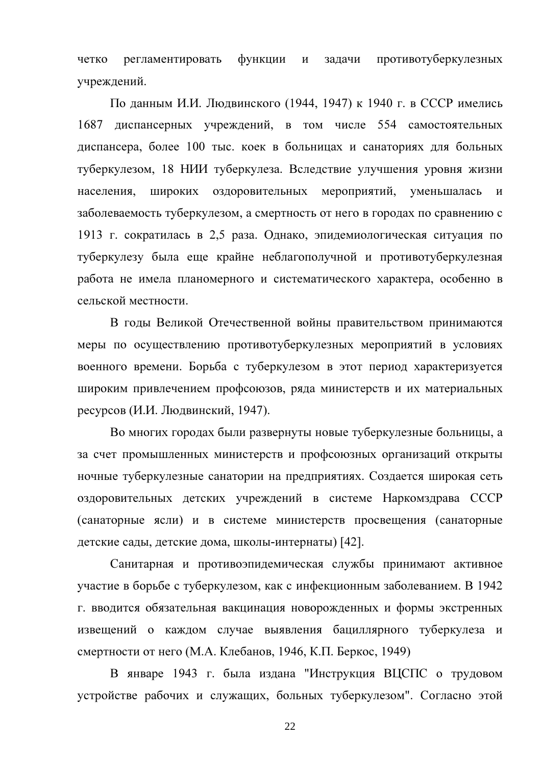противотуберкулезных четко регламентировать функции задачи  $\mathbf{M}$ учреждений.

По данным И.И. Людвинского (1944, 1947) к 1940 г. в СССР имелись 1687 диспансерных учреждений, в том числе 554 самостоятельных диспансера, более 100 тыс. коек в больницах и санаториях для больных туберкулезом, 18 НИИ туберкулеза. Вследствие улучшения уровня жизни населения, широких оздоровительных мероприятий, уменьшалась  $\overline{M}$ заболеваемость туберкулезом, а смертность от него в городах по сравнению с 1913 г. сократилась в 2,5 раза. Однако, эпидемиологическая ситуация по туберкулезу была еще крайне неблагополучной и противотуберкулезная работа не имела планомерного и систематического характера, особенно в сельской местности.

В годы Великой Отечественной войны правительством принимаются меры по осуществлению противотуберкулезных мероприятий в условиях военного времени. Борьба с туберкулезом в этот период характеризуется широким привлечением профсоюзов, ряда министерств и их материальных ресурсов (И.И. Людвинский, 1947).

Во многих городах были развернуты новые туберкулезные больницы, а за счет промышленных министерств и профсоюзных организаций открыты ночные туберкулезные санатории на предприятиях. Создается широкая сеть оздоровительных детских учреждений в системе Наркомздрава СССР (санаторные ясли) и в системе министерств просвещения (санаторные детские сады, детские дома, школы-интернаты) [42].

Санитарная и противоэпидемическая службы принимают активное участие в борьбе с туберкулезом, как с инфекционным заболеванием. В 1942 г. вводится обязательная вакцинация новорожденных и формы экстренных извещений о каждом случае выявления бациллярного туберкулеза и смертности от него (М.А. Клебанов, 1946, К.П. Беркос, 1949)

В январе 1943 г. была издана "Инструкция ВЦСПС о трудовом устройстве рабочих и служащих, больных туберкулезом". Согласно этой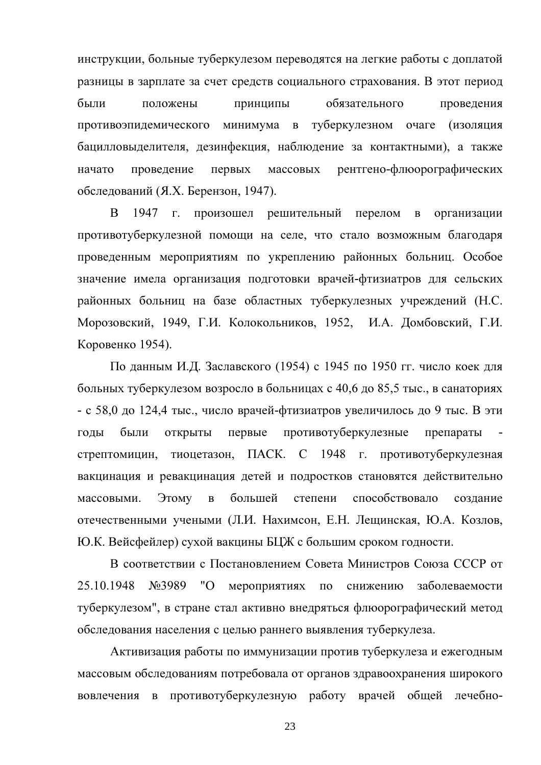инструкции, больные туберкулезом переводятся на легкие работы с доплатой разницы в зарплате за счет средств социального страхования. В этот период обязательного были положены принципы проведения противоэпидемического минимума в туберкулезном очаге (изоляция бацилловыделителя, дезинфекция, наблюдение за контактными), а также проведение рентгено-флюорографических начато первых массовых обследований (Я.Х. Берензон, 1947).

B. 1947 г. произошел решительный перелом  $\bf{B}$ организации противотуберкулезной помощи на селе, что стало возможным благодаря проведенным мероприятиям по укреплению районных больниц. Особое значение имела организация подготовки врачей-фтизиатров для сельских районных больниц на базе областных туберкулезных учреждений (Н.С. Морозовский, 1949, Г.И. Колокольников, 1952, И.А. Домбовский, Г.И. Коровенко 1954).

По данным И.Д. Заславского (1954) с 1945 по 1950 гг. число коек для больных туберкулезом возросло в больницах с 40,6 до 85,5 тыс., в санаториях - с 58,0 до 124,4 тыс., число врачей-фтизиатров увеличилось до 9 тыс. В эти были **ОТКРЫТЫ** первые противотуберкулезные голы препараты стрептомицин, тиоцетазон, ПАСК. С 1948 г. противотуберкулезная вакцинация и ревакцинация детей и подростков становятся действительно Этому большей степени способствовало массовыми.  $\, {\bf B}$ создание отечественными учеными (Л.И. Нахимсон, Е.Н. Лещинская, Ю.А. Козлов, Ю.К. Вейсфейлер) сухой вакцины БЦЖ с большим сроком годности.

В соответствии с Постановлением Совета Министров Союза СССР от №3989 "О мероприятиях по 25.10.1948 снижению заболеваемости туберкулезом", в стране стал активно внедряться флюорографический метод обследования населения с целью раннего выявления туберкулеза.

Активизация работы по иммунизации против туберкулеза и ежегодным массовым обследованиям потребовала от органов здравоохранения широкого вовлечения в противотуберкулезную работу врачей общей лечебно-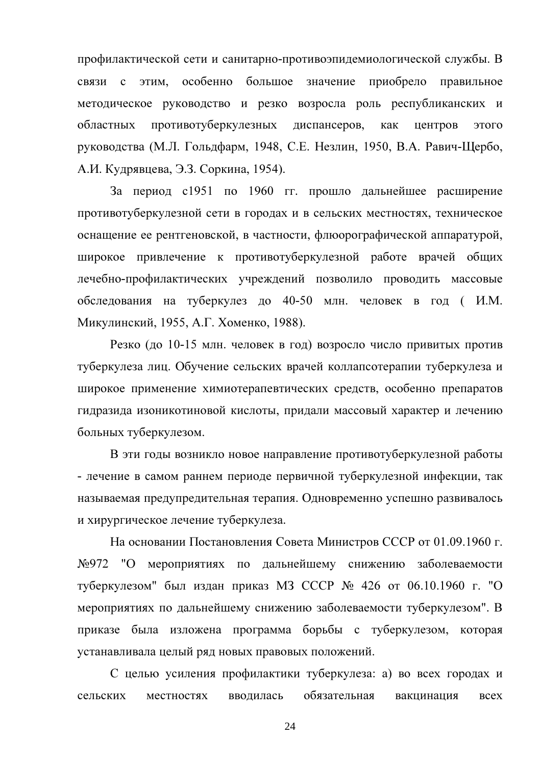профилактической сети и санитарно-противоэпидемиологической службы. В этим, особенно большое связи с значение приобрело правильное методическое руководство и резко возросла роль республиканских и противотуберкулезных лиспансеров. областных как центров этого руководства (М.Л. Гольдфарм, 1948, С.Е. Незлин, 1950, В.А. Равич-Щербо, А.И. Кудрявцева, Э.З. Соркина, 1954).

За период с1951 по 1960 гг. прошло дальнейшее расширение противотуберкулезной сети в городах и в сельских местностях, техническое оснащение ее рентгеновской, в частности, флюорографической аппаратурой, широкое привлечение к противотуберкулезной работе врачей общих лечебно-профилактических учреждений позволило проводить массовые обследования на туберкулез до 40-50 млн. человек в год (И.М. Микулинский, 1955, А.Г. Хоменко, 1988).

Резко (до 10-15 млн. человек в год) возросло число привитых против туберкулеза лиц. Обучение сельских врачей коллапсотерапии туберкулеза и широкое применение химиотерапевтических средств, особенно препаратов гидразида изоникотиновой кислоты, придали массовый характер и лечению больных туберкулезом.

В эти годы возникло новое направление противотуберкулезной работы - лечение в самом раннем периоде первичной туберкулезной инфекции, так называемая предупредительная терапия. Одновременно успешно развивалось и хирургическое лечение туберкулеза.

На основании Постановления Совета Министров СССР от 01.09.1960 г. №972 "О мероприятиях по дальнейшему снижению заболеваемости туберкулезом" был издан приказ МЗ СССР № 426 от 06.10.1960 г. "О мероприятиях по дальнейшему снижению заболеваемости туберкулезом". В приказе была изложена программа борьбы с туберкулезом, которая устанавливала целый ряд новых правовых положений.

С целью усиления профилактики туберкулеза: а) во всех городах и обязательная сельских местностях вводилась вакцинация **BCCX**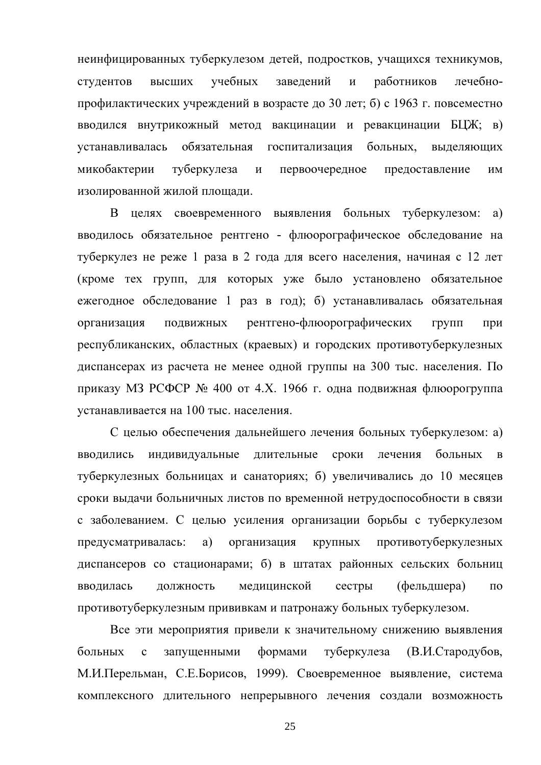неинфицированных туберкулезом детей, подростков, учащихся техникумов, учебных студентов высших заведений  $\overline{M}$ работников лечебнопрофилактических учреждений в возрасте до 30 лет; б) с 1963 г. повсеместно вводился внутрикожный метод вакцинации и ревакцинации БЦЖ; в) обязательная госпитализация больных. выделяющих устанавливалась микобактерии туберкулеза предоставление  $\mathbf{M}$ первоочередное ИМ изолированной жилой площади.

В целях своевременного выявления больных туберкулезом: a) вводилось обязательное рентгено - флюорографическое обследование на туберкулез не реже 1 раза в 2 года для всего населения, начиная с 12 лет (кроме тех групп, для которых уже было установлено обязательное ежегодное обследование 1 раз в год); б) устанавливалась обязательная организация ПОДВИЖНЫХ рентгено-флюорографических групп при республиканских, областных (краевых) и городских противотуберкулезных диспансерах из расчета не менее одной группы на 300 тыс. населения. По приказу МЗ РСФСР № 400 от 4.Х. 1966 г. одна подвижная флюорогруппа устанавливается на 100 тыс. населения.

С целью обеспечения дальнейшего лечения больных туберкулезом: а) вводились индивидуальные длительные сроки лечения больных  $\bf{B}$ туберкулезных больницах и санаториях; б) увеличивались до 10 месяцев сроки выдачи больничных листов по временной нетрудоспособности в связи с заболеванием. С целью усиления организации борьбы с туберкулезом предусматривалась: a) организация КРУПНЫХ противотуберкулезных диспансеров со стационарами; б) в штатах районных сельских больниц вводилась лолжность медицинской сестры (фельдшера)  $\overline{10}$ противотуберкулезным прививкам и патронажу больных туберкулезом.

Все эти мероприятия привели к значительному снижению выявления больных  $\mathbf{c}$ запушенными формами туберкулеза (В.И.Стародубов. М.И.Перельман, С.Е.Борисов, 1999). Своевременное выявление, система комплексного длительного непрерывного лечения создали возможность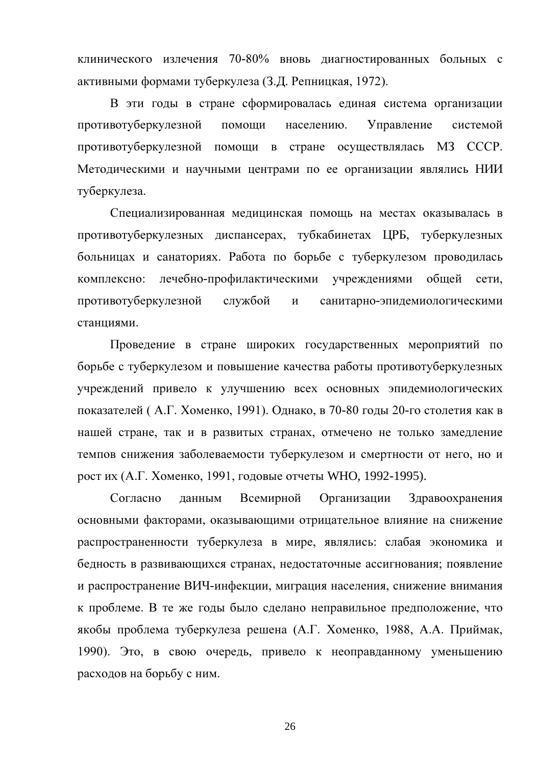клинического излечения 70-80% вновь диагностированных больных с активными формами туберкулеза (З.Д. Репницкая, 1972).

В эти годы в стране сформировалась единая система организации противотуберкулезной помоши населению. Управление системой противотуберкулезной помощи в стране осуществлялась МЗ СССР. Методическими и научными центрами по ее организации являлись НИИ туберкулеза.

Специализированная медицинская помощь на местах оказывалась в противотуберкулезных диспансерах, тубкабинетах ЦРБ, туберкулезных больницах и санаториях. Работа по борьбе с туберкулезом проводилась комплексно: лечебно-профилактическими учреждениями общей сети, противотуберкулезной службой санитарно-эпидемиологическими  $\mathbf{M}$ станциями.

Проведение в стране широких государственных мероприятий по борьбе с туберкулезом и повышение качества работы противотуберкулезных учреждений привело к улучшению всех основных эпидемиологических показателей (А.Г. Хоменко, 1991). Однако, в 70-80 годы 20-го столетия как в нашей стране, так и в развитых странах, отмечено не только замедление темпов снижения заболеваемости туберкулезом и смертности от него, но и рост их (А.Г. Хоменко, 1991, годовые отчеты WHO, 1992-1995).

Согласно Всемирной Организации данным Здравоохранения основными факторами, оказывающими отрицательное влияние на снижение распространенности туберкулеза в мире, являлись: слабая экономика и бедность в развивающихся странах, недостаточные ассигнования; появление и распространение ВИЧ-инфекции, миграция населения, снижение внимания к проблеме. В те же годы было сделано неправильное предположение, что якобы проблема туберкулеза решена (А.Г. Хоменко, 1988, А.А. Приймак, 1990). Это, в свою очередь, привело к неоправданному уменьшению расходов на борьбу с ним.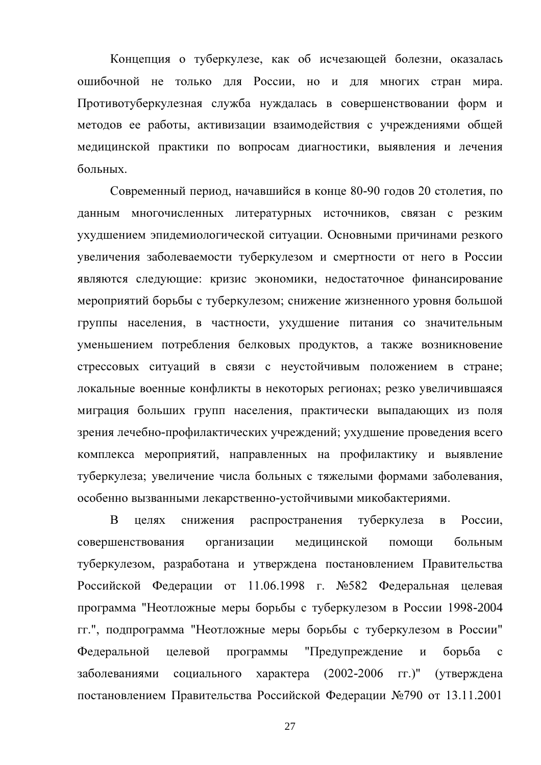Концепция о туберкулезе, как об исчезающей болезни, оказалась ошибочной не только для России, но и для многих стран мира. Противотуберкулезная служба нуждалась в совершенствовании форм и методов ее работы, активизации взаимодействия с учреждениями общей медицинской практики по вопросам диагностики, выявления и лечения больных.

Современный период, начавшийся в конце 80-90 годов 20 столетия, по данным многочисленных литературных источников, связан с резким ухудшением эпидемиологической ситуации. Основными причинами резкого увеличения заболеваемости туберкулезом и смертности от него в России являются следующие: кризис экономики, недостаточное финансирование мероприятий борьбы с туберкулезом; снижение жизненного уровня большой группы населения, в частности, ухудшение питания со значительным уменьшением потребления белковых продуктов, а также возникновение стрессовых ситуаций в связи с неустойчивым положением в стране; локальные военные конфликты в некоторых регионах; резко увеличившаяся миграция больших групп населения, практически выпадающих из поля зрения лечебно-профилактических учреждений; ухудшение проведения всего комплекса мероприятий, направленных на профилактику и выявление туберкулеза; увеличение числа больных с тяжелыми формами заболевания, особенно вызванными лекарственно-устойчивыми микобактериями.

<sub>B</sub> снижения распространения туберкулеза России, целях  $\mathbf{B}$ совершенствования организации мелицинской помоши больным туберкулезом, разработана и утверждена постановлением Правительства Российской Федерации от 11.06.1998 г. №582 Федеральная целевая программа "Неотложные меры борьбы с туберкулезом в России 1998-2004 гг.", подпрограмма "Неотложные меры борьбы с туберкулезом в России" Фелеральной целевой программы "Предупреждение  $\overline{M}$ борьба  $\mathbf{c}$ заболеваниями социального характера (2002-2006 гг.)" (утверждена постановлением Правительства Российской Федерации №790 от 13.11.2001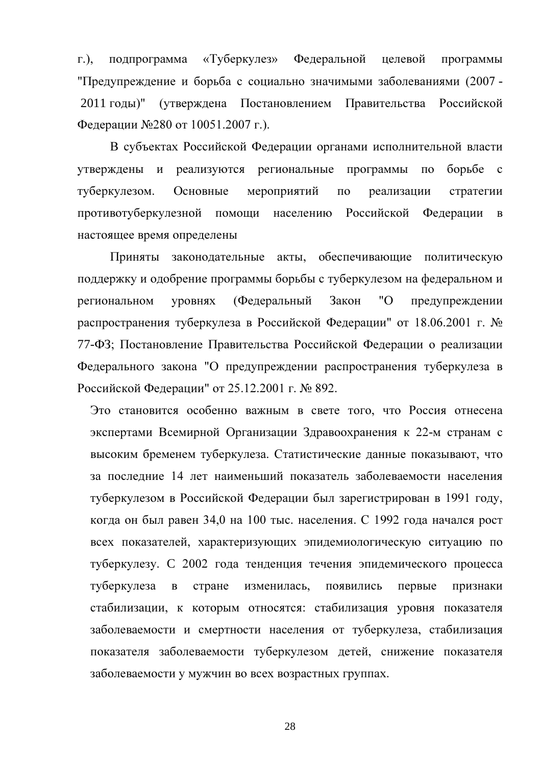$\Gamma$ .). подпрограмма «Туберкулез» Федеральной целевой программы "Предупреждение и борьба с социально значимыми заболеваниями (2007 -2011 годы)" (утверждена Постановлением Правительства Российской Федерации №280 от 10051.2007 г.).

В субъектах Российской Федерации органами исполнительной власти утверждены и реализуются региональные программы борьбе с  $\Pi$ O туберкулезом. Основные мероприятий  $\Pi$ O реализации стратегии противотуберкулезной помощи населению Российской Федерации  $\overline{B}$ настоящее время определены

Приняты законодательные акты, обеспечивающие политическую поддержку и одобрение программы борьбы с туберкулезом на федеральном и (Федеральный Закон "O региональном уровнях предупреждении распространения туберкулеза в Российской Федерации" от 18.06.2001 г. № 77-ФЗ; Постановление Правительства Российской Федерации о реализации Федерального закона "О предупреждении распространения туберкулеза в Российской Федерации" от 25.12.2001 г. № 892.

Это становится особенно важным в свете того, что Россия отнесена экспертами Всемирной Организации Здравоохранения к 22-м странам с высоким бременем туберкулеза. Статистические данные показывают, что за последние 14 лет наименьший показатель заболеваемости населения туберкулезом в Российской Федерации был зарегистрирован в 1991 году, когда он был равен 34,0 на 100 тыс. населения. С 1992 года начался рост всех показателей, характеризующих эпидемиологическую ситуацию по туберкулезу. С 2002 года тенденция течения эпидемического процесса туберкулеза  $\overline{B}$ стране изменилась, появились первые признаки стабилизации, к которым относятся: стабилизация уровня показателя заболеваемости и смертности населения от туберкулеза, стабилизация показателя заболеваемости туберкулезом детей, снижение показателя заболеваемости у мужчин во всех возрастных группах.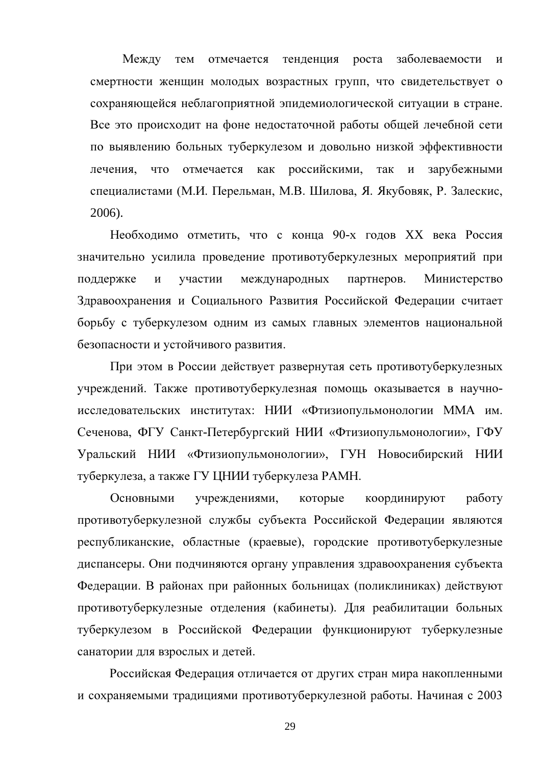тем отмечается тенденция роста заболеваемости Между  $\mathbf{M}$ смертности женщин молодых возрастных групп, что свидетельствует о сохраняющейся неблагоприятной эпидемиологической ситуации в стране. Все это происходит на фоне недостаточной работы общей лечебной сети по выявлению больных туберкулезом и довольно низкой эффективности что российскими, зарубежными лечения. отмечается как так  $\mathbf{M}$ специалистами (М.И. Перельман, М.В. Шилова, Я. Якубовяк, Р. Залескис, 2006).

Необходимо отметить, что с конца 90-х годов XX века Россия значительно усилила проведение противотуберкулезных мероприятий при международных партнеров. поддержке  $\overline{M}$ участии Министерство Здравоохранения и Социального Развития Российской Федерации считает борьбу с туберкулезом одним из самых главных элементов национальной безопасности и устойчивого развития.

При этом в России действует развернутая сеть противотуберкулезных учреждений. Также противотуберкулезная помощь оказывается в научноисследовательских институтах: НИИ «Фтизиопульмонологии ММА им. Сеченова, ФГУ Санкт-Петербургский НИИ «Фтизиопульмонологии», ГФУ Уральский НИИ «Фтизиопульмонологии», ГУН Новосибирский НИИ туберкулеза, а также ГУ ЦНИИ туберкулеза РАМН.

Основными учреждениями, которые координируют работу противотуберкулезной службы субъекта Российской Федерации являются республиканские, областные (краевые), городские противотуберкулезные диспансеры. Они подчиняются органу управления здравоохранения субъекта Федерации. В районах при районных больницах (поликлиниках) действуют противотуберкулезные отделения (кабинеты). Для реабилитации больных туберкулезом в Российской Федерации функционируют туберкулезные санатории для взрослых и детей.

Российская Федерация отличается от других стран мира накопленными и сохраняемыми традициями противотуберкулезной работы. Начиная с 2003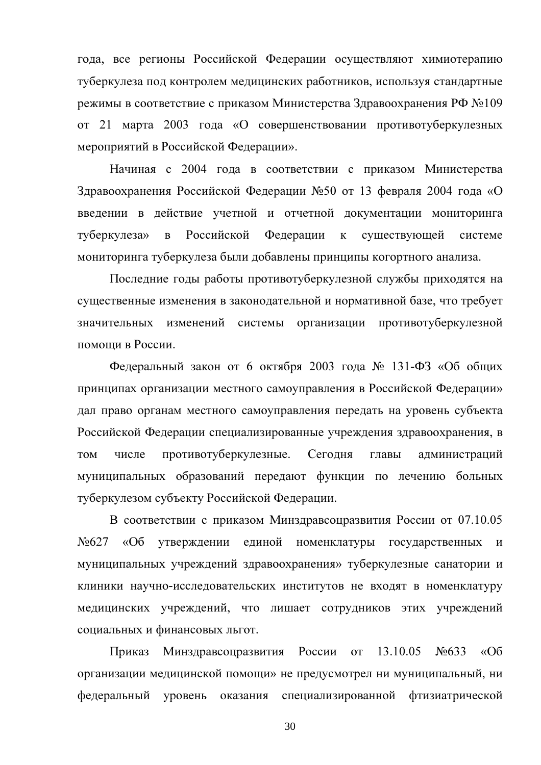года, все регионы Российской Федерации осуществляют химиотерапию туберкулеза под контролем медицинских работников, используя стандартные режимы в соответствие с приказом Министерства Здравоохранения РФ №109 от 21 марта 2003 года «О совершенствовании противотуберкулезных мероприятий в Российской Федерации».

Начиная с 2004 года в соответствии с приказом Министерства Здравоохранения Российской Федерации №50 от 13 февраля 2004 года «О введении в действие учетной и отчетной документации мониторинга Российской Федерации туберкулеза»  $\overline{B}$  $\mathbf{K}$ сушествующей системе мониторинга туберкулеза были добавлены принципы когортного анализа.

Последние годы работы противотуберкулезной службы приходятся на существенные изменения в законодательной и нормативной базе, что требует значительных изменений системы организации противотуберкулезной помоши в России.

Федеральный закон от 6 октября 2003 года № 131-ФЗ «Об общих принципах организации местного самоуправления в Российской Федерации» дал право органам местного самоуправления передать на уровень субъекта Российской Федерации специализированные учреждения здравоохранения, в противотуберкулезные. Сегодня **TOM** числе главы администраций муниципальных образований передают функции по лечению больных туберкулезом субъекту Российской Федерации.

В соответствии с приказом Минздравсоцразвития России от 07.10.05 №627 «Об утверждении единой номенклатуры государственных и муниципальных учреждений здравоохранения» туберкулезные санатории и клиники научно-исследовательских институтов не входят в номенклатуру медицинских учреждений, что лишает сотрудников этих учреждений социальных и финансовых льгот.

Минздравсоцразвития России  $\overline{O}T$ 13.10.05  $N<sub>0633</sub>$  $\alpha$ Oб Приказ организации медицинской помощи» не предусмотрел ни муниципальный, ни федеральный уровень оказания специализированной фтизиатрической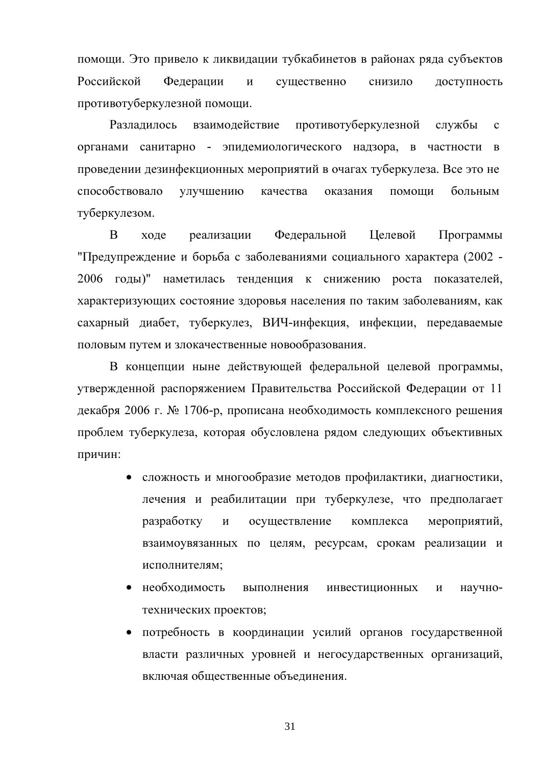помощи. Это привело к ликвидации тубкабинетов в районах ряда субъектов Российской доступность Федерации  $\mathbf{M}$ существенно снизило противотуберкулезной помощи.

Разлалилось взаимодействие противотуберкулезной службы  $\mathbf{c}$ органами санитарно - эпидемиологического надзора, в частности в проведении дезинфекционных мероприятий в очагах туберкулеза. Все это не способствовало улучшению качества оказания помощи больным туберкулезом.

 $\overline{B}$ Федеральной **Пелевой** холе реализации Программы "Предупреждение и борьба с заболеваниями социального характера (2002 -2006 годы)" наметилась тенденция к снижению роста показателей, характеризующих состояние здоровья населения по таким заболеваниям, как сахарный диабет, туберкулез, ВИЧ-инфекция, инфекции, передаваемые половым путем и злокачественные новообразования.

В концепции ныне действующей федеральной целевой программы, утвержденной распоряжением Правительства Российской Федерации от 11 декабря 2006 г. № 1706-р, прописана необходимость комплексного решения проблем туберкулеза, которая обусловлена рядом следующих объективных причин:

- сложность и многообразие методов профилактики, диагностики, лечения и реабилитации при туберкулезе, что предполагает разработку  $\, {\bf N}$ осуществление комплекса мероприятий, взаимоувязанных по целям, ресурсам, срокам реализации и исполнителям;
- необходимость выполнения инвестиционных научно- $\mathbf{M}$ технических проектов;
- потребность в координации усилий органов государственной власти различных уровней и негосударственных организаций, включая общественные объединения.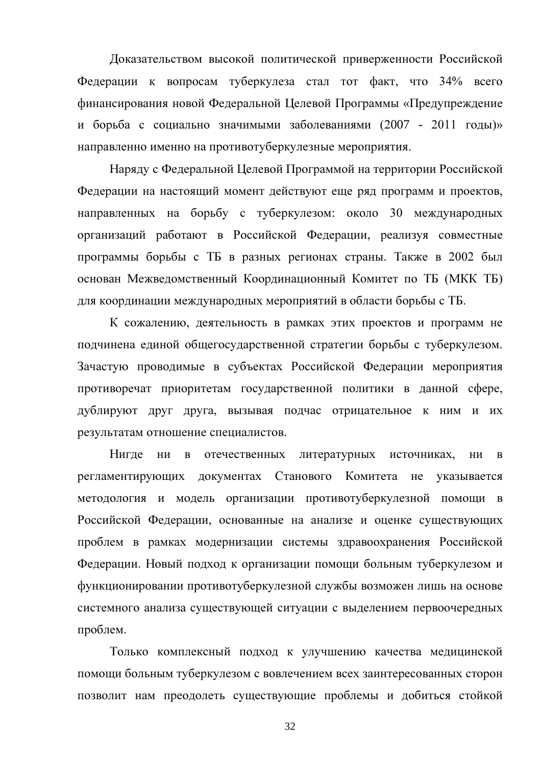Доказательством высокой политической приверженности Российской Федерации к вопросам туберкулеза стал тот факт, что 34% всего финансирования новой Федеральной Целевой Программы «Предупреждение и борьба с социально значимыми заболеваниями (2007 - 2011 годы)» направленно именно на противотуберкулезные мероприятия.

Наряду с Федеральной Целевой Программой на территории Российской Федерации на настоящий момент действуют еще ряд программ и проектов, направленных на борьбу с туберкулезом: около 30 международных организаций работают в Российской Федерации, реализуя совместные программы борьбы с ТБ в разных регионах страны. Также в 2002 был основан Межведомственный Координационный Комитет по ТБ (МКК ТБ) для координации международных мероприятий в области борьбы с ТБ.

К сожалению, деятельность в рамках этих проектов и программ не подчинена единой общегосударственной стратегии борьбы с туберкулезом. Зачастую проводимые в субъектах Российской Федерации мероприятия противоречат приоритетам государственной политики в данной сфере, дублируют друг друга, вызывая подчас отрицательное к ним и их результатам отношение специалистов.

Нигле литературных НИ  $\mathbf{B}$ отечественных источниках, НИ  $\bf{B}$ регламентирующих документах Станового Комитета He указывается методология и модель организации противотуберкулезной помощи в Российской Федерации, основанные на анализе и оценке существующих проблем в рамках модернизации системы здравоохранения Российской Федерации. Новый подход к организации помощи больным туберкулезом и функционировании противотуберкулезной службы возможен лишь на основе системного анализа существующей ситуации с выделением первоочередных проблем.

Только комплексный подход к улучшению качества медицинской помощи больным туберкулезом с вовлечением всех заинтересованных сторон позволит нам преодолеть существующие проблемы и добиться стойкой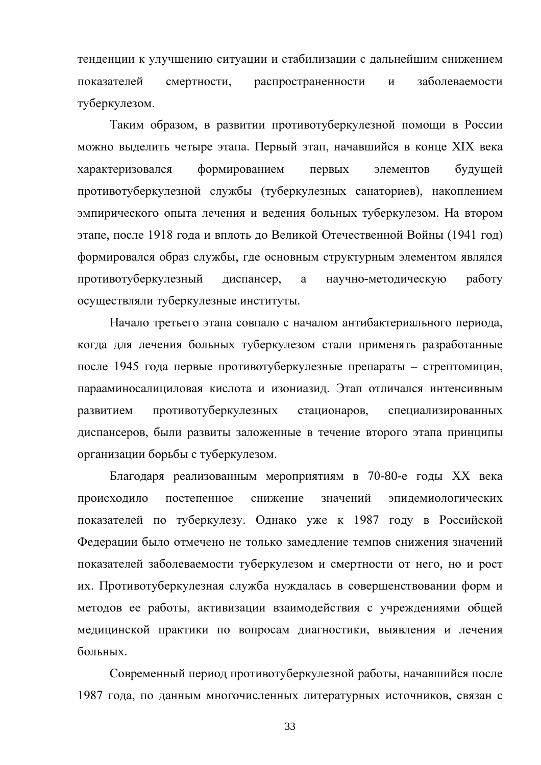тенденции к улучшению ситуации и стабилизации с дальнейшим снижением показателей смертности, распространенности  $\mathbf{M}$ заболеваемости туберкулезом.

Таким образом, в развитии противотуберкулезной помощи в России можно выделить четыре этапа. Первый этап, начавшийся в конце XIX века формированием характеризовался первых элементов будущей противотуберкулезной службы (туберкулезных санаториев), накоплением эмпирического опыта лечения и ведения больных туберкулезом. На втором этапе, после 1918 года и вплоть до Великой Отечественной Войны (1941 год) формировался образ службы, где основным структурным элементом являлся противотуберкулезный диспансер, a научно-методическую работу осуществляли туберкулезные институты.

Начало третьего этапа совпало с началом антибактериального периода, когда для лечения больных туберкулезом стали применять разработанные после 1945 года первые противотуберкулезные препараты – стрептомицин, парааминосалициловая кислота и изониазид. Этап отличался интенсивным противотуберкулезных стационаров, развитием специализированных диспансеров, были развиты заложенные в течение второго этапа принципы организации борьбы с туберкулезом.

Благодаря реализованным мероприятиям в 70-80-е годы XX века происходило постепенное снижение значений эпидемиологических показателей по туберкулезу. Однако уже к 1987 году в Российской Федерации было отмечено не только замедление темпов снижения значений показателей заболеваемости туберкулезом и смертности от него, но и рост их. Противотуберкулезная служба нуждалась в совершенствовании форм и методов ее работы, активизации взаимодействия с учреждениями общей медицинской практики по вопросам диагностики, выявления и лечения больных.

Современный период противотуберкулезной работы, начавшийся после 1987 года, по данным многочисленных литературных источников, связан с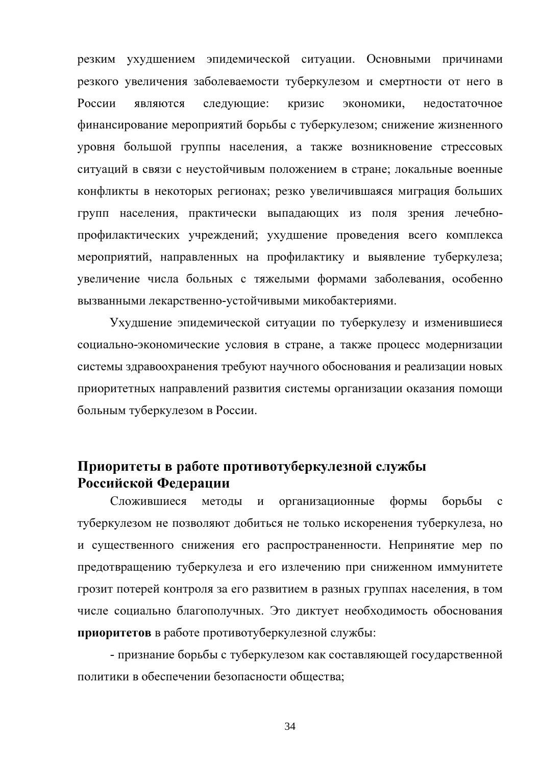резким ухудшением эпидемической ситуации. Основными причинами резкого увеличения заболеваемости туберкулезом и смертности от него в России являются следующие: кризис экономики, недостаточное финансирование мероприятий борьбы с туберкулезом; снижение жизненного уровня большой группы населения, а также возникновение стрессовых ситуаций в связи с неустойчивым положением в стране; локальные военные конфликты в некоторых регионах; резко увеличившаяся миграция больших групп населения, практически выпадающих из поля зрения лечебнопрофилактических учреждений; ухудшение проведения всего комплекса мероприятий, направленных на профилактику и выявление туберкулеза; увеличение числа больных с тяжелыми формами заболевания, особенно вызванными лекарственно-устойчивыми микобактериями.

Ухудшение эпидемической ситуации по туберкулезу и изменившиеся социально-экономические условия в стране, а также процесс модернизации системы здравоохранения требуют научного обоснования и реализации новых приоритетных направлений развития системы организации оказания помощи больным туберкулезом в России.

### Приоритеты в работе противотуберкулезной службы Российской Федерации

Сложившиеся организационные формы борьбы методы  $\mathbf{M}$  $\mathbf{c}$ туберкулезом не позволяют добиться не только искоренения туберкулеза, но и существенного снижения его распространенности. Непринятие мер по предотвращению туберкулеза и его излечению при сниженном иммунитете грозит потерей контроля за его развитием в разных группах населения, в том числе социально благополучных. Это диктует необходимость обоснования приоритетов в работе противотуберкулезной службы:

- признание борьбы с туберкулезом как составляющей государственной политики в обеспечении безопасности общества;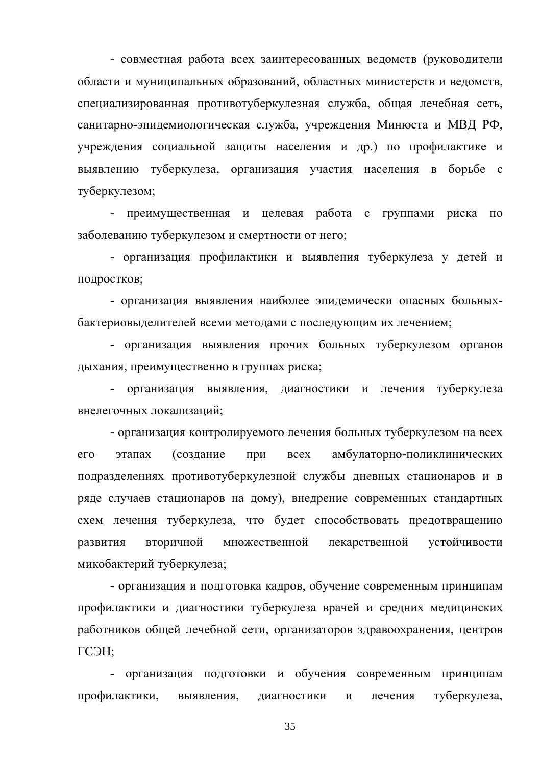- совместная работа всех заинтересованных ведомств (руководители области и муниципальных образований, областных министерств и ведомств, специализированная противотуберкулезная служба, общая лечебная сеть, санитарно-эпидемиологическая служба, учреждения Минюста и МВД РФ, учреждения социальной защиты населения и др.) по профилактике и выявлению туберкулеза, организация участия населения в борьбе с туберкулезом;

преимущественная и целевая работа с группами риска  $\Pi$ <sup>O</sup> заболеванию туберкулезом и смертности от него;

- организация профилактики и выявления туберкулеза у детей и подростков;

- организация выявления наиболее эпидемически опасных больныхбактериовыделителей всеми методами с последующим их лечением;

- организация выявления прочих больных туберкулезом органов дыхания, преимущественно в группах риска;

- организация выявления, диагностики и лечения туберкулеза внелегочных локализаций;

- организация контролируемого лечения больных туберкулезом на всех этапах (создание амбулаторно-поликлинических  $ero$ при **BCCX** подразделениях противотуберкулезной службы дневных стационаров и в ряде случаев стационаров на дому), внедрение современных стандартных схем лечения туберкулеза, что будет способствовать предотвращению развития вторичной множественной лекарственной устойчивости микобактерий туберкулеза;

- организация и подготовка кадров, обучение современным принципам профилактики и диагностики туберкулеза врачей и средних медицинских работников общей лечебной сети, организаторов здравоохранения, центров ГСЭН:

организация подготовки и обучения современным принципам профилактики, диагностики туберкулеза, выявления,  $\mathbf{M}$ лечения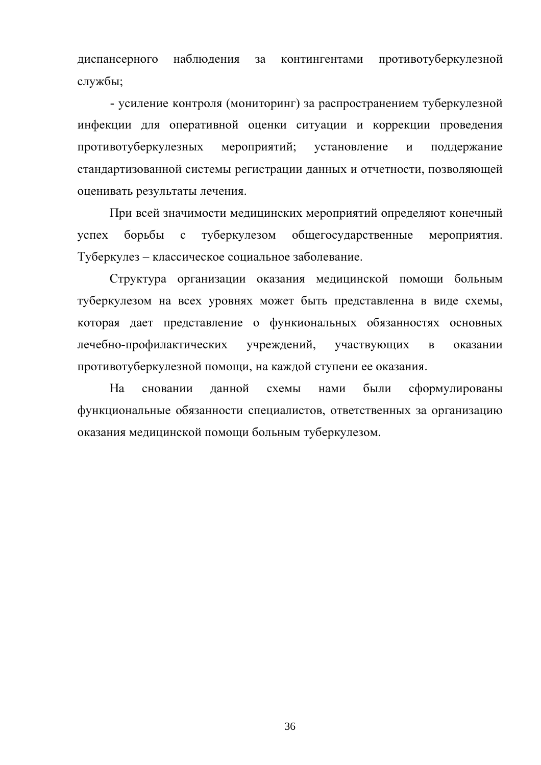диспансерного наблюдения противотуберкулезной за контингентами службы;

- усиление контроля (мониторинг) за распространением туберкулезной инфекции для оперативной оценки ситуации и коррекции проведения противотуберкулезных мероприятий; установление  $\overline{\mathbf{M}}$ поддержание стандартизованной системы регистрации данных и отчетности, позволяющей оценивать результаты лечения.

При всей значимости медицинских мероприятий определяют конечный  $vc$   $nex$ борьбы  $\mathbf{c}$ туберкулезом общегосударственные мероприятия. Туберкулез - классическое социальное заболевание.

Структура организации оказания медицинской помощи больным туберкулезом на всех уровнях может быть представленна в виде схемы, которая дает представление о функиональных обязанностях основных лечебно-профилактических учреждений, участвующих  $\overline{B}$ оказании противотуберкулезной помощи, на каждой ступени ее оказания.

Ha сновании ланной схемы нами были сформулированы функциональные обязанности специалистов, ответственных за организацию оказания медицинской помощи больным туберкулезом.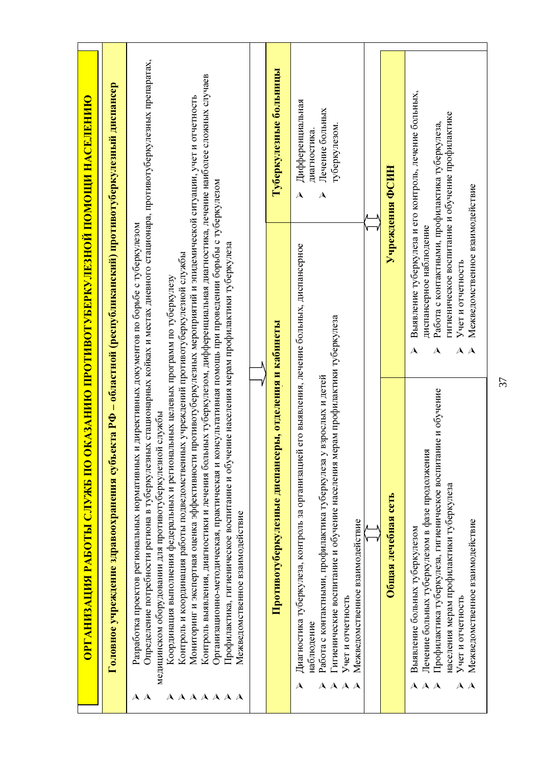| <u>казанию противотуберкулезной помощи населению</u> | Головное учреждение здравоохранения субъекта РФ – областной (республиканский) прогивотуберкулезный диспансер | Определение потребности региона в туберкулезных стационарных койках и местах дневного стационара, противотуберкулезных препаратах,<br>Контроль выявления, диагностики и лечения больных туберкулезом, дифференциальная диагностика, лечение наиболее сложных случаев<br>Мониторинг и экспертная оценка эффективности противотуберкулезных мероприятий и эпидемической ситуации, учет и отчетность<br>Организационно-методическая, практическая и консультативная помощь при проведении борьбы с туберкулезом<br>директивных документов по борьбе с туберкулезом<br>службы | Туберкулезные больницы<br>ы, отделения и кабинеты | Дифференциальная<br>Лечение больных<br>туберкулезом.<br>диагностика.<br>$\overline{\mathsf{A}}$<br>$\lambda$<br>его выявления, лечение больных, диспансерное<br>взрослых и детей                                                                              | Учреждения ФСИН     | Выявление туберкулеза и его контроль, лечение больных,<br>гигиеническое воспитание и обучение профилактике<br>Работа с контактными, профилактика туберкулеза,<br>диспансерное наблюдение<br>A<br>A                  |
|------------------------------------------------------|--------------------------------------------------------------------------------------------------------------|---------------------------------------------------------------------------------------------------------------------------------------------------------------------------------------------------------------------------------------------------------------------------------------------------------------------------------------------------------------------------------------------------------------------------------------------------------------------------------------------------------------------------------------------------------------------------|---------------------------------------------------|---------------------------------------------------------------------------------------------------------------------------------------------------------------------------------------------------------------------------------------------------------------|---------------------|---------------------------------------------------------------------------------------------------------------------------------------------------------------------------------------------------------------------|
| ОРГАНИЗАЦИЯ РАБОТЫ СЛУЖБ ПО О                        |                                                                                                              | Профилактика, гигиеническое воспитание и обучение населения мерам профилактики губеркулеза<br>Контроль и координация работы подведомственных учреждений противотуберкулезной службы<br>Координация выполнения федеральных и региональных целевых программ по туберкулезу<br>Разработка проектов региональных нормативных и<br>медицинском оборудовании для противотуберкулезной<br>Межведомственное взаимодействие                                                                                                                                                        | Противотуберкулезные диспансер                    | Гигиенические воспитание и обучение населения мерам профилактики туберкулеза<br>Работа с контактными, профилактика туберкулеза у 1<br>Диагностика туберкулеза, контроль за организацией<br>Межведомственное взаимодействие<br>Учет и отчетность<br>наблюдение | Общая лечебная сеть | Профилактика туберкулеза, гигиеническое воспитание и обучение<br>Лечение больных туберкулезом в фазе продолжения<br>населения мерам профилактики туберкулеза<br>Выявление больных туберкулезом<br>Учет и отчетность |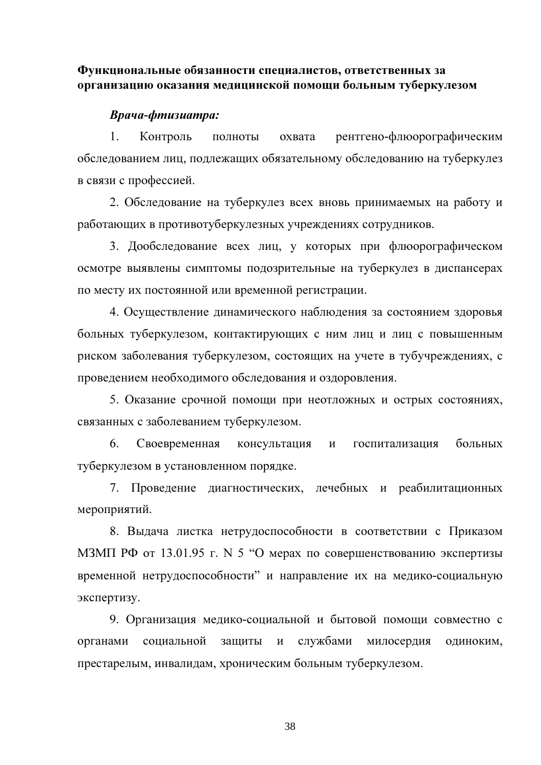## Функциональные обязанности специалистов, ответственных за организацию оказания медицинской помощи больным туберкулезом

## Врача-фтизиатра:

 $\mathbf{1}$ Контроль ПОЛНОТЫ охвата рентгено-флюорографическим обследованием лиц, подлежащих обязательному обследованию на туберкулез в связи с профессией.

2. Обследование на туберкулез всех вновь принимаемых на работу и работающих в противотуберкулезных учреждениях сотрудников.

3. Дообследование всех лиц, у которых при флюорографическом осмотре выявлены симптомы подозрительные на туберкулез в диспансерах по месту их постоянной или временной регистрации.

4. Осуществление динамического наблюдения за состоянием здоровья больных туберкулезом, контактирующих с ним лиц и лиц с повышенным риском заболевания туберкулезом, состоящих на учете в тубучреждениях, с проведением необходимого обследования и оздоровления.

5. Оказание срочной помощи при неотложных и острых состояниях, связанных с заболеванием туберкулезом.

6. Своевременная больных консультация и госпитализация туберкулезом в установленном порядке.

7. Проведение диагностических, лечебных и реабилитационных мероприятий.

8. Выдача листка нетрудоспособности в соответствии с Приказом МЗМП РФ от 13.01.95 г. N 5 "О мерах по совершенствованию экспертизы временной нетрудоспособности" и направление их на медико-социальную экспертизу.

9. Организация медико-социальной и бытовой помощи совместно с органами социальной защиты службами милосердия  $\mathbf{M}$ одиноким, престарелым, инвалидам, хроническим больным туберкулезом.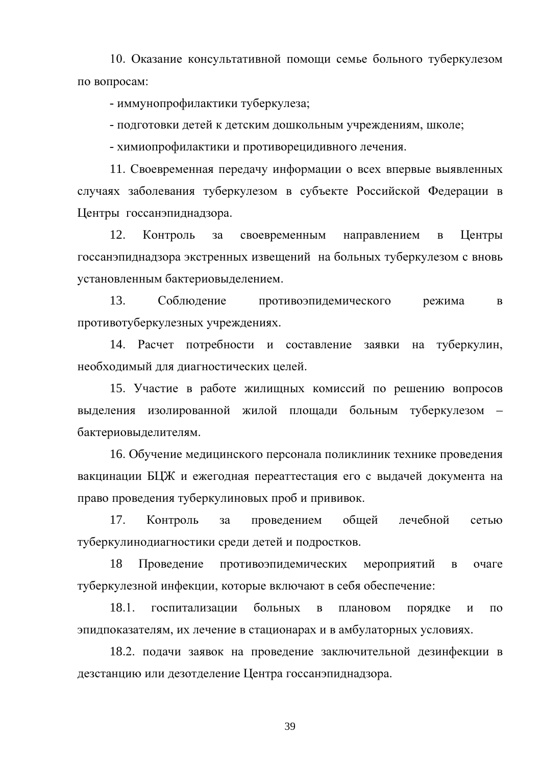10. Оказание консультативной помощи семье больного туберкулезом по вопросам:

- иммунопрофилактики туберкулеза;

- подготовки детей к детским дошкольным учреждениям, школе;

- химиопрофилактики и противорецидивного лечения.

11. Своевременная передачу информации о всех впервые выявленных случаях заболевания туберкулезом в субъекте Российской Федерации в Центры госсанэпиднадзора.

12. Контроль  $3a$ своевременным направлением  $\overline{B}$ Центры госсанэпиднадзора экстренных извещений на больных туберкулезом с вновь установленным бактериовыделением.

13. Соблюдение противоэпидемического режима  $\bf{B}$ противотуберкулезных учреждениях.

14. Расчет потребности и составление заявки на туберкулин, необходимый для диагностических целей.

15. Участие в работе жилищных комиссий по решению вопросов выделения изолированной жилой площади больным туберкулезом бактериовыделителям.

16. Обучение медицинского персонала поликлиник технике проведения вакцинации БЦЖ и ежегодная переаттестация его с выдачей документа на право проведения туберкулиновых проб и прививок.

17. лечебной Контроль проведением общей за сетью туберкулинодиагностики среди детей и подростков.

18 Проведение противоэпидемических мероприятий очаге  $\, {\bf B}$ туберкулезной инфекции, которые включают в себя обеспечение:

 $18.1.$ больных госпитализации  $\overline{B}$ плановом порядке  $\mathbf{M}$  $\Pi$ <sup>O</sup> эпидпоказателям, их лечение в стационарах и в амбулаторных условиях.

18.2. подачи заявок на проведение заключительной дезинфекции в дезстанцию или дезотделение Центра госсанэпиднадзора.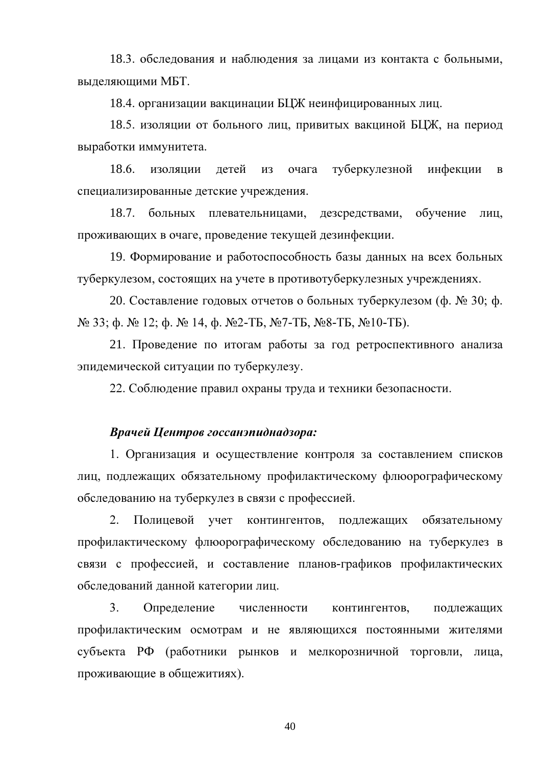18.3. обследования и наблюдения за лицами из контакта с больными, выделяющими МБТ.

18.4. организации вакцинации БЦЖ неинфицированных лиц.

18.5. изоляции от больного лиц, привитых вакциной БЦЖ, на период выработки иммунитета.

 $18.6.$ изоляции летей туберкулезной инфекции **ИЗ** очага  $\mathbf{B}$ специализированные детские учреждения.

 $18.7.$ больных плевательницами, дезсредствами, обучение лиц. проживающих в очаге, проведение текущей дезинфекции.

19. Формирование и работоспособность базы данных на всех больных туберкулезом, состоящих на учете в противотуберкулезных учреждениях.

20. Составление годовых отчетов о больных туберкулезом (ф. № 30; ф.  $\mathcal{N}_{2}$  33;  $\phi$ .  $\mathcal{N}_{2}$  12;  $\phi$ .  $\mathcal{N}_{2}$  14,  $\phi$ .  $\mathcal{N}_{2}$ -Tb,  $\mathcal{N}_{2}$ 7-Tb,  $\mathcal{N}_{2}$ 8-Tb,  $\mathcal{N}_{2}$ 10-Tb).

21. Проведение по итогам работы за год ретроспективного анализа эпидемической ситуации по туберкулезу.

22. Соблюдение правил охраны труда и техники безопасности.

## Врачей Центров госсанэпиднадзора:

1. Организация и осуществление контроля за составлением списков лиц, подлежащих обязательному профилактическому флюорографическому обследованию на туберкулез в связи с профессией.

2. Полицевой учет контингентов, подлежащих обязательному профилактическому флюорографическому обследованию на туберкулез в связи с профессией, и составление планов-графиков профилактических обследований данной категории лиц.

 $3<sub>1</sub>$ Определение численности контингентов, подлежащих профилактическим осмотрам и не являющихся постоянными жителями субъекта РФ (работники рынков и мелкорозничной торговли, лица, проживающие в общежитиях).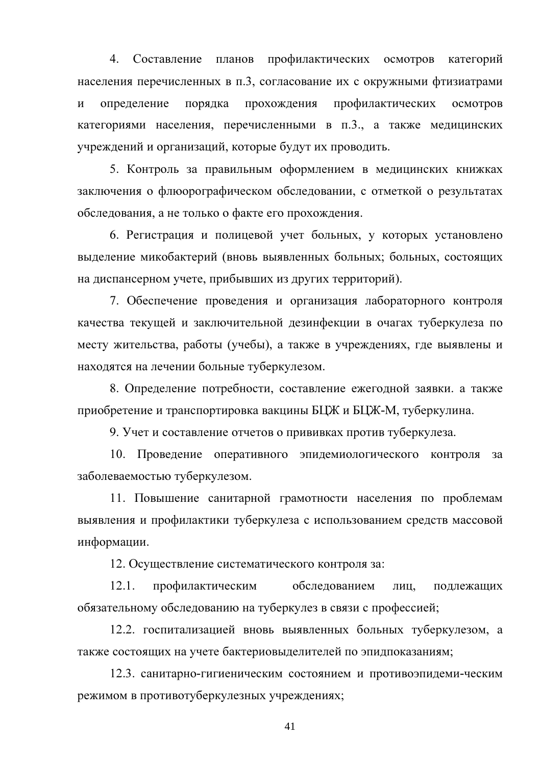4. Составление планов профилактических осмотров категорий населения перечисленных в п.3, согласование их с окружными фтизиатрами  $\overline{\mathbf{M}}$ определение порядка прохождения профилактических осмотров категориями населения, перечисленными в п.3., а также медицинских учреждений и организаций, которые будут их проводить.

5. Контроль за правильным оформлением в медицинских книжках заключения о флюорографическом обследовании, с отметкой о результатах обследования, а не только о факте его прохождения.

6. Регистрация и полицевой учет больных, у которых установлено выделение микобактерий (вновь выявленных больных; больных, состоящих на диспансерном учете, прибывших из других территорий).

7. Обеспечение проведения и организация лабораторного контроля качества текущей и заключительной дезинфекции в очагах туберкулеза по месту жительства, работы (учебы), а также в учреждениях, где выявлены и находятся на лечении больные туберкулезом.

8. Определение потребности, составление ежегодной заявки. а также приобретение и транспортировка вакцины БЦЖ и БЦЖ-М, туберкулина.

9. Учет и составление отчетов о прививках против туберкулеза.

10. Проведение оперативного эпидемиологического контроля за заболеваемостью туберкулезом.

11. Повышение санитарной грамотности населения по проблемам выявления и профилактики туберкулеза с использованием средств массовой информации.

12. Осуществление систематического контроля за:

 $12.1.$ профилактическим обследованием лиц. подлежащих обязательному обследованию на туберкулез в связи с профессией;

12.2. госпитализацией вновь выявленных больных туберкулезом, а также состоящих на учете бактериовыделителей по эпидпоказаниям;

12.3. санитарно-гигиеническим состоянием и противоэпидеми-ческим режимом в противотуберкулезных учреждениях;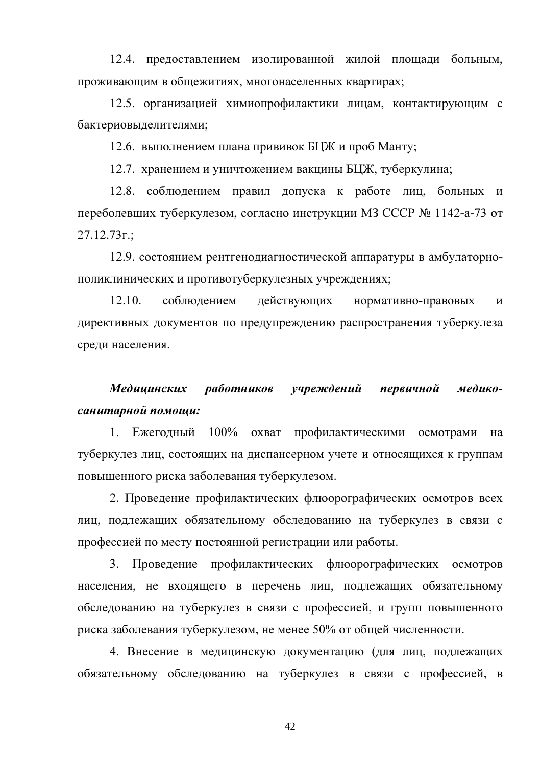12.4. предоставлением изолированной жилой площади больным, проживающим в общежитиях, многонаселенных квартирах;

12.5. организацией химиопрофилактики лицам, контактирующим с бактериовыделителями;

12.6. выполнением плана прививок БЦЖ и проб Манту;

12.7. хранением и уничтожением вакцины БЦЖ, туберкулина;

12.8. соблюдением правил допуска к работе лиц, больных и переболевших туберкулезом, согласно инструкции МЗ СССР № 1142-а-73 от  $27.12.73$ r.:

12.9. состоянием рентгенодиагностической аппаратуры в амбулаторнополиклинических и противотуберкулезных учреждениях;

 $12.10.$ соблюдением действующих нормативно-правовых  $\overline{M}$ директивных документов по предупреждению распространения туберкулеза среди населения.

#### Медицинских работников үчреждений первичной медикосанитарной помощи:

1. Ежегодный 100% охват профилактическими осмотрами на туберкулез лиц, состоящих на диспансерном учете и относящихся к группам повышенного риска заболевания туберкулезом.

2. Проведение профилактических флюорографических осмотров всех лиц, подлежащих обязательному обследованию на туберкулез в связи с профессией по месту постоянной регистрации или работы.

3. Проведение профилактических флюорографических осмотров населения, не входящего в перечень лиц, подлежащих обязательному обследованию на туберкулез в связи с профессией, и групп повышенного риска заболевания туберкулезом, не менее 50% от общей численности.

4. Внесение в медицинскую документацию (для лиц, подлежащих обязательному обследованию на туберкулез в связи с профессией, в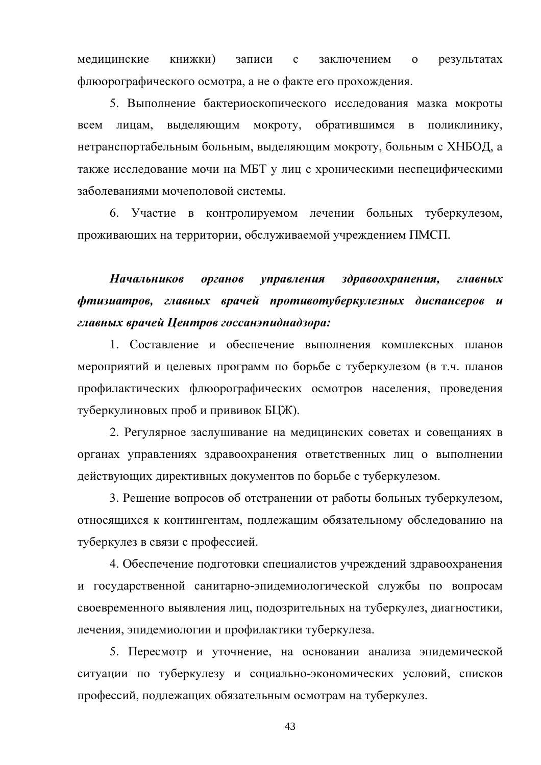записи медицинские книжки)  $\mathbf{c}$ заключением результатах  $\overline{O}$ флюорографического осмотра, а не о факте его прохождения.

5. Выполнение бактериоскопического исследования мазка мокроты вылеляющим MOKDOTV, обратившимся в поликлинику, всем лицам. нетранспортабельным больным, выделяющим мокроту, больным с ХНБОД, а также исследование мочи на МБТ у лиц с хроническими неспецифическими заболеваниями мочеполовой системы.

6. Участие в контролируемом лечении больных туберкулезом, проживающих на территории, обслуживаемой учреждением ПМСП.

**Начальников** здравоохранения, органов управления главных фтизиатров, главных врачей противотуберкулезных диспансеров и главных врачей Центров госсанэпиднадзора:

1. Составление и обеспечение выполнения комплексных планов мероприятий и целевых программ по борьбе с туберкулезом (в т.ч. планов профилактических флюорографических осмотров населения, проведения туберкулиновых проб и прививок БЦЖ).

2. Регулярное заслушивание на медицинских советах и совещаниях в органах управлениях здравоохранения ответственных лиц о выполнении действующих директивных документов по борьбе с туберкулезом.

3. Решение вопросов об отстранении от работы больных туберкулезом, относящихся к контингентам, подлежащим обязательному обследованию на туберкулез в связи с профессией.

4. Обеспечение подготовки специалистов учреждений здравоохранения и государственной санитарно-эпидемиологической службы по вопросам своевременного выявления лиц, подозрительных на туберкулез, диагностики, лечения, эпидемиологии и профилактики туберкулеза.

5. Пересмотр и уточнение, на основании анализа эпидемической ситуации по туберкулезу и социально-экономических условий, списков профессий, подлежащих обязательным осмотрам на туберкулез.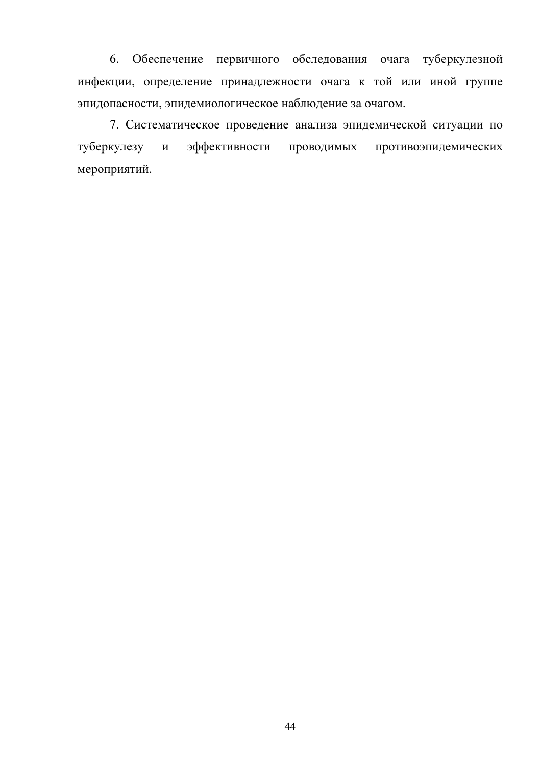6. Обеспечение первичного обследования очага туберкулезной инфекции, определение принадлежности очага к той или иной группе эпидопасности, эпидемиологическое наблюдение за очагом.

7. Систематическое проведение анализа эпидемической ситуации по эффективности проводимых противоэпидемических туберкулезу  $\mathbf{M}$ мероприятий.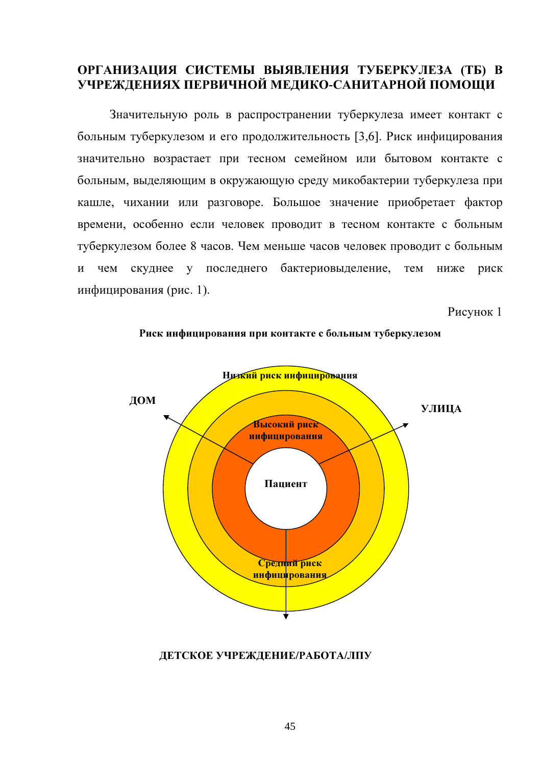# ОРГАНИЗАЦИЯ СИСТЕМЫ ВЫЯВЛЕНИЯ ТУБЕРКУЛЕЗА (ТБ) В УЧРЕЖДЕНИЯХ ПЕРВИЧНОЙ МЕДИКО-САНИТАРНОЙ ПОМОЩИ

Значительную роль в распространении туберкулеза имеет контакт с больным туберкулезом и его продолжительность [3,6]. Риск инфицирования значительно возрастает при тесном семейном или бытовом контакте с больным, выделяющим в окружающую среду микобактерии туберкулеза при кашле, чихании или разговоре. Большое значение приобретает фактор времени, особенно если человек проводит в тесном контакте с больным туберкулезом более 8 часов. Чем меньше часов человек проводит с больным чем скуднее у последнего бактериовыделение, тем  $\overline{\mathbf{M}}$ ниже риск инфицирования (рис. 1).

Рисунок 1





## ДЕТСКОЕ УЧРЕЖДЕНИЕ/РАБОТА/ЛПУ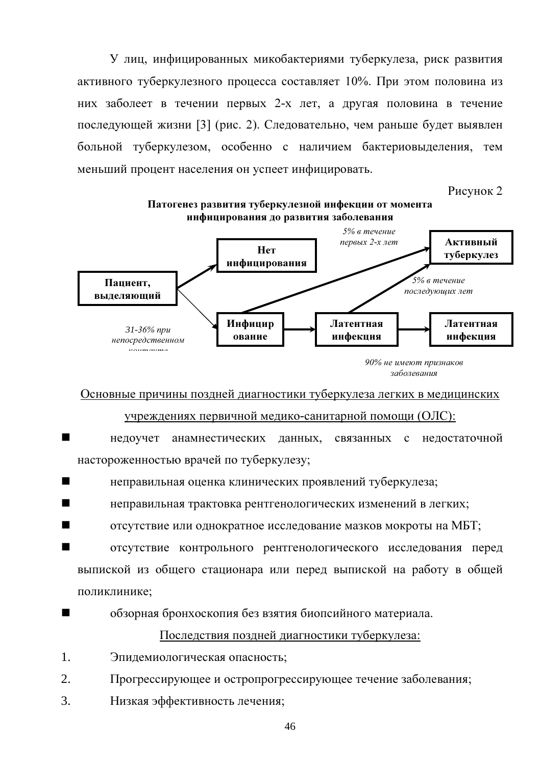У лиц, инфицированных микобактериями туберкулеза, риск развития активного туберкулезного процесса составляет 10%. При этом половина из них заболеет в течении первых 2-х лет, а другая половина в течение последующей жизни [3] (рис. 2). Следовательно, чем раньше будет выявлен больной туберкулезом, особенно с наличием бактериовыделения, тем меньший процент населения он успеет инфицировать.

Рисунок 2



Основные причины поздней диагностики туберкулеза легких в медицинских

## учреждениях первичной медико-санитарной помощи (ОЛС):

- анамнестических данных, связанных с недостаточной недоучет настороженностью врачей по туберкулезу;
- неправильная оценка клинических проявлений туберкулеза;
- неправильная трактовка рентгенологических изменений в легких;
- отсутствие или однократное исследование мазков мокроты на МБТ;
- отсутствие контрольного рентгенологического исследования перед выпиской из общего стационара или перед выпиской на работу в общей поликлинике:
- обзорная бронхоскопия без взятия биопсийного материала.

# Последствия поздней диагностики туберкулеза:

- $1<sub>1</sub>$ Эпидемиологическая опасность;
- $2<sub>1</sub>$ Прогрессирующее и остропрогрессирующее течение заболевания;
- $\overline{3}$ . Низкая эффективность лечения;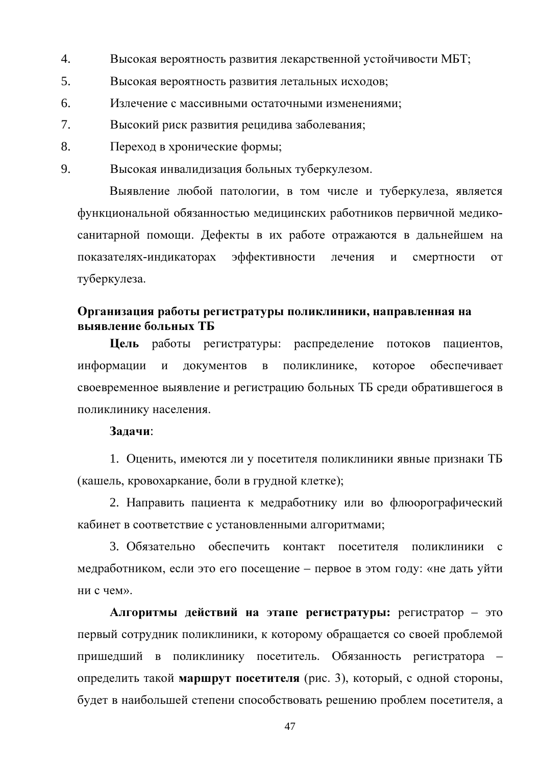- $\overline{4}$ . Высокая вероятность развития лекарственной устойчивости МБТ;
- 5. Высокая вероятность развития летальных исходов;
- 6. Излечение с массивными остаточными изменениями;
- $7<sup>1</sup>$ Высокий риск развития рецидива заболевания;
- 8. Переход в хронические формы;
- $\mathbf{Q}_{1}$ Высокая инвалидизация больных туберкулезом.

Выявление любой патологии, в том числе и туберкулеза, является функциональной обязанностью медицинских работников первичной медикосанитарной помощи. Дефекты в их работе отражаются в дальнейшем на показателях-индикаторах эффективности лечения  $\mathbf{M}$ смертности **OT** туберкулеза.

# Организация работы регистратуры поликлиники, направленная на выявление больных ТБ

Цель работы регистратуры: распределение потоков пациентов, документов в поликлинике, которое обеспечивает информации  $\overline{M}$ своевременное выявление и регистрацию больных ТБ среди обратившегося в поликлинику населения.

## Залачи:

1. Оценить, имеются ли у посетителя поликлиники явные признаки ТБ (кашель, кровохаркание, боли в грудной клетке);

2. Направить пациента к медработнику или во флюорографический кабинет в соответствие с установленными алгоритмами;

3. Обязательно обеспечить контакт посетителя поликлиники с медработником, если это его посещение - первое в этом году: «не дать уйти ни с чем».

Алгоритмы действий на этапе регистратуры: регистратор - это первый сотрудник поликлиники, к которому обращается со своей проблемой пришедший в поликлинику посетитель. Обязанность регистратора определить такой маршрут посетителя (рис. 3), который, с одной стороны, будет в наибольшей степени способствовать решению проблем посетителя, а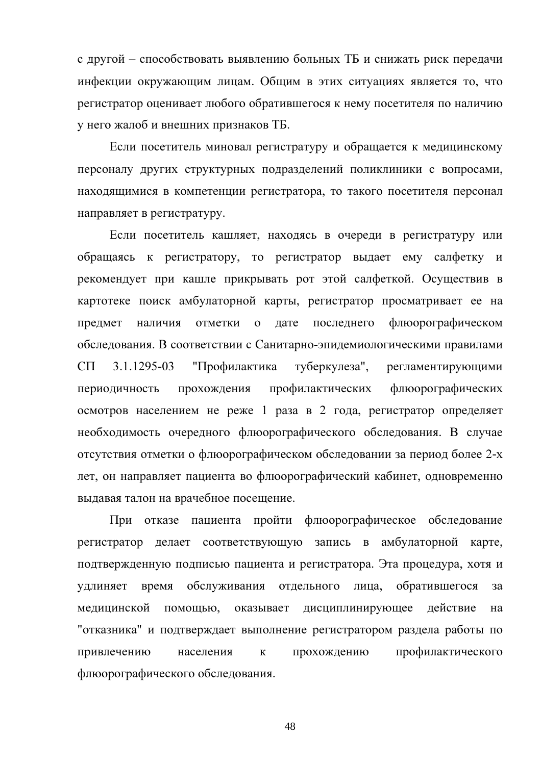с другой – способствовать выявлению больных ТБ и снижать риск передачи инфекции окружающим лицам. Общим в этих ситуациях является то, что регистратор оценивает любого обратившегося к нему посетителя по наличию у него жалоб и внешних признаков ТБ.

Если посетитель миновал регистратуру и обращается к медицинскому персоналу других структурных подразделений поликлиники с вопросами, находящимися в компетенции регистратора, то такого посетителя персонал направляет в регистратуру.

Если посетитель кашляет, находясь в очереди в регистратуру или обращаясь к регистратору, то регистратор выдает ему салфетку и рекомендует при кашле прикрывать рот этой салфеткой. Осуществив в картотеке поиск амбулаторной карты, регистратор просматривает ее на наличия отметки о дате последнего флюорографическом предмет обследования. В соответствии с Санитарно-эпидемиологическими правилами туберкулеза",  $C\Pi$ 3.1.1295-03 "Профилактика регламентирующими периодичность прохождения профилактических флюорографических осмотров населением не реже 1 раза в 2 года, регистратор определяет необходимость очередного флюорографического обследования. В случае отсутствия отметки о флюорографическом обследовании за период более 2-х лет, он направляет пациента во флюорографический кабинет, одновременно выдавая талон на врачебное посещение.

При отказе пациента пройти флюорографическое обследование регистратор делает соответствующую запись в амбулаторной карте, подтвержденную подписью пациента и регистратора. Эта процедура, хотя и обслуживания отдельного лица. обратившегося удлиняет время за медицинской помощью, оказывает дисциплинирующее действие на "отказника" и подтверждает выполнение регистратором раздела работы по населения прохождению профилактического привлечению  $\mathbf{K}$ флюорографического обследования.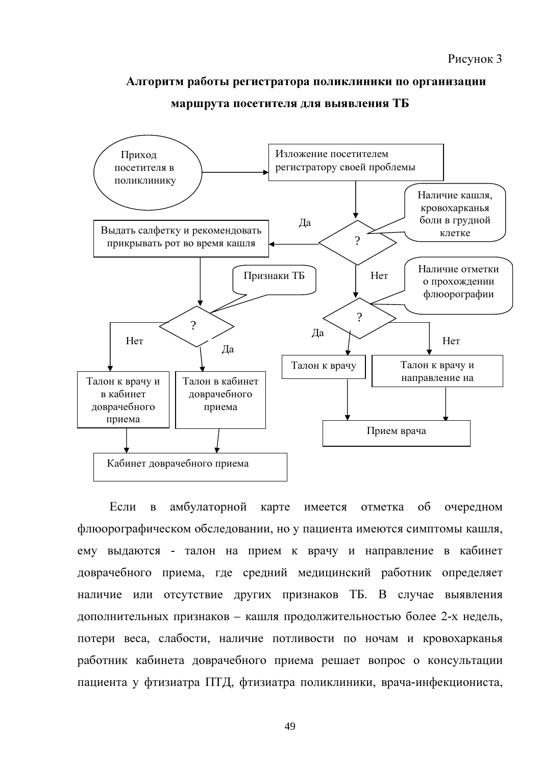## Алгоритм работы регистратора поликлиники по организации



маршрута посетителя для выявления ТБ

Если амбулаторной  $\overline{B}$ карте имеется отметка  $\overline{00}$ очередном флюорографическом обследовании, но у пациента имеются симптомы кашля, ему выдаются - талон на прием к врачу и направление в кабинет доврачебного приема, где средний медицинский работник определяет наличие или отсутствие других признаков ТБ. В случае выявления дополнительных признаков – кашля продолжительностью более 2-х недель, потери веса, слабости, наличие потливости по ночам и кровохарканья работник кабинета доврачебного приема решает вопрос о консультации пациента у фтизиатра ПТД, фтизиатра поликлиники, врача-инфекциониста,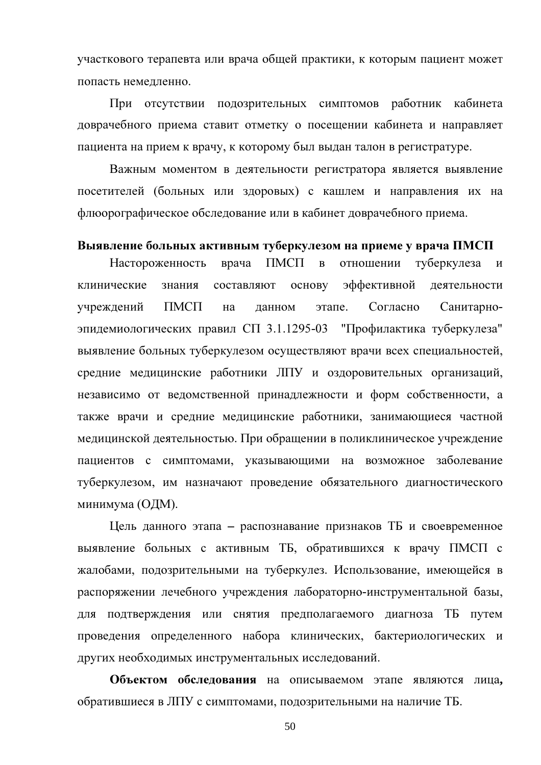участкового терапевта или врача общей практики, к которым пациент может попасть немедленно.

При отсутствии подозрительных симптомов работник кабинета доврачебного приема ставит отметку о посещении кабинета и направляет пациента на прием к врачу, к которому был выдан талон в регистратуре.

Важным моментом в деятельности регистратора является выявление посетителей (больных или здоровых) с кашлем и направления их на флюорографическое обследование или в кабинет доврачебного приема.

### Выявление больных активным туберкулезом на приеме у врача ПМСП

Настороженность врача  $TMCTI$  $\bf{B}$ отношении туберкулеза и эффективной клинические знания составляют основу деятельности учреждений  $TMCT$ на ланном этапе Согласно Санитарноэпидемиологических правил СП 3.1.1295-03 "Профилактика туберкулеза" выявление больных туберкулезом осуществляют врачи всех специальностей, средние медицинские работники ЛПУ и оздоровительных организаций, независимо от ведомственной принадлежности и форм собственности, а также врачи и средние медицинские работники, занимающиеся частной медицинской деятельностью. При обращении в поликлиническое учреждение пациентов с симптомами, указывающими на возможное заболевание туберкулезом, им назначают проведение обязательного диагностического минимума (ОДМ).

Цель данного этапа - распознавание признаков ТБ и своевременное выявление больных с активным ТБ, обратившихся к врачу ПМСП с жалобами, подозрительными на туберкулез. Использование, имеющейся в распоряжении лечебного учреждения лабораторно-инструментальной базы, для подтверждения или снятия предполагаемого диагноза ТБ путем проведения определенного набора клинических, бактериологических и других необходимых инструментальных исследований.

Объектом обследования на описываемом этапе являются лица, обратившиеся в ЛПУ с симптомами, подозрительными на наличие ТБ.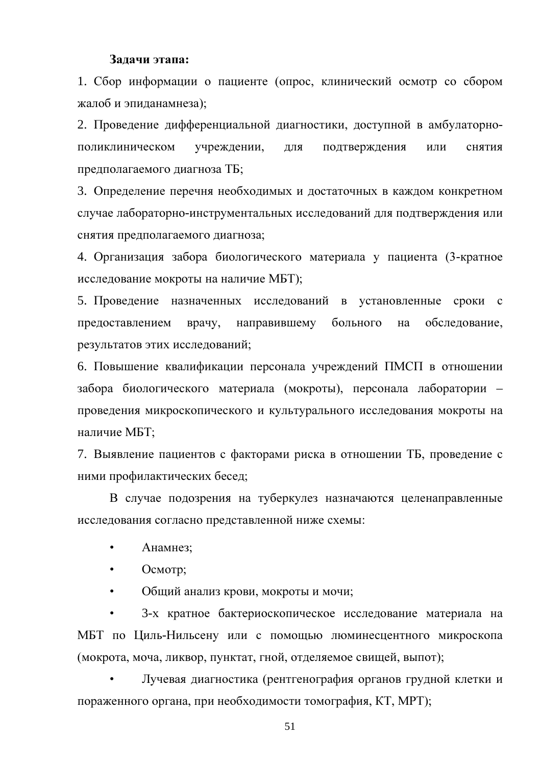### Задачи этапа:

1. Сбор информации о пациенте (опрос, клинический осмотр со сбором жалоб и эпиданамнеза);

2. Проведение дифференциальной диагностики, доступной в амбулаторнополиклиническом учреждении, подтверждения ЛЛЯ или **СНЯТИЯ** предполагаемого диагноза ТБ;

3. Определение перечня необходимых и достаточных в каждом конкретном случае лабораторно-инструментальных исследований для подтверждения или снятия предполагаемого диагноза;

4. Организация забора биологического материала у пациента (3-кратное исследование мокроты на наличие МБТ);

5. Проведение назначенных исследований в установленные сроки с направившему больного обследование, предоставлением врачу, на результатов этих исследований;

6. Повышение квалификации персонала учреждений ПМСП в отношении забора биологического материала (мокроты), персонала лаборатории – проведения микроскопического и культурального исследования мокроты на наличие МБТ:

7. Выявление пациентов с факторами риска в отношении ТБ, проведение с ними профилактических бесед;

В случае подозрения на туберкулез назначаются целенаправленные исследования согласно представленной ниже схемы:

- $\bullet$ Анамнез:
- Осмотр;  $\bullet$

 $\bullet$ Общий анализ крови, мокроты и мочи;

3-х кратное бактериоскопическое исследование материала на МБТ по Циль-Нильсену или с помощью люминесцентного микроскопа (мокрота, моча, ликвор, пунктат, гной, отделяемое свищей, выпот);

Лучевая диагностика (рентгенография органов грудной клетки и пораженного органа, при необходимости томография, КТ, МРТ);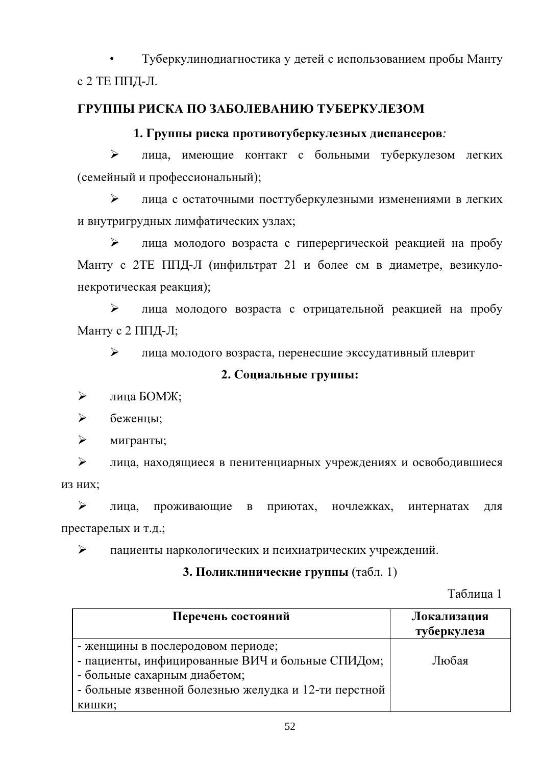Туберкулинодиагностика у детей с использованием пробы Манту с 2 ТЕ ППД-Л.

# ГРУППЫ РИСКА ПО ЗАБОЛЕВАНИЮ ТУБЕРКУЛЕЗОМ

# 1. Группы риска противотуберкулезных диспансеров:

 $\blacktriangleright$ лица, имеющие контакт с больными туберкулезом легких (семейный и профессиональный);

 $\blacktriangleright$ лица с остаточными посттуберкулезными изменениями в легких и внутригрудных лимфатических узлах;

 $\blacktriangleright$ лица молодого возраста с гиперергической реакцией на пробу Манту с 2ТЕ ППД-Л (инфильтрат 21 и более см в диаметре, везикулонекротическая реакция);

 $\blacktriangleright$ лица молодого возраста с отрицательной реакцией на пробу Манту с 2 ППД-Л;

 $\blacktriangleright$ лица молодого возраста, перенесшие экссудативный плеврит

# 2. Социальные группы:

 $\blacktriangleright$ лица БОМЖ;

 $\blacktriangleright$ беженцы:

 $\blacktriangleright$ мигранты;

 $\blacktriangleright$ лица, находящиеся в пенитенциарных учреждениях и освободившиеся из них:

 $\blacktriangleright$ проживающие лица. приютах, ночлежках, интернатах  $\mathbf{B}$ ДЛЯ престарелых и т.д.;

 $\blacktriangleright$ пациенты наркологических и психиатрических учреждений.

# 3. Поликлинические группы (табл. 1)

Таблина 1

| Перечень состояний                                                                                                                                                            | Локализация<br>туберкулеза |
|-------------------------------------------------------------------------------------------------------------------------------------------------------------------------------|----------------------------|
| - женщины в послеродовом периоде;<br>- пациенты, инфицированные ВИЧ и больные СПИДом;<br>- больные сахарным диабетом;<br>- больные язвенной болезнью желудка и 12-ти перстной | Любая                      |
| кишки;                                                                                                                                                                        |                            |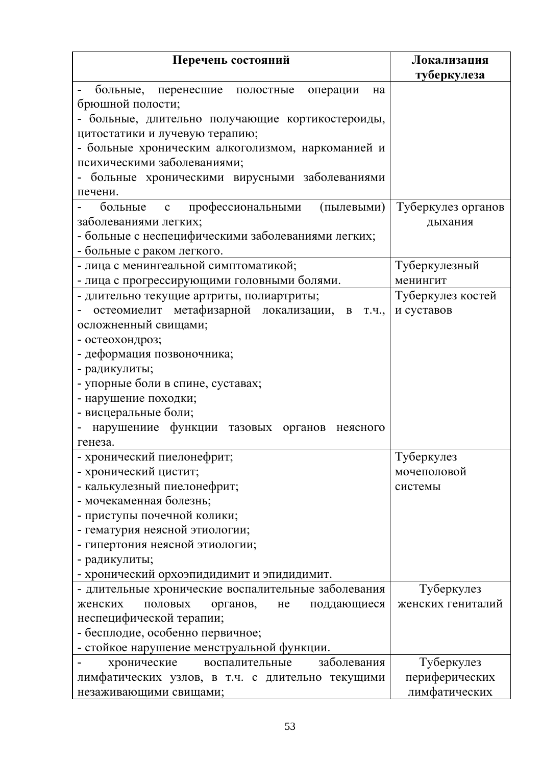| Перечень состояний                                  | Локализация        |
|-----------------------------------------------------|--------------------|
|                                                     | туберкулеза        |
| больные, перенесшие полостные операции<br>на        |                    |
| брюшной полости;                                    |                    |
| больные, длительно получающие кортикостероиды,      |                    |
| цитостатики и лучевую терапию;                      |                    |
| - больные хроническим алкоголизмом, наркоманией и   |                    |
| психическими заболеваниями;                         |                    |
| - больные хроническими вирусными заболеваниями      |                    |
| печени.                                             |                    |
| больные с профессиональными<br>(пылевыми)           | Туберкулез органов |
| заболеваниями легких;                               | дыхания            |
| - больные с неспецифическими заболеваниями легких;  |                    |
| - больные с раком легкого.                          |                    |
| - лица с менингеальной симптоматикой;               | Туберкулезный      |
| - лица с прогрессирующими головными болями.         | менингит           |
| - длительно текущие артриты, полиартриты;           | Туберкулез костей  |
| остеомиелит метафизарной локализации, в<br>Т.Ч.,    | и суставов         |
| осложненный свищами;                                |                    |
| - остеохондроз;                                     |                    |
| - деформация позвоночника;                          |                    |
| - радикулиты;                                       |                    |
| - упорные боли в спине, суставах;                   |                    |
| - нарушение походки;                                |                    |
| - висцеральные боли;                                |                    |
| нарушениие функции тазовых органов неясного         |                    |
| генеза.                                             |                    |
| - хронический пиелонефрит;                          | Туберкулез         |
| - хронический цистит;                               | мочеполовой        |
| - калькулезный пиелонефрит;                         | системы            |
| - мочекаменная болезнь;                             |                    |
| - приступы почечной колики;                         |                    |
| - гематурия неясной этиологии;                      |                    |
| - гипертония неясной этиологии;                     |                    |
| - радикулиты;                                       |                    |
| - хронический орхоэпидидимит и эпидидимит.          |                    |
| - длительные хронические воспалительные заболевания | Туберкулез         |
| женских<br>половых<br>органов,<br>He<br>поддающиеся | женских гениталий  |
| неспецифической терапии;                            |                    |
| - бесплодие, особенно первичное;                    |                    |
| - стойкое нарушение менструальной функции.          |                    |
| заболевания<br>хронические<br>воспалительные        | Туберкулез         |
| лимфатических узлов, в т.ч. с длительно текущими    | периферических     |
| незаживающими свищами;                              | лимфатических      |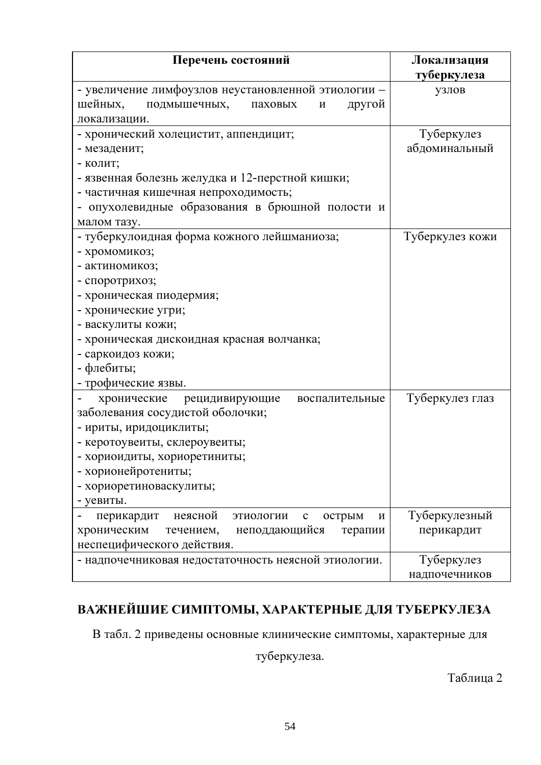| Перечень состояний                                                | Локализация     |  |
|-------------------------------------------------------------------|-----------------|--|
|                                                                   | туберкулеза     |  |
| - увеличение лимфоузлов неустановленной этиологии -               | узлов           |  |
| шейных,<br>подмышечных,<br>другой<br>паховых<br>И                 |                 |  |
| локализации.                                                      |                 |  |
| - хронический холецистит, аппендицит;                             | Туберкулез      |  |
| - мезаденит;                                                      | абдоминальный   |  |
| - колит;                                                          |                 |  |
| - язвенная болезнь желудка и 12-перстной кишки;                   |                 |  |
| - частичная кишечная непроходимость;                              |                 |  |
| - опухолевидные образования в брюшной полости и                   |                 |  |
| малом тазу.                                                       |                 |  |
| - туберкулоидная форма кожного лейшманиоза;                       | Туберкулез кожи |  |
| - хромомикоз;                                                     |                 |  |
| - актиномикоз;                                                    |                 |  |
| - споротрихоз;                                                    |                 |  |
| - хроническая пиодермия;                                          |                 |  |
| - хронические угри;                                               |                 |  |
| - васкулиты кожи;                                                 |                 |  |
| - хроническая дискоидная красная волчанка;                        |                 |  |
| - саркоидоз кожи;                                                 |                 |  |
| - флебиты;                                                        |                 |  |
| - трофические язвы.                                               |                 |  |
| хронические<br>рецидивирующие<br>воспалительные                   | Туберкулез глаз |  |
| заболевания сосудистой оболочки;                                  |                 |  |
| - ириты, иридоциклиты;                                            |                 |  |
| - керотоувеиты, склероувеиты;                                     |                 |  |
| - хориоидиты, хориоретиниты;                                      |                 |  |
| - хорионейротениты;                                               |                 |  |
| - хориоретиноваскулиты;                                           |                 |  |
| - уевиты.                                                         |                 |  |
| неясной<br>перикардит<br>этиологии<br>острым<br>$\mathbf{C}$<br>И | Туберкулезный   |  |
| неподдающийся<br>хроническим<br>течением,<br>терапии              | перикардит      |  |
| неспецифического действия.                                        |                 |  |
| - надпочечниковая недостаточность неясной этиологии.              | Туберкулез      |  |
|                                                                   | надпочечников   |  |

# ВАЖНЕЙШИЕ СИМПТОМЫ, ХАРАКТЕРНЫЕ ДЛЯ ТУБЕРКУЛЕЗА

В табл. 2 приведены основные клинические симптомы, характерные для

туберкулеза.

Таблица 2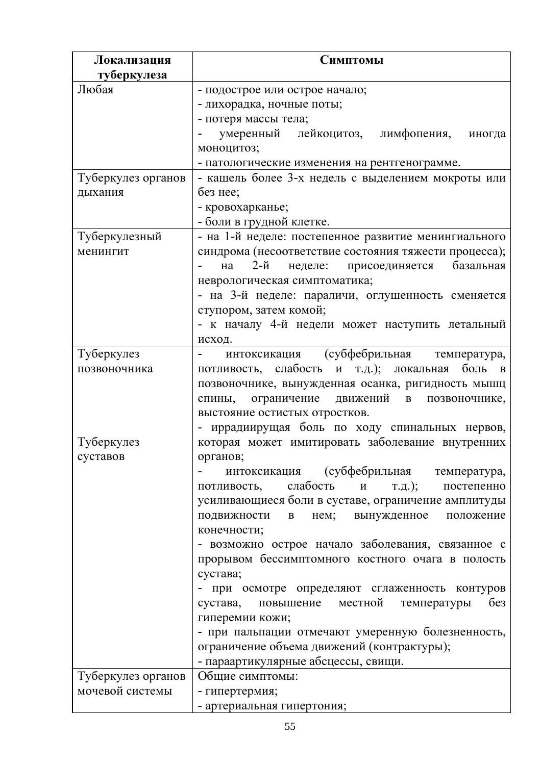| Локализация        | Симптомы                                                        |
|--------------------|-----------------------------------------------------------------|
| туберкулеза        |                                                                 |
| Любая              | - подострое или острое начало;                                  |
|                    | - лихорадка, ночные поты;                                       |
|                    | - потеря массы тела;                                            |
|                    | умеренный лейкоцитоз, лимфопения,<br>иногда                     |
|                    | моноцитоз;                                                      |
|                    | - патологические изменения на рентгенограмме.                   |
| Туберкулез органов | - кашель более 3-х недель с выделением мокроты или              |
| дыхания            | без нее;                                                        |
|                    | - кровохарканье;                                                |
|                    | - боли в грудной клетке.                                        |
| Туберкулезный      | - на 1-й неделе: постепенное развитие менингиального            |
| менингит           | синдрома (несоответствие состояния тяжести процесса);           |
|                    | 2-й<br>неделе: присоединяется<br>базальная<br>на                |
|                    | неврологическая симптоматика;                                   |
|                    | - на 3-й неделе: параличи, оглушенность сменяется               |
|                    | ступором, затем комой;                                          |
|                    | - к началу 4-й недели может наступить летальный                 |
|                    | исход.                                                          |
| Туберкулез         | интоксикация (субфебрильная температура,                        |
| позвоночника       | потливость, слабость и т.д.); локальная боль<br>$\mathbf{B}$    |
|                    | позвоночнике, вынужденная осанка, ригидность мышц               |
|                    | ограничение движений в позвоночнике,<br>спины,                  |
|                    | выстояние остистых отростков.                                   |
|                    | - иррадиирущая боль по ходу спинальных нервов,                  |
| Туберкулез         | которая может имитировать заболевание внутренних                |
| суставов           | органов;                                                        |
|                    | интоксикация (субфебрильная температура,                        |
|                    | потливость, слабость и т.д.); постепенно                        |
|                    | усиливающиеся боли в суставе, ограничение амплитуды             |
|                    | вынужденное<br>ПОДВИЖНОСТИ<br>нем;<br>положение<br>$\, {\bf B}$ |
|                    | конечности;                                                     |
|                    | - возможно острое начало заболевания, связанное с               |
|                    | прорывом бессимптомного костного очага в полость                |
|                    | сустава;                                                        |
|                    | - при осмотре определяют сглаженность контуров                  |
|                    | повышение местной<br>6e <sub>3</sub><br>сустава,<br>температуры |
|                    | гиперемии кожи;                                                 |
|                    | - при пальпации отмечают умеренную болезненность,               |
|                    | ограничение объема движений (контрактуры);                      |
|                    | - параартикулярные абсцессы, свищи.                             |
| Туберкулез органов | Общие симптомы:                                                 |
| мочевой системы    | - гипертермия;                                                  |
|                    | - артериальная гипертония;                                      |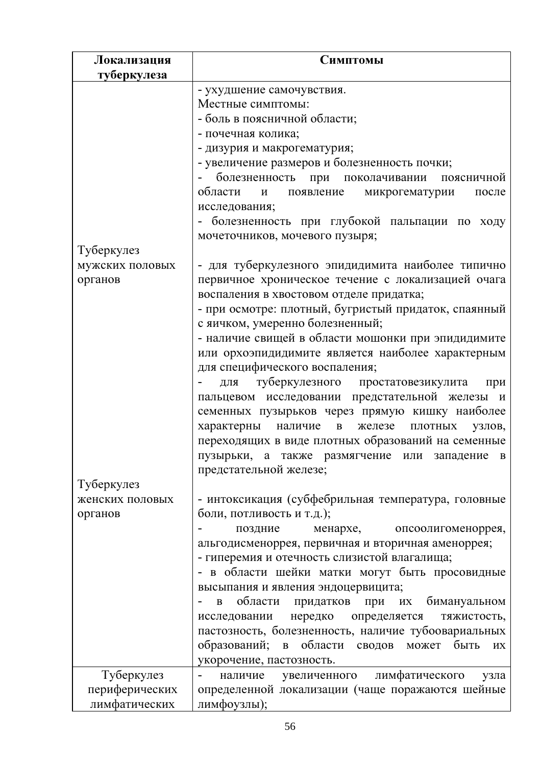| Локализация     | Симптомы                                                                                |
|-----------------|-----------------------------------------------------------------------------------------|
| туберкулеза     |                                                                                         |
|                 | - ухудшение самочувствия.                                                               |
|                 | Местные симптомы:                                                                       |
|                 | - боль в поясничной области;                                                            |
|                 | - почечная колика;                                                                      |
|                 | - дизурия и макрогематурия;                                                             |
|                 | - увеличение размеров и болезненность почки;                                            |
|                 | болезненность при поколачивании<br>поясничной                                           |
|                 | области<br>появление<br>микрогематурии<br>И<br>после                                    |
|                 | исследования;                                                                           |
|                 | - болезненность при глубокой пальпации по ходу                                          |
|                 | мочеточников, мочевого пузыря;                                                          |
| Туберкулез      |                                                                                         |
| мужских половых | - для туберкулезного эпидидимита наиболее типично                                       |
| органов         | первичное хроническое течение с локализацией очага                                      |
|                 | воспаления в хвостовом отделе придатка;                                                 |
|                 | - при осмотре: плотный, бугристый придаток, спаянный<br>с яичком, умеренно болезненный; |
|                 | - наличие свищей в области мошонки при эпидидимите                                      |
|                 | или орхоэпидидимите является наиболее характерным                                       |
|                 | для специфического воспаления;                                                          |
|                 | для туберкулезного простатовезикулита<br>при                                            |
|                 | пальцевом исследовании предстательной железы и                                          |
|                 | семенных пузырьков через прямую кишку наиболее                                          |
|                 | характерны наличие<br>$\, {\bf B} \,$<br>железе<br>ПЛОТНЫХ<br>узлов,                    |
|                 | переходящих в виде плотных образований на семенные                                      |
|                 | пузырьки, а также размягчение или западение в                                           |
|                 | предстательной железе;                                                                  |
| Туберкулез      |                                                                                         |
| женских половых | - интоксикация (субфебрильная температура, головные                                     |
| органов         | боли, потливость и т.д.);                                                               |
|                 | поздние<br>менархе, опсоолигоменоррея,                                                  |
|                 | альгодисменоррея, первичная и вторичная аменоррея;                                      |
|                 | - гиперемия и отечность слизистой влагалища;                                            |
|                 | - в области шейки матки могут быть просовидные                                          |
|                 | высыпания и явления эндоцервицита;                                                      |
|                 | области придатков при их бимануальном<br>B                                              |
|                 | исследовании нередко определяется<br>тяжистость,                                        |
|                 | пастозность, болезненность, наличие тубоовариальных                                     |
|                 | образований;<br>области сводов может<br>быть<br>$\mathbf{B}$<br>ИX                      |
|                 | укорочение, пастозность.                                                                |
| Туберкулез      | наличие увеличенного лимфатического<br>узла                                             |
| периферических  | определенной локализации (чаще поражаются шейные                                        |
| лимфатических   | лимфоузлы);                                                                             |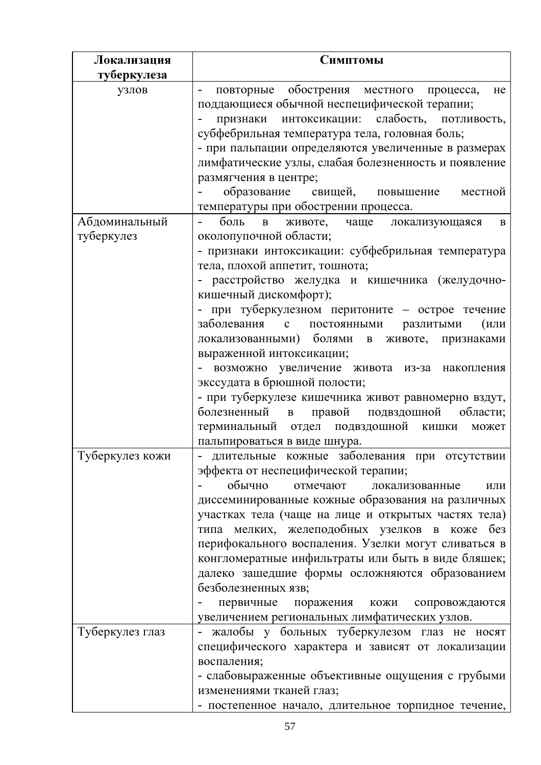| Локализация     | Симптомы                                                                     |
|-----------------|------------------------------------------------------------------------------|
| туберкулеза     |                                                                              |
| узлов           | повторные обострения местного процесса,<br>He                                |
|                 | поддающиеся обычной неспецифической терапии;                                 |
|                 | признаки интоксикации: слабость, потливость,                                 |
|                 | субфебрильная температура тела, головная боль;                               |
|                 | - при пальпации определяются увеличенные в размерах                          |
|                 | лимфатические узлы, слабая болезненность и появление                         |
|                 | размягчения в центре;                                                        |
|                 | образование свищей, повышение<br>местной                                     |
|                 | температуры при обострении процесса.                                         |
| Абдоминальный   | боль в<br>животе, чаще локализующаяся<br>$\bf{B}$                            |
| туберкулез      | околопупочной области;                                                       |
|                 | - признаки интоксикации: субфебрильная температура                           |
|                 | тела, плохой аппетит, тошнота;                                               |
|                 | - расстройство желудка и кишечника (желудочно-                               |
|                 | кишечный дискомфорт);<br>- при туберкулезном перитоните - острое течение     |
|                 | заболевания с постоянными<br>разлитыми<br>(или                               |
|                 | локализованными) болями в<br>животе, признаками                              |
|                 | выраженной интоксикации;                                                     |
|                 | - возможно увеличение живота из-за накопления                                |
|                 | экссудата в брюшной полости;                                                 |
|                 | - при туберкулезе кишечника живот равномерно вздут,                          |
|                 | болезненный в<br>правой подвздошной области;                                 |
|                 | терминальный отдел подвздошной кишки<br>может                                |
|                 | пальпироваться в виде шнура.                                                 |
| Туберкулез кожи | - длительные кожные заболевания при отсутствии                               |
|                 | эффекта от неспецифической терапии;                                          |
|                 | обычно<br>отмечают<br>локализованные<br>ИЛИ                                  |
|                 | диссеминированные кожные образования на различных                            |
|                 | участках тела (чаще на лице и открытых частях тела)                          |
|                 | типа мелких, желеподобных узелков в коже без                                 |
|                 | перифокального воспаления. Узелки могут сливаться в                          |
|                 | конгломератные инфильтраты или быть в виде бляшек;                           |
|                 | далеко зашедшие формы осложняются образованием                               |
|                 | безболезненных язв;                                                          |
|                 | первичные поражения кожи сопровождаются                                      |
|                 | увеличением региональных лимфатических узлов.                                |
| Туберкулез глаз | жалобы у больных туберкулезом глаз не носят                                  |
|                 | специфического характера и зависят от локализации                            |
|                 | воспаления;                                                                  |
|                 | - слабовыраженные объективные ощущения с грубыми<br>изменениями тканей глаз; |
|                 |                                                                              |
|                 | - постепенное начало, длительное торпидное течение,                          |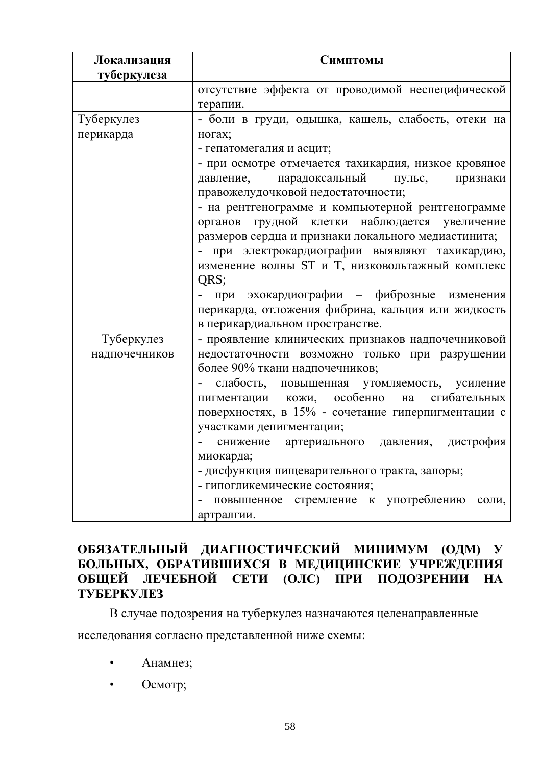| Локализация   | Симптомы                                             |
|---------------|------------------------------------------------------|
| туберкулеза   |                                                      |
|               | отсутствие эффекта от проводимой неспецифической     |
|               | терапии.                                             |
| Туберкулез    | - боли в груди, одышка, кашель, слабость, отеки на   |
| перикарда     | ногах;                                               |
|               | - гепатомегалия и асцит;                             |
|               | - при осмотре отмечается тахикардия, низкое кровяное |
|               | парадоксальный<br>давление,<br>пульс,<br>признаки    |
|               | правожелудочковой недостаточности;                   |
|               | - на рентгенограмме и компьютерной рентгенограмме    |
|               | органов грудной клетки наблюдается увеличение        |
|               | размеров сердца и признаки локального медиастинита;  |
|               | при электрокардиографии выявляют тахикардию,         |
|               | изменение волны ST и T, низковольтажный комплекс     |
|               | QRS;                                                 |
|               | при эхокардиографии - фиброзные изменения            |
|               | перикарда, отложения фибрина, кальция или жидкость   |
|               | в перикардиальном пространстве.                      |
| Туберкулез    | - проявление клинических признаков надпочечниковой   |
| надпочечников | недостаточности возможно только при разрушении       |
|               | более 90% ткани надпочечников;                       |
|               | слабость, повышенная утомляемость, усиление          |
|               | пигментации кожи, особенно<br>сгибательных<br>на     |
|               | поверхностях, в 15% - сочетание гиперпигментации с   |
|               | участками депигментации;                             |
|               | артериального давления,<br>дистрофия<br>снижение     |
|               | миокарда;                                            |
|               | - дисфункция пищеварительного тракта, запоры;        |
|               | - гипогликемические состояния;                       |
|               | повышенное стремление к употреблению<br>соли,        |
|               | артралгии.                                           |

# ОБЯЗАТЕЛЬНЫЙ ДИАГНОСТИЧЕСКИЙ МИНИМУМ (ОДМ) У БОЛЬНЫХ, ОБРАТИВШИХСЯ В МЕДИЦИНСКИЕ УЧРЕЖДЕНИЯ ОБЩЕЙ ЛЕЧЕБНОЙ СЕТИ (ОЛС) ПРИ ПОДОЗРЕНИИ НА **ТУБЕРКУЛЕЗ**

В случае подозрения на туберкулез назначаются целенаправленные

исследования согласно представленной ниже схемы:

- $\bullet$ Анамнез;
- Осмотр;  $\bullet$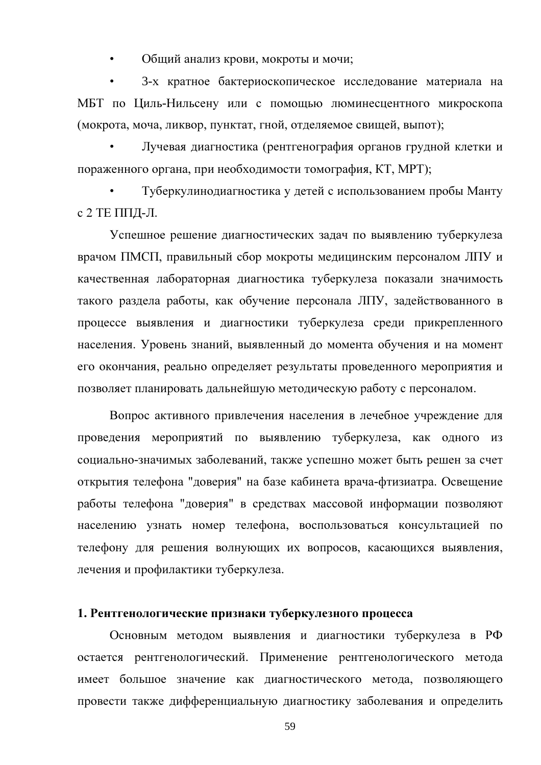Общий анализ крови, мокроты и мочи;

3-х кратное бактериоскопическое исследование материала на МБТ по Циль-Нильсену или с помощью люминесцентного микроскопа (мокрота, моча, ликвор, пунктат, гной, отделяемое свищей, выпот);

Лучевая диагностика (рентгенография органов грудной клетки и пораженного органа, при необходимости томография, КТ, МРТ);

Туберкулинодиагностика у детей с использованием пробы Манту с 2 ТЕ ППД-Л.

Успешное решение диагностических задач по выявлению туберкулеза врачом ПМСП, правильный сбор мокроты медицинским персоналом ЛПУ и качественная лабораторная диагностика туберкулеза показали значимость такого раздела работы, как обучение персонала ЛПУ, задействованного в процессе выявления и диагностики туберкулеза среди прикрепленного населения. Уровень знаний, выявленный до момента обучения и на момент его окончания, реально определяет результаты проведенного мероприятия и позволяет планировать дальнейшую методическую работу с персоналом.

Вопрос активного привлечения населения в лечебное учреждение для проведения мероприятий по выявлению туберкулеза, как одного из социально-значимых заболеваний, также успешно может быть решен за счет открытия телефона "доверия" на базе кабинета врача-фтизиатра. Освещение работы телефона "доверия" в средствах массовой информации позволяют населению узнать номер телефона, воспользоваться консультацией по телефону для решения волнующих их вопросов, касающихся выявления, лечения и профилактики туберкулеза.

## 1. Рентгенологические признаки туберкулезного процесса

Основным методом выявления и диагностики туберкулеза в РФ остается рентгенологический. Применение рентгенологического метода имеет большое значение как диагностического метода, позволяющего провести также дифференциальную диагностику заболевания и определить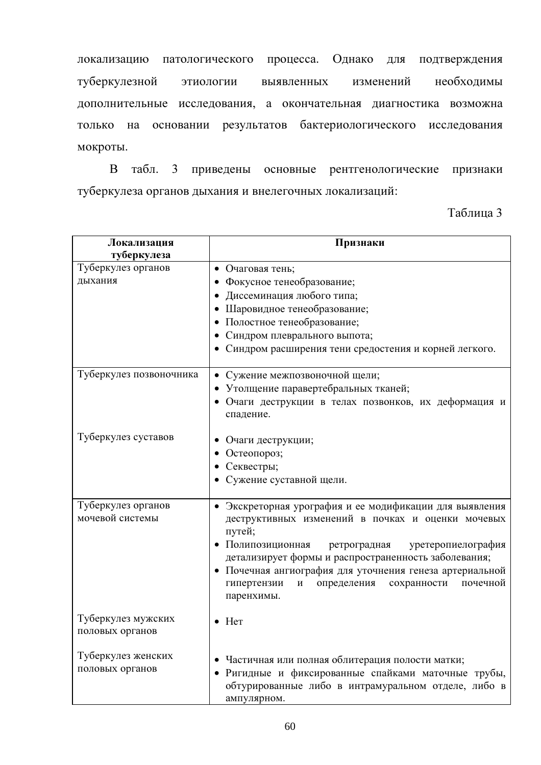локализацию патологического процесса. Однако для подтверждения туберкулезной изменений этиологии выявленных необходимы дополнительные исследования, а окончательная диагностика возможна только на основании результатов бактериологического исследования мокроты.

В табл. 3 приведены основные рентгенологические признаки туберкулеза органов дыхания и внелегочных локализаций:

Таблица 3

| Локализация<br>туберкулеза | Признаки                                                                                                        |
|----------------------------|-----------------------------------------------------------------------------------------------------------------|
| Туберкулез органов         | • Очаговая тень;                                                                                                |
| дыхания                    | • Фокусное тенеобразование;                                                                                     |
|                            | Диссеминация любого типа;                                                                                       |
|                            |                                                                                                                 |
|                            | Шаровидное тенеобразование;                                                                                     |
|                            | Полостное тенеобразование;                                                                                      |
|                            | Синдром плеврального выпота;                                                                                    |
|                            | Синдром расширения тени средостения и корней легкого.                                                           |
| Туберкулез позвоночника    | • Сужение межпозвоночной щели;                                                                                  |
|                            | • Утолщение паравертебральных тканей;                                                                           |
|                            | • Очаги деструкции в телах позвонков, их деформация и<br>спадение.                                              |
| Туберкулез суставов        | Очаги деструкции;                                                                                               |
|                            | Остеопороз;                                                                                                     |
|                            | Секвестры;                                                                                                      |
|                            | Сужение суставной щели.                                                                                         |
|                            |                                                                                                                 |
| Туберкулез органов         | • Экскреторная урография и ее модификации для выявления                                                         |
| мочевой системы            | деструктивных изменений в почках и оценки мочевых                                                               |
|                            | путей;                                                                                                          |
|                            | • Полипозиционная<br>ретроградная<br>уретеропиелография<br>детализирует формы и распространенность заболевания; |
|                            | • Почечная ангиография для уточнения генеза артериальной                                                        |
|                            | гипертензии<br>определения<br>сохранности<br>почечной<br>И                                                      |
|                            | паренхимы.                                                                                                      |
|                            |                                                                                                                 |
| Туберкулез мужских         | $\bullet$ Her                                                                                                   |
| половых органов            |                                                                                                                 |
|                            |                                                                                                                 |
| Туберкулез женских         | • Частичная или полная облитерация полости матки;                                                               |
| половых органов            | • Ригидные и фиксированные спайками маточные трубы,                                                             |
|                            | обтурированные либо в интрамуральном отделе, либо в                                                             |
|                            | ампулярном.                                                                                                     |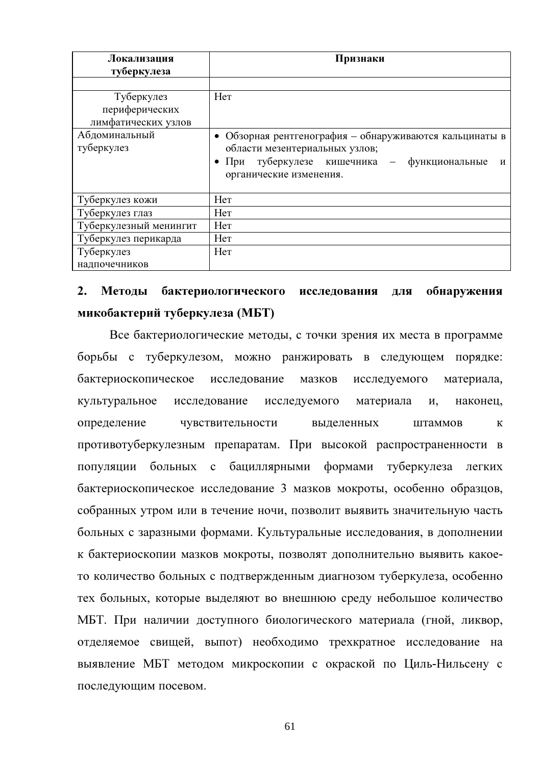| Локализация                                         | Признаки                                                                                                                                                              |  |  |  |  |
|-----------------------------------------------------|-----------------------------------------------------------------------------------------------------------------------------------------------------------------------|--|--|--|--|
| туберкулеза                                         |                                                                                                                                                                       |  |  |  |  |
|                                                     |                                                                                                                                                                       |  |  |  |  |
| Туберкулез<br>периферических<br>лимфатических узлов | Her                                                                                                                                                                   |  |  |  |  |
| Абдоминальный<br>туберкулез                         | Обзорная рентгенография – обнаруживаются кальцинаты в<br>области мезентериальных узлов;<br>При туберкулезе кишечника - функциональные<br>И<br>органические изменения. |  |  |  |  |
| Туберкулез кожи                                     | Her                                                                                                                                                                   |  |  |  |  |
| Туберкулез глаз                                     | Her                                                                                                                                                                   |  |  |  |  |
| Туберкулезный менингит                              | Her                                                                                                                                                                   |  |  |  |  |
| Туберкулез перикарда                                | Her                                                                                                                                                                   |  |  |  |  |
| Туберкулез                                          | Her                                                                                                                                                                   |  |  |  |  |
| надпочечников                                       |                                                                                                                                                                       |  |  |  |  |

#### $2.$ Метолы бактериологического исследования обнаружения ЛЛЯ микобактерий туберкулеза (МБТ)

Все бактериологические методы, с точки зрения их места в программе борьбы с туберкулезом, можно ранжировать в следующем порядке: бактериоскопическое исследование мазков исследуемого материала, исследуемого культуральное исследование материала И, наконец, определение чувствительности вылеленных штаммов  $\mathbf{K}$ противотуберкулезным препаратам. При высокой распространенности в популяции больных с бациллярными формами туберкулеза легких бактериоскопическое исследование 3 мазков мокроты, особенно образцов, собранных утром или в течение ночи, позволит выявить значительную часть больных с заразными формами. Культуральные исследования, в дополнении к бактериоскопии мазков мокроты, позволят дополнительно выявить какоето количество больных с подтвержденным диагнозом туберкулеза, особенно тех больных, которые выделяют во внешнюю среду небольшое количество МБТ. При наличии доступного биологического материала (гной, ликвор, отделяемое свищей, выпот) необходимо трехкратное исследование на выявление МБТ методом микроскопии с окраской по Циль-Нильсену с последующим посевом.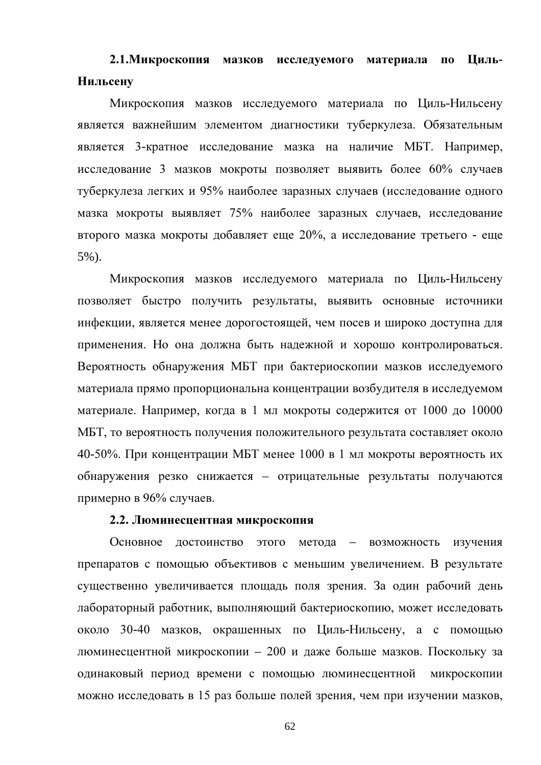# 2.1. Микроскопия мазков исследуемого материала по Циль-Нильсену

Микроскопия мазков исследуемого материала по Циль-Нильсену является важнейшим элементом диагностики туберкулеза. Обязательным является 3-кратное исследование мазка на наличие МБТ. Например, исследование 3 мазков мокроты позволяет выявить более 60% случаев туберкулеза легких и 95% наиболее заразных случаев (исследование одного мазка мокроты выявляет 75% наиболее заразных случаев, исследование второго мазка мокроты добавляет еще 20%, а исследование третьего - еще  $5\%$ ).

Микроскопия мазков исследуемого материала по Циль-Нильсену позволяет быстро получить результаты, выявить основные источники инфекции, является менее дорогостоящей, чем посев и широко доступна для применения. Но она должна быть надежной и хорошо контролироваться. Вероятность обнаружения МБТ при бактериоскопии мазков исследуемого материала прямо пропорциональна концентрации возбудителя в исследуемом материале. Например, когда в 1 мл мокроты содержится от 1000 до 10000 МБТ, то вероятность получения положительного результата составляет около 40-50%. При концентрации МБТ менее 1000 в 1 мл мокроты вероятность их обнаружения резко снижается - отрицательные результаты получаются примерно в 96% случаев.

## 2.2. Люминесцентная микроскопия

Основное достоинство этого метода - возможность изучения препаратов с помощью объективов с меньшим увеличением. В результате существенно увеличивается площадь поля зрения. За один рабочий день лабораторный работник, выполняющий бактериоскопию, может исследовать около 30-40 мазков, окрашенных по Циль-Нильсену, а с помощью люминесцентной микроскопии - 200 и даже больше мазков. Поскольку за одинаковый период времени с помощью люминесцентной микроскопии можно исследовать в 15 раз больше полей зрения, чем при изучении мазков,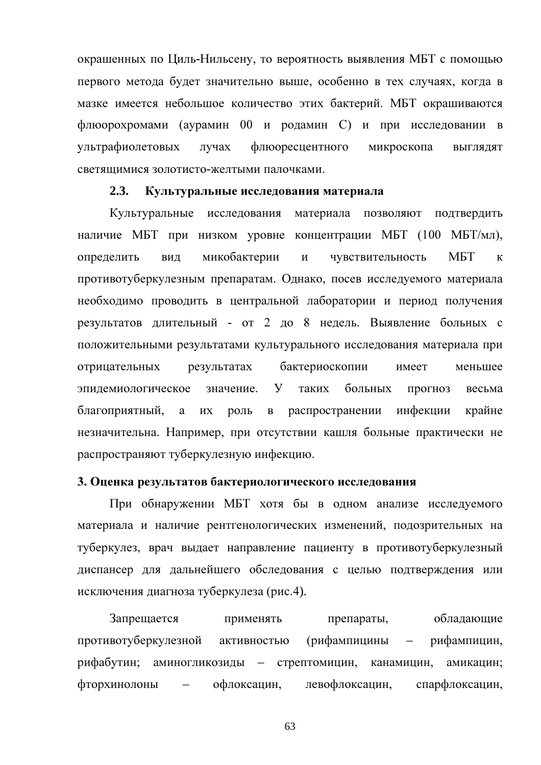окрашенных по Циль-Нильсену, то вероятность выявления МБТ с помощью первого метода будет значительно выше, особенно в тех случаях, когда в мазке имеется небольшое количество этих бактерий. МБТ окрашиваются флюорохромами (аурамин 00 и родамин С) и при исследовании в ультрафиолетовых лучах флюоресцентного микроскопа **ВЫГЛЯДЯТ** светящимися золотисто-желтыми палочками.

#### $2.3.$ Культуральные исследования материала

Культуральные исследования материала позволяют подтвердить наличие МБТ при низком уровне концентрации МБТ (100 МБТ/мл), определить микобактерии МБТ ВИД  $\boldsymbol{\mathrm{M}}$ чувствительность  $\mathbf K$ противотуберкулезным препаратам. Однако, посев исследуемого материала необходимо проводить в центральной лаборатории и период получения результатов длительный - от 2 до 8 недель. Выявление больных с положительными результатами культурального исследования материала при результатах отрицательных бактериоскопии имеет меньшее эпидемиологическое значение. У таких больных **ПРОГНОЗ** весьма распространении инфекции благоприятный, a ИХ роль  $\mathbf{B}$ крайне незначительна. Например, при отсутствии кашля больные практически не распространяют туберкулезную инфекцию.

## 3. Оценка результатов бактериологического исследования

При обнаружении МБТ хотя бы в одном анализе исследуемого материала и наличие рентгенологических изменений, подозрительных на туберкулез, врач выдает направление пациенту в противотуберкулезный диспансер для дальнейшего обследования с целью подтверждения или исключения диагноза туберкулеза (рис.4).

Запрещается обладающие применять препараты, противотуберкулезной активностью (рифампицины  $\frac{1}{2}$ рифампицин. рифабутин; аминогликозиды – стрептомицин, канамицин, амикацин: фторхинолоны офлоксацин, левофлоксацин, спарфлоксацин,  $\overline{\phantom{0}}$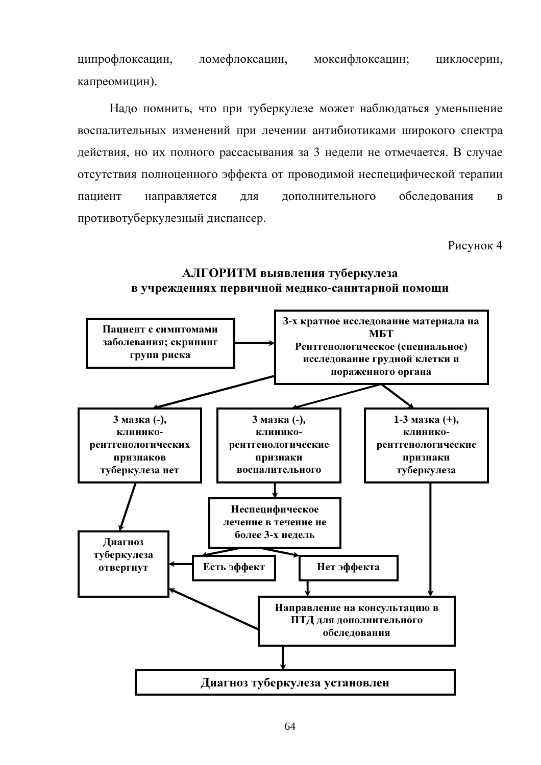ципрофлоксацин, ломефлоксацин, моксифлоксацин; циклосерин, капреомицин).

Надо помнить, что при туберкулезе может наблюдаться уменьшение воспалительных изменений при лечении антибиотиками широкого спектра действия, но их полного рассасывания за 3 недели не отмечается. В случае отсутствия полноценного эффекта от проводимой неспецифической терапии обследования пациент направляется ДЛЯ дополнительного  $\overline{R}$ противотуберкулезный диспансер.

Рисунок 4



## АЛГОРИТМ выявления туберкулеза в учреждениях первичной медико-санитарной помощи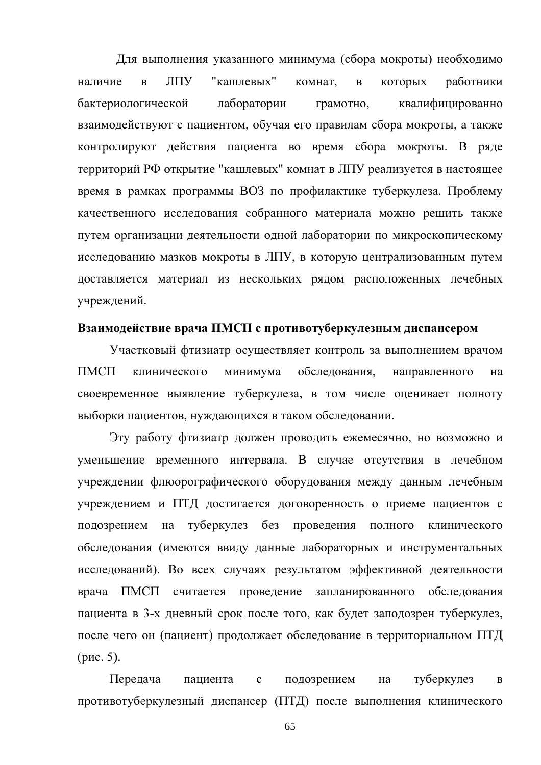Для выполнения указанного минимума (сбора мокроты) необходимо "кашлевых" **JITY** наличие  $\overline{B}$ комнат.  $\overline{B}$ которых работники лаборатории бактериологической грамотно, квалифицированно взаимодействуют с пациентом, обучая его правилам сбора мокроты, а также контролируют действия пациента во время сбора мокроты. В ряде территорий РФ открытие "кашлевых" комнат в ЛПУ реализуется в настоящее время в рамках программы ВОЗ по профилактике туберкулеза. Проблему качественного исследования собранного материала можно решить также путем организации деятельности одной лаборатории по микроскопическому исследованию мазков мокроты в ЛПУ, в которую централизованным путем доставляется материал из нескольких рядом расположенных лечебных учреждений.

### Взаимодействие врача ПМСП с противотуберкулезным диспансером

Участковый фтизиатр осуществляет контроль за выполнением врачом  $\prod M C \prod$ минимума обследования, клинического направленного на своевременное выявление туберкулеза, в том числе оценивает полноту выборки пациентов, нуждающихся в таком обследовании.

Эту работу фтизиатр должен проводить ежемесячно, но возможно и уменьшение временного интервала. В случае отсутствия в лечебном учреждении флюорографического оборудования между данным лечебным учреждением и ПТД достигается договоренность о приеме пациентов с подозрением на туберкулез без проведения полного клинического обследования (имеются ввиду данные лабораторных и инструментальных исследований). Во всех случаях результатом эффективной деятельности ПМСП считается проведение запланированного обследования врача пациента в 3-х дневный срок после того, как будет заподозрен туберкулез, после чего он (пациент) продолжает обследование в территориальном ПТД (рис. 5).

Передача пациента  $\mathbf{c}$ подозрением на туберкулез  $\mathbf{B}$ противотуберкулезный диспансер (ПТД) после выполнения клинического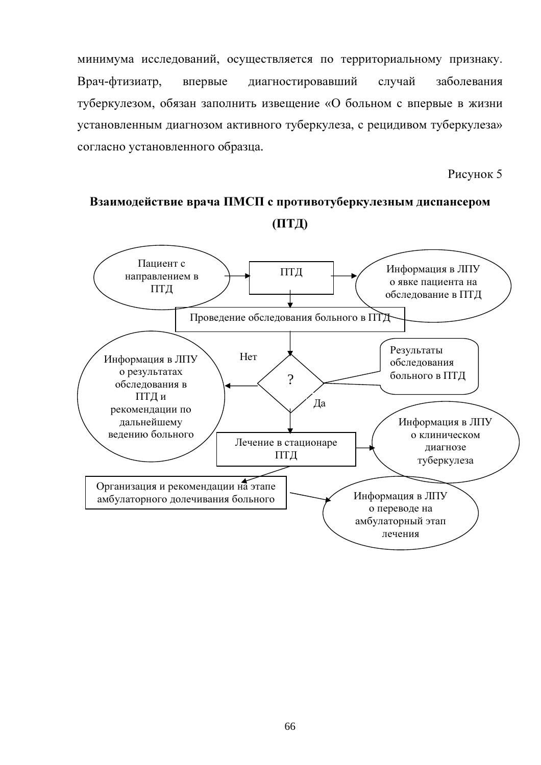минимума исследований, осуществляется по территориальному признаку. Врач-фтизиатр, диагностировавший случай заболевания впервые туберкулезом, обязан заполнить извещение «О больном с впервые в жизни установленным диагнозом активного туберкулеза, с рецидивом туберкулеза» согласно установленного образца.

Рисунок 5

# Взаимодействие врача ПМСП с противотуберкулезным диспансером  $(\Pi T \mathcal{L})$

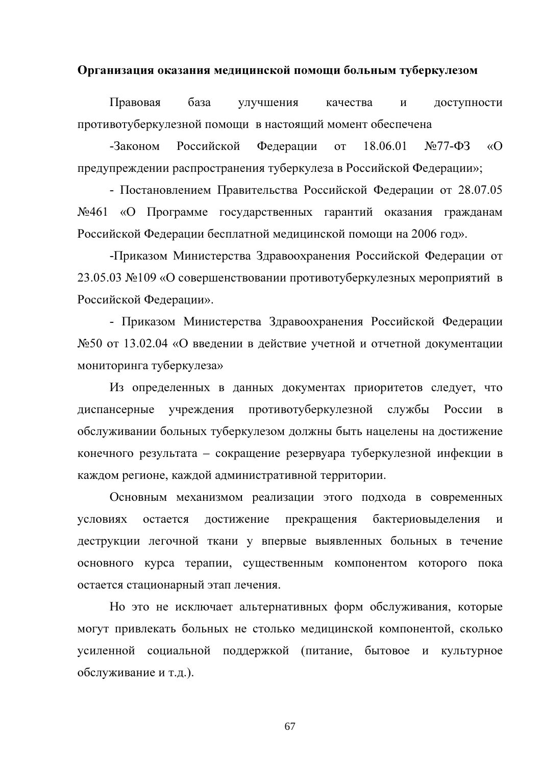### Организация оказания медицинской помощи больным туберкулезом

Правовая база улучшения качества доступности  $\mathbf{M}$ противотуберкулезной помощи в настоящий момент обеспечена

Российской  $\sqrt{677-}\Phi$ 3  $\sqrt{O}$ -Законом Федерации  $\overline{O}$ 18.06.01 предупреждении распространения туберкулеза в Российской Федерации»;

- Постановлением Правительства Российской Федерации от 28.07.05 №461 «О Программе государственных гарантий оказания гражданам Российской Федерации бесплатной медицинской помощи на 2006 год».

-Приказом Министерства Здравоохранения Российской Федерации от 23.05.03 №109 «О совершенствовании противотуберкулезных мероприятий в Российской Федерации».

- Приказом Министерства Здравоохранения Российской Федерации №50 от 13.02.04 «О введении в действие учетной и отчетной документации мониторинга туберкулеза»

Из определенных в данных документах приоритетов следует, что противотуберкулезной службы России диспансерные учреждения  $\mathbf{B}$ обслуживании больных туберкулезом должны быть нацелены на достижение конечного результата - сокращение резервуара туберкулезной инфекции в каждом регионе, каждой административной территории.

Основным механизмом реализации этого подхода в современных условиях остается достижение прекращения бактериовыделения И деструкции легочной ткани у впервые выявленных больных в течение основного курса терапии, существенным компонентом которого пока остается стационарный этап лечения.

Но это не исключает альтернативных форм обслуживания, которые могут привлекать больных не столько медицинской компонентой, сколько усиленной социальной поддержкой (питание, бытовое и культурное обслуживание и т.д.).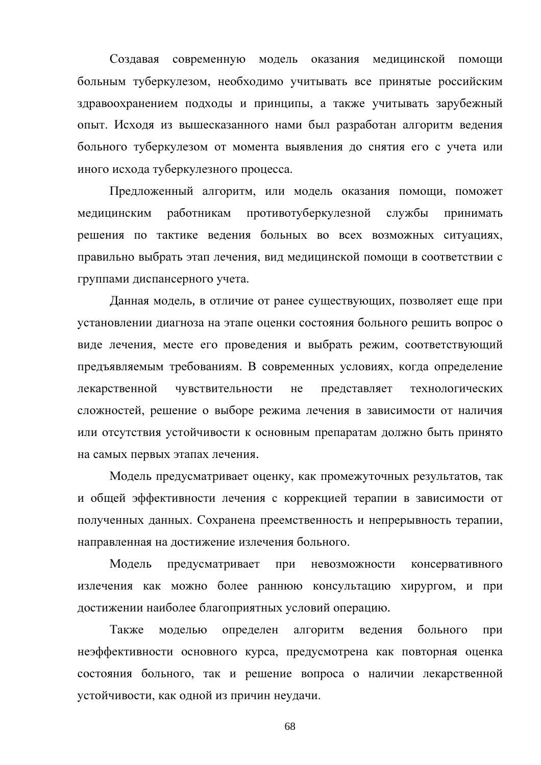Создавая современную модель оказания медицинской помощи больным туберкулезом, необходимо учитывать все принятые российским здравоохранением подходы и принципы, а также учитывать зарубежный опыт. Исходя из вышесказанного нами был разработан алгоритм ведения больного туберкулезом от момента выявления до снятия его с учета или иного исхода туберкулезного процесса.

Предложенный алгоритм, или модель оказания помощи, поможет медицинским работникам противотуберкулезной службы принимать решения по тактике ведения больных во всех возможных ситуациях, правильно выбрать этап лечения, вид медицинской помощи в соответствии с группами диспансерного учета.

Данная модель, в отличие от ранее существующих, позволяет еще при установлении диагноза на этапе оценки состояния больного решить вопрос о виде лечения, месте его проведения и выбрать режим, соответствующий предъявляемым требованиям. В современных условиях, когда определение лекарственной чувствительности представляет He технологических сложностей, решение о выборе режима лечения в зависимости от наличия или отсутствия устойчивости к основным препаратам должно быть принято на самых первых этапах лечения.

Модель предусматривает оценку, как промежуточных результатов, так и общей эффективности лечения с коррекцией терапии в зависимости от полученных данных. Сохранена преемственность и непрерывность терапии, направленная на достижение излечения больного.

Модель предусматривает при невозможности консервативного излечения как можно более раннюю консультацию хирургом, и при достижении наиболее благоприятных условий операцию.

Также моделью определен алгоритм веления больного при неэффективности основного курса, предусмотрена как повторная оценка состояния больного, так и решение вопроса о наличии лекарственной устойчивости, как одной из причин неудачи.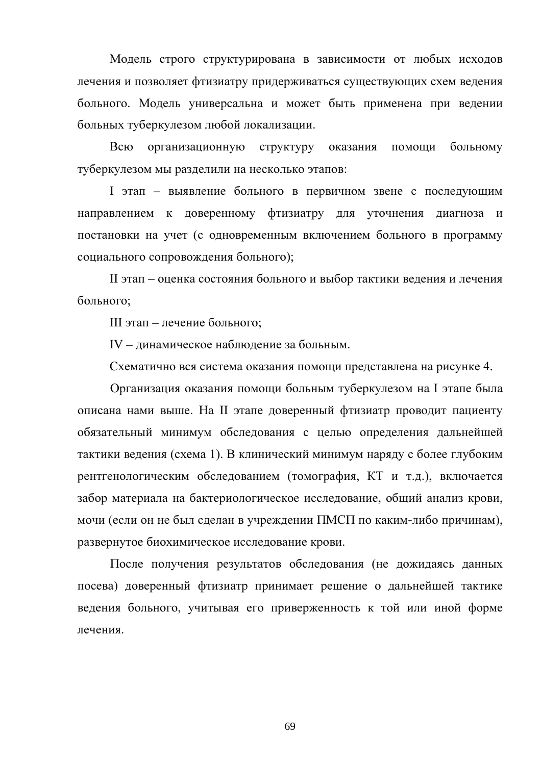Модель строго структурирована в зависимости от любых исходов лечения и позволяет фтизиатру придерживаться существующих схем ведения больного. Модель универсальна и может быть применена при ведении больных туберкулезом любой локализации.

Всю организационную структуру оказания помоши больному туберкулезом мы разделили на несколько этапов:

I этап - выявление больного в первичном звене с последующим направлением к доверенному фтизиатру для уточнения диагноза и постановки на учет (с одновременным включением больного в программу социального сопровождения больного);

II этап - оценка состояния больного и выбор тактики ведения и лечения больного;

III этап – лечение больного;

IV - динамическое наблюдение за больным.

Схематично вся система оказания помощи представлена на рисунке 4.

Организация оказания помощи больным туберкулезом на I этапе была описана нами выше. На II этапе доверенный фтизиатр проводит пациенту обязательный минимум обследования с целью определения дальнейшей тактики ведения (схема 1). В клинический минимум наряду с более глубоким рентгенологическим обследованием (томография, КТ и т.д.), включается забор материала на бактериологическое исследование, общий анализ крови, мочи (если он не был сделан в учреждении ПМСП по каким-либо причинам), развернутое биохимическое исследование крови.

После получения результатов обследования (не дожидаясь данных посева) доверенный фтизиатр принимает решение о дальнейшей тактике ведения больного, учитывая его приверженность к той или иной форме лечения.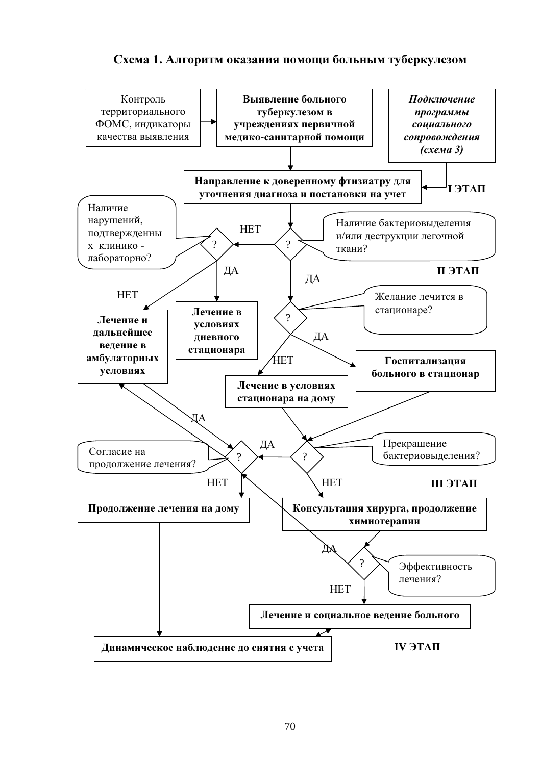

# Схема 1. Алгоритм оказания помощи больным туберкулезом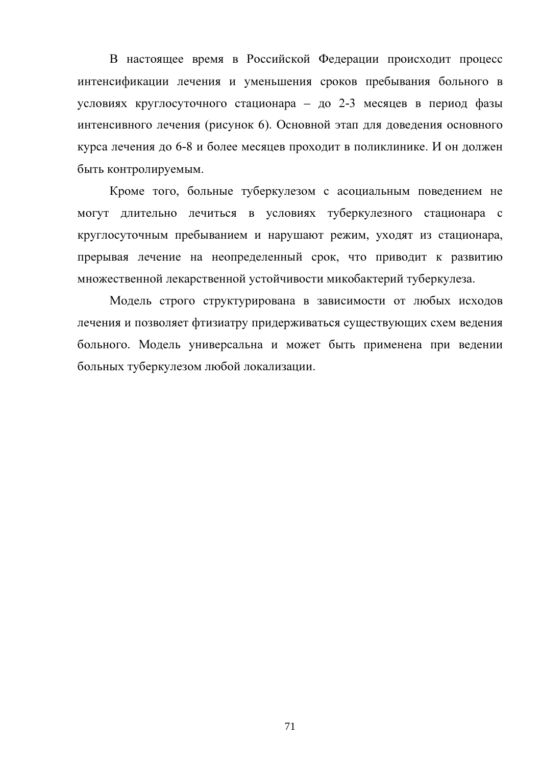В настоящее время в Российской Федерации происходит процесс интенсификации лечения и уменьшения сроков пребывания больного в условиях круглосуточного стационара - до 2-3 месяцев в период фазы интенсивного лечения (рисунок 6). Основной этап для доведения основного курса лечения до 6-8 и более месяцев проходит в поликлинике. И он должен быть контролируемым.

Кроме того, больные туберкулезом с асоциальным поведением не могут длительно лечиться в условиях туберкулезного стационара с круглосуточным пребыванием и нарушают режим, уходят из стационара, прерывая лечение на неопределенный срок, что приводит к развитию множественной лекарственной устойчивости микобактерий туберкулеза.

Модель строго структурирована в зависимости от любых исходов лечения и позволяет фтизиатру придерживаться существующих схем ведения больного. Модель универсальна и может быть применена при ведении больных туберкулезом любой локализации.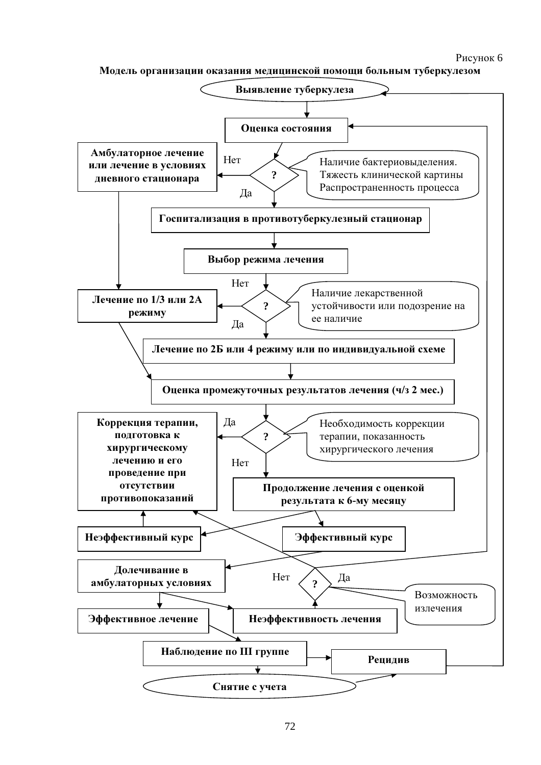## Рисунок 6

Модель организации оказания медицинской помощи больным туберкулезом

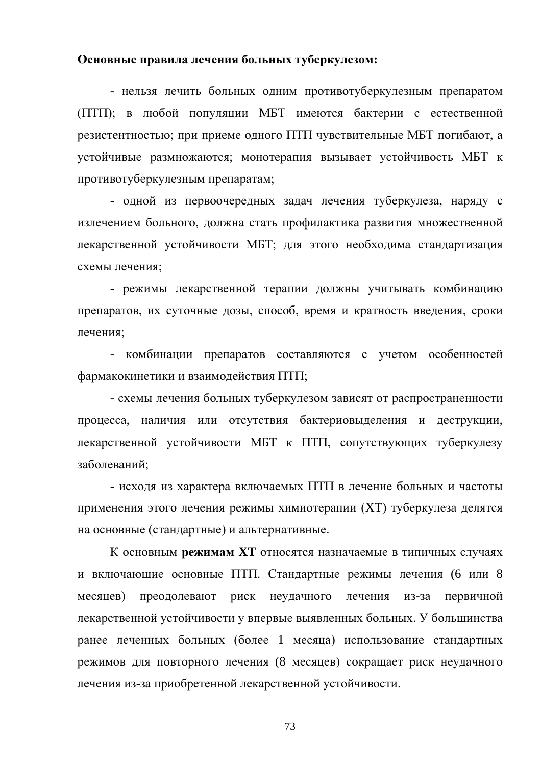#### Основные правила лечения больных туберкулезом:

- нельзя лечить больных одним противотуберкулезным препаратом (ПТП); в любой популяции МБТ имеются бактерии с естественной резистентностью; при приеме одного ПТП чувствительные МБТ погибают, а устойчивые размножаются; монотерапия вызывает устойчивость МБТ к противотуберкулезным препаратам;

- одной из первоочередных задач лечения туберкулеза, наряду с излечением больного, должна стать профилактика развития множественной лекарственной устойчивости МБТ; для этого необходима стандартизация схемы лечения;

- режимы лекарственной терапии должны учитывать комбинацию препаратов, их суточные дозы, способ, время и кратность введения, сроки лечения;

- комбинации препаратов составляются с учетом особенностей фармакокинетики и взаимодействия ПТП;

- схемы лечения больных туберкулезом зависят от распространенности процесса, наличия или отсутствия бактериовыделения и деструкции, лекарственной устойчивости МБТ к ПТП, сопутствующих туберкулезу заболеваний:

- исходя из характера включаемых ПТП в лечение больных и частоты применения этого лечения режимы химиотерапии (XT) туберкулеза делятся на основные (стандартные) и альтернативные.

К основным режимам XT относятся назначаемые в типичных случаях и включающие основные ПТП. Стандартные режимы лечения (6 или 8 из-за первичной месяцев) преодолевают риск неудачного лечения лекарственной устойчивости у впервые выявленных больных. У большинства ранее леченных больных (более 1 месяца) использование стандартных режимов для повторного лечения (8 месяцев) сокращает риск неудачного лечения из-за приобретенной лекарственной устойчивости.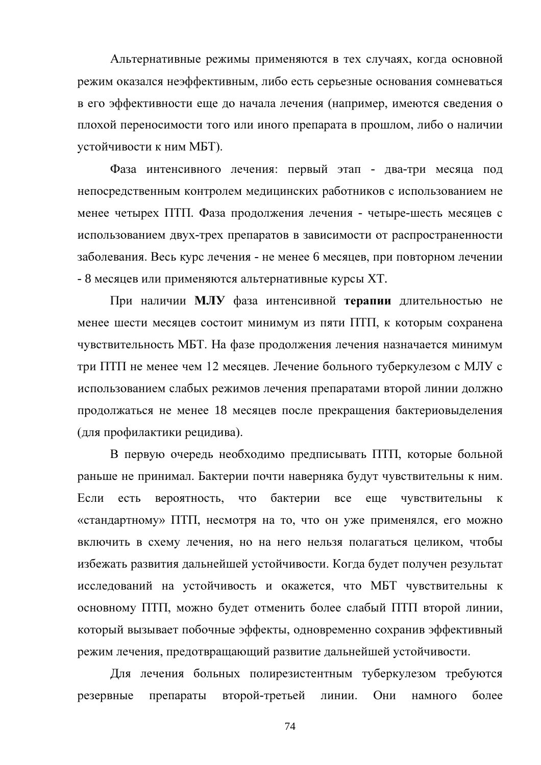Альтернативные режимы применяются в тех случаях, когда основной режим оказался неэффективным, либо есть серьезные основания сомневаться в его эффективности еще до начала лечения (например, имеются сведения о плохой переносимости того или иного препарата в прошлом, либо о наличии устойчивости к ним МБТ).

Фаза интенсивного лечения: первый этап - два-три месяца под непосредственным контролем медицинских работников с использованием не менее четырех ПТП. Фаза продолжения лечения - четыре-шесть месяцев с использованием двух-трех препаратов в зависимости от распространенности заболевания. Весь курс лечения - не менее 6 месяцев, при повторном лечении - 8 месяцев или применяются альтернативные курсы XT.

При наличии МЛУ фаза интенсивной терапии длительностью не менее шести месяцев состоит минимум из пяти ПТП, к которым сохранена чувствительность МБТ. На фазе продолжения лечения назначается минимум три ПТП не менее чем 12 месяцев. Лечение больного туберкулезом с МЛУ с использованием слабых режимов лечения препаратами второй линии должно продолжаться не менее 18 месяцев после прекращения бактериовыделения (для профилактики рецидива).

В первую очередь необходимо предписывать ПТП, которые больной раньше не принимал. Бактерии почти наверняка будут чувствительны к ним. бактерии Если есть вероятность, **ЧТО** все еще чувствительны  $\mathbf{K}$ «стандартному» ПТП, несмотря на то, что он уже применялся, его можно включить в схему лечения, но на него нельзя полагаться целиком, чтобы избежать развития дальнейшей устойчивости. Когда будет получен результат исследований на устойчивость и окажется, что МБТ чувствительны к основному ПТП, можно будет отменить более слабый ПТП второй линии, который вызывает побочные эффекты, одновременно сохранив эффективный режим лечения, предотвращающий развитие дальнейшей устойчивости.

Для лечения больных полирезистентным туберкулезом требуются резервные препараты второй-третьей линии. Они намного более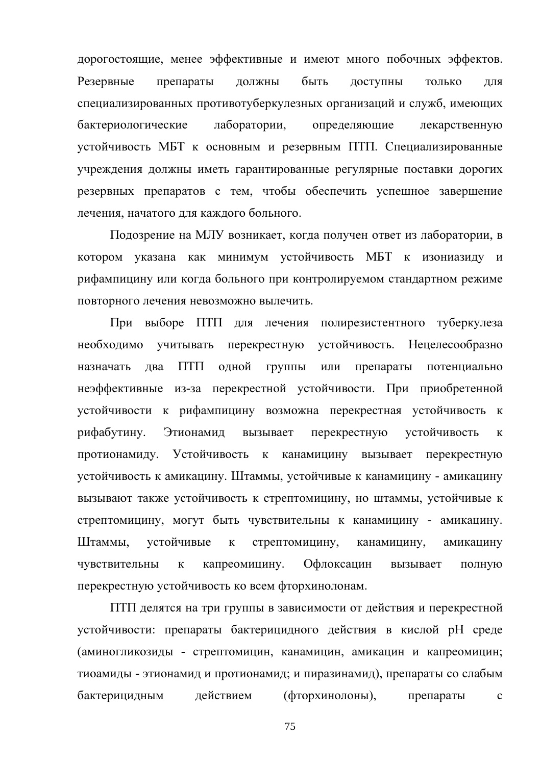дорогостоящие, менее эффективные и имеют много побочных эффектов. быть Резервные препараты ДОЛЖНЫ доступны ТОЛЬКО ЛЛЯ специализированных противотуберкулезных организаций и служб, имеющих лаборатории, бактериологические определяющие лекарственную устойчивость МБТ к основным и резервным ПТП. Специализированные учреждения должны иметь гарантированные регулярные поставки дорогих резервных препаратов с тем, чтобы обеспечить успешное завершение лечения, начатого для каждого больного.

Подозрение на МЛУ возникает, когда получен ответ из лаборатории, в котором указана как минимум устойчивость МБТ к изониазиду и рифампицину или когда больного при контролируемом стандартном режиме повторного лечения невозможно вылечить.

При выборе ПТП для лечения полирезистентного туберкулеза устойчивость. Нецелесообразно необходимо учитывать перекрестную ПТП назначать лва одной группы препараты потенциально ИЛИ неэффективные из-за перекрестной устойчивости. При приобретенной устойчивости к рифампицину возможна перекрестная устойчивость к рифабутину. Этионамил перекрестную устойчивость вызывает  $\mathbf{K}$ протионамиду. Устойчивость  $\bf K$ канамицину вызывает перекрестную устойчивость к амикацину. Штаммы, устойчивые к канамицину - амикацину вызывают также устойчивость к стрептомицину, но штаммы, устойчивые к стрептомицину, могут быть чувствительны к канамицину - амикацину. Штаммы. устойчивые  $\mathbf{K}$ стрептомицину, канамицину. амикацину капреомицину. Офлоксацин чувствительны  $\bf K$ вызывает полную перекрестную устойчивость ко всем фторхинолонам.

ПТП делятся на три группы в зависимости от действия и перекрестной устойчивости: препараты бактерицидного действия в кислой рН среде (аминогликозиды - стрептомицин, канамицин, амикацин и капреомицин; тиоамиды - этионамид и протионамид; и пиразинамид), препараты со слабым бактерицидным действием (фторхинолоны), препараты  $\mathbf{C}$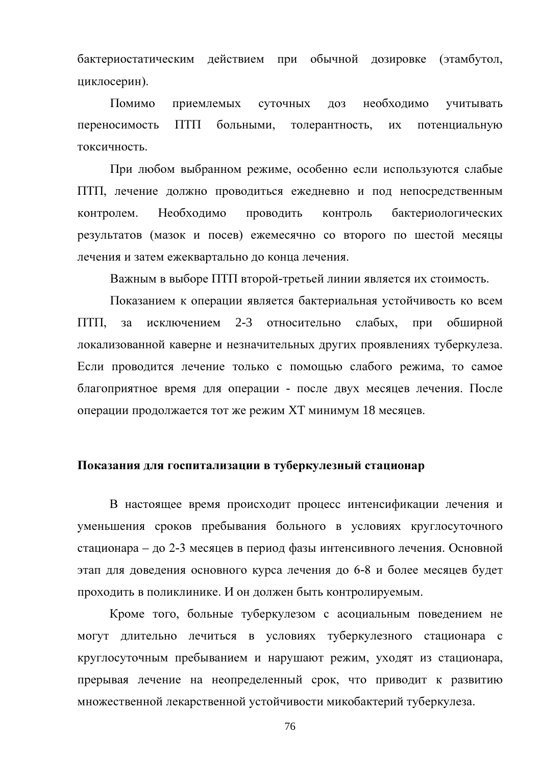бактериостатическим действием при обычной дозировке (этамбутол, циклосерин).

Помимо приемлемых суточных ДОЗ необходимо учитывать переносимость  $\Pi$ T $\Pi$ больными. толерантность.  $\overline{u}$ потенциальную токсичность.

При любом выбранном режиме, особенно если используются слабые ПТП, лечение должно проводиться ежедневно и под непосредственным контролем. Необходимо проводить контроль бактериологических результатов (мазок и посев) ежемесячно со второго по шестой месяцы лечения и затем ежеквартально до конца лечения.

Важным в выборе ПТП второй-третьей линии является их стоимость.

Показанием к операции является бактериальная устойчивость ко всем  $\Pi$ T $\Pi$ ,  $3a$ исключением  $2 - 3$ относительно слабых, обширной при локализованной каверне и незначительных других проявлениях туберкулеза. Если проводится лечение только с помощью слабого режима, то самое благоприятное время для операции - после двух месяцев лечения. После операции продолжается тот же режим XT минимум 18 месяцев.

#### Показания для госпитализации в туберкулезный стационар

В настоящее время происходит процесс интенсификации лечения и уменьшения сроков пребывания больного в условиях круглосуточного стационара – до 2-3 месяцев в период фазы интенсивного лечения. Основной этап для доведения основного курса лечения до 6-8 и более месяцев будет проходить в поликлинике. И он должен быть контролируемым.

Кроме того, больные туберкулезом с асоциальным поведением не могут длительно лечиться в условиях туберкулезного стационара с круглосуточным пребыванием и нарушают режим, уходят из стационара, прерывая лечение на неопределенный срок, что приводит к развитию множественной лекарственной устойчивости микобактерий туберкулеза.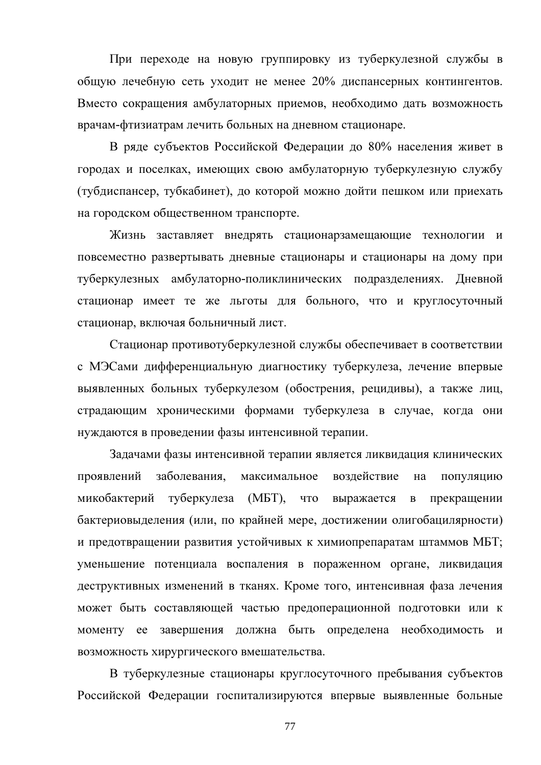При переходе на новую группировку из туберкулезной службы в общую лечебную сеть уходит не менее 20% диспансерных контингентов. Вместо сокращения амбулаторных приемов, необходимо дать возможность врачам-фтизиатрам лечить больных на дневном стационаре.

В ряде субъектов Российской Федерации до 80% населения живет в городах и поселках, имеющих свою амбулаторную туберкулезную службу (тубдиспансер, тубкабинет), до которой можно дойти пешком или приехать на городском общественном транспорте.

Жизнь заставляет внедрять стационарзамещающие технологии и повсеместно развертывать дневные стационары и стационары на дому при туберкулезных амбулаторно-поликлинических подразделениях. Дневной стационар имеет те же льготы для больного, что и круглосуточный стационар, включая больничный лист.

Стационар противотуберкулезной службы обеспечивает в соответствии с МЭСами дифференциальную диагностику туберкулеза, лечение впервые выявленных больных туберкулезом (обострения, рецидивы), а также лиц, страдающим хроническими формами туберкулеза в случае, когда они нуждаются в проведении фазы интенсивной терапии.

Задачами фазы интенсивной терапии является ликвидация клинических проявлений заболевания. максимальное воздействие на популяцию туберкулеза (МБТ), микобактерий **ЧТО** выражается  $\overline{B}$ прекращении бактериовыделения (или, по крайней мере, достижении олигобацилярности) и предотвращении развития устойчивых к химиопрепаратам штаммов МБТ; уменьшение потенциала воспаления в пораженном органе, ликвидация деструктивных изменений в тканях. Кроме того, интенсивная фаза лечения может быть составляющей частью предоперационной подготовки или к моменту ее завершения должна быть определена необходимость  $\overline{M}$ возможность хирургического вмешательства.

В туберкулезные стационары круглосуточного пребывания субъектов Российской Федерации госпитализируются впервые выявленные больные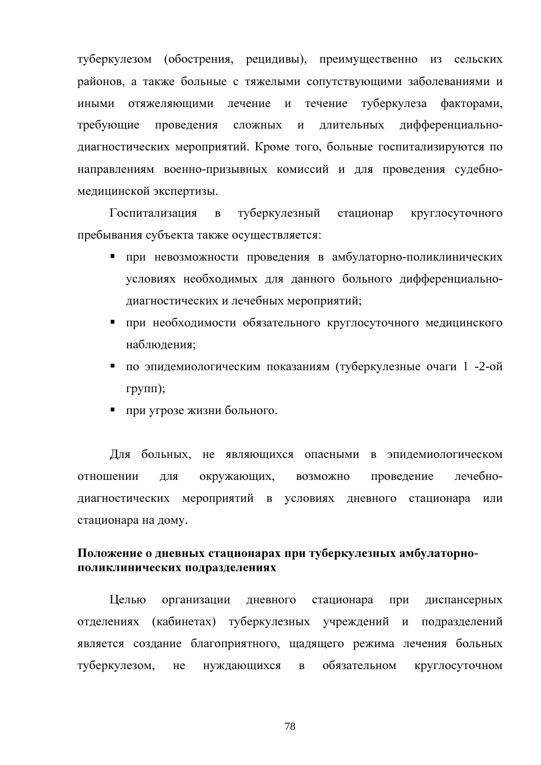туберкулезом (обострения, рецидивы), преимущественно из сельских районов, а также больные с тяжелыми сопутствующими заболеваниями и иными отяжеляющими лечение и течение туберкулеза факторами, требующие ллительных лифференциальнопроведения сложных  $\overline{M}$ диагностических мероприятий. Кроме того, больные госпитализируются по направлениям военно-призывных комиссий и для проведения судебномедицинской экспертизы.

Госпитализация  $\overline{B}$ туберкулезный стационар круглосуточного пребывания субъекта также осуществляется:

- при невозможности проведения в амбулаторно-поликлинических условиях необходимых для данного больного дифференциальнодиагностических и лечебных мероприятий;
- при необходимости обязательного круглосуточного медицинского наблюдения;
- по эпидемиологическим показаниям (туберкулезные очаги 1 -2-ой групп);
- при угрозе жизни больного.

Для больных, не являющихся опасными в эпидемиологическом отношении ДЛЯ окружающих, возможно проведение лечебнодиагностических мероприятий в условиях дневного стационара или стационара на дому.

## Положение о дневных стационарах при туберкулезных амбулаторнополиклинических подразделениях

Целью организации дневного стационара диспансерных при отделениях (кабинетах) туберкулезных учреждений и подразделений является создание благоприятного, щадящего режима лечения больных обязательном туберкулезом, He нуждающихся  $\mathbf{B}$ круглосуточном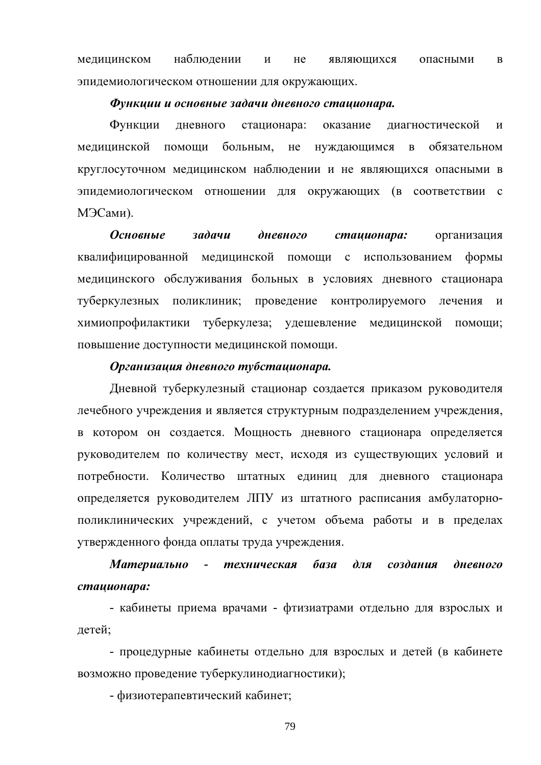наблюдении медицинском He являющихся опасными  $\mathbf{M}$  $\bf{B}$ эпидемиологическом отношении для окружающих.

#### Функции и основные задачи дневного стационара.

Функции лневного стационара: оказание лиагностической  $\overline{M}$ мелицинской помоши больным, He нуждающимся  $\overline{B}$ обязательном круглосуточном медицинском наблюдении и не являющихся опасными в эпидемиологическом отношении для окружающих (в соответствии с МЭСами).

**Основные задачи дневного** стаиионара: организация квалифицированной медицинской помощи с использованием формы медицинского обслуживания больных в условиях дневного стационара туберкулезных поликлиник; проведение контролируемого лечения  $\mathbf{M}$ химиопрофилактики туберкулеза; удешевление медицинской помощи; повышение доступности медицинской помощи.

#### Организация дневного тубстационара.

Дневной туберкулезный стационар создается приказом руководителя лечебного учреждения и является структурным подразделением учреждения, в котором он создается. Мощность дневного стационара определяется руководителем по количеству мест, исходя из существующих условий и потребности. Количество штатных единиц для дневного стационара определяется руководителем ЛПУ из штатного расписания амбулаторнополиклинических учреждений, с учетом объема работы и в пределах утвержденного фонда оплаты труда учреждения.

#### Материально - техническая база  $\partial \Pi \mathbf{A}$ создания дневного стаиионара:

- кабинеты приема врачами - фтизиатрами отдельно для взрослых и летей:

- процедурные кабинеты отдельно для взрослых и детей (в кабинете возможно проведение туберкулинодиагностики);

- физиотерапевтический кабинет;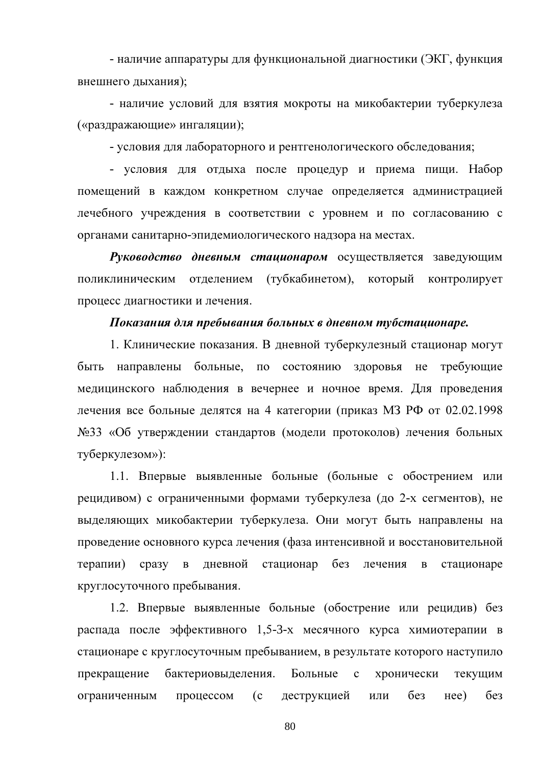- наличие аппаратуры для функциональной диагностики (ЭКГ, функция внешнего дыхания);

- наличие условий для взятия мокроты на микобактерии туберкулеза («раздражающие» ингаляции);

- условия для лабораторного и рентгенологического обследования;

- условия для отдыха после процедур и приема пищи. Набор помещений в каждом конкретном случае определяется администрацией лечебного учреждения в соответствии с уровнем и по согласованию с органами санитарно-эпидемиологического надзора на местах.

Руководство дневным стационаром осуществляется заведующим (тубкабинетом), который поликлиническим отделением контролирует процесс диагностики и лечения.

#### Показания для пребывания больных в дневном тубстационаре.

1. Клинические показания. В дневной туберкулезный стационар могут быть направлены больные, по состоянию здоровья не требующие медицинского наблюдения в вечернее и ночное время. Для проведения лечения все больные делятся на 4 категории (приказ МЗ РФ от 02.02.1998 №33 «Об утверждении стандартов (модели протоколов) лечения больных туберкулезом»):

1.1. Впервые выявленные больные (больные с обострением или рецидивом) с ограниченными формами туберкулеза (до 2-х сегментов), не выделяющих микобактерии туберкулеза. Они могут быть направлены на проведение основного курса лечения (фаза интенсивной и восстановительной терапии) сразу в дневной стационар без лечения  $\mathbf{B}$ стационаре круглосуточного пребывания.

1.2. Впервые выявленные больные (обострение или рецидив) без распада после эффективного 1,5-3-х месячного курса химиотерапии в стационаре с круглосуточным пребыванием, в результате которого наступило прекращение бактериовыделения. Больные  $\mathbf{c}$ хронически текущим процессом  $(c<sub>1</sub>)$ деструкцией без  $Hee)$  $6e<sub>3</sub>$ ограниченным или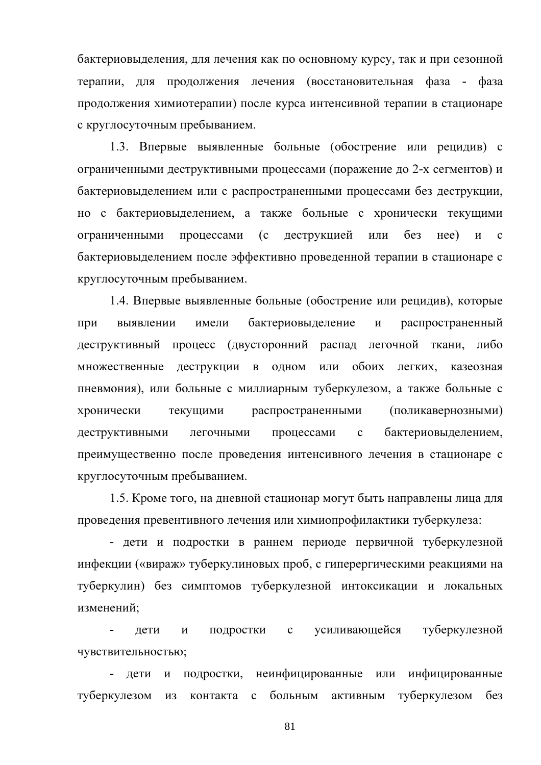бактериовыделения, для лечения как по основному курсу, так и при сезонной терапии, для продолжения лечения (восстановительная фаза - фаза продолжения химиотерапии) после курса интенсивной терапии в стационаре с круглосуточным пребыванием.

1.3. Впервые выявленные больные (обострение или рецидив) с ограниченными деструктивными процессами (поражение до 2-х сегментов) и бактериовыделением или с распространенными процессами без деструкции, но с бактериовыделением, а также больные с хронически текущими ограниченными процессами  $(c)$ деструкцией или  $6e<sub>3</sub>$  $Hee)$   $\mu$  $\mathbf{c}$ бактериовыделением после эффективно проведенной терапии в стационаре с круглосуточным пребыванием.

1.4. Впервые выявленные больные (обострение или рецидив), которые имели бактериовыделение при выявлении  $\boldsymbol{\mathrm{M}}$ распространенный деструктивный процесс (двусторонний распад легочной ткани, либо или обоих легких. множественные деструкции в одном казеозная пневмония), или больные с миллиарным туберкулезом, а также больные с распространенными (поликавернозными) хронически текущими леструктивными легочными процессами  $\mathbf{c}$ бактериовылелением. преимущественно после проведения интенсивного лечения в стационаре с круглосуточным пребыванием.

1.5. Кроме того, на дневной стационар могут быть направлены лица для проведения превентивного лечения или химиопрофилактики туберкулеза:

- дети и подростки в раннем периоде первичной туберкулезной инфекции («вираж» туберкулиновых проб, с гиперергическими реакциями на туберкулин) без симптомов туберкулезной интоксикации и локальных изменений;

лети  $\overline{M}$ подростки  $\mathbf{c}$ усиливающейся туберкулезной чувствительностью;

подростки, неинфицированные или инфицированные дети  $\mathbf{M}$ туберкулезом **ИЗ** контакта с больным активным туберкулезом без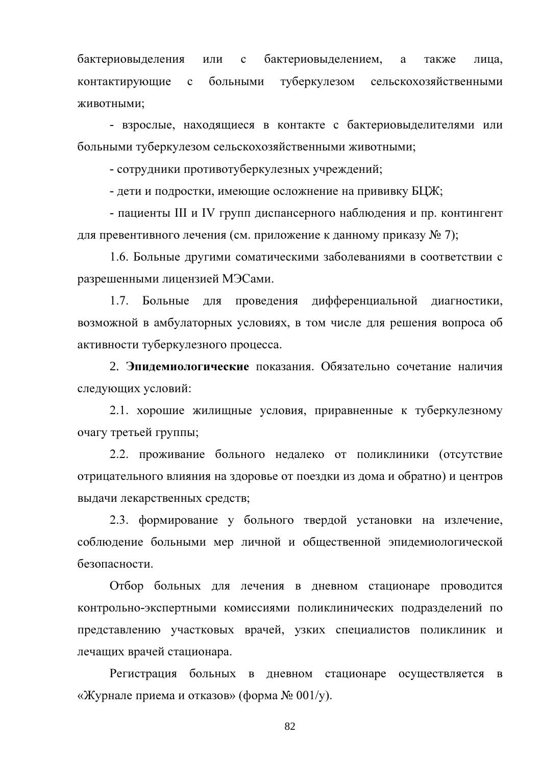ИЛИ бактериовыделением, бактериовыделения  $\mathbf c$ a также лица, контактирующие  $\mathbf{c}$ больными туберкулезом сельскохозяйственными животными;

- взрослые, находящиеся в контакте с бактериовыделителями или больными туберкулезом сельскохозяйственными животными;

- сотрудники противотуберкулезных учреждений;

- дети и подростки, имеющие осложнение на прививку БЦЖ;

- пациенты III и IV групп диспансерного наблюдения и пр. контингент для превентивного лечения (см. приложение к данному приказу № 7);

1.6. Больные другими соматическими заболеваниями в соответствии с разрешенными лицензией МЭСами.

1.7. Больные для проведения дифференциальной диагностики, возможной в амбулаторных условиях, в том числе для решения вопроса об активности туберкулезного процесса.

2. Эпилемиологические показания. Обязательно сочетание наличия следующих условий:

2.1. хорошие жилищные условия, приравненные к туберкулезному очагу третьей группы:

2.2. проживание больного недалеко от поликлиники (отсутствие отрицательного влияния на здоровье от поездки из дома и обратно) и центров выдачи лекарственных средств;

2.3. формирование у больного твердой установки на излечение, соблюдение больными мер личной и общественной эпидемиологической безопасности.

Отбор больных для лечения в дневном стационаре проводится контрольно-экспертными комиссиями поликлинических подразделений по представлению участковых врачей, узких специалистов поликлиник и лечащих врачей стационара.

Регистрация больных в дневном стационаре осуществляется  $\mathbf{B}$ «Журнале приема и отказов» (форма  $N_2$  001/y).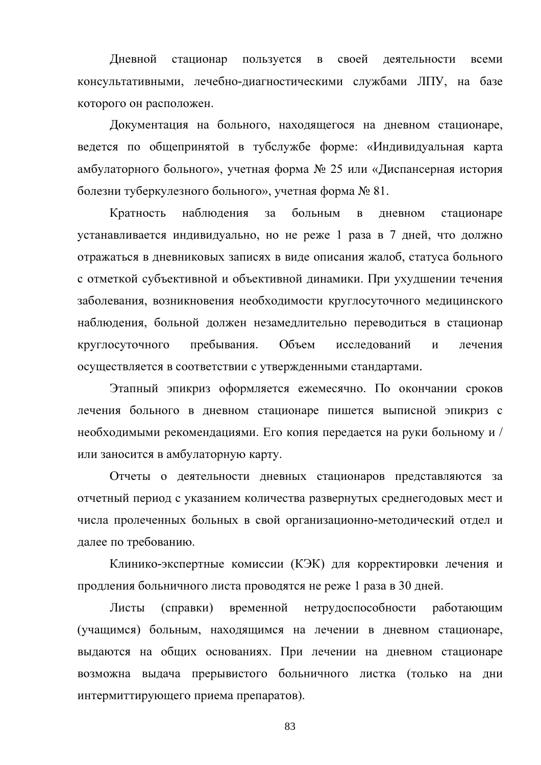своей Дневной стационар пользуется  $\mathbf{B}$ деятельности всеми консультативными, лечебно-диагностическими службами ЛПУ, на базе которого он расположен.

Документация на больного, находящегося на дневном стационаре, ведется по общепринятой в тубслужбе форме: «Индивидуальная карта амбулаторного больного», учетная форма № 25 или «Диспансерная история болезни туберкулезного больного», учетная форма № 81.

наблюдения больным Кратность за  $\, {\bf B}$ дневном стационаре устанавливается индивидуально, но не реже 1 раза в 7 дней, что должно отражаться в дневниковых записях в виде описания жалоб, статуса больного с отметкой субъективной и объективной динамики. При ухудшении течения заболевания, возникновения необходимости круглосуточного медицинского наблюдения, больной должен незамедлительно переводиться в стационар круглосуточного пребывания. Объем исследований  $\overline{M}$ лечения осуществляется в соответствии с утвержденными стандартами.

Этапный эпикриз оформляется ежемесячно. По окончании сроков лечения больного в дневном стационаре пишется выписной эпикриз с необходимыми рекомендациями. Его копия передается на руки больному и / или заносится в амбулаторную карту.

Отчеты о деятельности дневных стационаров представляются за отчетный период с указанием количества развернутых среднегодовых мест и числа пролеченных больных в свой организационно-методический отдел и лалее по требованию.

Клинико-экспертные комиссии (КЭК) для корректировки лечения и продления больничного листа проводятся не реже 1 раза в 30 дней.

Листы (справки) временной нетрудоспособности работающим (учащимся) больным, находящимся на лечении в дневном стационаре, выдаются на общих основаниях. При лечении на дневном стационаре возможна выдача прерывистого больничного листка (только на дни интермиттирующего приема препаратов).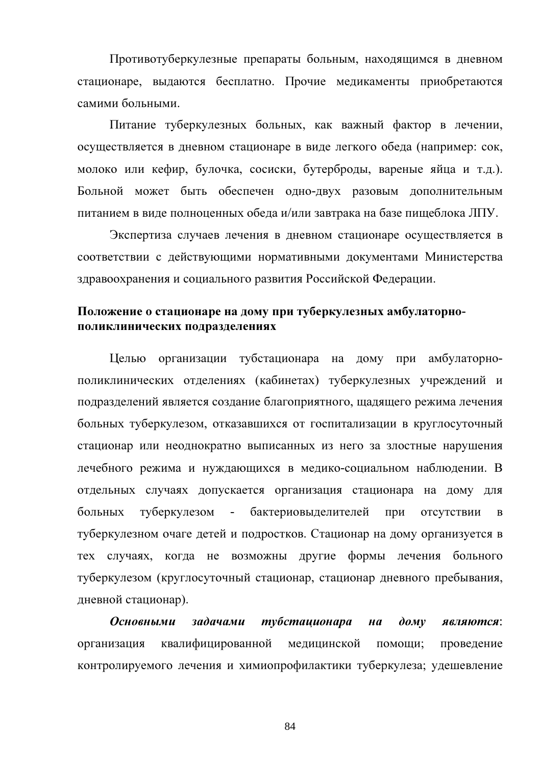Противотуберкулезные препараты больным, находящимся в дневном стационаре, выдаются бесплатно. Прочие медикаменты приобретаются самими больными.

Питание туберкулезных больных, как важный фактор в лечении, осуществляется в дневном стационаре в виде легкого обеда (например: сок, молоко или кефир, булочка, сосиски, бутерброды, вареные яйца и т.д.). Больной может быть обеспечен одно-двух разовым дополнительным питанием в виде полноценных обеда и/или завтрака на базе пищеблока ЛПУ.

Экспертиза случаев лечения в дневном стационаре осуществляется в соответствии с действующими нормативными документами Министерства здравоохранения и социального развития Российской Федерации.

## Положение о стационаре на дому при туберкулезных амбулаторнополиклинических подразделениях

Целью организации тубстационара на дому при амбулаторнополиклинических отделениях (кабинетах) туберкулезных учреждений и подразделений является создание благоприятного, щадящего режима лечения больных туберкулезом, отказавшихся от госпитализации в круглосуточный стационар или неоднократно выписанных из него за злостные нарушения лечебного режима и нуждающихся в медико-социальном наблюдении. В отдельных случаях допускается организация стационара на дому для больных туберкулезом бактериовыделителей при отсутствии  $\mathbf{B}$ туберкулезном очаге детей и подростков. Стационар на дому организуется в тех случаях, когда не возможны другие формы лечения больного туберкулезом (круглосуточный стационар, стационар дневного пребывания, дневной стационар).

Основными задачами тубстационара  $\partial \rho M V$  $H\ddot{a}$ являются: квалифицированной медицинской помощи; организация проведение контролируемого лечения и химиопрофилактики туберкулеза; удешевление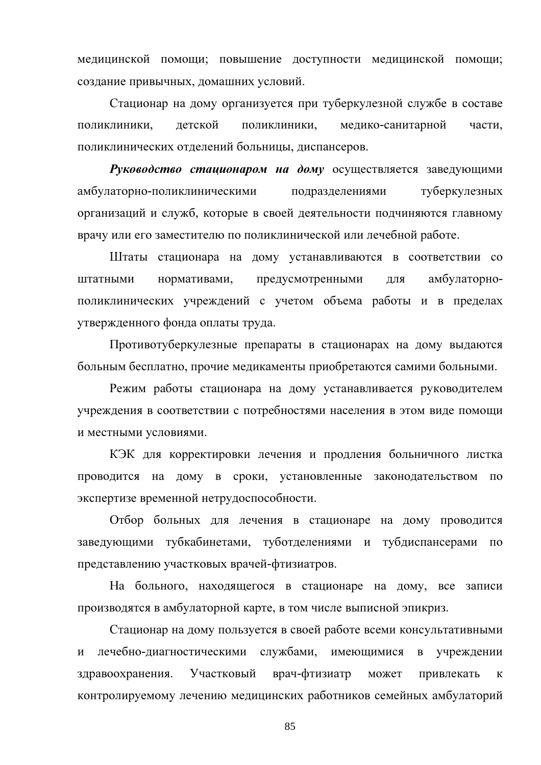медицинской помощи; повышение доступности медицинской помощи; создание привычных, домашних условий.

Стационар на дому организуется при туберкулезной службе в составе мелико-санитарной поликлиники. летской поликлиники. части. поликлинических отделений больницы, диспансеров.

Руководство стационаром на дому осуществляется заведующими амбулаторно-поликлиническими подразделениями туберкулезных организаций и служб, которые в своей деятельности подчиняются главному врачу или его заместителю по поликлинической или лечебной работе.

Штаты стационара на дому устанавливаются в соответствии со штатными нормативами, предусмотренными ЛЛЯ амбулаторнополиклинических учреждений с учетом объема работы и в пределах утвержденного фонда оплаты труда.

Противотуберкулезные препараты в стационарах на дому выдаются больным бесплатно, прочие медикаменты приобретаются самими больными.

Режим работы стационара на дому устанавливается руководителем учреждения в соответствии с потребностями населения в этом виде помощи и местными условиями.

КЭК для корректировки лечения и продления больничного листка проводится на дому в сроки, установленные законодательством  $\Pi$ <sup>O</sup> экспертизе временной нетрудоспособности.

Отбор больных для лечения в стационаре на дому проводится заведующими тубкабинетами, туботделениями и тубдиспансерами по представлению участковых врачей-фтизиатров.

На больного, находящегося в стационаре на дому, все записи производятся в амбулаторной карте, в том числе выписной эпикриз.

Стационар на дому пользуется в своей работе всеми консультативными лечебно-диагностическими службами, имеющимися в  $\overline{M}$ учреждении Участковый врач-фтизиатр здравоохранения. может привлекать  $\mathbf{K}$ контролируемому лечению медицинских работников семейных амбулаторий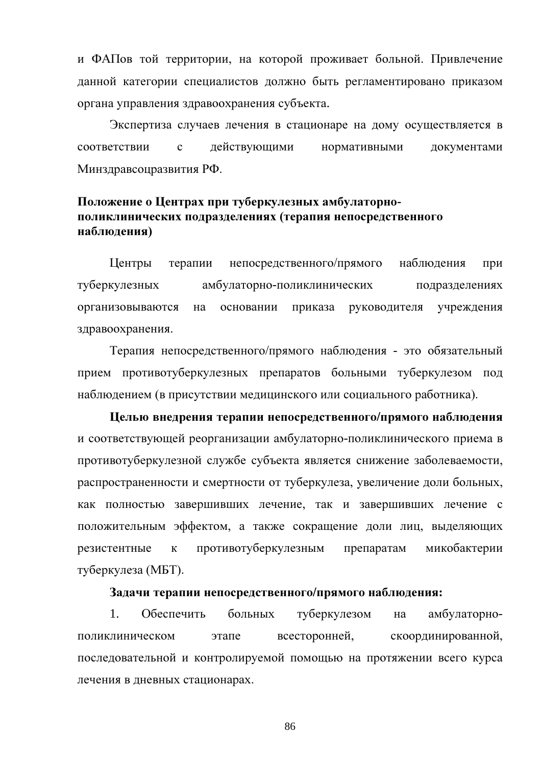и ФАПов той территории, на которой проживает больной. Привлечение данной категории специалистов должно быть регламентировано приказом органа управления здравоохранения субъекта.

Экспертиза случаев лечения в стационаре на дому осуществляется в соответствии  $\mathbf{c}$ действующими нормативными документами Минздравсоцразвития РФ.

# Положение о Центрах при туберкулезных амбулаторнополиклинических подразделениях (терапия непосредственного наблюдения)

Центры терапии непосредственного/прямого наблюдения при туберкулезных амбулаторно-поликлинических подразделениях организовываются основании приказа руководителя учреждения на здравоохранения.

Терапия непосредственного/прямого наблюдения - это обязательный прием противотуберкулезных препаратов больными туберкулезом под наблюдением (в присутствии медицинского или социального работника).

Целью внедрения терапии непосредственного/прямого наблюдения и соответствующей реорганизации амбулаторно-поликлинического приема в противотуберкулезной службе субъекта является снижение заболеваемости, распространенности и смертности от туберкулеза, увеличение доли больных, как полностью завершивших лечение, так и завершивших лечение с положительным эффектом, а также сокращение доли лиц, выделяющих резистентные  $\mathbf{K}$ противотуберкулезным препаратам микобактерии туберкулеза (МБТ).

#### Задачи терапии непосредственного/прямого наблюдения:

 $1<sub>1</sub>$ Обеспечить больных туберкулезом амбулаторнона поликлиническом этапе всесторонней, скоординированной, последовательной и контролируемой помощью на протяжении всего курса лечения в дневных стационарах.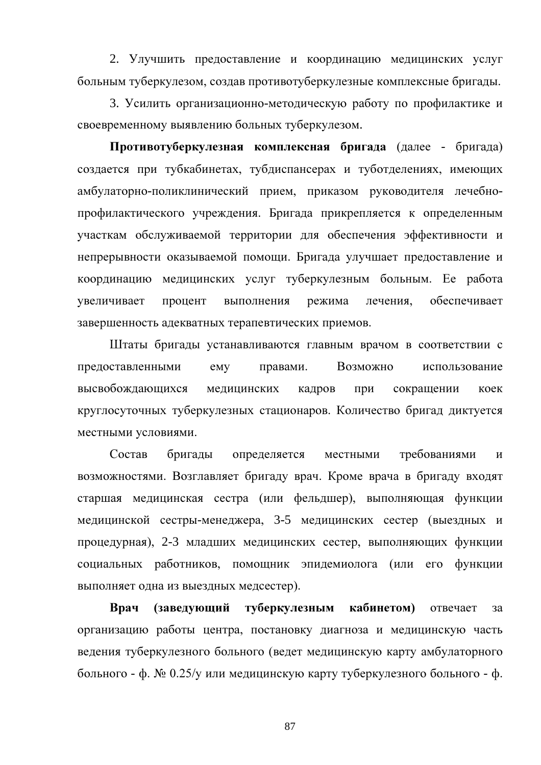2. Улучшить предоставление и координацию медицинских услуг больным туберкулезом, создав противотуберкулезные комплексные бригады.

3. Усилить организационно-методическую работу по профилактике и своевременному выявлению больных туберкулезом.

Противотуберкулезная комплексная бригада (далее - бригада) создается при тубкабинетах, тубдиспансерах и туботделениях, имеющих амбулаторно-поликлинический прием, приказом руководителя лечебнопрофилактического учреждения. Бригада прикрепляется к определенным участкам обслуживаемой территории для обеспечения эффективности и непрерывности оказываемой помощи. Бригада улучшает предоставление и координацию медицинских услуг туберкулезным больным. Ее работа увеличивает выполнения режима лечения, обеспечивает процент завершенность адекватных терапевтических приемов.

Штаты бригады устанавливаются главным врачом в соответствии с Возможно предоставленными правами. emy использование высвобождающихся медицинских кадров при сокращении коек круглосуточных туберкулезных стационаров. Количество бригад диктуется местными условиями.

Состав бригады определяется требованиями местными  $\overline{M}$ возможностями. Возглавляет бригаду врач. Кроме врача в бригаду входят старшая медицинская сестра (или фельдшер), выполняющая функции медицинской сестры-менеджера, 3-5 медицинских сестер (выездных и процедурная), 2-3 младших медицинских сестер, выполняющих функции социальных работников, помощник эпидемиолога (или его функции выполняет одна из выездных медсестер).

(заведующий туберкулезным кабинетом) **B**pay отвечает за организацию работы центра, постановку диагноза и медицинскую часть ведения туберкулезного больного (ведет медицинскую карту амбулаторного больного - ф. № 0.25/у или медицинскую карту туберкулезного больного - ф.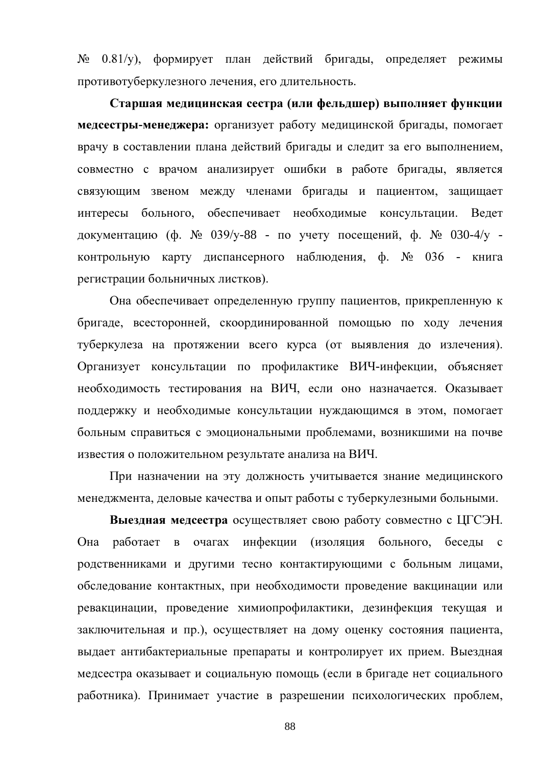$N_2$  0.81/y), формирует план действий бригады, определяет режимы противотуберкулезного лечения, его длительность.

Старшая медицинская сестра (или фельдшер) выполняет функции медсестры-менеджера: организует работу медицинской бригады, помогает врачу в составлении плана действий бригады и следит за его выполнением, совместно с врачом анализирует ошибки в работе бригады, является связующим звеном между членами бригады и пациентом, защищает интересы больного, обеспечивает необходимые консультации. Ведет документацию (ф. № 039/у-88 - по учету посещений, ф. № 030-4/у контрольную карту диспансерного наблюдения, ф. № 036 - книга регистрации больничных листков).

Она обеспечивает определенную группу пациентов, прикрепленную к бригаде, всесторонней, скоординированной помощью по ходу лечения туберкулеза на протяжении всего курса (от выявления до излечения). Организует консультации по профилактике ВИЧ-инфекции, объясняет необходимость тестирования на ВИЧ, если оно назначается. Оказывает поддержку и необходимые консультации нуждающимся в этом, помогает больным справиться с эмоциональными проблемами, возникшими на почве известия о положительном результате анализа на ВИЧ.

При назначении на эту должность учитывается знание медицинского менеджмента, деловые качества и опыт работы с туберкулезными больными.

Выездная медсестра осуществляет свою работу совместно с ЦГСЭН. Она работает в очагах инфекции (изоляция больного, беседы с родственниками и другими тесно контактирующими с больным лицами, обследование контактных, при необходимости проведение вакцинации или ревакцинации, проведение химиопрофилактики, дезинфекция текущая и заключительная и пр.), осуществляет на дому оценку состояния пациента, выдает антибактериальные препараты и контролирует их прием. Выездная медсестра оказывает и социальную помощь (если в бригаде нет социального работника). Принимает участие в разрешении психологических проблем,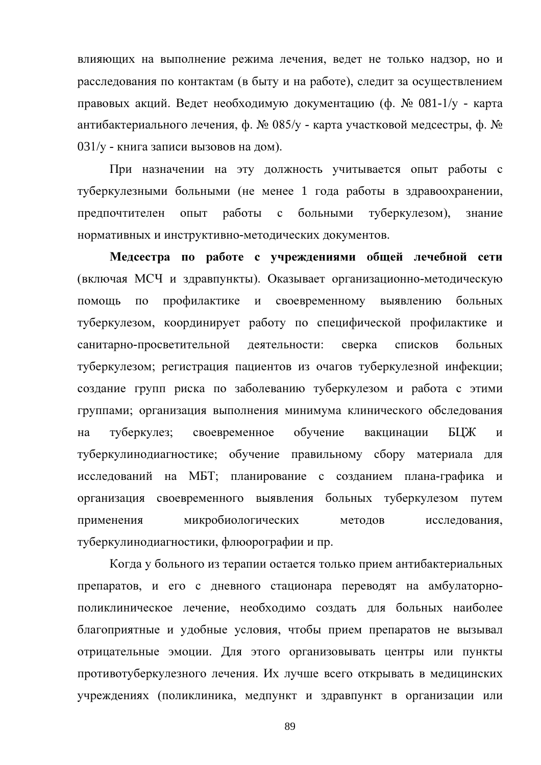влияющих на выполнение режима лечения, ведет не только надзор, но и расследования по контактам (в быту и на работе), следит за осуществлением правовых акций. Ведет необходимую документацию (ф. № 081-1/у - карта антибактериального лечения, ф. № 085/у - карта участковой медсестры, ф. № 031/у - книга записи вызовов на дом).

При назначении на эту должность учитывается опыт работы с туберкулезными больными (не менее 1 года работы в здравоохранении, предпочтителен ОПЫТ работы  $\mathbf{c}$ больными туберкулезом), знание нормативных и инструктивно-методических документов.

Медсестра по работе с учреждениями общей лечебной сети (включая МСЧ и здравпункты). Оказывает организационно-методическую профилактике и своевременному выявлению помощь  $\Pi$ O больных туберкулезом, координирует работу по специфической профилактике и санитарно-просветительной деятельности: сверка списков больных туберкулезом; регистрация пациентов из очагов туберкулезной инфекции; создание групп риска по заболеванию туберкулезом и работа с этими группами; организация выполнения минимума клинического обследования туберкулез: своевременное обучение БЦЖ на вакцинации  $\overline{M}$ туберкулинодиагностике; обучение правильному сбору материала для исследований на МБТ; планирование с созданием плана-графика и организация своевременного выявления больных туберкулезом путем микробиологических применения методов исследования, туберкулинодиагностики, флюорографии и пр.

Когда у больного из терапии остается только прием антибактериальных препаратов, и его с дневного стационара переводят на амбулаторнополиклиническое лечение, необходимо создать для больных наиболее благоприятные и удобные условия, чтобы прием препаратов не вызывал отрицательные эмоции. Для этого организовывать центры или пункты противотуберкулезного лечения. Их лучше всего открывать в медицинских учреждениях (поликлиника, медпункт и здравпункт в организации или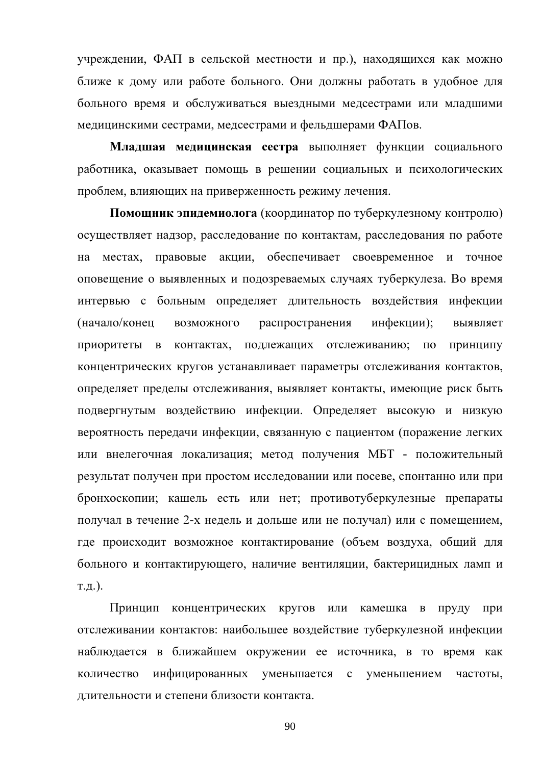учреждении, ФАП в сельской местности и пр.), находящихся как можно ближе к дому или работе больного. Они должны работать в удобное для больного время и обслуживаться выездными медсестрами или младшими медицинскими сестрами, медсестрами и фельдшерами ФАПов.

Младшая медицинская сестра выполняет функции социального работника, оказывает помощь в решении социальных и психологических проблем, влияющих на приверженность режиму лечения.

Помощник эпидемиолога (координатор по туберкулезному контролю) осуществляет надзор, расследование по контактам, расследования по работе на местах, правовые акции, обеспечивает своевременное и точное оповещение о выявленных и подозреваемых случаях туберкулеза. Во время интервью с больным определяет длительность воздействия инфекции (начало/конец распространения инфекции); возможного выявляет приоритеты в контактах, подлежащих отслеживанию; по Принципу концентрических кругов устанавливает параметры отслеживания контактов, определяет пределы отслеживания, выявляет контакты, имеющие риск быть подвергнутым воздействию инфекции. Определяет высокую и низкую вероятность передачи инфекции, связанную с пациентом (поражение легких или внелегочная локализация; метод получения МБТ - положительный результат получен при простом исследовании или посеве, спонтанно или при бронхоскопии; кашель есть или нет; противотуберкулезные препараты получал в течение 2-х недель и дольше или не получал) или с помещением, где происходит возможное контактирование (объем воздуха, общий для больного и контактирующего, наличие вентиляции, бактерицидных ламп и  $T.H.$ ).

Принцип концентрических кругов или камешка в пруду при отслеживании контактов: наибольшее воздействие туберкулезной инфекции наблюдается в ближайшем окружении ее источника, в то время как количество инфицированных уменьшается с уменьшением частоты, длительности и степени близости контакта.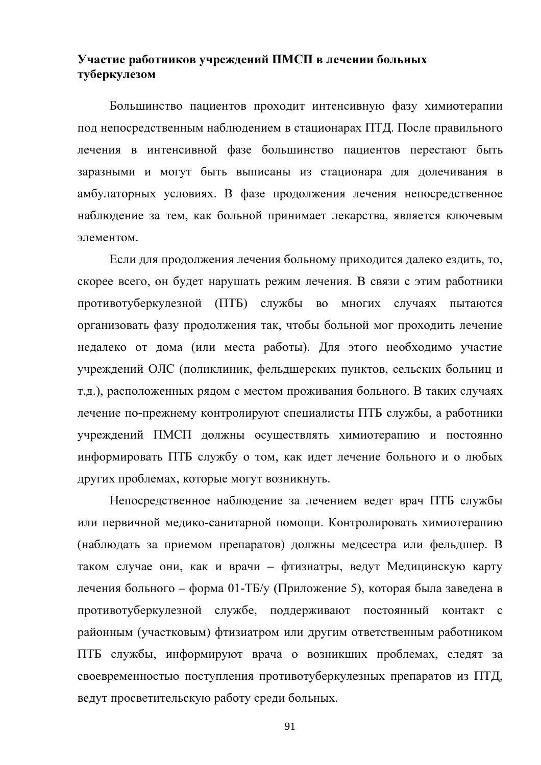# Участие работников учреждений ПМСП в лечении больных туберкулезом

Большинство пациентов проходит интенсивную фазу химиотерапии под непосредственным наблюдением в стационарах ПТД. После правильного лечения в интенсивной фазе большинство пациентов перестают быть заразными и могут быть выписаны из стационара для долечивания в амбулаторных условиях. В фазе продолжения лечения непосредственное наблюдение за тем, как больной принимает лекарства, является ключевым элементом

Если для продолжения лечения больному приходится далеко ездить, то, скорее всего, он будет нарушать режим лечения. В связи с этим работники противотуберкулезной (ПТБ) службы во многих случаях пытаются организовать фазу продолжения так, чтобы больной мог проходить лечение недалеко от дома (или места работы). Для этого необходимо участие учреждений ОЛС (поликлиник, фельдшерских пунктов, сельских больниц и т.д.), расположенных рядом с местом проживания больного. В таких случаях лечение по-прежнему контролируют специалисты ПТБ службы, а работники учреждений ПМСП должны осуществлять химиотерапию и постоянно информировать ПТБ службу о том, как идет лечение больного и о любых других проблемах, которые могут возникнуть.

Непосредственное наблюдение за лечением ведет врач ПТБ службы или первичной медико-санитарной помощи. Контролировать химиотерапию (наблюдать за приемом препаратов) должны медсестра или фельдшер. В таком случае они, как и врачи – фтизиатры, ведут Медицинскую карту лечения больного – форма 01-ТБ/у (Приложение 5), которая была заведена в противотуберкулезной службе, поддерживают постоянный контакт с районным (участковым) фтизиатром или другим ответственным работником ПТБ службы, информируют врача о возникших проблемах, следят за своевременностью поступления противотуберкулезных препаратов из ПТД, ведут просветительскую работу среди больных.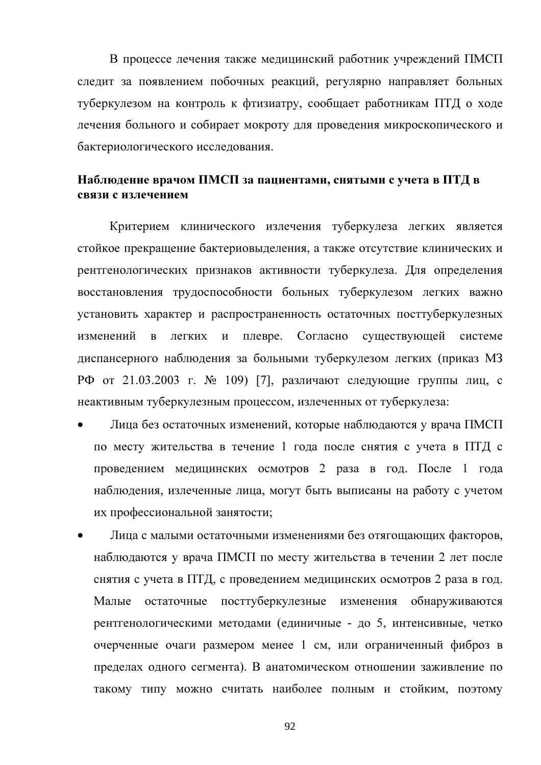В процессе лечения также медицинский работник учреждений ПМСП следит за появлением побочных реакций, регулярно направляет больных туберкулезом на контроль к фтизиатру, сообщает работникам ПТД о ходе лечения больного и собирает мокроту для проведения микроскопического и бактериологического исследования.

## Наблюдение врачом ПМСП за пациентами, снятыми с учета в ПТД в связи с излечением

Критерием клинического излечения туберкулеза легких является стойкое прекращение бактериовыделения, а также отсутствие клинических и рентгенологических признаков активности туберкулеза. Для определения восстановления трудоспособности больных туберкулезом легких важно установить характер и распространенность остаточных посттуберкулезных изменений плевре. Согласно существующей  $\overline{B}$ легких  $\overline{M}$ системе диспансерного наблюдения за больными туберкулезом легких (приказ МЗ РФ от 21.03.2003 г. № 109) [7], различают следующие группы лиц, с неактивным туберкулезным процессом, излеченных от туберкулеза:

- Лица без остаточных изменений, которые наблюдаются у врача ПМСП по месту жительства в течение 1 года после снятия с учета в ПТД с проведением медицинских осмотров 2 раза в год. После 1 года наблюдения, излеченные лица, могут быть выписаны на работу с учетом их профессиональной занятости;
- Лица с малыми остаточными изменениями без отягощающих факторов, наблюдаются у врача ПМСП по месту жительства в течении 2 лет после снятия с учета в ПТД, с проведением медицинских осмотров 2 раза в год. Малые остаточные посттуберкулезные изменения обнаруживаются рентгенологическими методами (единичные - до 5, интенсивные, четко очерченные очаги размером менее 1 см, или ограниченный фиброз в пределах одного сегмента). В анатомическом отношении заживление по такому типу можно считать наиболее полным и стойким, поэтому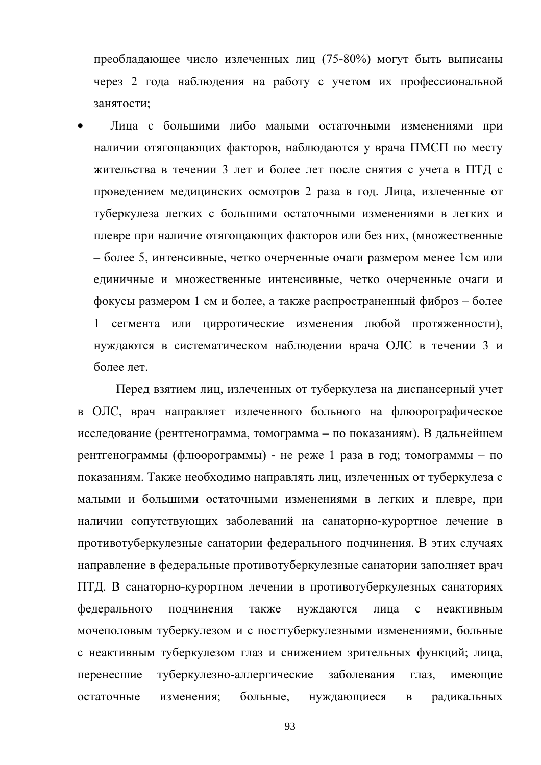преобладающее число излеченных лиц (75-80%) могут быть выписаны через 2 года наблюдения на работу с учетом их профессиональной занятости;

Лица с большими либо малыми остаточными изменениями при наличии отягощающих факторов, наблюдаются у врача ПМСП по месту жительства в течении 3 лет и более лет после снятия с учета в ПТД с проведением медицинских осмотров 2 раза в год. Лица, излеченные от туберкулеза легких с большими остаточными изменениями в легких и плевре при наличие отягощающих факторов или без них, (множественные - более 5, интенсивные, четко очерченные очаги размером менее 1см или единичные и множественные интенсивные, четко очерченные очаги и фокусы размером 1 см и более, а также распространенный фиброз – более 1 сегмента или цирротические изменения любой протяженности), нуждаются в систематическом наблюдении врача ОЛС в течении 3 и более лет.

Перед взятием лиц, излеченных от туберкулеза на диспансерный учет в ОЛС, врач направляет излеченного больного на флюорографическое исследование (рентгенограмма, томограмма – по показаниям). В дальнейшем рентгенограммы (флюорограммы) - не реже 1 раза в год; томограммы - по показаниям. Также необходимо направлять лиц, излеченных от туберкулеза с малыми и большими остаточными изменениями в легких и плевре, при наличии сопутствующих заболеваний на санаторно-курортное лечение в противотуберкулезные санатории федерального подчинения. В этих случаях направление в федеральные противотуберкулезные санатории заполняет врач ПТД. В санаторно-курортном лечении в противотуберкулезных санаториях федерального полчинения нуждаются лица также  $\mathbf{c}$ неактивным мочеполовым туберкулезом и с посттуберкулезными изменениями, больные с неактивным туберкулезом глаз и снижением зрительных функций; лица, перенесшие туберкулезно-аллергические заболевания глаз, имеющие остаточные изменения; больные, нуждающиеся радикальных  $\, {\bf B}$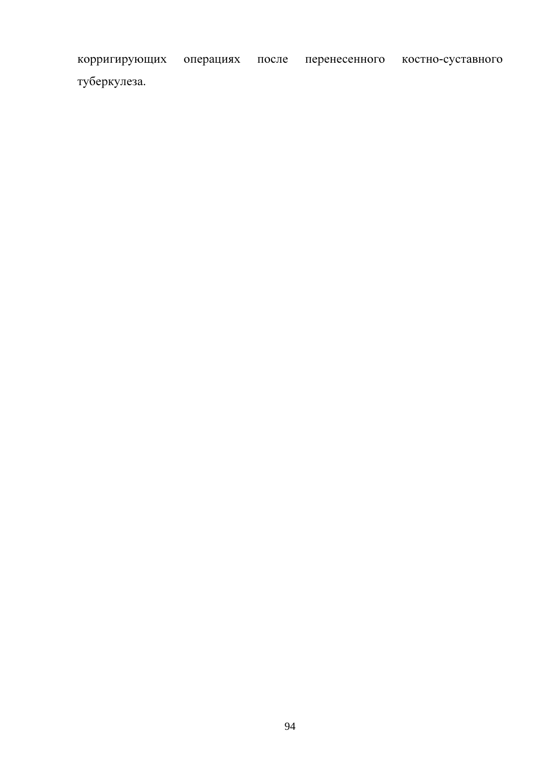корригирующих операциях после перенесенного костно-суставного туберкулеза.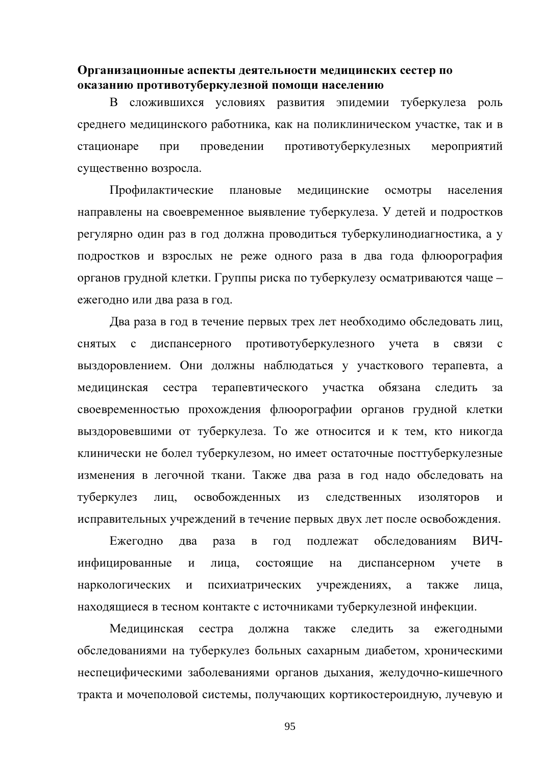#### Организационные аспекты деятельности медицинских сестер по оказанию противотуберкулезной помощи населению

B сложившихся условиях развития эпидемии туберкулеза роль среднего медицинского работника, как на поликлиническом участке, так и в проведении противотуберкулезных стационаре при мероприятий существенно возросла.

Профилактические плановые медицинские осмотры населения направлены на своевременное выявление туберкулеза. У детей и подростков регулярно один раз в год должна проводиться туберкулинодиагностика, а у подростков и взрослых не реже одного раза в два года флюорография органов грудной клетки. Группы риска по туберкулезу осматриваются чаще ежегодно или два раза в год.

Два раза в год в течение первых трех лет необходимо обследовать лиц. противотуберкулезного диспансерного **СНЯТЫХ**  $\mathbf{c}$ учета  $\overline{B}$ связи  $\mathbf{c}$ выздоровлением. Они должны наблюдаться у участкового терапевта, а сестра терапевтического участка обязана мелицинская слелить за своевременностью прохождения флюорографии органов грудной клетки выздоровевшими от туберкулеза. То же относится и к тем, кто никогда клинически не болел туберкулезом, но имеет остаточные посттуберкулезные изменения в легочной ткани. Также два раза в год надо обследовать на освобожденных туберкулез лиц. И3 следственных изоляторов  $\overline{M}$ исправительных учреждений в течение первых двух лет после освобождения.

Ежеголно подлежат обследованиям ВИЧдва раза  $\, {\bf B}$ ГОД инфицированные состоящие диспансерном учете  $\overline{M}$ лица. на  $\mathbf{B}$ наркологических  $\overline{\mathbf{M}}$ психиатрических учреждениях, также a лина. находящиеся в тесном контакте с источниками туберкулезной инфекции.

Медицинская сестра должна также следить за ежегодными обследованиями на туберкулез больных сахарным диабетом, хроническими неспецифическими заболеваниями органов дыхания, желудочно-кишечного тракта и мочеполовой системы, получающих кортикостероидную, лучевую и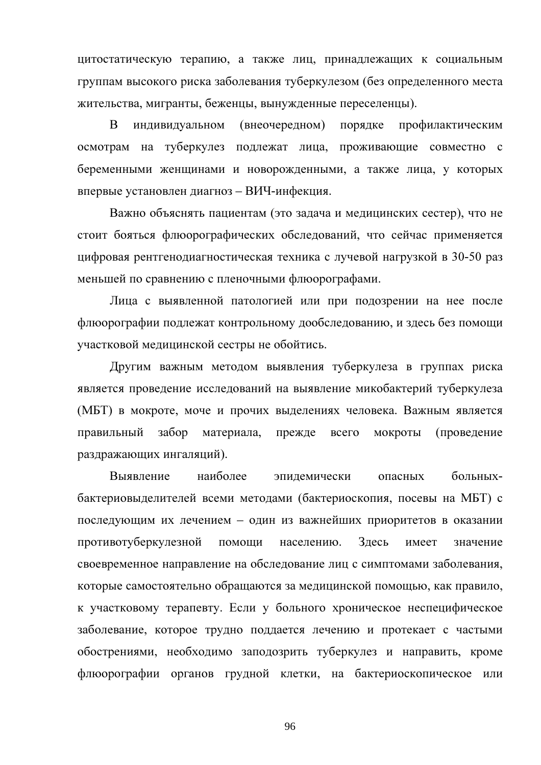цитостатическую терапию, а также лиц, принадлежащих к социальным группам высокого риска заболевания туберкулезом (без определенного места жительства, мигранты, беженцы, вынужденные переселенцы).

 $\overline{B}$ (внеочередном) индивидуальном порядке профилактическим осмотрам на туберкулез подлежат лица, проживающие совместно с беременными женщинами и новорожденными, а также лица, у которых впервые установлен диагноз - ВИЧ-инфекция.

Важно объяснять пациентам (это задача и медицинских сестер), что не стоит бояться флюорографических обследований, что сейчас применяется цифровая рентгенодиагностическая техника с лучевой нагрузкой в 30-50 раз меньшей по сравнению с пленочными флюорографами.

Лица с выявленной патологией или при подозрении на нее после флюорографии подлежат контрольному дообследованию, и здесь без помощи участковой медицинской сестры не обойтись.

Другим важным методом выявления туберкулеза в группах риска является проведение исследований на выявление микобактерий туберкулеза (МБТ) в мокроте, моче и прочих выделениях человека. Важным является материала. прежде (проведение правильный забор всего мокроты раздражающих ингаляций).

наиболее Выявление больныхэпилемически опасных бактериовыделителей всеми методами (бактериоскопия, посевы на МБТ) с последующим их лечением - один из важнейших приоритетов в оказании противотуберкулезной помоши населению. Злесь имеет значение своевременное направление на обследование лиц с симптомами заболевания, которые самостоятельно обращаются за медицинской помощью, как правило, к участковому терапевту. Если у больного хроническое неспецифическое заболевание, которое трудно поддается лечению и протекает с частыми обострениями, необходимо заподозрить туберкулез и направить, кроме флюорографии органов грудной клетки, на бактериоскопическое или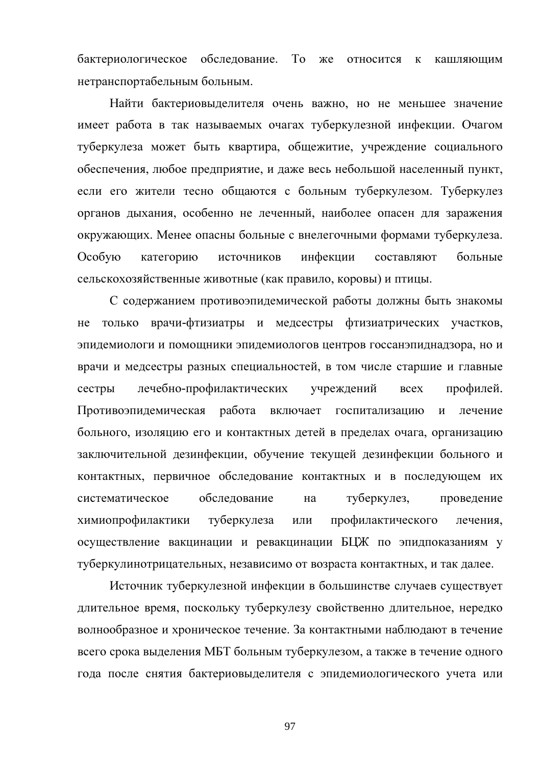бактериологическое обследование.  $To$   $xe$ относится к кашляющим нетранспортабельным больным.

Найти бактериовыделителя очень важно, но не меньшее значение имеет работа в так называемых очагах туберкулезной инфекции. Очагом туберкулеза может быть квартира, общежитие, учреждение социального обеспечения, любое предприятие, и даже весь небольшой населенный пункт, если его жители тесно общаются с больным туберкулезом. Туберкулез органов дыхания, особенно не леченный, наиболее опасен для заражения окружающих. Менее опасны больные с внелегочными формами туберкулеза. Особую категорию источников инфекции составляют больные сельскохозяйственные животные (как правило, коровы) и птицы.

С содержанием противоэпидемической работы должны быть знакомы не только врачи-фтизиатры и медсестры фтизиатрических участков, эпидемиологи и помощники эпидемиологов центров госсанэпиднадзора, но и врачи и медсестры разных специальностей, в том числе старшие и главные лечебно-профилактических учреждений **BCCX** профилей. сестры Противоэпидемическая работа включает госпитализацию  $\overline{M}$ печение больного, изоляцию его и контактных детей в пределах очага, организацию заключительной дезинфекции, обучение текущей дезинфекции больного и контактных, первичное обследование контактных и в последующем их систематическое обследование туберкулез, проведение на химиопрофилактики туберкулеза ИЛИ профилактического лечения. осуществление вакцинации и ревакцинации БЦЖ по эпидпоказаниям у туберкулинотрицательных, независимо от возраста контактных, и так далее.

Источник туберкулезной инфекции в большинстве случаев существует длительное время, поскольку туберкулезу свойственно длительное, нередко волнообразное и хроническое течение. За контактными наблюдают в течение всего срока выделения МБТ больным туберкулезом, а также в течение одного года после снятия бактериовыделителя с эпидемиологического учета или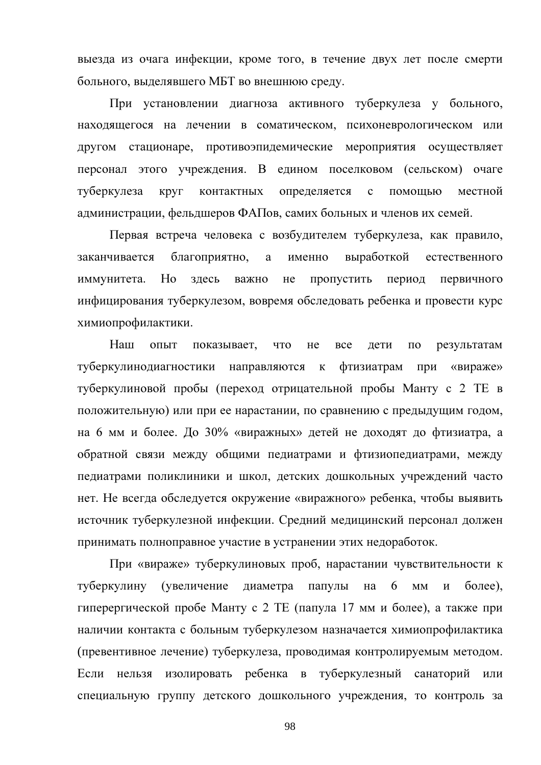выезда из очага инфекции, кроме того, в течение двух лет после смерти больного, выделявшего МБТ во внешнюю среду.

При установлении диагноза активного туберкулеза у больного, находящегося на лечении в соматическом, психоневрологическом или другом стационаре, противоэпидемические мероприятия осуществляет персонал этого учреждения. В едином поселковом (сельском) очаге туберкулеза Круг контактных определяется  $\mathbf c$ помощью местной администрации, фельдшеров ФАПов, самих больных и членов их семей.

Первая встреча человека с возбудителем туберкулеза, как правило, заканчивается благоприятно, именно выработкой a естественного иммунитета. Но здесь важно He пропустить период первичного инфицирования туберкулезом, вовремя обследовать ребенка и провести курс химиопрофилактики.

Haur ОПЫТ показывает, что He **BCC** лети  $\Pi$ <sup>O</sup> результатам туберкулинодиагностики направляются к фтизиатрам при «вираже» туберкулиновой пробы (переход отрицательной пробы Манту с 2 ТЕ в положительную) или при ее нарастании, по сравнению с предыдущим годом, на 6 мм и более. До 30% «виражных» детей не доходят до фтизиатра, а обратной связи между общими педиатрами и фтизиопедиатрами, между педиатрами поликлиники и школ, детских дошкольных учреждений часто нет. Не всегда обследуется окружение «виражного» ребенка, чтобы выявить источник туберкулезной инфекции. Средний медицинский персонал должен принимать полноправное участие в устранении этих недоработок.

При «вираже» туберкулиновых проб, нарастании чувствительности к туберкулину (увеличение диаметра папулы на 6  $MM$  $\overline{M}$  $6$ олее). гиперергической пробе Манту с 2 ТЕ (папула 17 мм и более), а также при наличии контакта с больным туберкулезом назначается химиопрофилактика (превентивное лечение) туберкулеза, проводимая контролируемым методом. Если нельзя изолировать ребенка в туберкулезный санаторий или специальную группу детского дошкольного учреждения, то контроль за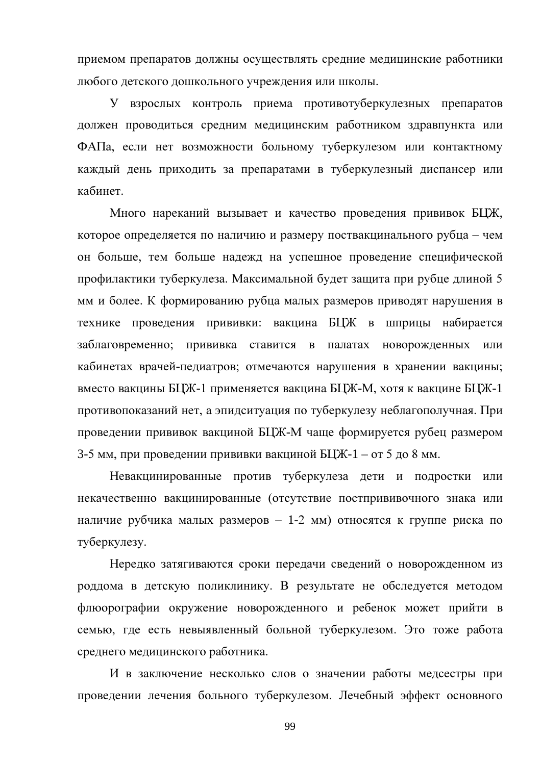приемом препаратов должны осуществлять средние медицинские работники любого детского дошкольного учреждения или школы.

У взрослых контроль приема противотуберкулезных препаратов должен проводиться средним медицинским работником здравпункта или ФАПа, если нет возможности больному туберкулезом или контактному каждый день приходить за препаратами в туберкулезный диспансер или кабинет.

Много нареканий вызывает и качество проведения прививок БЦЖ, которое определяется по наличию и размеру поствакцинального рубца – чем он больше, тем больше надежд на успешное проведение специфической профилактики туберкулеза. Максимальной будет защита при рубце длиной 5 мм и более. К формированию рубца малых размеров приводят нарушения в технике проведения прививки: вакцина БЦЖ в шприцы набирается заблаговременно; прививка ставится в палатах новорожденных или кабинетах врачей-педиатров; отмечаются нарушения в хранении вакцины; вместо вакцины БЦЖ-1 применяется вакцина БЦЖ-М, хотя к вакцине БЦЖ-1 противопоказаний нет, а эпидситуация по туберкулезу неблагополучная. При проведении прививок вакциной БЦЖ-М чаще формируется рубец размером 3-5 мм, при проведении прививки вакциной БЦЖ-1 – от 5 до 8 мм.

Невакцинированные против туберкулеза дети и подростки или некачественно вакцинированные (отсутствие постпрививочного знака или наличие рубчика малых размеров - 1-2 мм) относятся к группе риска по туберкулезу.

Нередко затягиваются сроки передачи сведений о новорожденном из роддома в детскую поликлинику. В результате не обследуется методом флюорографии окружение новорожденного и ребенок может прийти в семью, где есть невыявленный больной туберкулезом. Это тоже работа среднего медицинского работника.

И в заключение несколько слов о значении работы медсестры при проведении лечения больного туберкулезом. Лечебный эффект основного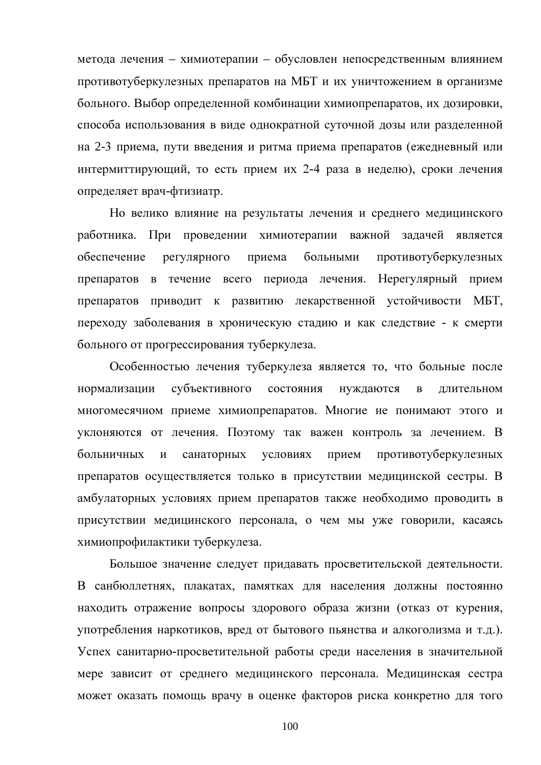метода лечения - химиотерапии - обусловлен непосредственным влиянием противотуберкулезных препаратов на МБТ и их уничтожением в организме больного. Выбор определенной комбинации химиопрепаратов, их дозировки, способа использования в виде однократной суточной дозы или разделенной на 2-3 приема, пути введения и ритма приема препаратов (ежедневный или интермиттирующий, то есть прием их 2-4 раза в неделю), сроки лечения определяет врач-фтизиатр.

Но велико влияние на результаты лечения и среднего медицинского работника. При проведении химиотерапии важной задачей является обеспечение больными регулярного приема противотуберкулезных препаратов в течение всего периода лечения. Нерегулярный прием препаратов приводит к развитию лекарственной устойчивости МБТ, переходу заболевания в хроническую стадию и как следствие - к смерти больного от прогрессирования туберкулеза.

Особенностью лечения туберкулеза является то, что больные после субъективного состояния нуждаются нормализации  $\mathbf{B}$ длительном многомесячном приеме химиопрепаратов. Многие не понимают этого и уклоняются от лечения. Поэтому так важен контроль за лечением. В больничных  $\overline{M}$ санаторных условиях прием противотуберкулезных препаратов осуществляется только в присутствии медицинской сестры. В амбулаторных условиях прием препаратов также необходимо проводить в присутствии медицинского персонала, о чем мы уже говорили, касаясь химиопрофилактики туберкулеза.

Большое значение следует придавать просветительской деятельности. В санбюллетнях, плакатах, памятках для населения должны постоянно находить отражение вопросы здорового образа жизни (отказ от курения, употребления наркотиков, вред от бытового пьянства и алкоголизма и т.д.). Успех санитарно-просветительной работы среди населения в значительной мере зависит от среднего медицинского персонала. Медицинская сестра может оказать помощь врачу в оценке факторов риска конкретно для того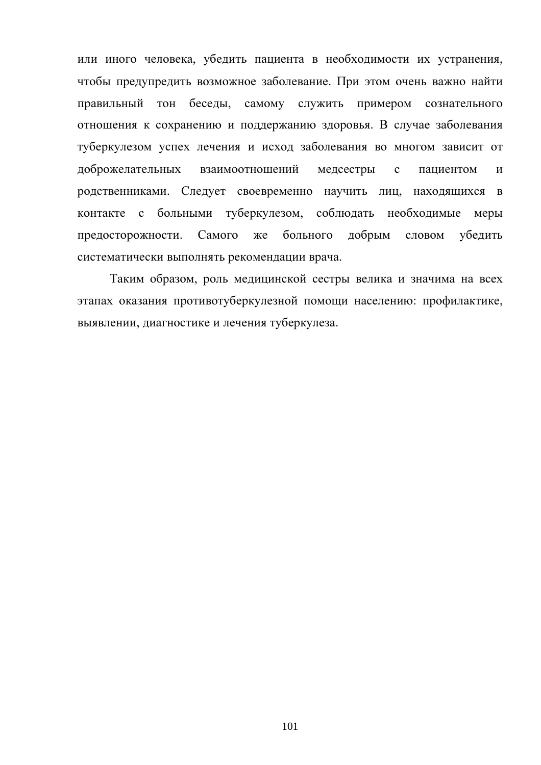или иного человека, убедить пациента в необходимости их устранения, чтобы предупредить возможное заболевание. При этом очень важно найти правильный тон беседы, самому служить примером сознательного отношения к сохранению и поддержанию здоровья. В случае заболевания туберкулезом успех лечения и исход заболевания во многом зависит от взаимоотношений медсестры доброжелательных  $\mathbf{c}$ пациентом  $\overline{M}$ родственниками. Следует своевременно научить лиц, находящихся в больными туберкулезом, соблюдать необходимые меры контакте с предосторожности. Самого больного лобрым словом убелить же систематически выполнять рекомендации врача.

Таким образом, роль медицинской сестры велика и значима на всех этапах оказания противотуберкулезной помощи населению: профилактике, выявлении, диагностике и лечения туберкулеза.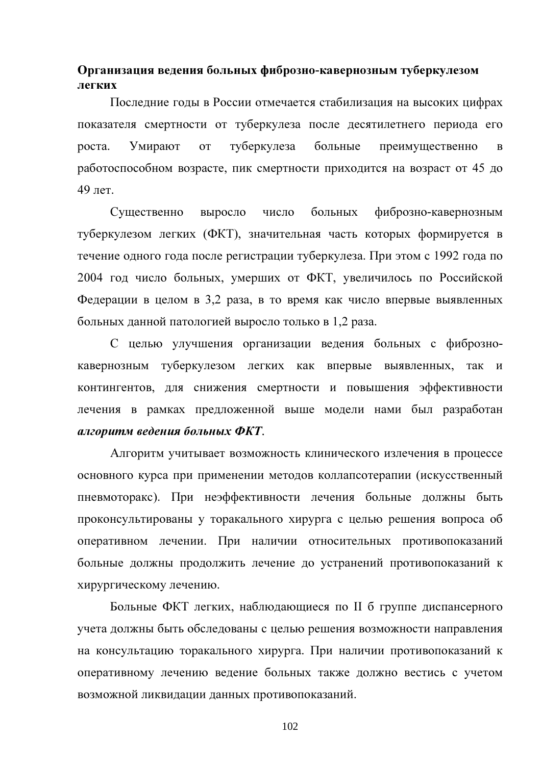# Организация ведения больных фиброзно-кавернозным туберкулезом легких

Последние годы в России отмечается стабилизация на высоких цифрах показателя смертности от туберкулеза после десятилетнего периода его Умирают туберкулеза больные роста. **OT** преимущественно  $\overline{B}$ работоспособном возрасте, пик смертности приходится на возраст от 45 до 49 лет.

больных Существенно число фиброзно-кавернозным выросло туберкулезом легких (ФКТ), значительная часть которых формируется в течение одного года после регистрации туберкулеза. При этом с 1992 года по 2004 год число больных, умерших от ФКТ, увеличилось по Российской Федерации в целом в 3,2 раза, в то время как число впервые выявленных больных данной патологией выросло только в 1,2 раза.

С целью улучшения организации ведения больных с фибрознокавернозным туберкулезом легких как впервые выявленных, так и контингентов, для снижения смертности и повышения эффективности лечения в рамках предложенной выше модели нами был разработан алгоритм ведения больных ФКТ.

Алгоритм учитывает возможность клинического излечения в процессе основного курса при применении методов коллапсотерапии (искусственный пневмоторакс). При неэффективности лечения больные должны быть проконсультированы у торакального хирурга с целью решения вопроса об оперативном лечении. При наличии относительных противопоказаний больные должны продолжить лечение до устранений противопоказаний к хирургическому лечению.

Больные ФКТ легких, наблюдающиеся по II б группе диспансерного учета должны быть обследованы с целью решения возможности направления на консультацию торакального хирурга. При наличии противопоказаний к оперативному лечению ведение больных также должно вестись с учетом возможной ликвидации данных противопоказаний.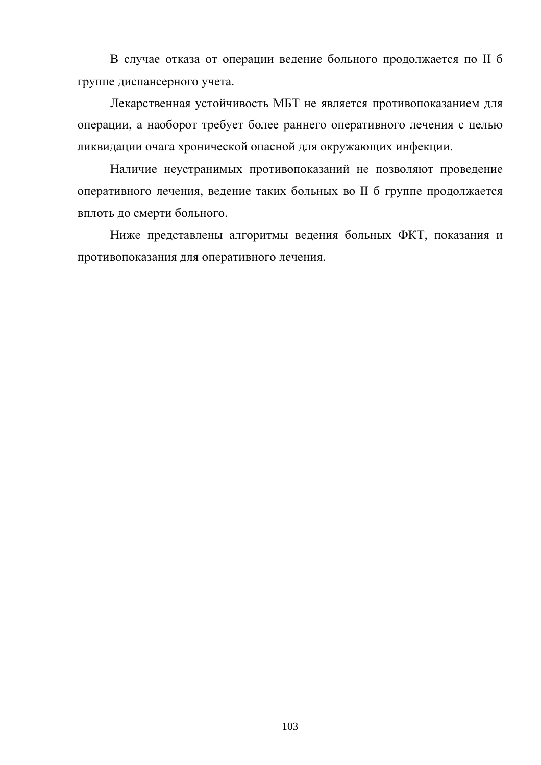В случае отказа от операции ведение больного продолжается по II б группе диспансерного учета.

Лекарственная устойчивость МБТ не является противопоказанием для операции, а наоборот требует более раннего оперативного лечения с целью ликвидации очага хронической опасной для окружающих инфекции.

Наличие неустранимых противопоказаний не позволяют проведение оперативного лечения, ведение таких больных во II б группе продолжается вплоть до смерти больного.

Ниже представлены алгоритмы ведения больных ФКТ, показания и противопоказания для оперативного лечения.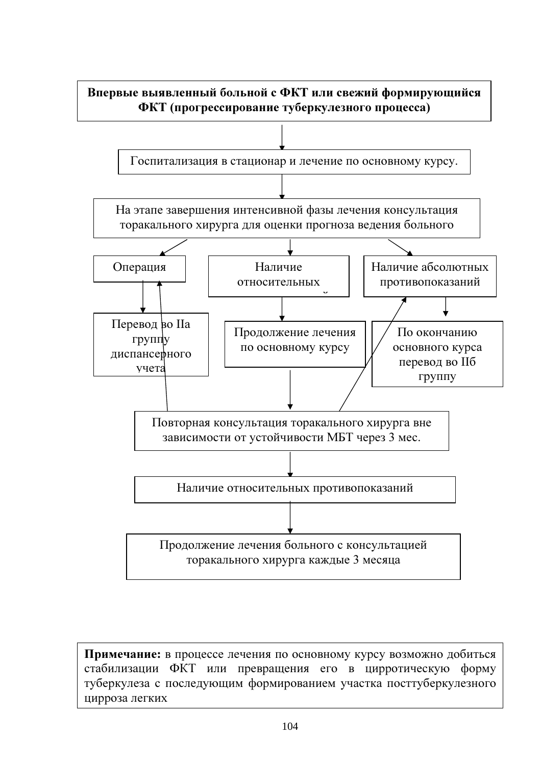

Примечание: в процессе лечения по основному курсу возможно добиться стабилизации ФКТ или превращения его в цирротическую форму туберкулеза с последующим формированием участка посттуберкулезного цирроза легких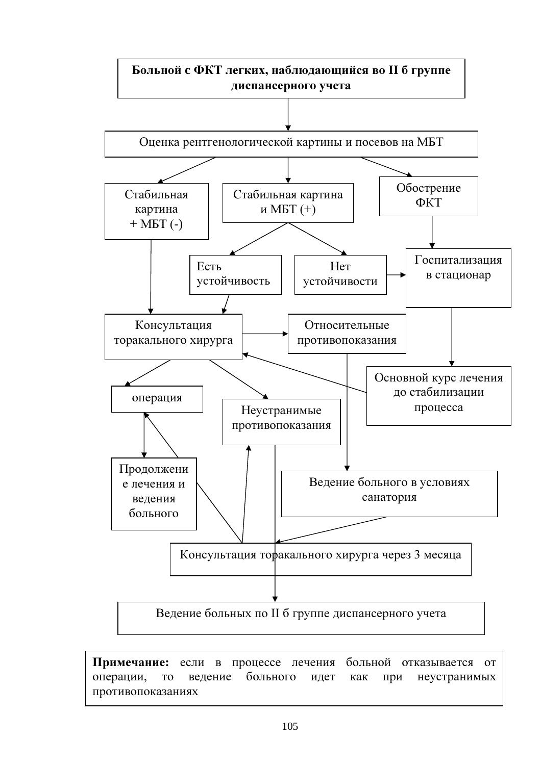

Примечание: если в процессе лечения больной отказывается от T<sub>O</sub> больного операции, веление идет как неустранимых при противопоказаниях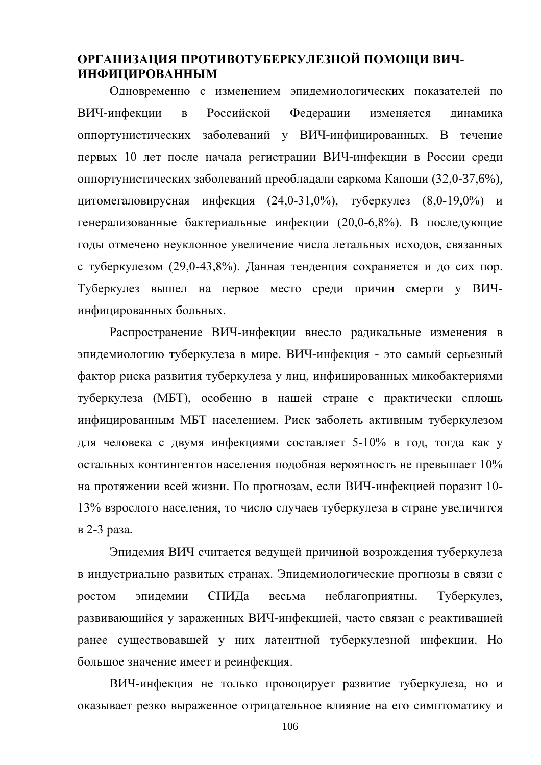# ОРГАНИЗАЦИЯ ПРОТИВОТУБЕРКУЛЕЗНОЙ ПОМОЩИ ВИЧ-**ИНФИЦИРОВАННЫМ**

Одновременно с изменением эпидемиологических показателей по ВИЧ-инфекции Российской  $\mathbf{B}$ Федерации изменяется динамика оппортунистических заболеваний у ВИЧ-инфицированных. В течение первых 10 лет после начала регистрации ВИЧ-инфекции в России среди оппортунистических заболеваний преобладали саркома Капоши (32,0-37,6%), цитомегаловирусная инфекция (24,0-31,0%), туберкулез (8,0-19,0%) и генерализованные бактериальные инфекции (20,0-6,8%). В последующие годы отмечено неуклонное увеличение числа летальных исходов, связанных с туберкулезом (29,0-43,8%). Данная тенденция сохраняется и до сих пор. Туберкулез вышел на первое место среди причин смерти у ВИЧинфицированных больных.

Распространение ВИЧ-инфекции внесло радикальные изменения в эпидемиологию туберкулеза в мире. ВИЧ-инфекция - это самый серьезный фактор риска развития туберкулеза у лиц, инфицированных микобактериями туберкулеза (МБТ), особенно в нашей стране с практически сплошь инфицированным МБТ населением. Риск заболеть активным туберкулезом для человека с двумя инфекциями составляет 5-10% в год, тогда как у остальных контингентов населения подобная вероятность не превышает 10% на протяжении всей жизни. По прогнозам, если ВИЧ-инфекцией поразит 10-13% взрослого населения, то число случаев туберкулеза в стране увеличится в 2-3 раза.

Эпидемия ВИЧ считается ведущей причиной возрождения туберкулеза в индустриально развитых странах. Эпидемиологические прогнозы в связи с СПИЛа неблагоприятны. **DOCTOM** эпилемии весьма Туберкулез. развивающийся у зараженных ВИЧ-инфекцией, часто связан с реактивацией ранее существовавшей у них латентной туберкулезной инфекции. Но большое значение имеет и реинфекция.

ВИЧ-инфекция не только провоцирует развитие туберкулеза, но и оказывает резко выраженное отрицательное влияние на его симптоматику и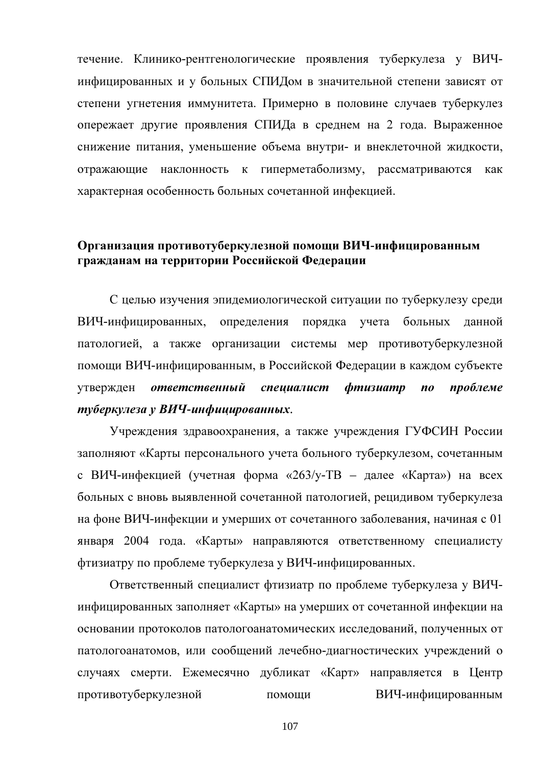течение. Клинико-рентгенологические проявления туберкулеза у ВИЧинфицированных и у больных СПИДом в значительной степени зависят от степени угнетения иммунитета. Примерно в половине случаев туберкулез опережает другие проявления СПИДа в среднем на 2 года. Выраженное снижение питания, уменьшение объема внутри- и внеклеточной жидкости, наклонность к гиперметаболизму, рассматриваются отражающие как характерная особенность больных сочетанной инфекцией.

## Организация противотуберкулезной помощи ВИЧ-инфицированным гражданам на территории Российской Федерации

С целью изучения эпидемиологической ситуации по туберкулезу среди ВИЧ-инфицированных, определения порядка учета больных данной патологией, а также организации системы мер противотуберкулезной помощи ВИЧ-инфицированным, в Российской Федерации в каждом субъекте  $dmusuamp$ утвержден ответственный спеииалист  $\boldsymbol{n}\boldsymbol{o}$ проблеме туберкулеза у ВИЧ-инфицированных.

Учреждения здравоохранения, а также учреждения ГУФСИН России заполняют «Карты персонального учета больного туберкулезом, сочетанным с ВИЧ-инфекцией (учетная форма «263/у-ТВ - далее «Карта») на всех больных с вновь выявленной сочетанной патологией, рецидивом туберкулеза на фоне ВИЧ-инфекции и умерших от сочетанного заболевания, начиная с 01 января 2004 года. «Карты» направляются ответственному специалисту фтизиатру по проблеме туберкулеза у ВИЧ-инфицированных.

Ответственный специалист фтизиатр по проблеме туберкулеза у ВИЧинфицированных заполняет «Карты» на умерших от сочетанной инфекции на основании протоколов патологоанатомических исследований, полученных от патологоанатомов, или сообщений лечебно-диагностических учреждений о случаях смерти. Ежемесячно дубликат «Карт» направляется в Центр противотуберкулезной ВИЧ-инфицированным помоши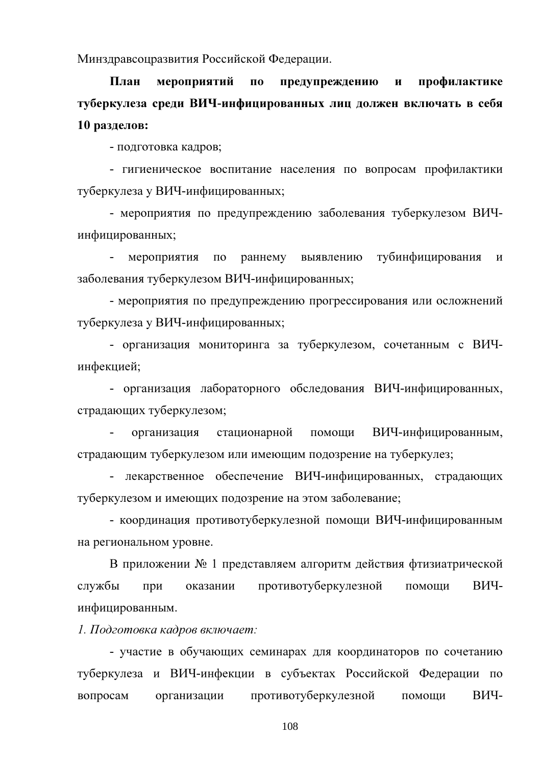Минздравсоцразвития Российской Федерации.

План мероприятий  $\mathbf{u}$ предупреждению  $\mathbf{M}$ профилактике туберкулеза среди ВИЧ-инфицированных лиц должен включать в себя 10 разделов:

- подготовка кадров;

- гигиеническое воспитание населения по вопросам профилактики туберкулеза у ВИЧ-инфицированных;

- мероприятия по предупреждению заболевания туберкулезом ВИЧинфицированных;

тубинфицирования мероприятия по раннему выявлению  $\omega_{\rm{max}}$  $\mathbf{M}$ заболевания туберкулезом ВИЧ-инфицированных;

- мероприятия по предупреждению прогрессирования или осложнений туберкулеза у ВИЧ-инфицированных;

- организация мониторинга за туберкулезом, сочетанным с ВИЧинфекцией;

- организация лабораторного обследования ВИЧ-инфицированных, страдающих туберкулезом;

организация стационарной помоши ВИЧ-инфицированным. страдающим туберкулезом или имеющим подозрение на туберкулез;

- лекарственное обеспечение ВИЧ-инфицированных, страдающих туберкулезом и имеющих подозрение на этом заболевание;

- координация противотуберкулезной помощи ВИЧ-инфицированным на региональном уровне.

В приложении № 1 представляем алгоритм действия фтизиатрической службы при противотуберкулезной помощи ВИЧоказании инфицированным.

1. Подготовка кадров включает:

- участие в обучающих семинарах для координаторов по сочетанию туберкулеза и ВИЧ-инфекции в субъектах Российской Федерации по противотуберкулезной ВИЧвопросам организации помоши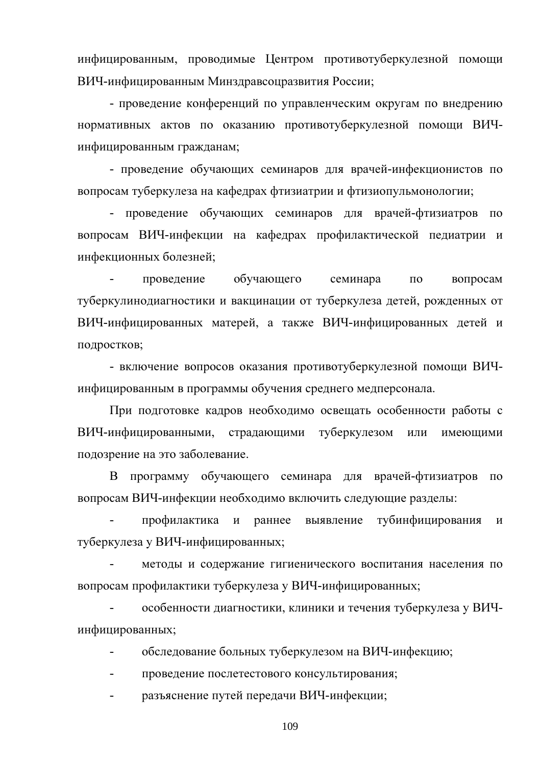инфицированным, проводимые Центром противотуберкулезной помощи ВИЧ-инфицированным Минздравсоцразвития России;

- проведение конференций по управленческим округам по внедрению нормативных актов по оказанию противотуберкулезной помощи ВИЧинфицированным гражданам;

- проведение обучающих семинаров для врачей-инфекционистов по вопросам туберкулеза на кафедрах фтизиатрии и фтизиопульмонологии;

проведение обучающих семинаров для врачей-фтизиатров по  $\omega_{\rm{max}}$ вопросам ВИЧ-инфекции на кафедрах профилактической педиатрии и инфекционных болезней;

обучающего семинара проведение  $\Pi$ O вопросам туберкулинодиагностики и вакцинации от туберкулеза детей, рожденных от ВИЧ-инфицированных матерей, а также ВИЧ-инфицированных детей и подростков;

- включение вопросов оказания противотуберкулезной помощи ВИЧинфицированным в программы обучения среднего медперсонала.

При подготовке кадров необходимо освещать особенности работы с ВИЧ-инфицированными, страдающими туберкулезом ИЛИ имеюшими подозрение на это заболевание.

программу обучающего семинара для врачей-фтизиатров B  $\Pi$ <sup>O</sup> вопросам ВИЧ-инфекции необходимо включить следующие разделы:

профилактика и раннее выявление тубинфицирования  $\overline{M}$ туберкулеза у ВИЧ-инфицированных;

методы и содержание гигиенического воспитания населения по вопросам профилактики туберкулеза у ВИЧ-инфицированных;

особенности диагностики, клиники и течения туберкулеза у ВИЧинфицированных;

обследование больных туберкулезом на ВИЧ-инфекцию;  $\mathbf{r}$ 

проведение послетестового консультирования;

разъяснение путей передачи ВИЧ-инфекции;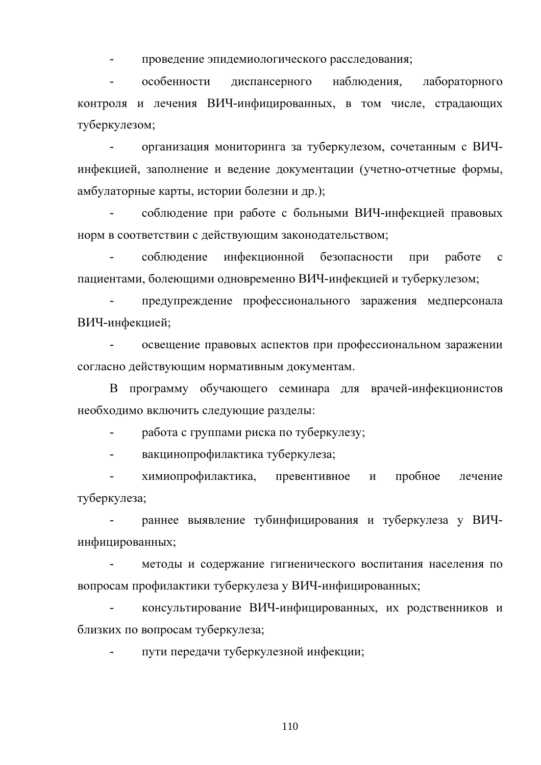проведение эпидемиологического расследования;

 $\mathbf{r}$ особенности диспансерного наблюдения. лабораторного контроля и лечения ВИЧ-инфицированных, в том числе, страдающих туберкулезом:

организация мониторинга за туберкулезом, сочетанным с ВИЧинфекцией, заполнение и ведение документации (учетно-отчетные формы, амбулаторные карты, истории болезни и др.);

соблюдение при работе с больными ВИЧ-инфекцией правовых норм в соответствии с действующим законодательством;

инфекционной соблюдение безопасности работе при  $\mathbf{c}$ пациентами, болеющими одновременно ВИЧ-инфекцией и туберкулезом;

предупреждение профессионального заражения медперсонала ВИЧ-инфекцией;

освещение правовых аспектов при профессиональном заражении согласно действующим нормативным документам.

В программу обучающего семинара для врачей-инфекционистов необходимо включить следующие разделы:

 $\overline{a}$ работа с группами риска по туберкулезу;

вакцинопрофилактика туберкулеза;  $\equiv$ 

химиопрофилактика, превентивное пробное  $\mathbb{L}^{\mathbb{N}}$  $\mathbf{M}$ лечение туберкулеза;

раннее выявление тубинфицирования и туберкулеза у ВИЧинфицированных:

методы и содержание гигиенического воспитания населения по вопросам профилактики туберкулеза у ВИЧ-инфицированных;

консультирование ВИЧ-инфицированных, их родственников и близких по вопросам туберкулеза;

пути передачи туберкулезной инфекции: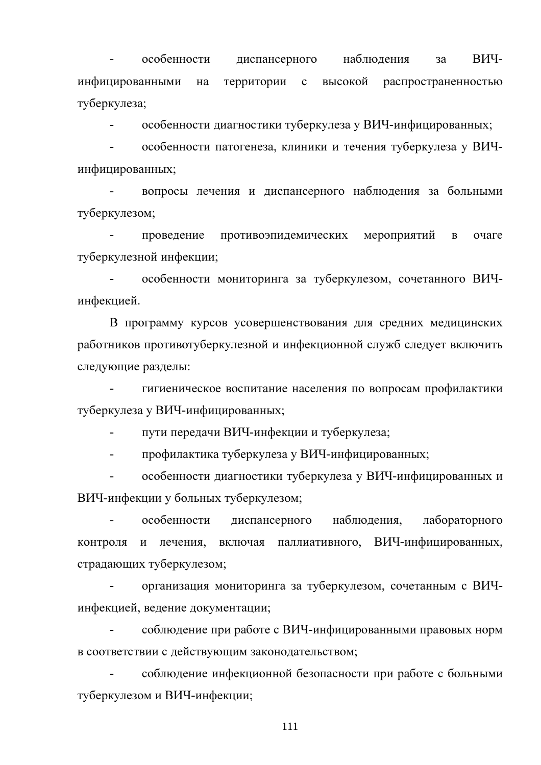особенности ВИЧдиспансерного наблюдения  $3a$ инфицированными Ha территории  $\mathbf{c}$ высокой распространенностью туберкулеза;

особенности диагностики туберкулеза у ВИЧ-инфицированных:  $\overline{a}$ 

особенности патогенеза, клиники и течения туберкулеза у ВИЧинфицированных;

вопросы лечения и диспансерного наблюдения за больными туберкулезом;

провеление противоэпидемических мероприятий  $\overline{B}$ очаге туберкулезной инфекции;

особенности мониторинга за туберкулезом, сочетанного ВИЧинфекцией.

В программу курсов усовершенствования для средних медицинских работников противотуберкулезной и инфекционной служб следует включить следующие разделы:

гигиеническое воспитание населения по вопросам профилактики туберкулеза у ВИЧ-инфицированных;

 $\overline{a}$ пути передачи ВИЧ-инфекции и туберкулеза;

профилактика туберкулеза у ВИЧ-инфицированных;

особенности диагностики туберкулеза у ВИЧ-инфицированных и ВИЧ-инфекции у больных туберкулезом;

наблюдения,  $\sim$ особенности диспансерного лабораторного контроля и лечения, включая паллиативного, ВИЧ-инфицированных, страдающих туберкулезом;

организация мониторинга за туберкулезом, сочетанным с ВИЧинфекцией, ведение документации;

соблюдение при работе с ВИЧ-инфицированными правовых норм в соответствии с действующим законодательством;

соблюдение инфекционной безопасности при работе с больными туберкулезом и ВИЧ-инфекции;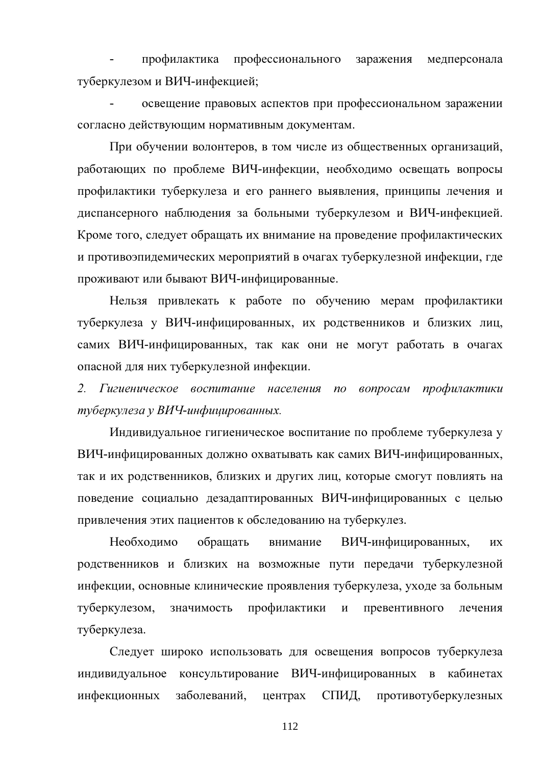профилактика профессионального заражения медперсонала туберкулезом и ВИЧ-инфекцией;

освещение правовых аспектов при профессиональном заражении согласно действующим нормативным документам.

При обучении волонтеров, в том числе из общественных организаций, работающих по проблеме ВИЧ-инфекции, необходимо освещать вопросы профилактики туберкулеза и его раннего выявления, принципы лечения и диспансерного наблюдения за больными туберкулезом и ВИЧ-инфекцией. Кроме того, следует обращать их внимание на проведение профилактических и противоэпидемических мероприятий в очагах туберкулезной инфекции, где проживают или бывают ВИЧ-инфицированные.

Нельзя привлекать к работе по обучению мерам профилактики туберкулеза у ВИЧ-инфицированных, их родственников и близких лиц, самих ВИЧ-инфицированных, так как они не могут работать в очагах опасной для них туберкулезной инфекции.

2. Гигиеническое воспитание населения по вопросам профилактики туберкулеза у ВИЧ-инфицированных.

Индивидуальное гигиеническое воспитание по проблеме туберкулеза у ВИЧ-инфицированных должно охватывать как самих ВИЧ-инфицированных, так и их родственников, близких и других лиц, которые смогут повлиять на поведение социально дезадаптированных ВИЧ-инфицированных с целью привлечения этих пациентов к обследованию на туберкулез.

Необходимо обрашать внимание ВИЧ-инфицированных, **HX** родственников и близких на возможные пути передачи туберкулезной инфекции, основные клинические проявления туберкулеза, уходе за больным профилактики туберкулезом, значимость  $\mathbf{M}$ превентивного лечения туберкулеза.

Следует широко использовать для освещения вопросов туберкулеза индивидуальное консультирование ВИЧ-инфицированных в кабинетах инфекционных заболеваний. СПИД, противотуберкулезных центрах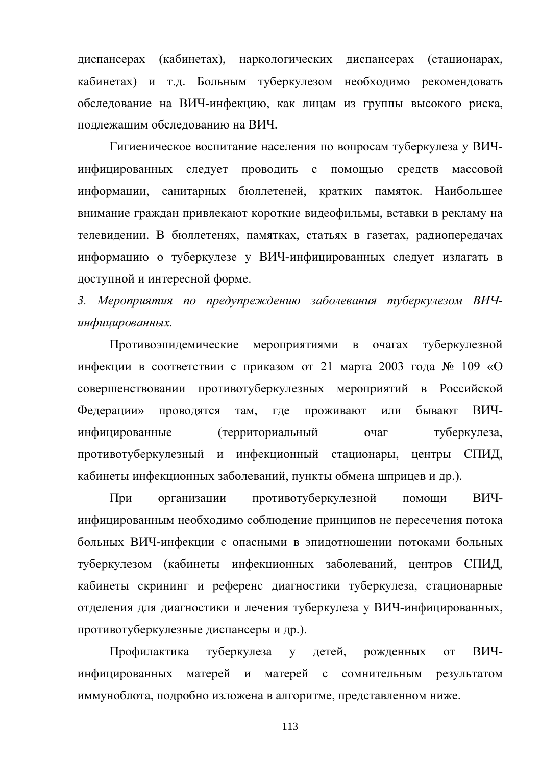диспансерах (кабинетах), наркологических диспансерах (стационарах, кабинетах) и т.д. Больным туберкулезом необходимо рекомендовать обследование на ВИЧ-инфекцию, как лицам из группы высокого риска, поллежаним обслелованию на ВИЧ.

Гигиеническое воспитание населения по вопросам туберкулеза у ВИЧинфицированных следует проводить с помощью средств массовой информации, санитарных бюллетеней, кратких памяток. Наибольшее внимание граждан привлекают короткие видеофильмы, вставки в рекламу на телевидении. В бюллетенях, памятках, статьях в газетах, радиопередачах информацию о туберкулезе у ВИЧ-инфицированных следует излагать в доступной и интересной форме.

3. Мероприятия по предупреждению заболевания туберкулезом ВИЧинфицированных.

Противоэпидемические мероприятиями очагах туберкулезной  $\mathbf{B}$ инфекции в соответствии с приказом от 21 марта 2003 года  $\mathcal{N}_2$  109 «О совершенствовании противотуберкулезных мероприятий в Российской ВИЧ-Федерации» проводятся там, где проживают или бывают инфицированные (территориальный очаг туберкулеза, противотуберкулезный и инфекционный стационары, центры СПИД, кабинеты инфекционных заболеваний, пункты обмена шприцев и др.).

При организации противотуберкулезной ВИЧпомощи инфицированным необходимо соблюдение принципов не пересечения потока больных ВИЧ-инфекции с опасными в эпидотношении потоками больных туберкулезом (кабинеты инфекционных заболеваний, центров СПИД, кабинеты скрининг и референс диагностики туберкулеза, стационарные отделения для диагностики и лечения туберкулеза у ВИЧ-инфицированных, противотуберкулезные диспансеры и др.).

Профилактика туберкулеза **v** детей. ВИЧрожденных  $\overline{O}$ инфицированных матерей и матерей с сомнительным результатом иммуноблота, подробно изложена в алгоритме, представленном ниже.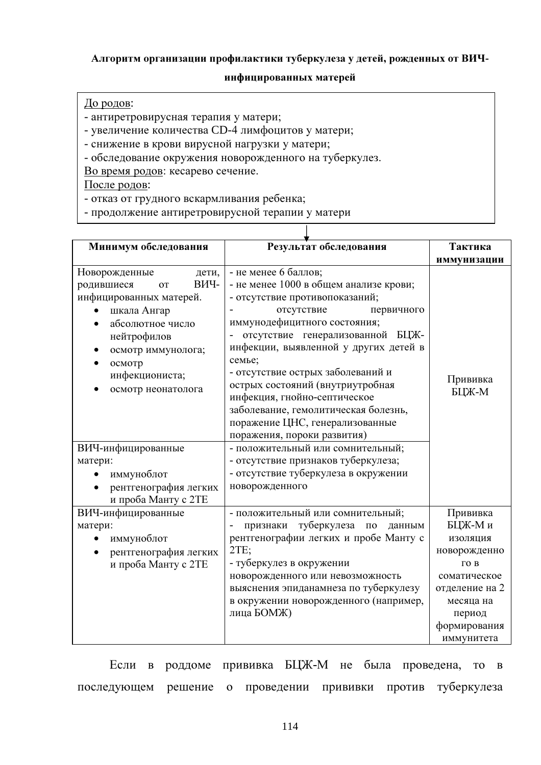### Алгоритм организации профилактики туберкулеза у детей, рожденных от ВИЧ-

#### инфицированных матерей

T

## До родов:

- антиретровирусная терапия у матери;

- увеличение количества CD-4 лимфоцитов у матери;

- снижение в крови вирусной нагрузки у матери;

- обследование окружения новорожденного на туберкулез.

Во время родов: кесарево сечение.

После родов:

- отказ от грудного вскармливания ребенка;

- продолжение антиретровирусной терапии у матери

| Минимум обследования                                                                                                                                                                                                                                                                                | Результат обследования                                                                                                                                                                                                                                                                                                                                                                                                                                                                                                                                                                                       | Тактика                  |  |
|-----------------------------------------------------------------------------------------------------------------------------------------------------------------------------------------------------------------------------------------------------------------------------------------------------|--------------------------------------------------------------------------------------------------------------------------------------------------------------------------------------------------------------------------------------------------------------------------------------------------------------------------------------------------------------------------------------------------------------------------------------------------------------------------------------------------------------------------------------------------------------------------------------------------------------|--------------------------|--|
|                                                                                                                                                                                                                                                                                                     |                                                                                                                                                                                                                                                                                                                                                                                                                                                                                                                                                                                                              | иммунизации              |  |
| Новорожденные<br>дети,<br>ВИЧ-<br>родившиеся<br><b>OT</b><br>инфицированных матерей.<br>шкала Ангар<br>абсолютное число<br>нейтрофилов<br>осмотр иммунолога;<br>осмотр<br>инфекциониста;<br>осмотр неонатолога<br>ВИЧ-инфицированные<br>матери:<br>иммуноблот<br>$\bullet$<br>рентгенография легких | - не менее 6 баллов;<br>- не менее 1000 в общем анализе крови;<br>- отсутствие противопоказаний;<br>отсутствие<br>первичного<br>иммунодефицитного состояния;<br>отсутствие генерализованной БЦЖ-<br>инфекции, выявленной у других детей в<br>семье;<br>- отсутствие острых заболеваний и<br>острых состояний (внутриутробная<br>инфекция, гнойно-септическое<br>заболевание, гемолитическая болезнь,<br>поражение ЦНС, генерализованные<br>поражения, пороки развития)<br>- положительный или сомнительный;<br>- отсутствие признаков туберкулеза;<br>- отсутствие туберкулеза в окружении<br>новорожденного | Прививка<br>БЦЖ-М        |  |
| и проба Манту с 2ТЕ<br>ВИЧ-инфицированные                                                                                                                                                                                                                                                           | - положительный или сомнительный;                                                                                                                                                                                                                                                                                                                                                                                                                                                                                                                                                                            | Прививка                 |  |
| матери:                                                                                                                                                                                                                                                                                             | признаки туберкулеза по<br>данным                                                                                                                                                                                                                                                                                                                                                                                                                                                                                                                                                                            | БЦЖ-Ми                   |  |
| иммуноблот<br>рентгенография легких                                                                                                                                                                                                                                                                 | рентгенографии легких и пробе Манту с<br>2TE;                                                                                                                                                                                                                                                                                                                                                                                                                                                                                                                                                                | изоляция<br>новорожденно |  |
| и проба Манту с 2ТЕ                                                                                                                                                                                                                                                                                 | - туберкулез в окружении                                                                                                                                                                                                                                                                                                                                                                                                                                                                                                                                                                                     | го в                     |  |
|                                                                                                                                                                                                                                                                                                     | новорожденного или невозможность                                                                                                                                                                                                                                                                                                                                                                                                                                                                                                                                                                             | соматическое             |  |
|                                                                                                                                                                                                                                                                                                     | выяснения эпиданамнеза по туберкулезу                                                                                                                                                                                                                                                                                                                                                                                                                                                                                                                                                                        | отделение на 2           |  |
|                                                                                                                                                                                                                                                                                                     | в окружении новорожденного (например,                                                                                                                                                                                                                                                                                                                                                                                                                                                                                                                                                                        | месяца на                |  |
|                                                                                                                                                                                                                                                                                                     | лица БОМЖ)                                                                                                                                                                                                                                                                                                                                                                                                                                                                                                                                                                                                   | период                   |  |
|                                                                                                                                                                                                                                                                                                     |                                                                                                                                                                                                                                                                                                                                                                                                                                                                                                                                                                                                              | формирования             |  |
|                                                                                                                                                                                                                                                                                                     |                                                                                                                                                                                                                                                                                                                                                                                                                                                                                                                                                                                                              | иммунитета               |  |

Если в роддоме прививка БЦЖ-М не была проведена, то  $\mathbf{B}$ проведении прививки против туберкулеза последующем решение о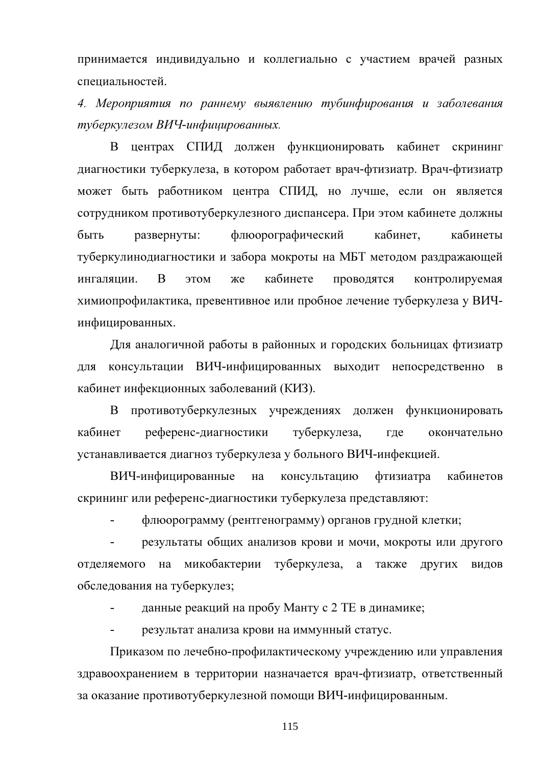принимается индивидуально и коллегиально с участием врачей разных специальностей.

4. Мероприятия по раннему выявлению тубинфирования и заболевания туберкулезом ВИЧ-инфицированных.

В центрах СПИД должен функционировать кабинет скрининг диагностики туберкулеза, в котором работает врач-фтизиатр. Врач-фтизиатр может быть работником центра СПИД, но лучше, если он является сотрудником противотуберкулезного диспансера. При этом кабинете должны быть флюорографический кабинет. развернуты: кабинеты туберкулинодиагностики и забора мокроты на МБТ методом раздражающей <sub>B</sub> кабинете проводятся ингаляции. ЭТОМ же контролируемая химиопрофилактика, превентивное или пробное лечение туберкулеза у ВИЧинфицированных.

Для аналогичной работы в районных и городских больницах фтизиатр консультации ВИЧ-инфицированных выходит непосредственно ЛЛЯ  $\mathbf{B}$ кабинет инфекционных заболеваний (КИЗ).

 $\mathbf{B}$ противотуберкулезных учреждениях должен функционировать кабинет референс-диагностики туберкулеза, где окончательно устанавливается диагноз туберкулеза у больного ВИЧ-инфекцией.

ВИЧ-инфицированные на консультацию фтизиатра кабинетов скрининг или референс-диагностики туберкулеза представляют:

флюорограмму (рентгенограмму) органов грудной клетки;

результаты общих анализов крови и мочи, мокроты или другого отделяемого на микобактерии туберкулеза, а также ДРУГИХ ВИДОВ обследования на туберкулез;

данные реакций на пробу Манту с 2 ТЕ в динамике;

результат анализа крови на иммунный статус.

Приказом по лечебно-профилактическому учреждению или управления здравоохранением в территории назначается врач-фтизиатр, ответственный за оказание противотуберкулезной помощи ВИЧ-инфицированным.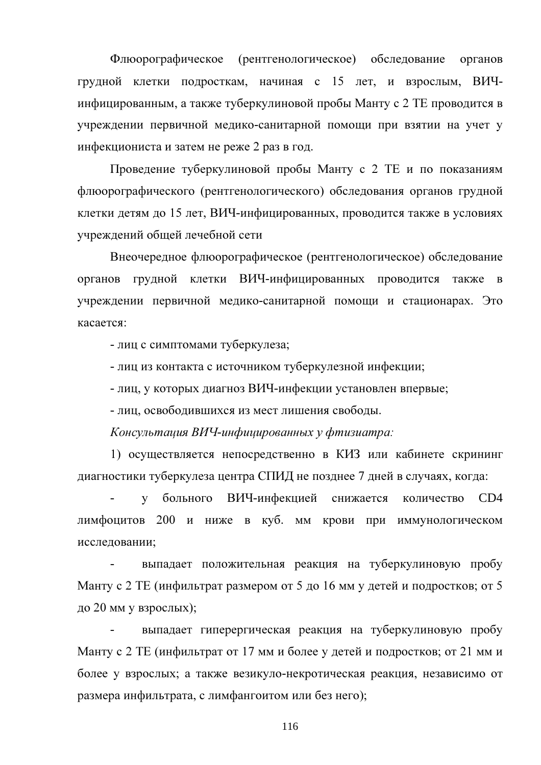Флюорографическое (рентгенологическое) обследование органов грудной клетки подросткам, начиная с 15 лет, и взрослым, ВИЧинфицированным, а также туберкулиновой пробы Манту с 2 ТЕ проводится в учреждении первичной медико-санитарной помощи при взятии на учет у инфекциониста и затем не реже 2 раз в год.

Проведение туберкулиновой пробы Манту с 2 ТЕ и по показаниям флюорографического (рентгенологического) обследования органов грудной клетки детям до 15 лет, ВИЧ-инфицированных, проводится также в условиях учреждений общей лечебной сети

Внеочередное флюорографическое (рентгенологическое) обследование органов грудной клетки ВИЧ-инфицированных проводится также  $\mathbf{B}$ учреждении первичной медико-санитарной помощи и стационарах. Это касается:

- лиц с симптомами туберкулеза;

- лиц из контакта с источником туберкулезной инфекции;

- лиц, у которых диагноз ВИЧ-инфекции установлен впервые;

- лиц, освободившихся из мест лишения свободы.

Консультация ВИЧ-инфицированных у фтизиатра:

1) осуществляется непосредственно в КИЗ или кабинете скрининг диагностики туберкулеза центра СПИД не позднее 7 дней в случаях, когда:

у больного ВИЧ-инфекцией снижается количество CD<sub>4</sub> лимфоцитов 200 и ниже в куб. мм крови при иммунологическом исследовании:

выпадает положительная реакция на туберкулиновую пробу Манту с 2 ТЕ (инфильтрат размером от 5 до 16 мм у детей и подростков; от 5 до 20 мм у взрослых);

выпадает гиперергическая реакция на туберкулиновую пробу Манту с 2 ТЕ (инфильтрат от 17 мм и более у детей и подростков; от 21 мм и более у взрослых; а также везикуло-некротическая реакция, независимо от размера инфильтрата, с лимфангоитом или без него);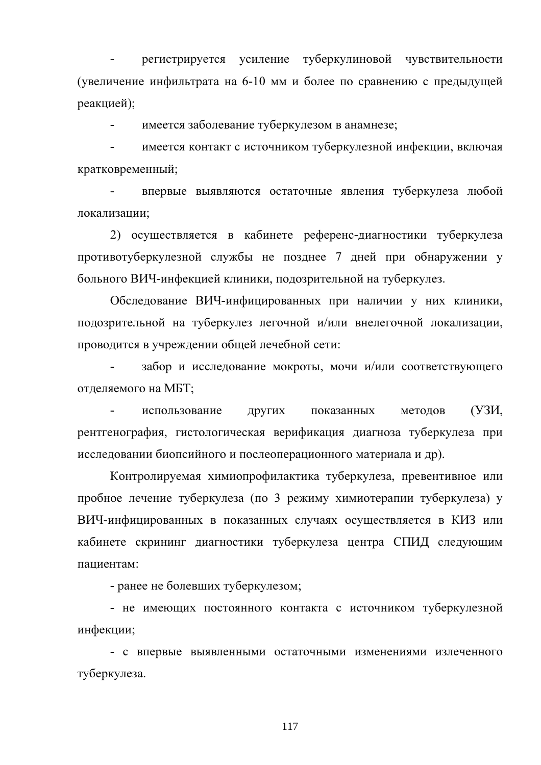регистрируется усиление туберкулиновой чувствительности (увеличение инфильтрата на 6-10 мм и более по сравнению с предыдущей реакцией);

имеется заболевание туберкулезом в анамнезе:  $\mathbf{r}$ 

имеется контакт с источником туберкулезной инфекции, включая кратковременный;

впервые выявляются остаточные явления туберкулеза любой локализации;

2) осуществляется в кабинете референс-диагностики туберкулеза противотуберкулезной службы не позднее 7 дней при обнаружении у больного ВИЧ-инфекцией клиники, подозрительной на туберкулез.

Обследование ВИЧ-инфицированных при наличии у них клиники, подозрительной на туберкулез легочной и/или внелегочной локализации, проводится в учреждении общей лечебной сети:

забор и исследование мокроты, мочи и/или соответствующего отделяемого на МБТ;

(УЗИ, использование ДРУГИХ показанных методов рентгенография, гистологическая верификация диагноза туберкулеза при исследовании биопсийного и послеоперационного материала и др).

Контролируемая химиопрофилактика туберкулеза, превентивное или пробное лечение туберкулеза (по 3 режиму химиотерапии туберкулеза) у ВИЧ-инфицированных в показанных случаях осуществляется в КИЗ или кабинете скрининг диагностики туберкулеза центра СПИД следующим пациентам:

- ранее не болевших туберкулезом;

- не имеющих постоянного контакта с источником туберкулезной инфекции;

- с впервые выявленными остаточными изменениями излеченного туберкулеза.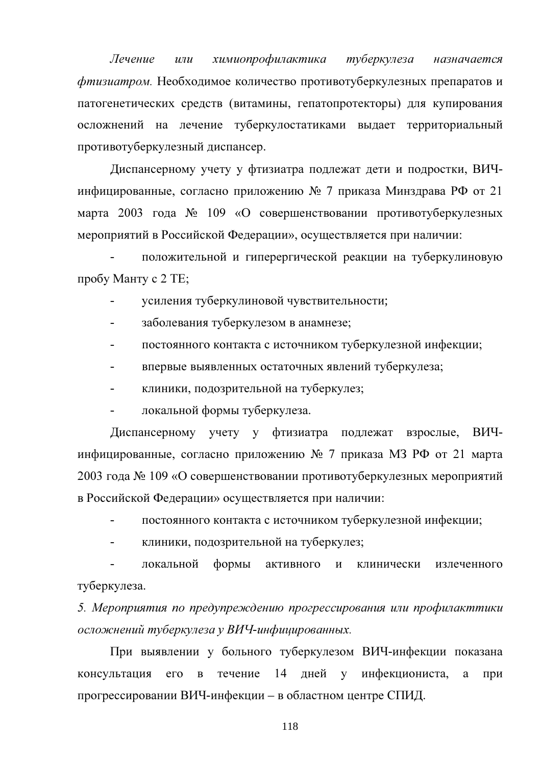Лечение химиопрофилактика туберкулеза  $\overline{u}$ назначается фтизиатром. Необходимое количество противотуберкулезных препаратов и патогенетических средств (витамины, гепатопротекторы) для купирования осложнений на лечение туберкулостатиками выдает территориальный противотуберкулезный диспансер.

Диспансерному учету у фтизиатра подлежат дети и подростки, ВИЧинфицированные, согласно приложению № 7 приказа Минздрава РФ от 21 марта 2003 года № 109 «О совершенствовании противотуберкулезных мероприятий в Российской Федерации», осуществляется при наличии:

положительной и гиперергической реакции на туберкулиновую пробу Манту с 2 ТЕ;

- усиления туберкулиновой чувствительности;
- заболевания туберкулезом в анамнезе;  $\overline{a}$
- постоянного контакта с источником туберкулезной инфекции;
- впервые выявленных остаточных явлений туберкулеза;
- клиники, подозрительной на туберкулез;
- локальной формы туберкулеза.

Диспансерному учету у фтизиатра подлежат взрослые, ВИЧинфицированные, согласно приложению № 7 приказа МЗ РФ от 21 марта 2003 года № 109 «О совершенствовании противотуберкулезных мероприятий в Российской Федерации» осуществляется при наличии:

- постоянного контакта с источником туберкулезной инфекции;
- клиники, подозрительной на туберкулез;

локальной формы активного  $\mathbf{M}$ клинически излеченного туберкулеза.

5. Мероприятия по предупреждению прогрессирования или профилакттики осложнений туберкулеза у ВИЧ-инфицированных.

При выявлении у больного туберкулезом ВИЧ-инфекции показана консультация течение 14 лней  $\mathbf{V}$ инфекциониста,  $er$  $\mathbf{B}$ a при прогрессировании ВИЧ-инфекции – в областном центре СПИД.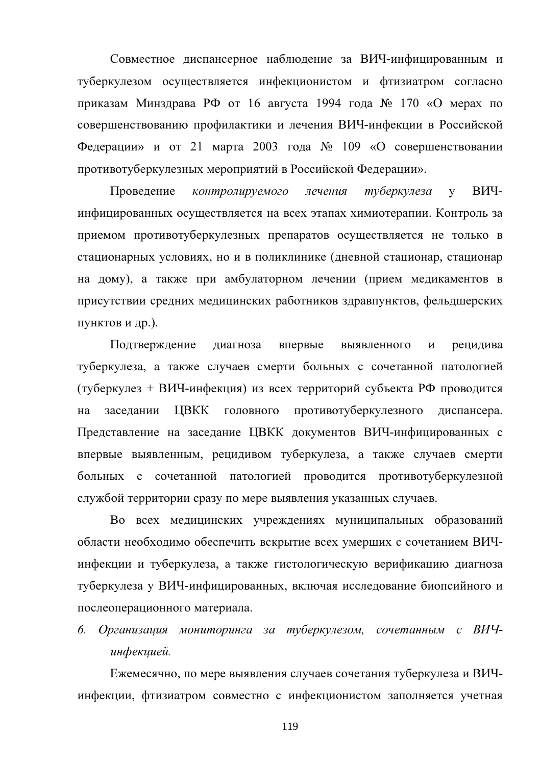Совместное диспансерное наблюдение за ВИЧ-инфицированным и туберкулезом осуществляется инфекционистом и фтизиатром согласно приказам Минздрава РФ от 16 августа 1994 года № 170 «О мерах по совершенствованию профилактики и лечения ВИЧ-инфекции в Российской Федерации» и от 21 марта 2003 года  $N_2$  109 «О совершенствовании противотуберкулезных мероприятий в Российской Федерации».

Проведение контролируемого лечения туберкулеза ВИЧ- $\mathbf{V}$ инфицированных осуществляется на всех этапах химиотерапии. Контроль за приемом противотуберкулезных препаратов осуществляется не только в стационарных условиях, но и в поликлинике (дневной стационар, стационар на дому), а также при амбулаторном лечении (прием медикаментов в присутствии средних медицинских работников здравпунктов, фельдшерских пунктов и др.).

Подтверждение лиагноза впервые выявленного  $\overline{M}$ рецидива туберкулеза, а также случаев смерти больных с сочетанной патологией (туберкулез + ВИЧ-инфекция) из всех территорий субъекта РФ проводится заседании ЦВКК ГОЛОВНОГО противотуберкулезного диспансера. на Представление на заседание ЦВКК документов ВИЧ-инфицированных с впервые выявленным, рецидивом туберкулеза, а также случаев смерти больных с сочетанной патологией проводится противотуберкулезной службой территории сразу по мере выявления указанных случаев.

Во всех медицинских учреждениях муниципальных образований области необходимо обеспечить вскрытие всех умерших с сочетанием ВИЧинфекции и туберкулеза, а также гистологическую верификацию диагноза туберкулеза у ВИЧ-инфицированных, включая исследование биопсийного и послеоперационного материала.

# 6. Организация мониторинга за туберкулезом, сочетанным с ВИЧинфекцией.

Ежемесячно, по мере выявления случаев сочетания туберкулеза и ВИЧинфекции, фтизиатром совместно с инфекционистом заполняется учетная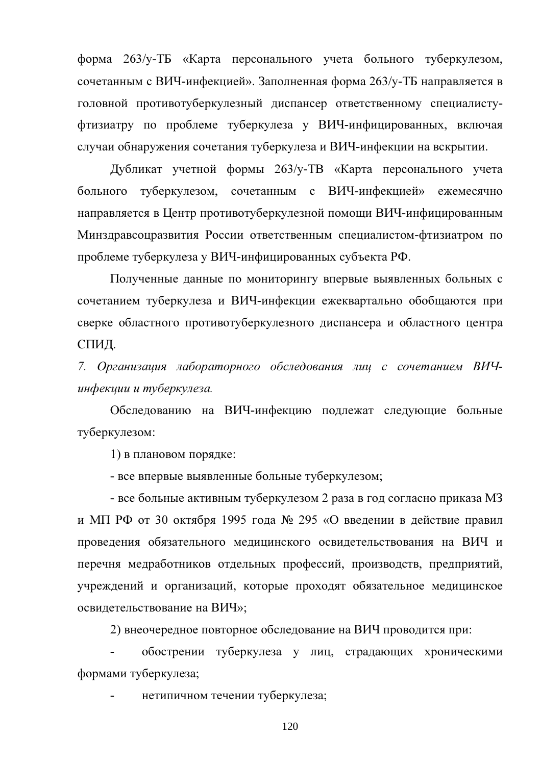форма 263/у-ТБ «Карта персонального учета больного туберкулезом, сочетанным с ВИЧ-инфекцией». Заполненная форма 263/у-ТБ направляется в головной противотуберкулезный диспансер ответственному специалистуфтизиатру по проблеме туберкулеза у ВИЧ-инфицированных, включая случаи обнаружения сочетания туберкулеза и ВИЧ-инфекции на вскрытии.

Дубликат учетной формы 263/у-ТВ «Карта персонального учета больного туберкулезом, сочетанным с ВИЧ-инфекцией» ежемесячно направляется в Центр противотуберкулезной помощи ВИЧ-инфицированным Минздравсоцразвития России ответственным специалистом-фтизиатром по проблеме туберкулеза у ВИЧ-инфицированных субъекта РФ.

Полученные данные по мониторингу впервые выявленных больных с сочетанием туберкулеза и ВИЧ-инфекции ежеквартально обобщаются при сверке областного противотуберкулезного диспансера и областного центра СПИД.

7. Организация лабораторного обследования лиц с сочетанием ВИЧинфекции и туберкулеза.

Обследованию на ВИЧ-инфекцию подлежат следующие больные туберкулезом:

1) в плановом порядке:

- все впервые выявленные больные туберкулезом;

- все больные активным туберкулезом 2 раза в год согласно приказа МЗ и МП РФ от 30 октября 1995 года № 295 «О введении в действие правил проведения обязательного медицинского освидетельствования на ВИЧ и перечня медработников отдельных профессий, производств, предприятий, учреждений и организаций, которые проходят обязательное медицинское освидетельствование на ВИЧ»;

2) внеочередное повторное обследование на ВИЧ проводится при:

обострении туберкулеза у лиц, страдающих хроническими формами туберкулеза;

нетипичном течении туберкулеза;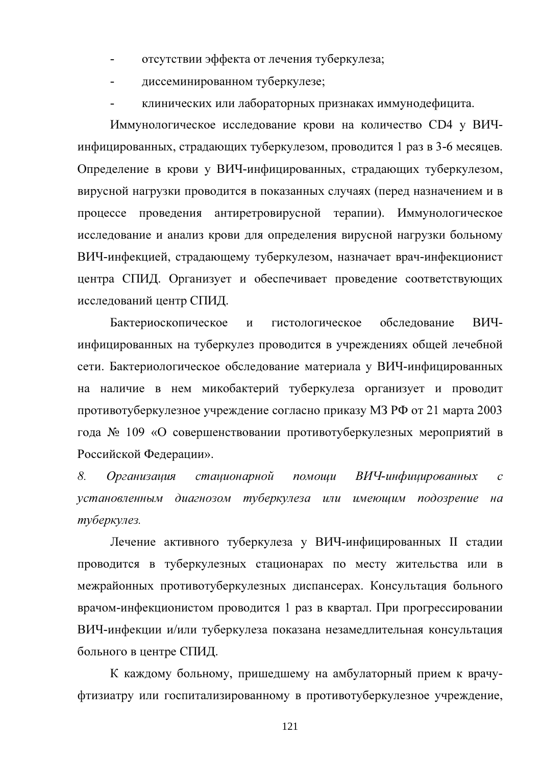- отсутствии эффекта от лечения туберкулеза;
- диссеминированном туберкулезе;
- клинических или лабораторных признаках иммунодефицита.

Иммунологическое исследование крови на количество СD4 у ВИЧинфицированных, страдающих туберкулезом, проводится 1 раз в 3-6 месяцев. Определение в крови у ВИЧ-инфицированных, страдающих туберкулезом, вирусной нагрузки проводится в показанных случаях (перед назначением и в процессе проведения антиретровирусной терапии). Иммунологическое исследование и анализ крови для определения вирусной нагрузки больному ВИЧ-инфекцией, страдающему туберкулезом, назначает врач-инфекционист центра СПИД. Организует и обеспечивает проведение соответствующих исследований центр СПИД.

Бактериоскопическое гистологическое обследование ВИЧ- $\mathbf{M}$ инфицированных на туберкулез проводится в учреждениях общей лечебной сети. Бактериологическое обследование материала у ВИЧ-инфицированных на наличие в нем микобактерий туберкулеза организует и проводит противотуберкулезное учреждение согласно приказу МЗ РФ от 21 марта 2003 года № 109 «О совершенствовании противотуберкулезных мероприятий в Российской Федерации».

8. помощи ВИЧ-инфицированных *Организашия* сташионарной  $\mathcal{C}$ установленным диагнозом туберкулеза или имеющим подозрение  $H\alpha$ туберкулез.

Лечение активного туберкулеза у ВИЧ-инфицированных II стадии проводится в туберкулезных стационарах по месту жительства или в межрайонных противотуберкулезных диспансерах. Консультация больного врачом-инфекционистом проводится 1 раз в квартал. При прогрессировании ВИЧ-инфекции и/или туберкулеза показана незамедлительная консультация больного в центре СПИД.

К каждому больному, пришедшему на амбулаторный прием к врачуфтизиатру или госпитализированному в противотуберкулезное учреждение,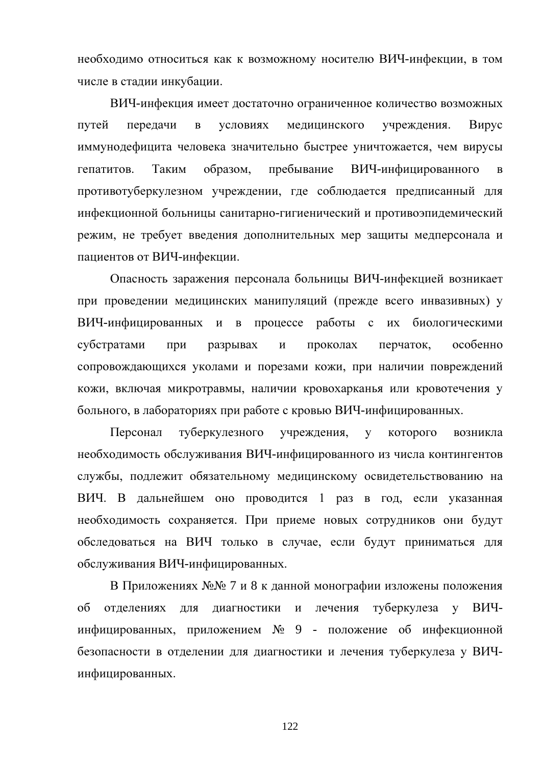необходимо относиться как к возможному носителю ВИЧ-инфекции, в том числе в стадии инкубации.

ВИЧ-инфекция имеет достаточно ограниченное количество возможных путей перелачи  $\overline{B}$ условиях мелицинского учреждения. Вирус иммунодефицита человека значительно быстрее уничтожается, чем вирусы гепатитов. Таким образом, пребывание ВИЧ-инфицированного  $\bf{B}$ противотуберкулезном учреждении, где соблюдается предписанный для инфекционной больницы санитарно-гигиенический и противоэпидемический режим, не требует введения дополнительных мер защиты медперсонала и пациентов от ВИЧ-инфекции.

Опасность заражения персонала больницы ВИЧ-инфекцией возникает при проведении медицинских манипуляций (прежде всего инвазивных) у ВИЧ-инфицированных и в процессе работы с их биологическими субстратами проколах перчаток, особенно при разрывах  $\mathbf{M}$ сопровождающихся уколами и порезами кожи, при наличии повреждений кожи, включая микротравмы, наличии кровохарканья или кровотечения у больного, в лабораториях при работе с кровью ВИЧ-инфицированных.

Персонал туберкулезного учреждения,  $\overline{\mathbf{V}}$ которого возникла необходимость обслуживания ВИЧ-инфицированного из числа контингентов службы, подлежит обязательному медицинскому освидетельствованию на ВИЧ. В дальнейшем оно проводится 1 раз в год, если указанная необходимость сохраняется. При приеме новых сотрудников они будут обследоваться на ВИЧ только в случае, если будут приниматься для обслуживания ВИЧ-инфицированных.

В Приложениях №№ 7 и 8 к данной монографии изложены положения туберкулеза  $\overline{00}$ отделениях ДЛЯ диагностики  $\mathbf{M}$ лечения  $\mathbf{V}$ ВИЧинфицированных, приложением № 9 - положение об инфекционной безопасности в отделении для диагностики и лечения туберкулеза у ВИЧинфицированных.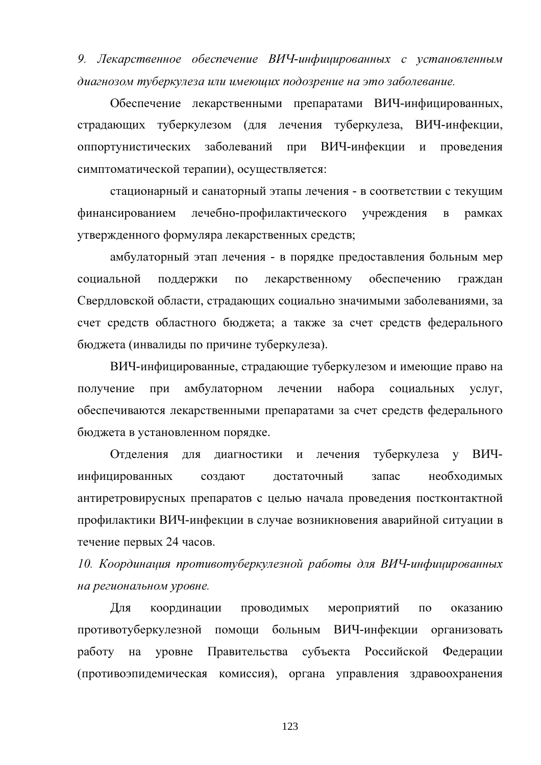9. Лекарственное обеспечение ВИЧ-инфицированных с установленным диагнозом туберкулеза или имеющих подозрение на это заболевание.

Обеспечение лекарственными препаратами ВИЧ-инфицированных, страдающих туберкулезом (для лечения туберкулеза, ВИЧ-инфекции. оппортунистических заболеваний при ВИЧ-инфекции  $\overline{\mathbf{M}}$ проведения симптоматической терапии), осуществляется:

стационарный и санаторный этапы лечения - в соответствии с текущим финансированием лечебно-профилактического учреждения  $\, {\bf B}$ рамках утвержденного формуляра лекарственных средств;

амбулаторный этап лечения - в порядке предоставления больным мер лекарственному обеспечению социальной поддержки  $\Pi$ O граждан Свердловской области, страдающих социально значимыми заболеваниями, за счет средств областного бюджета; а также за счет средств федерального бюджета (инвалиды по причине туберкулеза).

ВИЧ-инфицированные, страдающие туберкулезом и имеющие право на получение при амбулаторном лечении набора социальных услуг, обеспечиваются лекарственными препаратами за счет средств федерального бюджета в установленном порядке.

Отделения для диагностики туберкулеза ВИЧ- $\mathbf{M}$ лечения  $\overline{y}$ инфицированных создают лостаточный запас необходимых антиретровирусных препаратов с целью начала проведения постконтактной профилактики ВИЧ-инфекции в случае возникновения аварийной ситуации в течение первых 24 часов.

10. Координация противотуберкулезной работы для ВИЧ-инфицированных на региональном уровне.

Для координации проводимых мероприятий  $\Pi$ <sup>O</sup> оказанию противотуберкулезной помощи больным ВИЧ-инфекции организовать работу на уровне Правительства субъекта Российской Федерации (противоэпидемическая комиссия), органа управления здравоохранения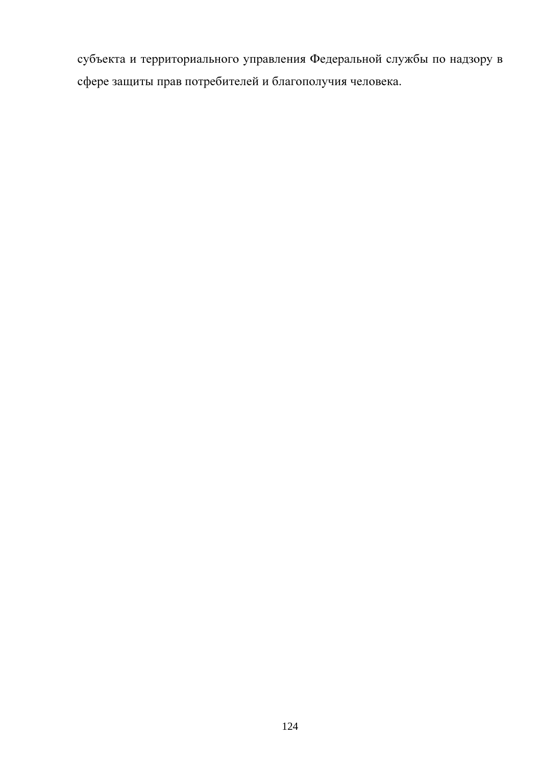субъекта и территориального управления Федеральной службы по надзору в сфере защиты прав потребителей и благополучия человека.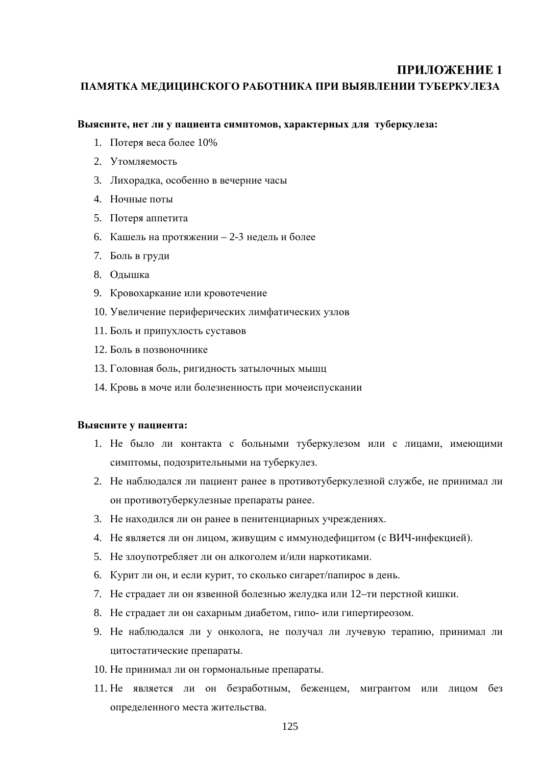ПАМЯТКА МЕДИЦИНСКОГО РАБОТНИКА ПРИ ВЫЯВЛЕНИИ ТУБЕРКУЛЕЗА

#### Выясните, нет ли у пациента симптомов, характерных для туберкулеза:

- 1. Потеря веса более 10%
- 2. Утомляемость
- 3. Лихорадка, особенно в вечерние часы
- 4. Ночные поты
- 5. Потеря аппетита
- 6. Кашель на протяжении 2-3 недель и более
- 7. Боль в груди
- 8. Олышка
- 9. Кровохаркание или кровотечение
- 10. Увеличение периферических лимфатических узлов
- 11. Боль и припухлость суставов
- 12. Боль в позвоночнике
- 13. Головная боль, ригидность затылочных мышц
- 14. Кровь в моче или болезненность при мочеиспускании

#### Выясните у пациента:

- 1. Не было ли контакта с больными туберкулезом или с лицами, имеющими симптомы, подозрительными на туберкулез.
- 2. Не наблюдался ли пациент ранее в противотуберкулезной службе, не принимал ли он противотуберкулезные препараты ранее.
- 3. Не находился ли он ранее в пенитенциарных учреждениях.
- 4. Не является ли он лицом, живущим с иммунодефицитом (с ВИЧ-инфекцией).
- 5. Не злоупотребляет ли он алкоголем и/или наркотиками.
- 6. Курит ли он, и если курит, то сколько сигарет/папирос в день.
- 7. Не страдает ли он язвенной болезнью желудка или 12-ти перстной кишки.
- 8. Не страдает ли он сахарным диабетом, гипо- или гипертиреозом.
- 9. Не наблюдался ли у онколога, не получал ли лучевую терапию, принимал ли цитостатические препараты.
- 10. Не принимал ли он гормональные препараты.
- 11. Не является ли он безработным, беженцем, мигрантом или лицом без определенного места жительства.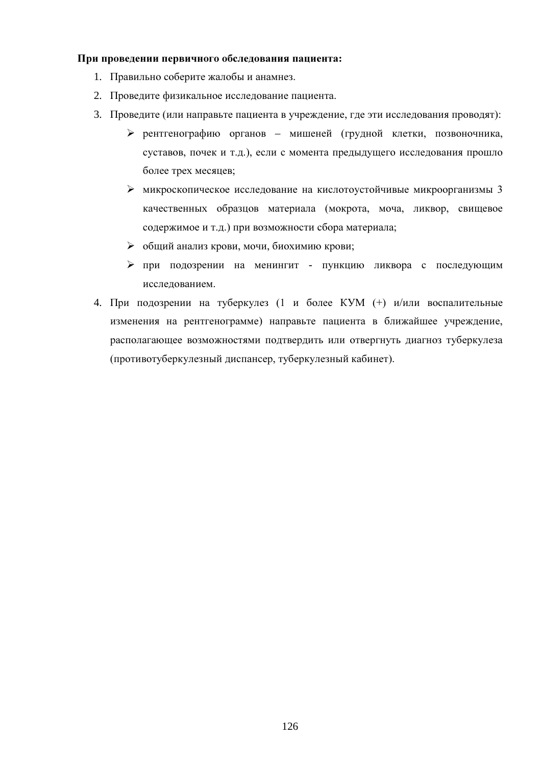### При проведении первичного обследования пациента:

- 1. Правильно соберите жалобы и анамнез.
- 2. Проведите физикальное исследование пациента.
- 3. Проведите (или направьте пациента в учреждение, где эти исследования проводят):
	- > рентгенографию органов мишеней (грудной клетки, позвоночника, суставов, почек и т.д.), если с момента предыдущего исследования прошло более трех месяцев;
	- > микроскопическое исследование на кислотоустойчивые микроорганизмы 3 качественных образцов материала (мокрота, моча, ликвор, свищевое содержимое и т.д.) при возможности сбора материала;
	- > общий анализ крови, мочи, биохимию крови;
	- > при подозрении на менингит пункцию ликвора с последующим исследованием.
- 4. При подозрении на туберкулез (1 и более КУМ (+) и/или воспалительные изменения на рентгенограмме) направьте пациента в ближайшее учреждение, располагающее возможностями подтвердить или отвергнуть диагноз туберкулеза (противотуберкулезный диспансер, туберкулезный кабинет).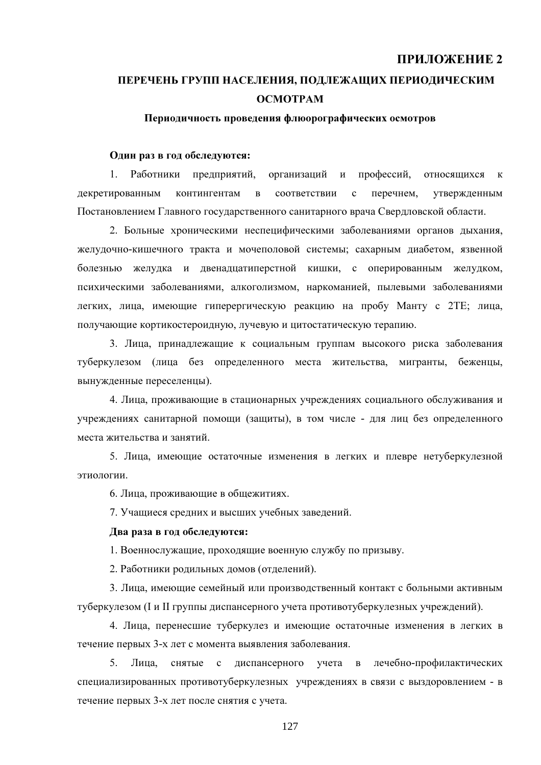# ПЕРЕЧЕНЬ ГРУПП НАСЕЛЕНИЯ, ПОДЛЕЖАЩИХ ПЕРИОДИЧЕСКИМ **OCMOTPAM**

#### Периодичность проведения флюорографических осмотров

#### Олин раз в год обследуются:

1. Работники предприятий, организаций и профессий, относящихся  $\mathbf{K}$ декретированным контингентам в соответствии  $\mathbf{c}$ перечнем, утвержденным Постановлением Главного государственного санитарного врача Свердловской области.

2. Больные хроническими неспецифическими заболеваниями органов дыхания, желудочно-кишечного тракта и мочеполовой системы; сахарным диабетом, язвенной болезнью желудка и двенадцатиперстной кишки, с оперированным желудком, психическими заболеваниями, алкоголизмом, наркоманией, пылевыми заболеваниями легких, лица, имеющие гиперергическую реакцию на пробу Манту с 2ТЕ; лица, получающие кортикостероидную, лучевую и цитостатическую терапию.

3. Лица, принадлежащие к социальным группам высокого риска заболевания туберкулезом (лица без определенного места жительства, мигранты, беженцы, вынужденные переселенцы).

4. Лица, проживающие в стационарных учреждениях социального обслуживания и учреждениях санитарной помощи (защиты), в том числе - для лиц без определенного места жительства и занятий.

5. Лица, имеющие остаточные изменения в легких и плевре нетуберкулезной этиопогии.

6. Лица, проживающие в общежитиях.

7. Учащиеся средних и высших учебных заведений.

#### Два раза в год обследуются:

1. Военнослужащие, проходящие военную службу по призыву.

2. Работники родильных домов (отделений).

3. Лица, имеющие семейный или производственный контакт с больными активным туберкулезом (I и II группы диспансерного учета противотуберкулезных учреждений).

4. Лица, перенесшие туберкулез и имеющие остаточные изменения в легких в течение первых 3-х лет с момента выявления заболевания.

5. Лица, снятые с лиспансерного учета в лечебно-профилактических специализированных противотуберкулезных учреждениях в связи с выздоровлением - в течение первых 3-х лет после снятия с учета.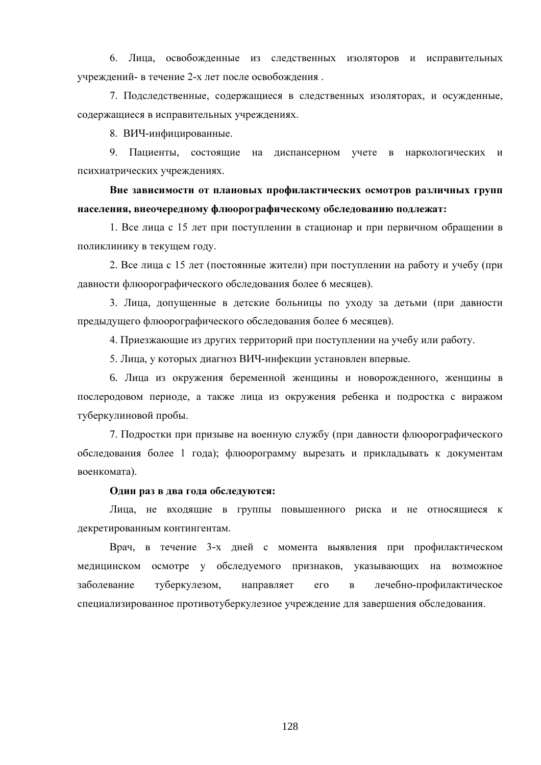6. Лица, освобожденные из следственных изоляторов и исправительных учреждений- в течение 2-х лет после освобождения.

7. Подследственные, содержащиеся в следственных изоляторах, и осужденные, содержащиеся в исправительных учреждениях.

8. ВИЧ-инфицированные.

9. Пациенты, состоящие на диспансерном учете в наркологических и психиатрических учреждениях.

Вне зависимости от плановых профилактических осмотров различных групп населения, внеочередному флюорографическому обследованию подлежат:

1. Все лица с 15 лет при поступлении в стационар и при первичном обращении в поликлинику в текущем году.

2. Все лица с 15 лет (постоянные жители) при поступлении на работу и учебу (при давности флюорографического обследования более 6 месяцев).

3. Лица, допущенные в детские больницы по уходу за детьми (при давности предыдущего флюорографического обследования более 6 месяцев).

4. Приезжающие из других территорий при поступлении на учебу или работу.

5. Лица, у которых диагноз ВИЧ-инфекции установлен впервые.

6. Лица из окружения беременной женщины и новорожденного, женщины в послеродовом периоде, а также лица из окружения ребенка и подростка с виражом туберкулиновой пробы.

7. Подростки при призыве на военную службу (при давности флюорографического обследования более 1 года); флюорограмму вырезать и прикладывать к документам военкомата).

#### Один раз в два года обследуются:

Лица, не входящие в группы повышенного риска и не относящиеся к декретированным контингентам.

Врач, в течение 3-х дней с момента выявления при профилактическом медицинском осмотре у обследуемого признаков, указывающих на возможное заболевание туберкулезом, направляет  $er<sub>o</sub>$  $\mathbf{B}$ лечебно-профилактическое специализированное противотуберкулезное учреждение для завершения обследования.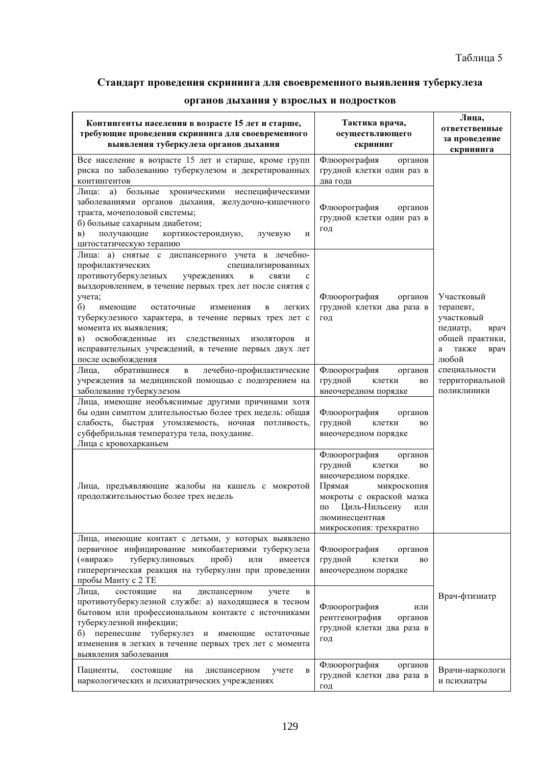## Стандарт проведения скрининга для своевременного выявления туберкулеза

| Контингенты населения в возрасте 15 лет и старше,<br>требующие проведения скрининга для своевременного<br>выявления туберкулеза органов дыхания                                                                                                                                                                                                                                                                                                                                                                             | Тактика врача,<br>осуществляющего<br>скрининг                                                                                                                                                               | Лица,<br>ответственные<br>за проведение<br>скрининга                                                        |
|-----------------------------------------------------------------------------------------------------------------------------------------------------------------------------------------------------------------------------------------------------------------------------------------------------------------------------------------------------------------------------------------------------------------------------------------------------------------------------------------------------------------------------|-------------------------------------------------------------------------------------------------------------------------------------------------------------------------------------------------------------|-------------------------------------------------------------------------------------------------------------|
| Все население в возрасте 15 лет и старше, кроме групп<br>риска по заболеванию туберкулезом и декретированных<br>контингентов                                                                                                                                                                                                                                                                                                                                                                                                | Флюорография<br>органов<br>грудной клетки один раз в<br>два года                                                                                                                                            |                                                                                                             |
| больные<br>Лица: а)<br>хроническими неспецифическими<br>заболеваниями органов дыхания, желудочно-кишечного<br>тракта, мочеполовой системы;<br>б) больные сахарным диабетом;<br>B)<br>получающие<br>кортикостероидную,<br>лучевую<br>И<br>цитостатическую терапию                                                                                                                                                                                                                                                            | Флюорография<br>органов<br>грудной клетки один раз в<br>ГОД                                                                                                                                                 |                                                                                                             |
| Лица: а) снятые с диспансерного учета в лечебно-<br>профилактических<br>специализированных<br>противотуберкулезных<br>учреждениях<br>связи<br>B<br>выздоровлением, в течение первых трех лет после снятия с<br>учета;<br>$\delta$<br>имеющие<br>остаточные<br>изменения<br>B<br>легких<br>туберкулезного характера, в течение первых трех лет с<br>момента их выявления;<br>освобожденные из<br><b>B</b> )<br>следственных<br>изоляторов<br>И<br>исправительных учреждений, в течение первых двух лет<br>после освобождения | Флюорография<br>органов<br>грудной клетки два раза в<br>год                                                                                                                                                 | Участковый<br>терапевт,<br>участковый<br>педиатр,<br>врач<br>общей практики,<br>также<br>врач<br>a<br>любой |
| обратившиеся<br>Лица,<br>лечебно-профилактические<br>$\, {\bf B}$<br>учреждения за медицинской помощью с подозрением на<br>заболевание туберкулезом                                                                                                                                                                                                                                                                                                                                                                         | Флюорография<br>органов<br>грудной<br>клетки<br>вo<br>внеочередном порядке                                                                                                                                  | специальности<br>территориальной<br>ПОЛИКЛИНИКИ                                                             |
| Лица, имеющие необъяснимые другими причинами хотя<br>бы один симптом длительностью более трех недель: общая<br>слабость, быстрая утомляемость, ночная потливость,<br>субфебрильная температура тела, похудание.<br>Лица с кровохарканьем                                                                                                                                                                                                                                                                                    | Флюорография<br>органов<br>грудной<br>клетки<br>BO<br>внеочередном порядке                                                                                                                                  |                                                                                                             |
| Лица, предъявляющие жалобы на кашель с мокротой<br>продолжительностью более трех недель                                                                                                                                                                                                                                                                                                                                                                                                                                     | Флюорография<br>органов<br>грудной<br>клетки<br>вo<br>внеочередном порядке.<br>Прямая<br>микроскопия<br>мокроты с окраской мазка<br>Циль-Нильсену<br>по<br>или<br>люминесцентная<br>микроскопия: трехкратно |                                                                                                             |
| Лица, имеющие контакт с детьми, у которых выявлено<br>первичное инфицирование микобактериями туберкулеза<br>туберкулиновых<br>(«вираж»<br>$\pi$ po $\delta$ )<br>имеется<br>ИЛИ<br>гиперергическая реакция на туберкулин при проведении<br>пробы Манту с 2 ТЕ                                                                                                                                                                                                                                                               | Флюорография<br>органов<br>грудной<br>клетки<br>вo<br>внеочередном порядке                                                                                                                                  |                                                                                                             |
| Лица,<br>состоящие<br>диспансерном<br>на<br>учете<br>В<br>противотуберкулезной службе: а) находящиеся в тесном<br>бытовом или профессиональном контакте с источниками<br>туберкулезной инфекции;<br>перенесшие туберкулез<br>$\sigma$ )<br>И<br>имеющие<br>остаточные<br>изменения в легких в течение первых трех лет с момента<br>выявления заболевания                                                                                                                                                                    | Флюорография<br>или<br>рентгенография<br>органов<br>грудной клетки два раза в<br>год                                                                                                                        | Врач-фтизиатр                                                                                               |
| Пациенты,<br>состоящие<br>диспансерном<br>на<br>учете<br>в<br>наркологических и психиатрических учреждениях                                                                                                                                                                                                                                                                                                                                                                                                                 | Флюорография<br>органов<br>грудной клетки два раза в<br>$\Gamma$ O $\pi$                                                                                                                                    | Врачи-наркологи<br>и психиатры                                                                              |

## органов дыхания у взрослых и подростков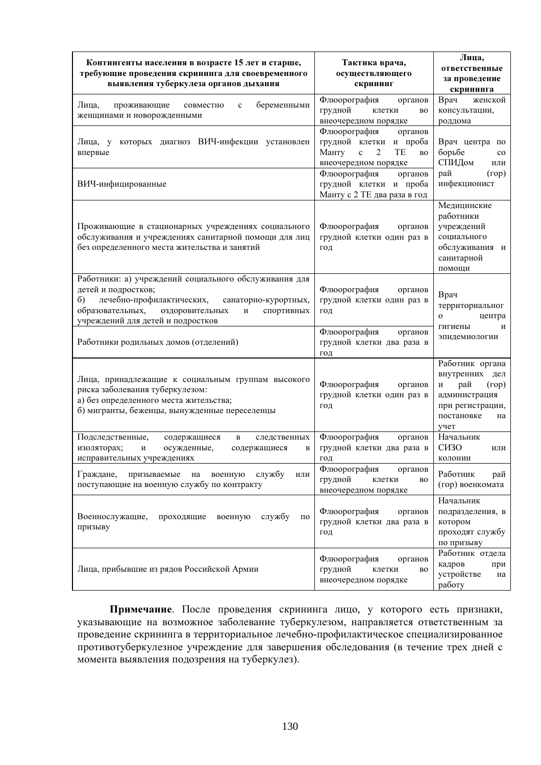| Контингенты населения в возрасте 15 лет и старше,<br>требующие проведения скрининга для своевременного<br>выявления туберкулеза органов дыхания                                                                                                | Тактика врача,<br>осуществляющего<br>скрининг                                                                             | Лица,<br>ответственные<br>за проведение<br>скрининга                                                                    |  |
|------------------------------------------------------------------------------------------------------------------------------------------------------------------------------------------------------------------------------------------------|---------------------------------------------------------------------------------------------------------------------------|-------------------------------------------------------------------------------------------------------------------------|--|
| Лица,<br>беременными<br>проживающие<br>совместно<br>$\mathbf c$<br>женщинами и новорожденными                                                                                                                                                  | Флюорография<br>органов<br>грудной<br>клетки<br>BO<br>внеочередном порядке                                                | Врач<br>женской<br>консультации,<br>роддома                                                                             |  |
| которых диагноз ВИЧ-инфекции установлен<br>Лица, у<br>впервые                                                                                                                                                                                  | Флюорография<br>органов<br>грудной клетки и проба<br>TE<br>Манту<br>2<br>$\mathbf c$<br><b>BO</b><br>внеочередном порядке | Врач центра по<br>борьбе<br>$_{\rm co}$<br>СПИДом<br>или                                                                |  |
| ВИЧ-инфицированные                                                                                                                                                                                                                             | Флюорография<br>органов<br>грудной клетки и проба<br>Манту с 2 ТЕ два раза в год                                          | рай<br>(rop)<br>инфекционист                                                                                            |  |
| Проживающие в стационарных учреждениях социального<br>обслуживания и учреждениях санитарной помощи для лиц<br>без определенного места жительства и занятий                                                                                     | Флюорография<br>органов<br>грудной клетки один раз в<br>год                                                               | Медицинские<br>работники<br>учреждений<br>социального<br>обслуживания и<br>санитарной<br>помощи                         |  |
| Работники: а) учреждений социального обслуживания для<br>детей и подростков;<br>лечебно-профилактических,<br>$\sigma$ )<br>санаторно-курортных,<br>образовательных,<br>оздоровительных<br>спортивных<br>И<br>учреждений для детей и подростков | Флюорография<br>органов<br>грудной клетки один раз в<br>год                                                               | Врач<br>территориальног<br>$\mathbf{O}$<br>центра<br>гигиены<br>и<br>эпидемиологии                                      |  |
| Работники родильных домов (отделений)                                                                                                                                                                                                          | Флюорография<br>органов<br>грудной клетки два раза в<br>ГОД                                                               |                                                                                                                         |  |
| Лица, принадлежащие к социальным группам высокого<br>риска заболевания туберкулезом:<br>а) без определенного места жительства;<br>б) мигранты, беженцы, вынужденные переселенцы                                                                | Флюорография<br>органов<br>грудной клетки один раз в<br>год                                                               | Работник органа<br>внутренних дел<br>рай<br>(rop)<br>И<br>администрация<br>при регистрации,<br>постановке<br>на<br>учет |  |
| Подследственные,<br>содержащиеся<br>B<br>следственных<br>изоляторах;<br>осужденные,<br>И<br>содержащиеся<br>в<br>исправительных учреждениях                                                                                                    | Флюорография<br>органов<br>грудной клетки два раза в<br>ГОД                                                               | Начальник<br>C <sub>H</sub> <sub>3</sub> O<br>или<br>колонии                                                            |  |
| Граждане,<br>военную<br>службу<br>призываемые<br>на<br>или<br>поступающие на военную службу по контракту                                                                                                                                       | Флюорография<br>органов<br>грудной<br>клетки<br>BO<br>внеочередном порядке                                                | Работник<br>рай<br>(гор) военкомата                                                                                     |  |
| Военнослужащие,<br>службу<br>проходящие<br>военную<br>ПО<br>призыву                                                                                                                                                                            | Флюорография<br>органов<br>грудной клетки два раза в<br>год                                                               | Начальник<br>подразделения, в<br>котором<br>проходят службу<br>по призыву                                               |  |
| Лица, прибывшие из рядов Российской Армии                                                                                                                                                                                                      | Флюорография<br>органов<br>грудной<br>клетки<br>BO<br>внеочередном порядке                                                | Работник отдела<br>кадров<br>при<br>устройстве<br>на<br>работу                                                          |  |

Примечание. После проведения скрининга лицо, у которого есть признаки, указывающие на возможное заболевание туберкулезом, направляется ответственным за проведение скрининга в территориальное лечебно-профилактическое специализированное противотуберкулезное учреждение для завершения обследования (в течение трех дней с момента выявления подозрения на туберкулез).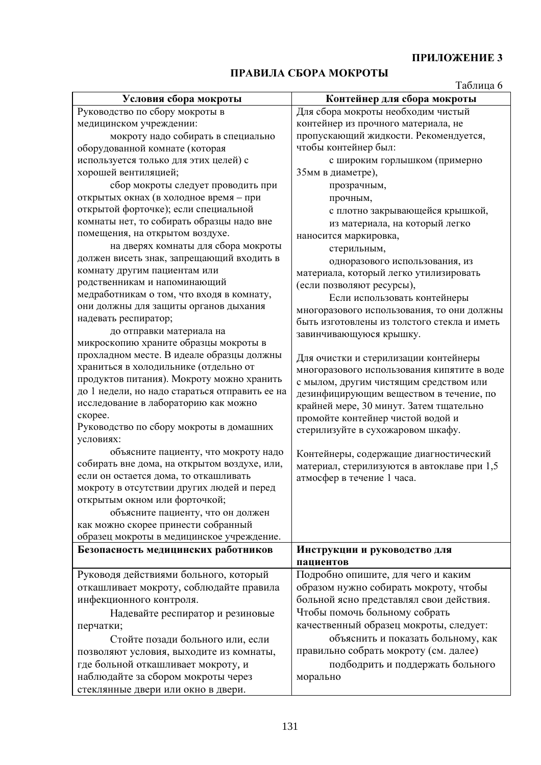## ПРАВИЛА СБОРА МОКРОТЫ

Таблина 6

| Условия сбора мокроты                          | Контейнер для сбора мокроты                                                               |
|------------------------------------------------|-------------------------------------------------------------------------------------------|
| Руководство по сбору мокроты в                 | Для сбора мокроты необходим чистый                                                        |
| медицинском учреждении:                        | контейнер из прочного материала, не                                                       |
| мокроту надо собирать в специально             | пропускающий жидкости. Рекомендуется,                                                     |
| оборудованной комнате (которая                 | чтобы контейнер был:                                                                      |
| используется только для этих целей) с          | с широким горлышком (примерно                                                             |
| хорошей вентиляцией;                           | 35мм в диаметре),                                                                         |
| сбор мокроты следует проводить при             | прозрачным,                                                                               |
| открытых окнах (в холодное время - при         | прочным,                                                                                  |
| открытой форточке); если специальной           | с плотно закрывающейся крышкой,                                                           |
| комнаты нет, то собирать образцы надо вне      | из материала, на который легко                                                            |
| помещения, на открытом воздухе.                | наносится маркировка,                                                                     |
| на дверях комнаты для сбора мокроты            | стерильным,                                                                               |
| должен висеть знак, запрещающий входить в      | одноразового использования, из                                                            |
| комнату другим пациентам или                   | материала, который легко утилизировать                                                    |
| родственникам и напоминающий                   | (если позволяют ресурсы),                                                                 |
| медработникам о том, что входя в комнату,      | Если использовать контейнеры                                                              |
| они должны для защиты органов дыхания          |                                                                                           |
| надевать респиратор;                           | многоразового использования, то они должны<br>быть изготовлены из толстого стекла и иметь |
| до отправки материала на                       |                                                                                           |
| микроскопию храните образцы мокроты в          | завинчивающуюся крышку.                                                                   |
| прохладном месте. В идеале образцы должны      |                                                                                           |
| храниться в холодильнике (отдельно от          | Для очистки и стерилизации контейнеры                                                     |
| продуктов питания). Мокроту можно хранить      | многоразового использования кипятите в воде                                               |
| до 1 недели, но надо стараться отправить ее на | с мылом, другим чистящим средством или                                                    |
| исследование в лабораторию как можно           | дезинфицирующим веществом в течение, по                                                   |
| скорее.                                        | крайней мере, 30 минут. Затем тщательно                                                   |
| Руководство по сбору мокроты в домашних        | промойте контейнер чистой водой и                                                         |
| условиях:                                      | стерилизуйте в сухожаровом шкафу.                                                         |
| объясните пациенту, что мокроту надо           |                                                                                           |
| собирать вне дома, на открытом воздухе, или,   | Контейнеры, содержащие диагностический                                                    |
| если он остается дома, то откашливать          | материал, стерилизуются в автоклаве при 1,5                                               |
| мокроту в отсутствии других людей и перед      | атмосфер в течение 1 часа.                                                                |
| открытым окном или форточкой;                  |                                                                                           |
|                                                |                                                                                           |
| объясните пациенту, что он должен              |                                                                                           |
| как можно скорее принести собранный            |                                                                                           |
| образец мокроты в медицинское учреждение.      |                                                                                           |
| Безопасность медицинских работников            | Инструкции и руководство для                                                              |
|                                                | пациентов                                                                                 |
| Руководя действиями больного, который          | Подробно опишите, для чего и каким                                                        |
| откашливает мокроту, соблюдайте правила        | образом нужно собирать мокроту, чтобы                                                     |
| инфекционного контроля.                        | больной ясно представлял свои действия.                                                   |
| Надевайте респиратор и резиновые               | Чтобы помочь больному собрать                                                             |
| перчатки;                                      | качественный образец мокроты, следует:                                                    |
| Стойте позади больного или, если               | объяснить и показать больному, как                                                        |
| позволяют условия, выходите из комнаты,        | правильно собрать мокроту (см. далее)                                                     |
| где больной откашливает мокроту, и             | подбодрить и поддержать больного                                                          |
| наблюдайте за сбором мокроты через             | морально                                                                                  |
| стеклянные двери или окно в двери.             |                                                                                           |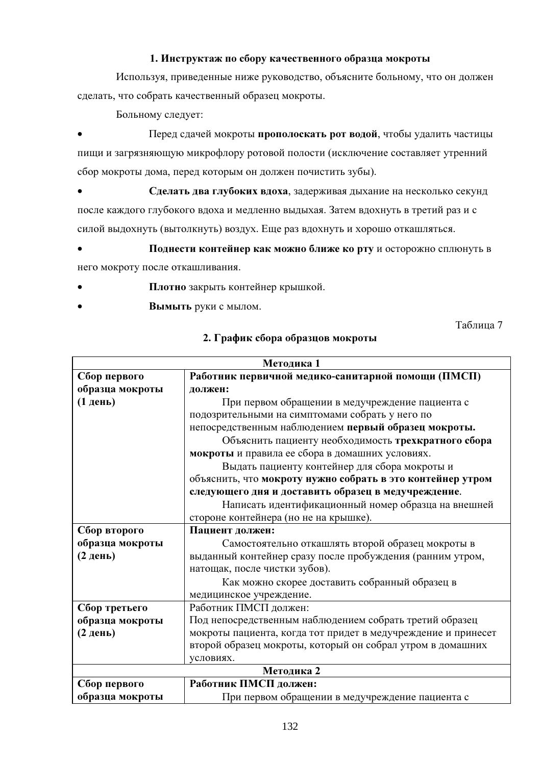### 1. Инструктаж по сбору качественного образца мокроты

Используя, приведенные ниже руководство, объясните больному, что он должен сделать, что собрать качественный образец мокроты.

Больному следует:

Перед сдачей мокроты прополоскать рот водой, чтобы удалить частицы пищи и загрязняющую микрофлору ротовой полости (исключение составляет утренний сбор мокроты дома, перед которым он должен почистить зубы).

Сделать два глубоких вдоха, задерживая дыхание на несколько секунд после каждого глубокого вдоха и медленно выдыхая. Затем вдохнуть в третий раз и с силой выдохнуть (вытолкнуть) воздух. Еще раз вдохнуть и хорошо откашляться.

- Поднести контейнер как можно ближе ко рту и осторожно сплюнуть в него мокроту после откашливания.
- Плотно закрыть контейнер крышкой.
- Вымыть руки с мылом.

Таблина 7

| Методика 1      |                                                               |  |  |  |  |  |  |
|-----------------|---------------------------------------------------------------|--|--|--|--|--|--|
| Сбор первого    | Работник первичной медико-санитарной помощи (ПМСП)            |  |  |  |  |  |  |
| образца мокроты | должен:                                                       |  |  |  |  |  |  |
| (1 день)        | При первом обращении в медучреждение пациента с               |  |  |  |  |  |  |
|                 | подозрительными на симптомами собрать у него по               |  |  |  |  |  |  |
|                 | непосредственным наблюдением первый образец мокроты.          |  |  |  |  |  |  |
|                 | Объяснить пациенту необходимость трехкратного сбора           |  |  |  |  |  |  |
|                 | мокроты и правила ее сбора в домашних условиях.               |  |  |  |  |  |  |
|                 | Выдать пациенту контейнер для сбора мокроты и                 |  |  |  |  |  |  |
|                 | объяснить, что мокроту нужно собрать в это контейнер утром    |  |  |  |  |  |  |
|                 | следующего дня и доставить образец в медучреждение.           |  |  |  |  |  |  |
|                 | Написать идентификационный номер образца на внешней           |  |  |  |  |  |  |
|                 | стороне контейнера (но не на крышке).                         |  |  |  |  |  |  |
| Сбор второго    | Пациент должен:                                               |  |  |  |  |  |  |
| образца мокроты | Самостоятельно откашлять второй образец мокроты в             |  |  |  |  |  |  |
| (2 день)        | выданный контейнер сразу после пробуждения (ранним утром,     |  |  |  |  |  |  |
|                 | натощак, после чистки зубов).                                 |  |  |  |  |  |  |
|                 | Как можно скорее доставить собранный образец в                |  |  |  |  |  |  |
|                 | медицинское учреждение.                                       |  |  |  |  |  |  |
| Сбор третьего   | Работник ПМСП должен:                                         |  |  |  |  |  |  |
| образца мокроты | Под непосредственным наблюдением собрать третий образец       |  |  |  |  |  |  |
| (2 день)        | мокроты пациента, когда тот придет в медучреждение и принесет |  |  |  |  |  |  |
|                 | второй образец мокроты, который он собрал утром в домашних    |  |  |  |  |  |  |
|                 | условиях.                                                     |  |  |  |  |  |  |
|                 | Методика 2                                                    |  |  |  |  |  |  |
| Сбор первого    | Работник ПМСП должен:                                         |  |  |  |  |  |  |
| образца мокроты | При первом обращении в медучреждение пациента с               |  |  |  |  |  |  |

## 2. График сбора образцов мокроты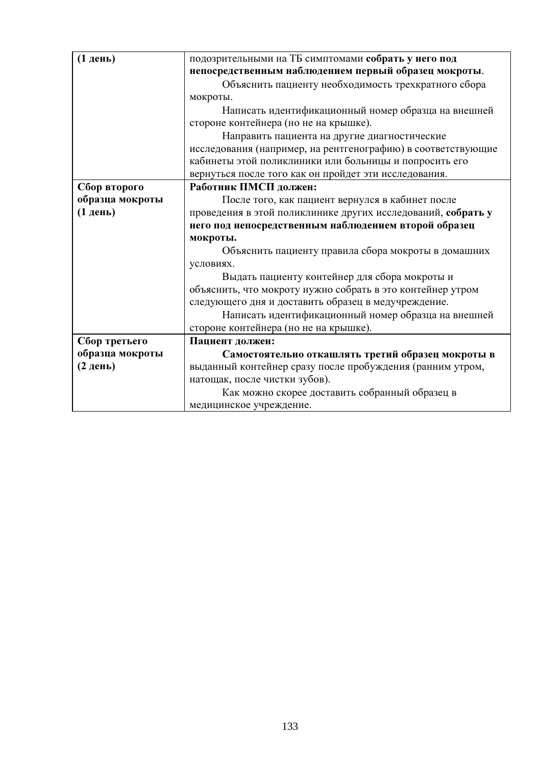| (1 день)        | подозрительными на ТБ симптомами собрать у него под          |  |  |  |  |  |
|-----------------|--------------------------------------------------------------|--|--|--|--|--|
|                 | непосредственным наблюдением первый образец мокроты.         |  |  |  |  |  |
|                 | Объяснить пациенту необходимость трехкратного сбора          |  |  |  |  |  |
|                 | мокроты.                                                     |  |  |  |  |  |
|                 | Написать идентификационный номер образца на внешней          |  |  |  |  |  |
|                 | стороне контейнера (но не на крышке).                        |  |  |  |  |  |
|                 | Направить пациента на другие диагностические                 |  |  |  |  |  |
|                 | исследования (например, на рентгенографию) в соответствующие |  |  |  |  |  |
|                 | кабинеты этой поликлиники или больницы и попросить его       |  |  |  |  |  |
|                 | вернуться после того как он пройдет эти исследования.        |  |  |  |  |  |
| Сбор второго    | Работник ПМСП должен:                                        |  |  |  |  |  |
| образца мокроты | После того, как пациент вернулся в кабинет после             |  |  |  |  |  |
| (1 день)        | проведения в этой поликлинике других исследований, собрать у |  |  |  |  |  |
|                 | него под непосредственным наблюдением второй образец         |  |  |  |  |  |
|                 | мокроты.                                                     |  |  |  |  |  |
|                 | Объяснить пациенту правила сбора мокроты в домашних          |  |  |  |  |  |
|                 | условиях.                                                    |  |  |  |  |  |
|                 | Выдать пациенту контейнер для сбора мокроты и                |  |  |  |  |  |
|                 | объяснить, что мокроту нужно собрать в это контейнер утром   |  |  |  |  |  |
|                 | следующего дня и доставить образец в медучреждение.          |  |  |  |  |  |
|                 | Написать идентификационный номер образца на внешней          |  |  |  |  |  |
|                 | стороне контейнера (но не на крышке).                        |  |  |  |  |  |
| Сбор третьего   | Пациент должен:                                              |  |  |  |  |  |
| образца мокроты | Самостоятельно откашлять третий образец мокроты в            |  |  |  |  |  |
| (2 день)        | выданный контейнер сразу после пробуждения (ранним утром,    |  |  |  |  |  |
|                 | натощак, после чистки зубов).                                |  |  |  |  |  |
|                 | Как можно скорее доставить собранный образец в               |  |  |  |  |  |
|                 | медицинское учреждение.                                      |  |  |  |  |  |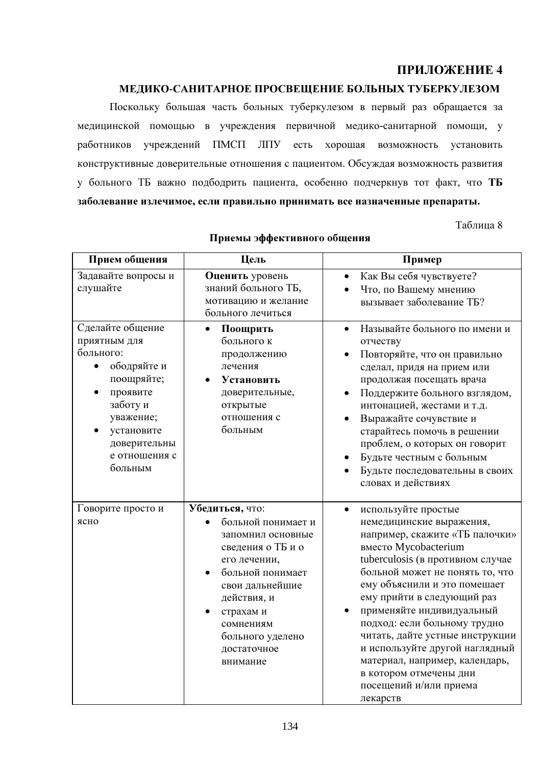## МЕДИКО-САНИТАРНОЕ ПРОСВЕЩЕНИЕ БОЛЬНЫХ ТУБЕРКУЛЕЗОМ

Поскольку большая часть больных туберкулезом в первый раз обращается за медицинской помощью в учреждения первичной медико-санитарной помощи, у учреждений ПМСП ЛПУ работников есть хорошая возможность установить конструктивные доверительные отношения с пациентом. Обсуждая возможность развития у больного ТБ важно подбодрить пациента, особенно подчеркнув тот факт, что ТБ заболевание излечимое, если правильно принимать все назначенные препараты.

Таблица 8

| Прием общения                                                                                                                                                                                       | Цель                                                                                                                                                                                                                           | Пример                                                                                                                                                                                                                                                                                                                                                                                                                                                                                          |
|-----------------------------------------------------------------------------------------------------------------------------------------------------------------------------------------------------|--------------------------------------------------------------------------------------------------------------------------------------------------------------------------------------------------------------------------------|-------------------------------------------------------------------------------------------------------------------------------------------------------------------------------------------------------------------------------------------------------------------------------------------------------------------------------------------------------------------------------------------------------------------------------------------------------------------------------------------------|
| Задавайте вопросы и<br>слушайте                                                                                                                                                                     | Оценить уровень<br>знаний больного ТБ,<br>мотивацию и желание<br>больного лечиться                                                                                                                                             | Как Вы себя чувствуете?<br>Что, по Вашему мнению<br>вызывает заболевание ТБ?                                                                                                                                                                                                                                                                                                                                                                                                                    |
| Сделайте общение<br>приятным для<br>больного:<br>ободряйте и<br>$\bullet$<br>поощряйте;<br>проявите<br>$\bullet$<br>заботу и<br>уважение;<br>установите<br>доверительны<br>е отношения с<br>больным | Поощрить<br>$\bullet$<br>больного к<br>продолжению<br>лечения<br>Установить<br>доверительные,<br>открытые<br>отношения с<br>больным                                                                                            | Называйте больного по имени и<br>$\bullet$<br>отчеству<br>Повторяйте, что он правильно<br>сделал, придя на прием или<br>продолжая посещать врача<br>Поддержите больного взглядом,<br>интонацией, жестами и т.д.<br>Выражайте сочувствие и<br>старайтесь помочь в решении<br>проблем, о которых он говорит<br>Будьте честным с больным<br>Будьте последовательны в своих<br>словах и действиях                                                                                                   |
| Говорите просто и<br>ясно                                                                                                                                                                           | Убедиться, что:<br>больной понимает и<br>запомнил основные<br>сведения о ТБ и о<br>его лечении,<br>больной понимает<br>свои дальнейшие<br>действия, и<br>страхам и<br>сомнениям<br>больного уделено<br>достаточное<br>внимание | используйте простые<br>$\bullet$<br>немедицинские выражения,<br>например, скажите «ТБ палочки»<br>вместо Mycobacterium<br>tuberculosis (в противном случае<br>больной может не понять то, что<br>ему объяснили и это помешает<br>ему прийти в следующий раз<br>применяйте индивидуальный<br>подход: если больному трудно<br>читать, дайте устные инструкции<br>и используйте другой наглядный<br>материал, например, календарь,<br>в котором отмечены дни<br>посещений и/или приема<br>пекарств |

### Приемы эффективного общения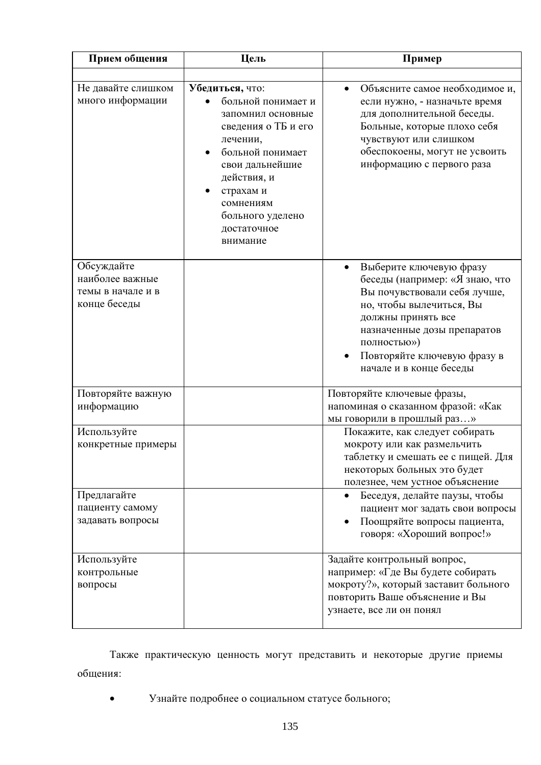| Прием общения                                                      | Цель                                                                                                                                                                                                                         | Пример                                                                                                                                                                                                                                              |
|--------------------------------------------------------------------|------------------------------------------------------------------------------------------------------------------------------------------------------------------------------------------------------------------------------|-----------------------------------------------------------------------------------------------------------------------------------------------------------------------------------------------------------------------------------------------------|
|                                                                    |                                                                                                                                                                                                                              |                                                                                                                                                                                                                                                     |
| Не давайте слишком<br>много информации                             | Убедиться, что:<br>больной понимает и<br>запомнил основные<br>сведения о ТБ и его<br>лечении,<br>больной понимает<br>свои дальнейшие<br>действия, и<br>страхам и<br>сомнениям<br>больного уделено<br>достаточное<br>внимание | Объясните самое необходимое и,<br>если нужно, - назначьте время<br>для дополнительной беседы.<br>Больные, которые плохо себя<br>чувствуют или слишком<br>обеспокоены, могут не усвоить<br>информацию с первого раза                                 |
| Обсуждайте<br>наиболее важные<br>темы в начале и в<br>конце беседы |                                                                                                                                                                                                                              | Выберите ключевую фразу<br>беседы (например: «Я знаю, что<br>Вы почувствовали себя лучше,<br>но, чтобы вылечиться, Вы<br>должны принять все<br>назначенные дозы препаратов<br>полностью»)<br>Повторяйте ключевую фразу в<br>начале и в конце беседы |
| Повторяйте важную<br>информацию                                    |                                                                                                                                                                                                                              | Повторяйте ключевые фразы,<br>напоминая о сказанном фразой: «Как<br>мы говорили в прошлый раз»                                                                                                                                                      |
| Используйте<br>конкретные примеры                                  |                                                                                                                                                                                                                              | Покажите, как следует собирать<br>мокроту или как размельчить<br>таблетку и смешать ее с пищей. Для<br>некоторых больных это будет<br>полезнее, чем устное объяснение                                                                               |
| Предлагайте<br>пациенту самому<br>задавать вопросы                 |                                                                                                                                                                                                                              | Беседуя, делайте паузы, чтобы<br>пациент мог задать свои вопросы<br>Поощряйте вопросы пациента,<br>$\bullet$<br>говоря: «Хороший вопрос!»                                                                                                           |
| Используйте<br>контрольные<br>вопросы                              |                                                                                                                                                                                                                              | Задайте контрольный вопрос,<br>например: «Где Вы будете собирать<br>мокроту?», который заставит больного<br>повторить Ваше объяснение и Вы<br>узнаете, все ли он понял                                                                              |

Также практическую ценность могут представить и некоторые другие приемы общения:

Узнайте подробнее о социальном статусе больного;  $\bullet$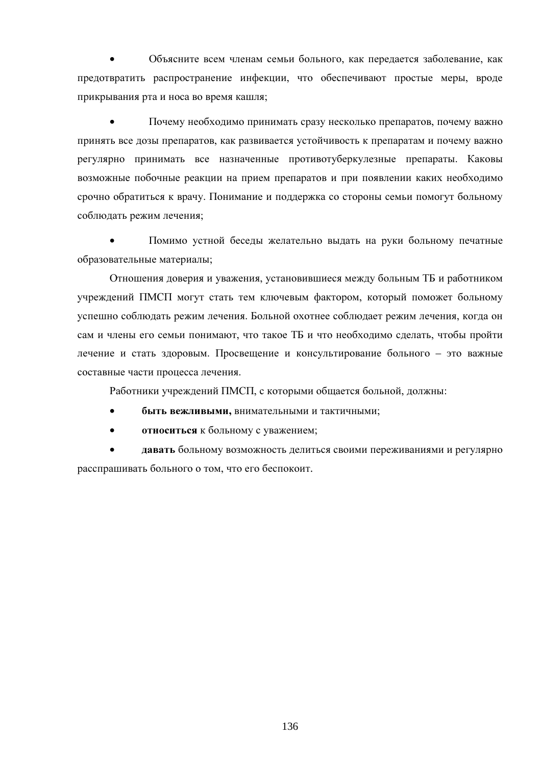Объясните всем членам семьи больного, как передается заболевание, как предотвратить распространение инфекции, что обеспечивают простые меры, вроде прикрывания рта и носа во время кашля;

Почему необходимо принимать сразу несколько препаратов, почему важно принять все дозы препаратов, как развивается устойчивость к препаратам и почему важно регулярно принимать все назначенные противотуберкулезные препараты. Каковы возможные побочные реакции на прием препаратов и при появлении каких необходимо срочно обратиться к врачу. Понимание и поддержка со стороны семьи помогут больному соблюдать режим лечения;

Помимо устной беседы желательно выдать на руки больному печатные образовательные материалы;

Отношения доверия и уважения, установившиеся между больным ТБ и работником учреждений ПМСП могут стать тем ключевым фактором, который поможет больному успешно соблюдать режим лечения. Больной охотнее соблюдает режим лечения, когда он сам и члены его семьи понимают, что такое ТБ и что необходимо сделать, чтобы пройти лечение и стать здоровым. Просвещение и консультирование больного - это важные составные части процесса лечения.

Работники учреждений ПМСП, с которыми общается больной, должны:

- быть вежливыми, внимательными и тактичными;
- относиться к больному с уважением;

давать больному возможность делиться своими переживаниями и регулярно расспрашивать больного о том, что его беспокоит.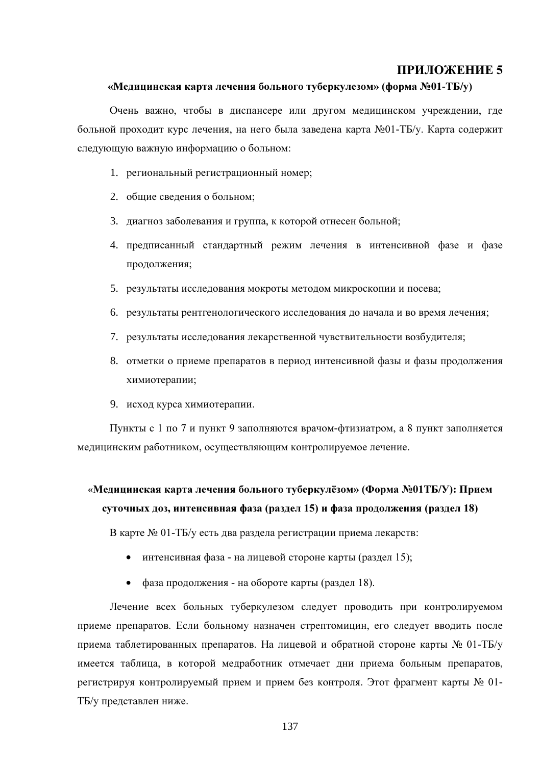#### «Медицинская карта лечения больного туберкулезом» (форма №01-ТБ/у)

Очень важно, чтобы в диспансере или другом медицинском учреждении, где больной проходит курс лечения, на него была заведена карта №01-ТБ/у. Карта содержит следующую важную информацию о больном:

- 1. региональный регистрационный номер;
- 2. общие сведения о больном;
- 3. диагноз заболевания и группа, к которой отнесен больной;
- 4. предписанный стандартный режим лечения в интенсивной фазе и фазе продолжения;
- 5. результаты исследования мокроты методом микроскопии и посева;
- 6. результаты рентгенологического исследования до начала и во время лечения;
- 7. результаты исследования лекарственной чувствительности возбудителя;
- 8. отметки о приеме препаратов в период интенсивной фазы и фазы продолжения химиотерапии;
- 9. исход курса химиотерапии.

Пункты с 1 по 7 и пункт 9 заполняются врачом-фтизиатром, а 8 пункт заполняется медицинским работником, осуществляющим контролируемое лечение.

# «Медицинская карта лечения больного туберкулёзом» (Форма №01ТБ/У): Прием суточных доз, интенсивная фаза (раздел 15) и фаза продолжения (раздел 18)

В карте № 01-ТБ/у есть два раздела регистрации приема лекарств:

- интенсивная фаза на лицевой стороне карты (раздел 15);
- фаза продолжения на обороте карты (раздел 18).

Лечение всех больных туберкулезом следует проводить при контролируемом приеме препаратов. Если больному назначен стрептомицин, его следует вводить после приема таблетированных препаратов. На лицевой и обратной стороне карты № 01-ТБ/у имеется таблица, в которой медработник отмечает дни приема больным препаратов, регистрируя контролируемый прием и прием без контроля. Этот фрагмент карты № 01-ТБ/у представлен ниже.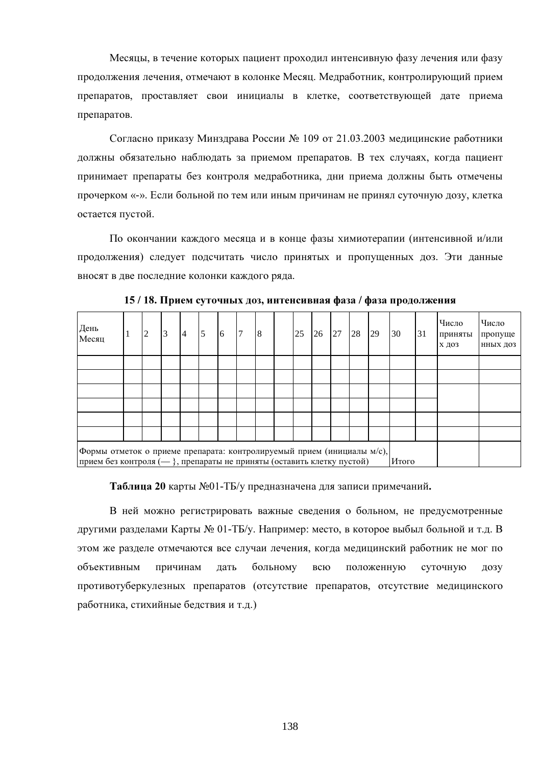Месяцы, в течение которых пациент проходил интенсивную фазу лечения или фазу продолжения лечения, отмечают в колонке Месяц. Медработник, контролирующий прием препаратов, проставляет свои инициалы в клетке, соответствующей дате приема препаратов.

Согласно приказу Минздрава России № 109 от 21.03.2003 медицинские работники должны обязательно наблюдать за приемом препаратов. В тех случаях, когда пациент принимает препараты без контроля медработника, дни приема должны быть отмечены прочерком «-». Если больной по тем или иным причинам не принял суточную дозу, клетка остается пустой.

По окончании каждого месяца и в конце фазы химиотерапии (интенсивной и/или продолжения) следует подсчитать число принятых и пропущенных доз. Эти данные вносят в две последние колонки каждого ряда.

| День<br>Месяц                                                                                                                                               |  | $\overline{2}$ | 3 | 4 | 5 | 6 | 17 | 8 |  | 25 | 26 | 27 | 28 | 29 | 30 | 31 | Число<br>приняты<br>Х ДОЗ | Число<br>пропуще<br>ННЫХ ДОЗ |
|-------------------------------------------------------------------------------------------------------------------------------------------------------------|--|----------------|---|---|---|---|----|---|--|----|----|----|----|----|----|----|---------------------------|------------------------------|
|                                                                                                                                                             |  |                |   |   |   |   |    |   |  |    |    |    |    |    |    |    |                           |                              |
|                                                                                                                                                             |  |                |   |   |   |   |    |   |  |    |    |    |    |    |    |    |                           |                              |
|                                                                                                                                                             |  |                |   |   |   |   |    |   |  |    |    |    |    |    |    |    |                           |                              |
|                                                                                                                                                             |  |                |   |   |   |   |    |   |  |    |    |    |    |    |    |    |                           |                              |
|                                                                                                                                                             |  |                |   |   |   |   |    |   |  |    |    |    |    |    |    |    |                           |                              |
|                                                                                                                                                             |  |                |   |   |   |   |    |   |  |    |    |    |    |    |    |    |                           |                              |
| Формы отметок о приеме препарата: контролируемый прием (инициалы м/с),<br>прием без контроля $(-)$ , препараты не приняты (оставить клетку пустой)<br>Итого |  |                |   |   |   |   |    |   |  |    |    |    |    |    |    |    |                           |                              |

15/18. Прием суточных доз, интенсивная фаза / фаза продолжения

Таблица 20 карты №01-ТБ/у предназначена для записи примечаний.

В ней можно регистрировать важные сведения о больном, не предусмотренные другими разделами Карты № 01-ТБ/у. Например: место, в которое выбыл больной и т.д. В этом же разделе отмечаются все случаи лечения, когда медицинский работник не мог по объективным причинам лать больному всю положенную суточную **ЛОЗУ** противотуберкулезных препаратов (отсутствие препаратов, отсутствие медицинского работника, стихийные бедствия и т.д.)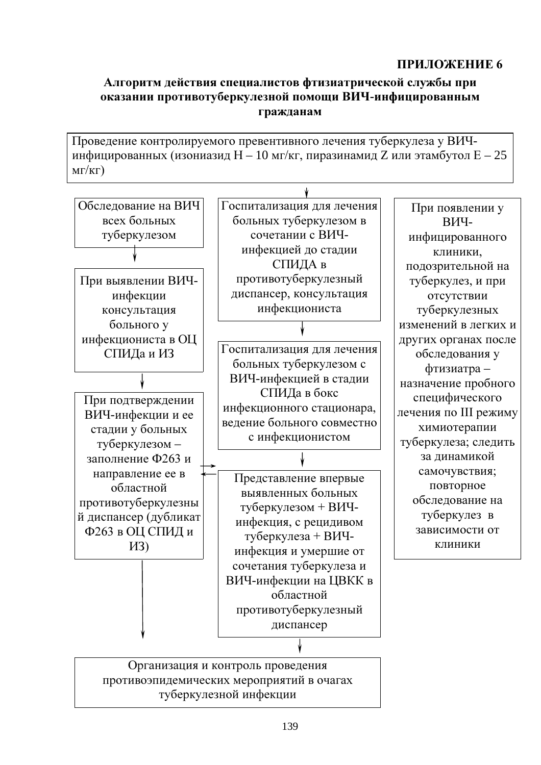## Алгоритм действия специалистов фтизиатрической службы при оказании противотуберкулезной помощи ВИЧ-инфицированным гражданам

Проведение контролируемого превентивного лечения туберкулеза у ВИЧинфицированных (изониазид Н - 10 мг/кг, пиразинамид Z или этамбутол Е - 25  $MT/KT)$ 

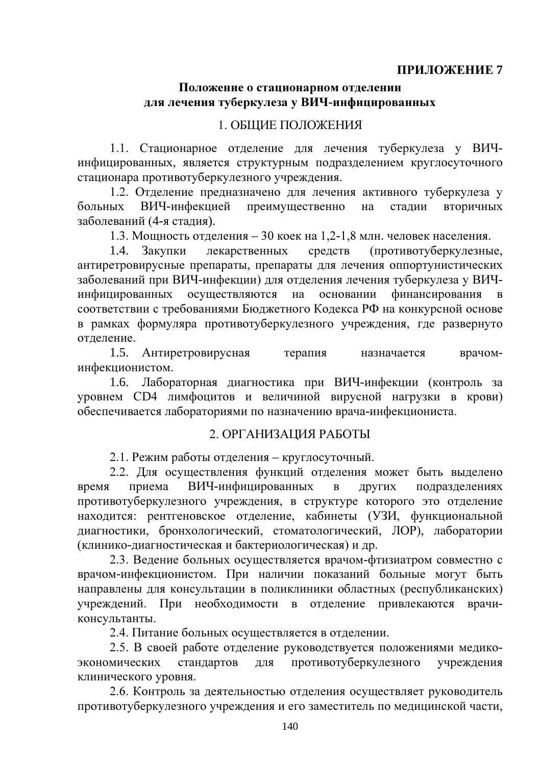## Положение о стационарном отделении для лечения туберкулеза у ВИЧ-инфицированных

## 1. ОБЩИЕ ПОЛОЖЕНИЯ

1.1. Стационарное отделение для лечения туберкулеза у ВИЧинфицированных, является структурным подразделением круглосуточного стационара противотуберкулезного учреждения.

1.2. Отделение предназначено для лечения активного туберкулеза у ВИЧ-инфекцией больных преимущественно стадии вторичных на заболеваний (4-я стадия).

1.3. Мощность отделения - 30 коек на 1,2-1,8 млн. человек населения.

1.4. (противотуберкулезные, Закупки лекарственных средств антиретровирусные препараты, препараты для лечения оппортунистических заболеваний при ВИЧ-инфекции) для отделения лечения туберкулеза у ВИЧинфицированных осуществляются на основании финансирования  $\mathbf{B}$ соответствии с требованиями Бюджетного Кодекса РФ на конкурсной основе в рамках формуляра противотуберкулезного учреждения, где развернуто отлеление.

1.5. Антиретровирусная терапия врачомназначается инфекционистом.

1.6. Лабораторная диагностика при ВИЧ-инфекции (контроль за уровнем СD4 лимфоцитов и величиной вирусной нагрузки в крови) обеспечивается лабораториями по назначению врача-инфекциониста.

## 2. ОРГАНИЗАЦИЯ РАБОТЫ

2.1. Режим работы отделения - круглосуточный.

2.2. Для осуществления функций отделения может быть выделено приема ВИЧ-инфицированных время  $\mathbf{B}$ ДРУГИХ подразделениях противотуберкулезного учреждения, в структуре которого это отделение находится: рентгеновское отделение, кабинеты (УЗИ, функциональной диагностики, бронхологический, стоматологический, ЛОР), лаборатории (клинико-диагностическая и бактериологическая) и др.

2.3. Ведение больных осуществляется врачом-фтизиатром совместно с врачом-инфекционистом. При наличии показаний больные могут быть направлены для консультации в поликлиники областных (республиканских) учреждений. При необходимости в отделение привлекаются врачиконсультанты.

2.4. Питание больных осуществляется в отделении.

2.5. В своей работе отделение руководствуется положениями медикопротивотуберкулезного экономических стандартов ДЛЯ учреждения клинического уровня.

2.6. Контроль за деятельностью отделения осуществляет руководитель противотуберкулезного учреждения и его заместитель по медицинской части,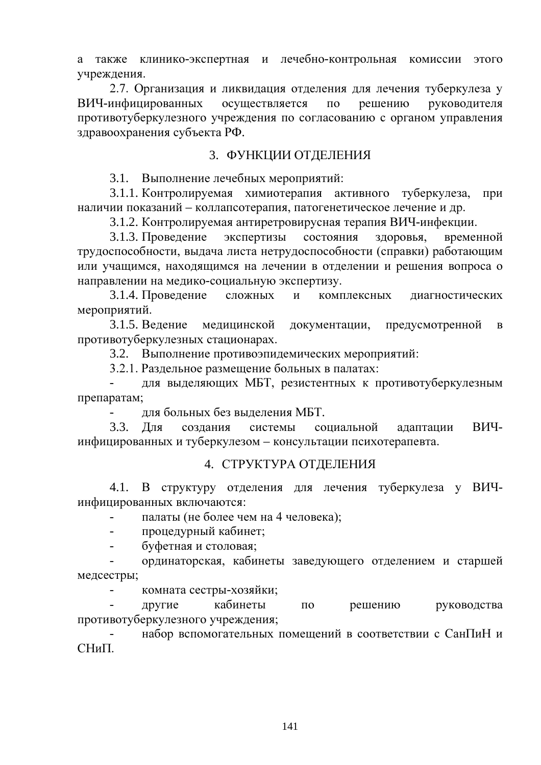а также клинико-экспертная и лечебно-контрольная комиссии этого учреждения.

2.7. Организация и ликвидация отделения для лечения туберкулеза у ВИЧ-инфицированных осуществляется решению  $\Pi$ O руководителя противотуберкулезного учреждения по согласованию с органом управления здравоохранения субъекта РФ.

## 3. ФУНКЦИИ ОТДЕЛЕНИЯ

3.1. Выполнение лечебных мероприятий:

3.1.1. Контролируемая химиотерапия активного туберкулеза, при наличии показаний - коллапсотерапия, патогенетическое лечение и др.

3.1.2. Контролируемая антиретровирусная терапия ВИЧ-инфекции.

3.1.3. Проведение экспертизы состояния здоровья, временной трудоспособности, выдача листа нетрудоспособности (справки) работающим или учащимся, находящимся на лечении в отделении и решения вопроса о направлении на медико-социальную экспертизу.

3.1.4. Проведение сложных комплексных  $\overline{M}$ лиагностических мероприятий.

3.1.5. Веление мелицинской документации, предусмотренной  $\overline{B}$ противотуберкулезных стационарах.

3.2. Выполнение противоэпидемических мероприятий:

3.2.1. Раздельное размещение больных в палатах:

для выделяющих МБТ, резистентных к противотуберкулезным препаратам;

для больных без выделения МБТ.

 $3.3.$ Лля создания системы ВИЧсоциальной адаптации инфицированных и туберкулезом - консультации психотерапевта.

## 4. СТРУКТУРА ОТДЕЛЕНИЯ

4.1. В структуру отделения для лечения туберкулеза у ВИЧинфицированных включаются:

палаты (не более чем на 4 человека);  $\blacksquare$ 

процедурный кабинет;  $\overline{a}$ 

буфетная и столовая;  $\Box$ 

ординаторская, кабинеты заведующего отделением и старшей медсестры;

 $\overline{a}$ комната сестры-хозяйки;

кабинеты другие  $\overline{10}$ решению руководства противотуберкулезного учреждения;

набор вспомогательных помещений в соответствии с СанПиН и  $CHu$ <sub> $\Pi$ </sub>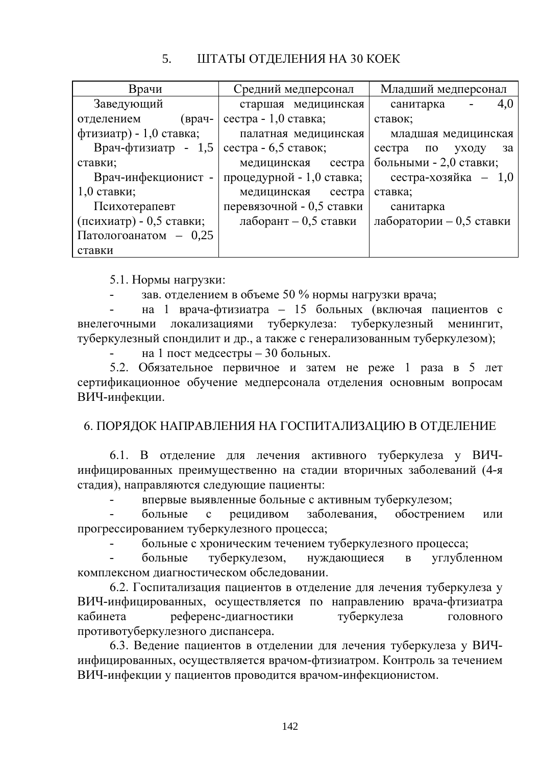#### $5<sub>1</sub>$ ШТАТЫ ОТДЕЛЕНИЯ НА 30 КОЕК

| Врачи                          | Средний медперсонал       | Младший медперсонал              |
|--------------------------------|---------------------------|----------------------------------|
| Заведующий                     | старшая медицинская       | 4,0<br>санитарка                 |
| (врач-<br>отделением           | сестра - 1,0 ставка;      | ставок;                          |
| фтизиатр) - 1,0 ставка;        | палатная медицинская      | младшая медицинская              |
| Врач-фтизиатр - 1,5            | сестра - 6,5 ставок;      | сестра<br>$\Pi$ O<br>уходу<br>за |
| ставки;                        | медицинская<br>сестра     | больными - 2,0 ставки;           |
| Врач-инфекционист -            | процедурной - 1,0 ставка; | сестра-хозяйка $-1,0$            |
| $1,0$ ставки;                  | медицинская<br>сестра     | ставка;                          |
| Психотерапевт                  | перевязочной - 0,5 ставки | санитарка                        |
| (психиатр) - 0,5 ставки;       | лаборант $-0,5$ ставки    | лаборатории $-0,5$ ставки        |
| $\Gamma$ Патологоанатом - 0,25 |                           |                                  |
| ставки                         |                           |                                  |

5.1. Нормы нагрузки:

зав. отделением в объеме 50 % нормы нагрузки врача;

на 1 врача-фтизиатра - 15 больных (включая пациентов с локализациями туберкулеза: туберкулезный внелегочными менингит. туберкулезный спондилит и др., а также с генерализованным туберкулезом);

на 1 пост медсестры - 30 больных.

5.2. Обязательное первичное и затем не реже 1 раза в 5 лет сертификационное обучение медперсонала отделения основным вопросам ВИЧ-инфекции.

# 6. ПОРЯДОК НАПРАВЛЕНИЯ НА ГОСПИТАЛИЗАЦИЮ В ОТДЕЛЕНИЕ

6.1. В отделение для лечения активного туберкулеза у ВИЧинфицированных преимущественно на стадии вторичных заболеваний (4-я стадия), направляются следующие пациенты:

впервые выявленные больные с активным туберкулезом;

обострением больные рецидивом заболевания.  $\mathbf{c}$ или прогрессированием туберкулезного процесса;

больные с хроническим течением туберкулезного процесса;

туберкулезом, нуждающиеся углубленном больные  $\overline{B}$ комплексном диагностическом обследовании.

6.2. Госпитализация пациентов в отделение для лечения туберкулеза у ВИЧ-инфицированных, осуществляется по направлению врача-фтизиатра кабинета референс-диагностики туберкулеза головного противотуберкулезного диспансера.

6.3. Ведение пациентов в отделении для лечения туберкулеза у ВИЧинфицированных, осуществляется врачом-фтизиатром. Контроль за течением ВИЧ-инфекции у пациентов проводится врачом-инфекционистом.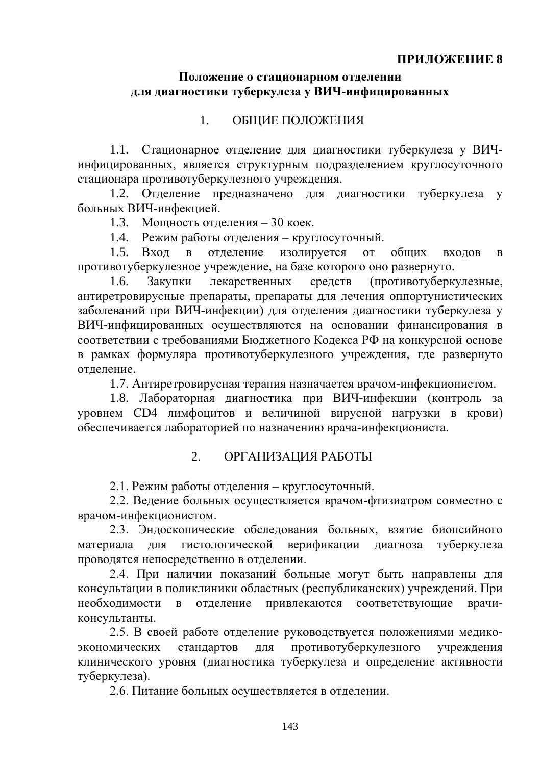## Положение о стационарном отделении для диагностики туберкулеза у ВИЧ-инфицированных

#### ОБЩИЕ ПОЛОЖЕНИЯ  $1_{\cdot}$

1.1. Стационарное отделение для диагностики туберкулеза у ВИЧинфицированных, является структурным подразделением круглосуточного стационара противотуберкулезного учреждения.

1.2. Отделение предназначено для диагностики туберкулеза у больных ВИЧ-инфекцией.

1.3. Мощность отделения - 30 коек.

1.4. Режим работы отделения - круглосуточный.

 $1.5.$ Вход  $\mathbf{B}$ отделение изолируется **OT** общих входов  $\bf{B}$ противотуберкулезное учреждение, на базе которого оно развернуто.

Закупки лекарственных средств (противотуберкулезные,  $1.6.$ антиретровирусные препараты, препараты для лечения оппортунистических заболеваний при ВИЧ-инфекции) для отделения диагностики туберкулеза у ВИЧ-инфицированных осуществляются на основании финансирования в соответствии с требованиями Бюджетного Кодекса РФ на конкурсной основе в рамках формуляра противотуберкулезного учреждения, где развернуто отделение.

1.7. Антиретровирусная терапия назначается врачом-инфекционистом.

1.8. Лабораторная диагностика при ВИЧ-инфекции (контроль за уровнем СD4 лимфоцитов и величиной вирусной нагрузки в крови) обеспечивается лабораторией по назначению врача-инфекциониста.

#### $2.$ ОРГАНИЗАЦИЯ РАБОТЫ

2.1. Режим работы отделения - круглосуточный.

2.2. Ведение больных осуществляется врачом-фтизиатром совместно с врачом-инфекционистом.

2.3. Эндоскопические обследования больных, взятие биопсийного верификации гистологической материала для лиагноза туберкулеза проводятся непосредственно в отделении.

2.4. При наличии показаний больные могут быть направлены для консультации в поликлиники областных (республиканских) учреждений. При необходимости в отделение привлекаются соответствующие врачиконсультанты.

2.5. В своей работе отделение руководствуется положениями медикоэкономических стандартов ДЛЯ противотуберкулезного учреждения клинического уровня (диагностика туберкулеза и определение активности туберкулеза).

2.6. Питание больных осуществляется в отделении.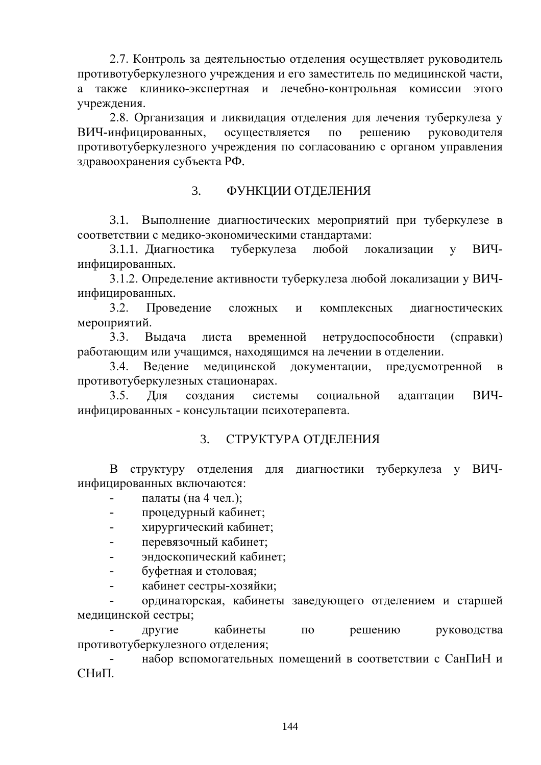2.7. Контроль за деятельностью отделения осуществляет руководитель противотуберкулезного учреждения и его заместитель по медицинской части, а также клинико-экспертная и лечебно-контрольная комиссии этого учреждения.

2.8. Организация и ликвидация отделения для лечения туберкулеза у ВИЧ-инфицированных, осуществляется  $\Pi$ <sup>O</sup> решению руководителя противотуберкулезного учреждения по согласованию с органом управления здравоохранения субъекта РФ.

#### $3.$ ФУНКЦИИ ОТДЕЛЕНИЯ

3.1. Выполнение диагностических мероприятий при туберкулезе в соответствии с мелико-экономическими станлартами:

3.1.1. Диагностика туберкулеза любой ВИЧлокализации  $\overline{\mathbf{V}}$ инфицированных.

3.1.2. Определение активности туберкулеза любой локализации у ВИЧинфицированных.

 $3.2.$ Проведение диагностических сложных  $\mathbf{M}$ комплексных мероприятий.

 $3.3.$ Выдача листа временной нетрудоспособности (справки) работающим или учащимся, находящимся на лечении в отделении.

 $3.4.$ Ведение медицинской документации, предусмотренной  $\bf{B}$ противотуберкулезных стационарах.

 $3.5.$ Для создания системы социальной ВИЧалаптации инфицированных - консультации психотерапевта.

#### $3<sub>l</sub>$ СТРУКТУРА ОТДЕЛЕНИЯ

для диагностики туберкулеза у ВИЧ-В структуру отделения инфицированных включаются:

палаты (на 4 чел.);

- процедурный кабинет;  $\overline{a}$
- хирургический кабинет;  $\overline{a}$
- перевязочный кабинет:  $\overline{a}$
- эндоскопический кабинет;  $\sim$
- буфетная и столовая:
- кабинет сестры-хозяйки;  $\overline{a}$

ординаторская, кабинеты заведующего отделением и старшей медицинской сестры;

другие кабинеты  $\Pi$ <sup>O</sup> решению руководства противотуберкулезного отделения;

набор вспомогательных помещений в соответствии с СанПиН и  $CHu\Pi$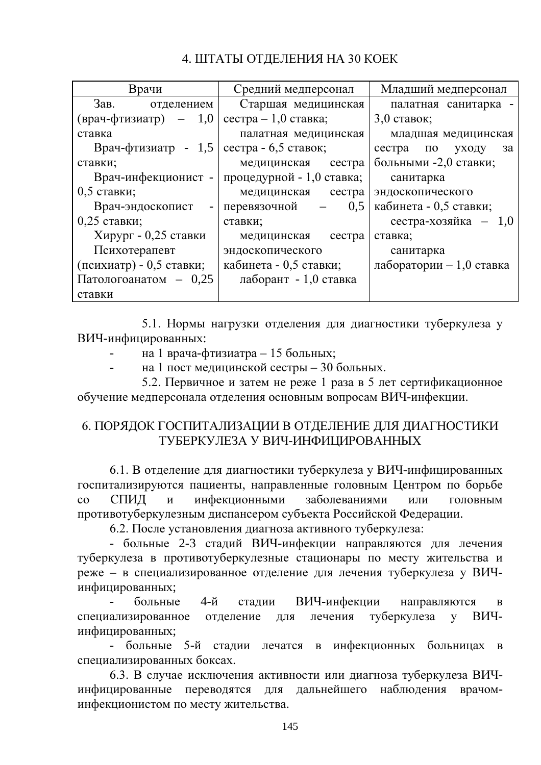# 4. ШТАТЫ ОТДЕЛЕНИЯ НА 30 КОЕК

| Врачи                                 | Средний медперсонал                                    | Младший медперсонал       |
|---------------------------------------|--------------------------------------------------------|---------------------------|
| Зав.<br>отделением                    | Старшая медицинская                                    | палатная санитарка -      |
| $(\text{Bpa} - \phi \text{T}W)$ - 1,0 | сестра $-1,0$ ставка;                                  | $3,0$ ставок;             |
| ставка                                | палатная медицинская                                   | младшая медицинская       |
| Врач-фтизиатр - 1,5                   | сестра - 6,5 ставок;                                   | сестра по уходу<br>- за   |
| ставки;                               | медицинская сестра                                     | больными -2,0 ставки;     |
| Врач-инфекционист -                   | процедурной - 1,0 ставка;                              | санитарка                 |
| 0,5 ставки;                           | медицинская сестра                                     | эндоскопического          |
| Врач-эндоскопист                      | 0.5<br>перевязочной<br>$\frac{1}{2}$ and $\frac{1}{2}$ | кабинета - 0,5 ставки;    |
| $0,25$ ставки;                        | ставки;                                                | сестра-хозяйка $-1,0$     |
| Хирург - 0,25 ставки                  | медицинская сестра                                     | ставка;                   |
| Психотерапевт                         | эндоскопического                                       | санитарка                 |
| (психиатр) - 0,5 ставки;              | кабинета - 0,5 ставки;                                 | лаборатории $-1,0$ ставка |
| Патологоанатом - 0,25                 | лаборант - 1,0 ставка                                  |                           |
| ставки                                |                                                        |                           |

5.1. Нормы нагрузки отделения для диагностики туберкулеза у ВИЧ-инфицированных:

на 1 врача-фтизиатра - 15 больных;  $\overline{\phantom{a}}$ 

на 1 пост медицинской сестры - 30 больных.

5.2. Первичное и затем не реже 1 раза в 5 лет сертификационное обучение медперсонала отделения основным вопросам ВИЧ-инфекции.

## 6. ПОРЯДОК ГОСПИТАЛИЗАЦИИ В ОТДЕЛЕНИЕ ДЛЯ ДИАГНОСТИКИ ТУБЕРКУЛЕЗА У ВИЧ-ИНФИЦИРОВАННЫХ

6.1. В отделение для диагностики туберкулеза у ВИЧ-инфицированных госпитализируются пациенты, направленные головным Центром по борьбе СПИД инфекционными заболеваниями  $\overline{c}$  $\mathbf{M}$ ИЛИ ГОЛОВНЫМ противотуберкулезным диспансером субъекта Российской Федерации.

6.2. После установления диагноза активного туберкулеза:

- больные 2-3 сталий ВИЧ-инфекции направляются для лечения туберкулеза в противотуберкулезные стационары по месту жительства и реже - в специализированное отделение для лечения туберкулеза у ВИЧинфицированных;

больные  $4-$ й ВИЧ-инфекции направляются сталии  $\overline{B}$ туберкулеза у специализированное отделение для лечения ВИЧинфицированных;

- больные 5-й стадии лечатся в инфекционных больницах в специализированных боксах.

6.3. В случае исключения активности или диагноза туберкулеза ВИЧинфицированные переводятся для дальнейшего наблюдения врачоминфекционистом по месту жительства.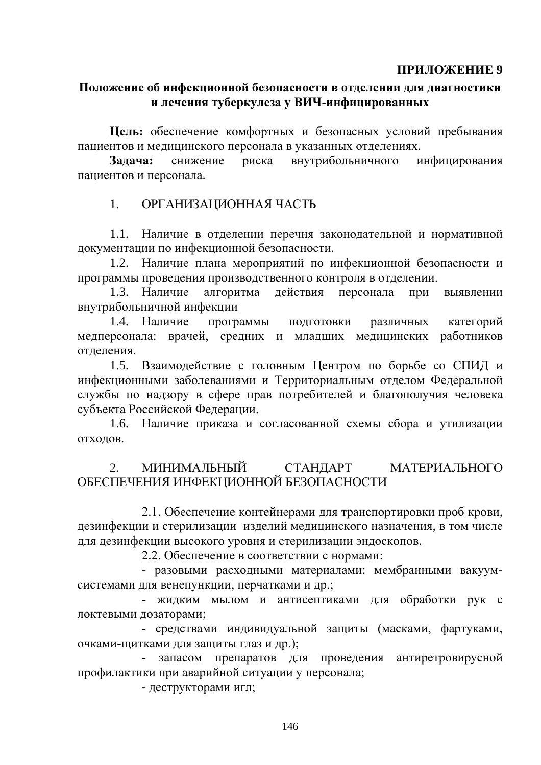### ПРИЛОЖЕНИЕ 9

### Положение об инфекционной безопасности в отделении для диагностики и лечения туберкулеза у ВИЧ-инфицированных

Цель: обеспечение комфортных и безопасных условий пребывания пациентов и медицинского персонала в указанных отделениях.

Залача: снижение риска внутрибольничного инфицирования пациентов и персонала.

#### ОРГАНИЗАЦИОННАЯ ЧАСТЬ  $1<sup>1</sup>$

1.1. Наличие в отделении перечня законодательной и нормативной документации по инфекционной безопасности.

1.2. Наличие плана мероприятий по инфекционной безопасности и программы проведения производственного контроля в отделении.

1.3. Наличие алгоритма действия персонала при выявлении внутрибольничной инфекции

1.4. Наличие программы ПОДГОТОВКИ различных категорий медперсонала: врачей, средних и младших медицинских работников отделения.

1.5. Взаимодействие с головным Центром по борьбе со СПИД и инфекционными заболеваниями и Территориальным отделом Федеральной службы по надзору в сфере прав потребителей и благополучия человека субъекта Российской Федерации.

1.6. Наличие приказа и согласованной схемы сбора и утилизации отходов.

#### МИНИМАЛЬНЫЙ МАТЕРИАЛЬНОГО  $2<sup>1</sup>$ СТАНДАРТ ОБЕСПЕЧЕНИЯ ИНФЕКЦИОННОЙ БЕЗОПАСНОСТИ

2.1. Обеспечение контейнерами для транспортировки проб крови, дезинфекции и стерилизации изделий медицинского назначения, в том числе для дезинфекции высокого уровня и стерилизации эндоскопов.

2.2. Обеспечение в соответствии с нормами:

- разовыми расходными материалами: мембранными вакуумсистемами для венепункции, перчатками и др.;

- жидким мылом и антисептиками для обработки рук с локтевыми дозаторами;

- средствами индивидуальной защиты (масками, фартуками, очками-щитками для защиты глаз и др.);

запасом препаратов для проведения антиретровирусной профилактики при аварийной ситуации у персонала;

- деструкторами игл;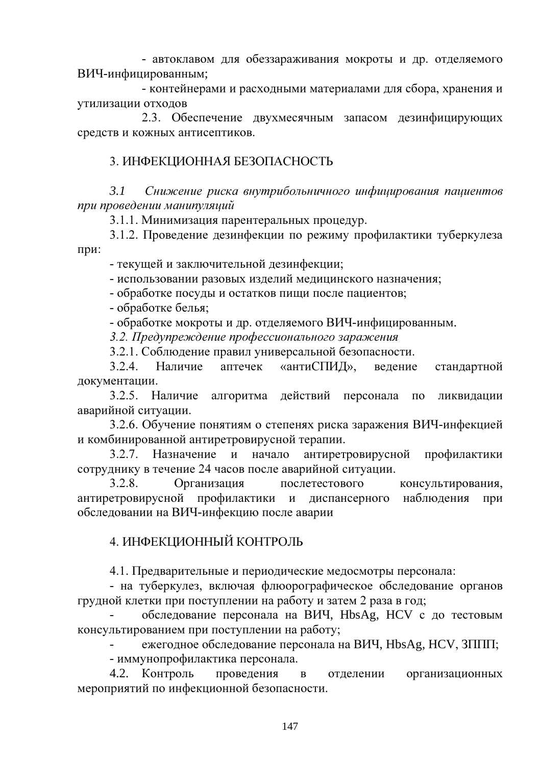- автоклавом для обеззараживания мокроты и др. отделяемого ВИЧ-инфицированным;

- контейнерами и расходными материалами для сбора, хранения и утилизации отходов

2.3. Обеспечение двухмесячным запасом дезинфицирующих средств и кожных антисептиков.

### 3. ИНФЕКЦИОННАЯ БЕЗОПАСНОСТЬ

 $3.1$ Снижение риска внутрибольничного инфицирования пациентов при проведении манипуляций

3.1.1. Минимизация парентеральных процедур.

3.1.2. Проведение дезинфекции по режиму профилактики туберкулеза при:

- текущей и заключительной дезинфекции;

- использовании разовых изделий медицинского назначения;

- обработке посуды и остатков пиши после пациентов:

- обработке белья;

- обработке мокроты и др. отделяемого ВИЧ-инфицированным.

3.2. Предупреждение профессионального заражения

3.2.1. Соблюдение правил универсальной безопасности.

 $3.2.4.$ «антиСПИД», Наличие аптечек ведение стандартной документации.

 $3.2.5.$ Наличие алгоритма действий персонала по ликвидации аварийной ситуации.

3.2.6. Обучение понятиям о степенях риска заражения ВИЧ-инфекцией и комбинированной антиретровирусной терапии.

Назначение  $3.2.7.$  $\mathbf{M}$ начало антиретровирусной профилактики сотруднику в течение 24 часов после аварийной ситуации.

Организация 328 послетестового консультирования. антиретровирусной профилактики и диспансерного наблюдения при обследовании на ВИЧ-инфекцию после аварии

### 4. ИНФЕКЦИОННЫЙ КОНТРОЛЬ

4.1. Предварительные и периодические медосмотры персонала:

- на туберкулез, включая флюорографическое обследование органов грудной клетки при поступлении на работу и затем 2 раза в год;

обследование персонала на ВИЧ, HbsAg, HCV с до тестовым консультированием при поступлении на работу;

ежегодное обследование персонала на ВИЧ, HbsAg, HCV, 3ППП; - иммунопрофилактика персонала.

4.2. Контроль проведения  $\mathbf{B}$ отделении организационных мероприятий по инфекционной безопасности.